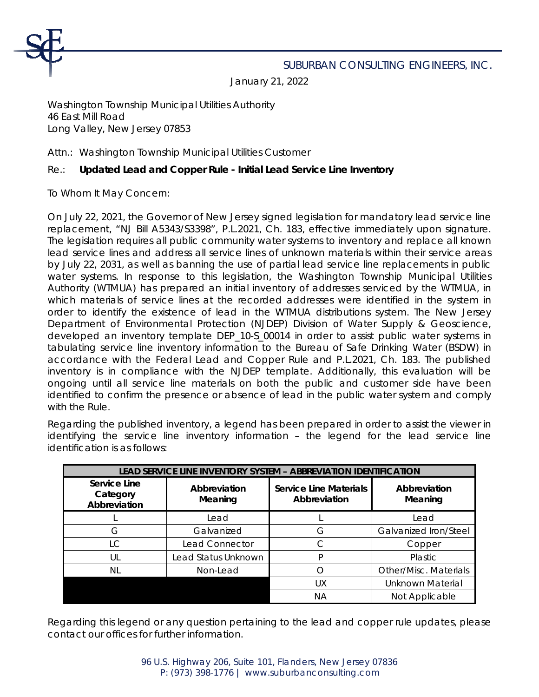

## SUBURBAN CONSULTING ENGINEERS, INC.

January 21, 2022

Washington Township Municipal Utilities Authority 46 East Mill Road Long Valley, New Jersey 07853

Attn.: Washington Township Municipal Utilities Customer

## Re.: **Updated Lead and Copper Rule - Initial Lead Service Line Inventory**

To Whom It May Concern:

On July 22, 2021, the Governor of New Jersey signed legislation for mandatory lead service line replacement, "NJ Bill A5343/S3398", P.L.2021, Ch. 183, effective immediately upon signature. The legislation requires all public community water systems to inventory and replace all known lead service lines and address all service lines of unknown materials within their service areas by July 22, 2031, as well as banning the use of partial lead service line replacements in public water systems. In response to this legislation, the Washington Township Municipal Utilities Authority (WTMUA) has prepared an initial inventory of addresses serviced by the WTMUA, in which materials of service lines at the recorded addresses were identified in the system in order to identify the existence of lead in the WTMUA distributions system. The New Jersey Department of Environmental Protection (NJDEP) Division of Water Supply & Geoscience, developed an inventory template DEP\_10-S\_00014 in order to assist public water systems in tabulating service line inventory information to the Bureau of Safe Drinking Water (BSDW) in accordance with the Federal Lead and Copper Rule and P.L.2021, Ch. 183. The published inventory is in compliance with the NJDEP template. Additionally, this evaluation will be ongoing until all service line materials on both the public and customer side have been identified to confirm the presence or absence of lead in the public water system and comply with the Rule.

Regarding the published inventory, a legend has been prepared in order to assist the viewer in identifying the service line inventory information – the legend for the lead service line identification is as follows:

|                                          | LEAD SERVICE LINE INVENTORY SYSTEM - ABBREVIATION IDENTIFICATION |                                               |                         |  |  |  |  |  |  |  |  |  |
|------------------------------------------|------------------------------------------------------------------|-----------------------------------------------|-------------------------|--|--|--|--|--|--|--|--|--|
| Service Line<br>Category<br>Abbreviation | Abbreviation<br>Meaning                                          | <b>Service Line Materials</b><br>Abbreviation | Abbreviation<br>Meaning |  |  |  |  |  |  |  |  |  |
|                                          | Lead                                                             |                                               | Lead                    |  |  |  |  |  |  |  |  |  |
| G                                        | Galvanized                                                       | G                                             | Galvanized Iron/Steel   |  |  |  |  |  |  |  |  |  |
| LC                                       | Lead Connector                                                   | C                                             | Copper                  |  |  |  |  |  |  |  |  |  |
| UL                                       | Lead Status Unknown                                              | P                                             | Plastic                 |  |  |  |  |  |  |  |  |  |
| NL                                       | Non-Lead                                                         |                                               | Other/Misc. Materials   |  |  |  |  |  |  |  |  |  |
|                                          |                                                                  | UX                                            | <b>Unknown Material</b> |  |  |  |  |  |  |  |  |  |
|                                          |                                                                  | ΝA                                            | Not Applicable          |  |  |  |  |  |  |  |  |  |

Regarding this legend or any question pertaining to the lead and copper rule updates, please contact our offices for further information.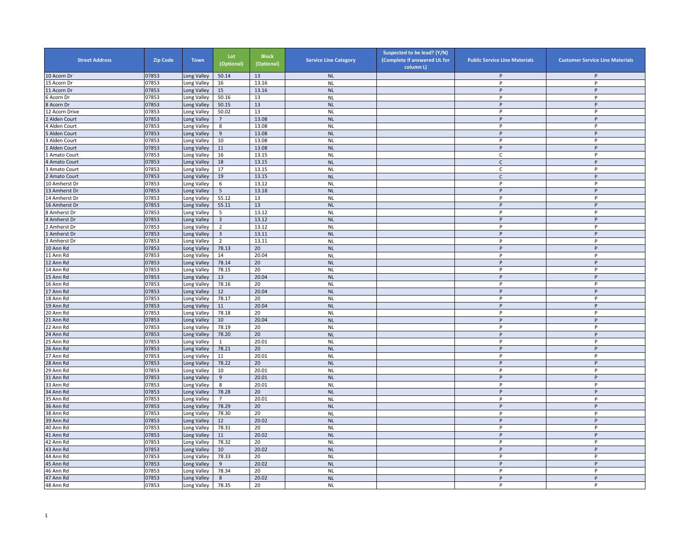| <b>Street Address</b> | <b>Zip Code</b> | <b>Town</b>                | Lot<br>(Optional) | <b>Block</b><br>(Optional) | <b>Service Line Category</b> | Suspected to be lead? (Y/N)<br>(Complete if answered UL for<br>column L) | <b>Public Service Line Materials</b> | <b>Customer Service Line Materials</b> |
|-----------------------|-----------------|----------------------------|-------------------|----------------------------|------------------------------|--------------------------------------------------------------------------|--------------------------------------|----------------------------------------|
| 10 Acorn Dr           | 07853           | Long Valley                | 50.14             | 13                         | <b>NL</b>                    |                                                                          | P                                    | P                                      |
| 5 Acorn Dr            | 07853           | ong Valley                 | 16                | 13.16                      | <b>NL</b>                    |                                                                          | P                                    | P                                      |
| 11 Acorn Dr           | 07853           | Long Valley                | 15                | 13.16                      | <b>NL</b>                    |                                                                          | p                                    | P                                      |
| Acorn Dr              | 07853           | Long Valley                | 50.16             | 13                         | <b>NL</b>                    |                                                                          | P                                    | P                                      |
| 8 Acorn Dr            | 07853           | Long Valley                | 50.15             | 13                         | N <sub>L</sub>               |                                                                          | P                                    | P                                      |
| 12 Acorn Drive        | 07853           | Long Valley                | 50.02             | 13                         | <b>NL</b>                    |                                                                          | P                                    | P                                      |
| Alden Court           | 07853           | Long Valley                | $7^{\circ}$       | 13.08                      | <b>NL</b>                    |                                                                          | P                                    | P                                      |
| 4 Alden Court         | 07853           | Long Valley                | 8                 | 13.08                      | <b>NL</b>                    |                                                                          | P                                    | P                                      |
| Alden Court           | 07853           | Long Valley                | 9                 | 13.08                      | <b>NL</b>                    |                                                                          | P                                    | P                                      |
| <b>Alden Court</b>    | 07853           | Long Valley                | 10                | 13.08                      | <b>NL</b>                    |                                                                          | P                                    | Þ                                      |
| Alden Court           | 07853           | Long Valley                | $11\,$            | 13.08                      | <b>NL</b>                    |                                                                          | P                                    | P                                      |
| Amato Court           | 07853           | Long Valley                | 16                | 13.15                      | <b>NL</b>                    |                                                                          | C                                    | P                                      |
| 4 Amato Court         | 07853           | Long Valley                | 18                | 13.15                      | <b>NL</b>                    |                                                                          | $\mathsf{C}$                         | P                                      |
| <b>Amato Court</b>    | 07853           | Long Valley                | 17                | 13.15                      | <b>NL</b>                    |                                                                          | C                                    | P                                      |
| Amato Court           | 07853           | Long Valley                | 19                | 13.15                      | <b>NL</b>                    |                                                                          | $\mathsf{C}$                         | P                                      |
| 10 Amherst Dr         | 07853           | Long Valley                | 6                 | 13.12                      | <b>NL</b>                    |                                                                          | P                                    | P                                      |
| 13 Amherst Dr         | 07853           | Long Valley                | 5                 | 13.18                      | <b>NL</b>                    |                                                                          | p                                    | P                                      |
| 14 Amherst Dr         | 07853           | Long Valley                | 55.12             | 13                         | <b>NL</b>                    |                                                                          | P                                    | P                                      |
| 16 Amherst Dr         | 07853           | Long Valley                | 55.11             | 13                         | <b>NL</b>                    |                                                                          | P                                    | P                                      |
| Amherst Dr            | 07853           | Long Valley                | 5                 | 13.12                      | <b>NL</b>                    |                                                                          | P                                    | P                                      |
| 4 Amherst Dr          | 07853           | Long Valley                | $\overline{3}$    | 13.12                      | <b>NL</b>                    |                                                                          | P                                    | P                                      |
| Amherst Dr            | 07853           | Long Valley                | $\overline{2}$    | 13.12                      | <b>NL</b>                    |                                                                          | P                                    | P                                      |
| Amherst Dr            | 07853           | Long Valley                | $\overline{3}$    | 13.11                      | <b>NL</b>                    |                                                                          | P                                    | $\sf P$                                |
| <b>Amherst Dr</b>     | 07853           | Long Valley                | $\overline{2}$    | 13.11                      | <b>NL</b>                    |                                                                          | P                                    | P                                      |
| 10 Ann Rd             | 07853           | Long Valley                | 78.13             | 20                         | <b>NL</b>                    |                                                                          | P                                    | P                                      |
| 11 Ann Rd             | 07853           | Long Valley                | 14                | 20.04                      | <b>NL</b>                    |                                                                          | P                                    | P                                      |
| 12 Ann Rd             | 07853           | Long Valley                | 78.14             | 20                         | <b>NL</b>                    |                                                                          | P                                    | P                                      |
| 14 Ann Rd             | 07853           | Long Valley                | 78.15             | 20                         | <b>NL</b>                    |                                                                          | P                                    | P                                      |
| 15 Ann Rd             | 07853           | Long Valley                | 13                | 20.04                      | <b>NL</b>                    |                                                                          | P                                    | P                                      |
| 16 Ann Rd             | 07853           | Long Valley                | 78.16             | 20                         | <b>NL</b>                    |                                                                          | P                                    | P                                      |
| 17 Ann Rd             | 07853           | ong Valley                 | 12                | 20.04                      | <b>NL</b>                    |                                                                          | P                                    | Þ                                      |
| 18 Ann Rd             | 07853           | Long Valley                | 78.17             | 20                         | <b>NL</b>                    |                                                                          | P                                    | P                                      |
| 19 Ann Rd             | 07853           | Long Valley                | 11                | 20.04                      | <b>NL</b>                    |                                                                          | P                                    | P                                      |
| 20 Ann Rd             | 07853           | Long Valley                | 78.18             | 20                         | <b>NL</b>                    |                                                                          | P                                    | P                                      |
| 21 Ann Rd             | 07853           | Long Valley                | 10                | 20.04                      | <b>NL</b>                    |                                                                          | P                                    | P                                      |
| 22 Ann Rd             | 07853           | Long Valley                | 78.19             | 20                         | <b>NL</b>                    |                                                                          | P                                    | P                                      |
| 24 Ann Rd             | 07853           | Long Valley                | 78.20             | 20                         | <b>NL</b>                    |                                                                          | P                                    | P                                      |
| 25 Ann Rd             | 07853           | Long Valley                |                   | 20.01                      | <b>NL</b>                    |                                                                          | P                                    | P                                      |
| 26 Ann Rd             | 07853           | Long Valley                | 78.21             | 20                         | <b>NL</b>                    |                                                                          | P                                    | P                                      |
| 27 Ann Rd             | 07853           | Long Valley                | 11                | 20.01                      | <b>NL</b>                    |                                                                          | P                                    | P                                      |
| 28 Ann Rd             | 07853           | Long Valley                | 78.22             | 20                         | <b>NL</b>                    |                                                                          | P                                    | P                                      |
| 29 Ann Rd             | 07853           | Long Valley                | 10                | 20.01                      | <b>NL</b>                    |                                                                          | P                                    | P                                      |
| 31 Ann Rd             | 07853           | Long Valley                | 9                 | 20.01                      | <b>NL</b>                    |                                                                          | P                                    | P                                      |
| 33 Ann Rd             | 07853           | Long Valley                | 8                 | 20.01                      | <b>NL</b>                    |                                                                          | P                                    | P                                      |
| 34 Ann Rd             | 07853           | ong Valley                 | 78.28             | 20                         | <b>NL</b>                    |                                                                          | P                                    | P                                      |
| 35 Ann Rd             | 07853           | Long Valley                | 7                 | 20.01                      | <b>NL</b>                    |                                                                          | P                                    | P                                      |
| 36 Ann Rd             | 07853           | Long Valley                | 78.29             | 20                         | <b>NL</b>                    |                                                                          | P                                    | P                                      |
| 38 Ann Rd             | 07853           | Long Valley                | 78.30             | 20                         | <b>NL</b>                    |                                                                          | P                                    | P                                      |
| 39 Ann Rd             | 07853           | Long Valley                | 12                | 20.02                      | <b>NL</b>                    |                                                                          | P                                    | P                                      |
| 40 Ann Rd             | 07853           | Long Valley                | 78.31             | 20                         | <b>NL</b>                    |                                                                          | P                                    | P                                      |
| 41 Ann Rd             | 07853           | Long Valley                | 11                | 20.02                      | <b>NL</b>                    |                                                                          | P                                    | P                                      |
| 42 Ann Rd             | 07853           | ong Valley                 | 78.32             | 20                         | <b>NL</b>                    |                                                                          | P                                    | P                                      |
| 43 Ann Rd             | 07853           | Long Valley                | 10                | 20.02                      | <b>NL</b>                    |                                                                          | P                                    | P                                      |
| 44 Ann Rd             | 07853           | Long Valley                | 78.33             | 20                         | <b>NL</b>                    |                                                                          | P                                    | P                                      |
| 45 Ann Rd             | 07853           | Long Valley                | 9                 | 20.02                      | <b>NL</b>                    |                                                                          | P                                    | P                                      |
| 46 Ann Rd             | 07853           |                            |                   | 20                         | <b>NL</b>                    |                                                                          | P                                    | P                                      |
| 47 Ann Rd             | 07853           | Long Valley<br>Long Valley | 78.34<br>8        | 20.02                      | <b>NL</b>                    |                                                                          | P                                    | P                                      |
| 48 Ann Rd             | 07853           |                            | 78.35             | 20                         | <b>NL</b>                    |                                                                          | P                                    | P                                      |
|                       |                 | Long Valley                |                   |                            |                              |                                                                          |                                      |                                        |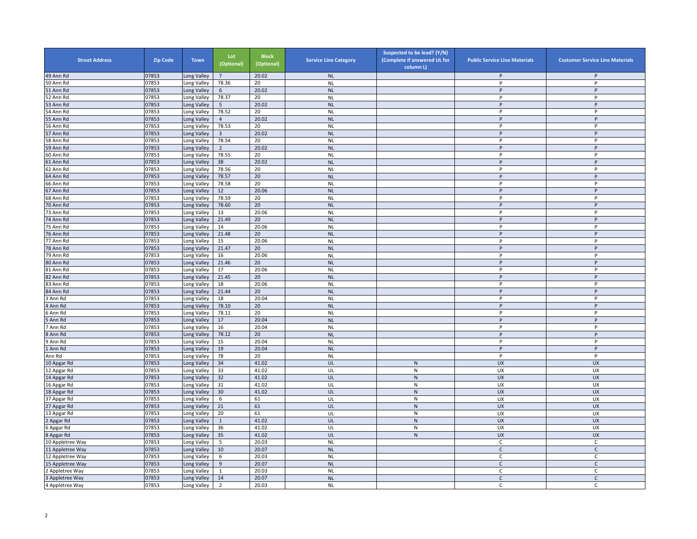| <b>Street Address</b> | <b>Zip Code</b> | <b>Town</b> | Lot<br>(Optional) | <b>Block</b><br>(Optional) | <b>Service Line Category</b> | Suspected to be lead? (Y/N)<br>(Complete if answered UL for<br>column L) | <b>Public Service Line Materials</b> | <b>Customer Service Line Materials</b> |
|-----------------------|-----------------|-------------|-------------------|----------------------------|------------------------------|--------------------------------------------------------------------------|--------------------------------------|----------------------------------------|
| 49 Ann Rd             | 07853           | ong Valley  | 7                 | 20.02                      | <b>NL</b>                    |                                                                          | P                                    | P                                      |
| 50 Ann Rd             | 07853           | ong Valley  | 78.36             | 20                         | <b>NL</b>                    |                                                                          | P                                    | P                                      |
| 51 Ann Rd             | 07853           | Long Valley | 6                 | 20.02                      | <b>NL</b>                    |                                                                          | P                                    | P                                      |
| 52 Ann Rd             | 07853           | Long Valley | 78.37             | 20                         | <b>NL</b>                    |                                                                          | P                                    | P                                      |
| 53 Ann Rd             | 07853           | Long Valley | 5 <sup>5</sup>    | 20.02                      | NL                           |                                                                          | P                                    | P                                      |
| 54 Ann Rd             | 07853           | ong Valley  | 78.52             | 20                         | <b>NL</b>                    |                                                                          | P                                    | P                                      |
| 55 Ann Rd             | 07853           | Long Valley | $\overline{4}$    | 20.02                      | <b>NL</b>                    |                                                                          | P                                    | P                                      |
| 56 Ann Rd             | 07853           | ong Valley  | 78.53             | 20                         | <b>NL</b>                    |                                                                          | P                                    | P                                      |
| 57 Ann Rd             | 07853           | Long Valley | $\overline{3}$    | 20.02                      | <b>NL</b>                    |                                                                          | P                                    | P                                      |
| 58 Ann Rd             | 07853           | Long Valley | 78.54             | 20                         | <b>NL</b>                    |                                                                          | p                                    | P                                      |
| 59 Ann Rd             | 07853           | Long Valley | $\overline{2}$    | 20.02                      | <b>NL</b>                    |                                                                          | P                                    | P                                      |
| 60 Ann Rd             | 07853           | Long Valley | 78.55             | 20                         | <b>NL</b>                    |                                                                          | $\mathsf{P}$                         | P                                      |
| 61 Ann Rd             | 07853           | Long Valley | 38                | 20.02                      | <b>NL</b>                    |                                                                          | P                                    | P                                      |
| 62 Ann Rd             | 07853           | Long Valley | 78.56             | 20                         | <b>NL</b>                    |                                                                          | P                                    | P                                      |
| 64 Ann Rd             | 07853           | ong Valley  | 78.57             | 20                         | <b>NL</b>                    |                                                                          | P                                    | P                                      |
| 66 Ann Rd             | 07853           | ong Valley  | 78.58             | 20                         | <b>NL</b>                    |                                                                          | P                                    | P                                      |
| 67 Ann Rd             | 07853           | Long Valley | 12                | 20.06                      | <b>NL</b>                    |                                                                          | P                                    | $\overline{P}$                         |
| 68 Ann Rd             | 07853           | Long Valley | 78.59             | 20                         | <b>NL</b>                    |                                                                          | P                                    | P                                      |
| 70 Ann Rd             | 07853           | Long Valley | 78.60             | 20                         | <b>NL</b>                    |                                                                          | P                                    | P                                      |
| 73 Ann Rd             | 07853           | Long Valley | 13                | 20.06                      | <b>NL</b>                    |                                                                          | P                                    | P                                      |
| 74 Ann Rd             | 07853           | Long Valley | 21.49             | 20                         | <b>NL</b>                    |                                                                          | P                                    | P                                      |
| 75 Ann Rd             | 07853           | ong Valley  | $14\,$            | 20.06                      | <b>NL</b>                    |                                                                          | p                                    | P                                      |
| 76 Ann Rd             | 07853           | ong Valley  | 21.48             | 20                         | <b>NL</b>                    |                                                                          | P                                    | P                                      |
| 77 Ann Rd             | 07853           | Long Valley | 15                | 20.06                      | <b>NL</b>                    |                                                                          | p                                    | P                                      |
| 78 Ann Rd             | 07853           | Long Valley | 21.47             | 20                         | <b>NL</b>                    |                                                                          | P                                    | $\sf P$                                |
| 79 Ann Rd             | 07853           | Long Valley | 16                | 20.06                      | <b>NL</b>                    |                                                                          | P                                    | P                                      |
| 80 Ann Rd             | 07853           | ong Valley  | 21.46             | 20                         | <b>NL</b>                    |                                                                          | P                                    | P                                      |
| 81 Ann Rd             | 07853           | Long Valley | 17                | 20.06                      | <b>NL</b>                    |                                                                          | P                                    | P                                      |
| 82 Ann Rd             | 07853           | ong Valley  | 21.45             | 20                         | <b>NL</b>                    |                                                                          | P                                    | P                                      |
| 83 Ann Rd             | 07853           | ong Valley  | 18                | 20.06                      | <b>NL</b>                    |                                                                          | P                                    | P                                      |
| 84 Ann Rd             | 07853           | ong Valley  | 21.44             | 20                         | <b>NL</b>                    |                                                                          | P                                    | P                                      |
| 3 Ann Rd              | 07853           | Long Valley | 18                | 20.04                      | <b>NL</b>                    |                                                                          | P                                    | P                                      |
| 4 Ann Rd              | 07853           | Long Valley | 78.10             | 20                         | <b>NL</b>                    |                                                                          | P                                    | P                                      |
| Ann Rd                | 07853           | Long Valley | 78.11             | 20                         | <b>NL</b>                    |                                                                          | P                                    | P                                      |
| Ann Rd                | 07853           | Long Valley | 17                | 20.04                      | <b>NL</b>                    |                                                                          | P                                    | P                                      |
| Ann Rd                | 07853           | ong Valley  | 16                | 20.04                      | <b>NL</b>                    |                                                                          | p                                    | P                                      |
| 8 Ann Rd              | 07853           | Long Valley | 78.12             | 20                         | <b>NL</b>                    |                                                                          | $\mathsf{P}$                         | $\sf P$                                |
| 9 Ann Rd              | 07853           | Long Valley | 15                | 20.04                      | <b>NL</b>                    |                                                                          | p                                    | P                                      |
| Ann Rd                | 07853           | Long Valley | 19                | 20.04                      | <b>NL</b>                    |                                                                          | P                                    | P                                      |
| Ann Rd                | 07853           | Long Valley | 78                | 20                         | <b>NL</b>                    |                                                                          | P                                    | P                                      |
| 10 Apgar Rd           | 07853           | ong Valley  | 34                | 41.02                      | UL                           | ${\sf N}$                                                                | UX                                   | <b>UX</b>                              |
| 12 Apgar Rd           | 07853           | Long Valley | 33                | 41.02                      | UL                           | ${\sf N}$                                                                | UX                                   | <b>UX</b>                              |
| 4 Apgar Rd            | 07853           | ong Valley  | 32                | 41.02                      | UL                           | ${\sf N}$                                                                | UX                                   | <b>UX</b>                              |
| 16 Apgar Rd           | 07853           | ong Valley  | 31                | 41.02                      | UL                           | ${\sf N}$                                                                | UX                                   | UX                                     |
| 18 Apgar Rd           | 07853           | ong Valley  | 30                | 41.02                      | UL                           | $\mathsf{N}$                                                             | <b>UX</b>                            | <b>UX</b>                              |
| 37 Apgar Rd           | 07853           | ong Valley  | 6                 | 61                         | UL                           | ${\sf N}$                                                                | UX                                   | UX                                     |
| 27 Apgar Rd           | 07853           | ong Valley  | 21                | 61                         | UL                           | ${\sf N}$                                                                | <b>UX</b>                            | <b>UX</b>                              |
| 13 Apgar Rd           | 07853           | ong Valley  | 20                | 61                         | UL                           | ${\sf N}$                                                                | UX                                   | <b>UX</b>                              |
| Apgar Rd              | 07853           | Long Valley | $\mathbf{1}$      | 41.02                      | UL                           | ${\sf N}$                                                                | UX                                   | <b>UX</b>                              |
| 6 Apgar Rd            | 07853           | ong Valley  | 36                | 41.02                      | UL                           | $\overline{N}$                                                           | <b>UX</b>                            | <b>UX</b>                              |
| 8 Apgar Rd            | 07853           | ong Valley  | 35                | 41.02                      | UL                           | ${\sf N}$                                                                | <b>UX</b>                            | <b>UX</b>                              |
| 10 Appletree Way      | 07853           | Long Valley | 5                 | 20.03                      | <b>NL</b>                    |                                                                          | $\mathsf C$                          | $\mathsf{C}$                           |
| 11 Appletree Way      | 07853           | Long Valley | 10                | 20.07                      | <b>NL</b>                    |                                                                          | $\mathsf{C}$                         | $\mathsf C$                            |
| 12 Appletree Way      | 07853           | Long Valley | 6                 | 20.03                      | <b>NL</b>                    |                                                                          | C                                    | C                                      |
| 15 Appletree Way      | 07853           | Long Valley | 9                 | 20.07                      | <b>NL</b>                    |                                                                          | $\mathsf{C}$                         | $\mathsf C$                            |
| ! Appletree Way       | 07853           | ong Valley  | $\mathbf{1}$      | 20.03                      | <b>NL</b>                    |                                                                          | C                                    | C                                      |
| Appletree Way         | 07853           | ong Valley  | 14                | 20.07                      | <b>NL</b>                    |                                                                          | $\mathsf{C}$                         | $\mathsf{C}$                           |
| 4 Appletree Way       | 07853           | Long Valley | $\overline{2}$    | 20.03                      | <b>NL</b>                    |                                                                          | C                                    | C                                      |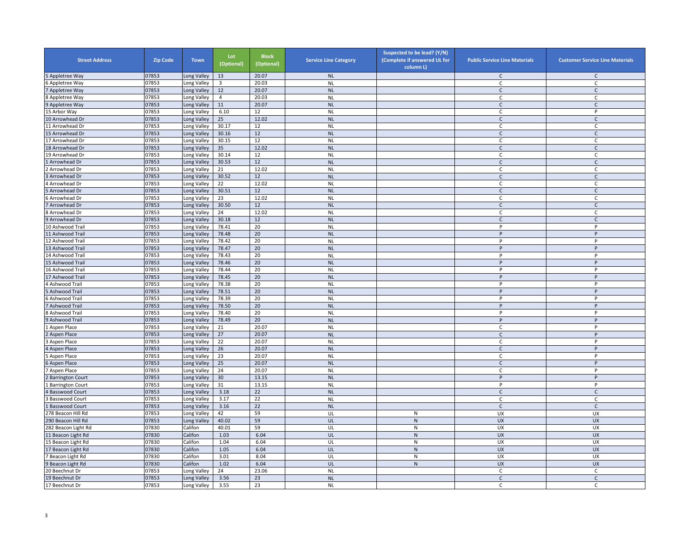| <b>Street Address</b>   | <b>Zip Code</b> | <b>Town</b> | Lot<br>(Optional) | <b>Block</b><br>(Optional) | <b>Service Line Category</b> | Suspected to be lead? (Y/N)<br>(Complete if answered UL for<br>column L) | <b>Public Service Line Materials</b> | <b>Customer Service Line Materials</b> |
|-------------------------|-----------------|-------------|-------------------|----------------------------|------------------------------|--------------------------------------------------------------------------|--------------------------------------|----------------------------------------|
| Appletree Way           | 07853           | ong Valley  | 13                | 20.07                      | <b>NL</b>                    |                                                                          | C                                    | $\mathsf{C}$                           |
| Appletree Way           | 07853           | ong Valley  | 3                 | 20.03                      | <b>NL</b>                    |                                                                          | C                                    | C                                      |
| Appletree Way           | 07853           | Long Valley | 12                | 20.07                      | <b>NL</b>                    |                                                                          | $\mathsf{C}$                         | $\mathsf{C}$                           |
| Appletree Way           | 07853           | Long Valley | $\overline{4}$    | 20.03                      | <b>NL</b>                    |                                                                          | C                                    | C                                      |
| 9 Appletree Way         | 07853           | Long Valley | 11                | 20.07                      | <b>NL</b>                    |                                                                          | $\mathsf{C}$                         | $\mathsf{C}$                           |
| 5 Arbor Wav             | 07853           | ong Valley  | 6.10              | 12                         | <b>NL</b>                    |                                                                          | C                                    | P                                      |
| 10 Arrowhead Dr         | 07853           | Long Valley | 25                | 12.02                      | <b>NL</b>                    |                                                                          | $\mathsf{C}$                         | $\mathsf C$                            |
| 11 Arrowhead Dr         | 07853           | ong Valley  | 30.17             | 12                         | <b>NL</b>                    |                                                                          | $\mathsf{C}$                         | $\mathsf{C}$                           |
| 15 Arrowhead Dr         | 07853           | Long Valley | 30.16             | 12                         | <b>NL</b>                    |                                                                          | $\mathsf{C}$                         | $\mathsf{C}$                           |
| 17 Arrowhead Dr         | 07853           | Long Valley | 30.15             | 12                         | <b>NL</b>                    |                                                                          | $\mathsf C$                          | $\mathsf{C}$                           |
| 18 Arrowhead Dr         | 07853           | Long Valley | 35                | 12.02                      | <b>NL</b>                    |                                                                          | $\mathsf{C}$                         | $\mathsf C$                            |
| 19 Arrowhead Dr         | 07853           | Long Valley | 30.14             | 12                         | <b>NL</b>                    |                                                                          | C                                    | $\mathsf{C}$                           |
| Arrowhead Dr            | 07853           | Long Valley | 30.53             | 12                         | <b>NL</b>                    |                                                                          | $\mathsf{C}$                         | $\mathsf C$                            |
| Arrowhead Dr            | 07853           | Long Valley | 21                | 12.02                      | <b>NL</b>                    |                                                                          | C                                    | C                                      |
| Arrowhead Dr            | 07853           | ong Valley  | 30.52             | 12                         | <b>NL</b>                    |                                                                          | $\mathsf{C}$                         | $\mathsf{C}$                           |
| Arrowhead Dr            | 07853           | ong Valley  | 22                | 12.02                      | <b>NL</b>                    |                                                                          | C                                    | C                                      |
| Arrowhead Dr            | 07853           | Long Valley | 30.51             | 12                         | <b>NL</b>                    |                                                                          | $\mathsf{C}$                         | $\mathsf{C}$                           |
| Arrowhead Dr            | 07853           | Long Valley | 23                | 12.02                      | <b>NL</b>                    |                                                                          | $\mathsf{C}$                         | $\mathsf{C}$                           |
| Arrowhead Dr            | 07853           | Long Valley | 30.50             | 12                         | <b>NL</b>                    |                                                                          | $\mathsf C$                          | $\mathsf C$                            |
| Arrowhead Dr            | 07853           | Long Valley | 24                | 12.02                      | <b>NL</b>                    |                                                                          | C                                    | C                                      |
| Arrowhead Dr            | 07853           | Long Valley | 30.18             | 12                         | <b>NL</b>                    |                                                                          | $\Gamma$                             | $\mathsf{C}$                           |
| 10 Ashwood Trail        | 07853           | ong Valley  | 78.41             | 20                         | <b>NL</b>                    |                                                                          | p                                    | P                                      |
| 1 Ashwood Trail         | 07853           | ong Valley  | 78.48             | 20                         | <b>NL</b>                    |                                                                          | P                                    | P                                      |
| 12 Ashwood Trail        | 07853           | Long Valley | 78.42             | 20                         | <b>NL</b>                    |                                                                          | P                                    | P                                      |
| 13 Ashwood Trail        | 07853           | Long Valley | 78.47             | 20                         | <b>NL</b>                    |                                                                          | P                                    | P                                      |
| 14 Ashwood Trail        | 07853           | Long Valley | 78.43             | 20                         | <b>NL</b>                    |                                                                          | P                                    | P                                      |
| 15 Ashwood Trail        | 07853           | ong Valley  | 78.46             | 20                         | <b>NL</b>                    |                                                                          | P                                    | P                                      |
| 16 Ashwood Trail        | 07853           | Long Valley | 78.44             | 20                         | <b>NL</b>                    |                                                                          | P                                    | P                                      |
| 17 Ashwood Trail        | 07853           | ong Valley  | 78.45             | 20                         | <b>NL</b>                    |                                                                          | P                                    | P                                      |
| Ashwood Trail           | 07853           | ong Valley  | 78.38             | 20                         | <b>NL</b>                    |                                                                          | P                                    | P                                      |
| Ashwood Trail           | 07853           | ong Valley  | 78.51             | 20                         | <b>NL</b>                    |                                                                          | P                                    | P                                      |
| Ashwood Trail           | 07853           | Long Valley | 78.39             | 20                         | <b>NL</b>                    |                                                                          | P                                    | P                                      |
| Ashwood Trail           | 07853           | Long Valley | 78.50             | 20                         | <b>NL</b>                    |                                                                          | P                                    | P                                      |
| Ashwood Trail           | 07853           | Long Valley | 78.40             | 20                         | <b>NL</b>                    |                                                                          | P                                    | P                                      |
| Ashwood Trail           | 07853           | Long Valley | 78.49             | 20                         | <b>NL</b>                    |                                                                          | P                                    | P                                      |
| Aspen Place             | 07853           | ong Valley  | 21                | 20.07                      | <b>NL</b>                    |                                                                          | $\mathsf{C}$                         | P                                      |
| Aspen Place             | 07853           | Long Valley | 27                | 20.07                      | <b>NL</b>                    |                                                                          | $\mathsf{C}$                         | $\sf P$                                |
| Aspen Place             | 07853           | Long Valley | 22                | 20.07                      | <b>NL</b>                    |                                                                          | $\mathsf{C}$                         | P                                      |
| Aspen Place             | 07853           | Long Valley | 26                | 20.07                      | <b>NL</b>                    |                                                                          | $\mathsf{C}$                         | P                                      |
| Aspen Place             | 07853           | Long Valley | 23                | 20.07                      | <b>NL</b>                    |                                                                          | C                                    | P                                      |
| Aspen Place             | 07853           | ong Valley  | 25                | 20.07                      | <b>NL</b>                    |                                                                          | $\mathsf{C}$                         | P                                      |
| Aspen Place             | 07853           | Long Valley | 24                | 20.07                      | <b>NL</b>                    |                                                                          | C                                    | P                                      |
| <b>Barrington Court</b> | 07853           | ong Valley  | 30                | 13.15                      | <b>NL</b>                    |                                                                          | $\mathsf{P}$                         | $\sf P$                                |
| <b>Barrington Court</b> | 07853           | ong Valley  | 31                | 13.15                      | <b>NL</b>                    |                                                                          | P                                    | P                                      |
| <b>Basswood Court</b>   | 07853           | ong Valley  | 3.18              | 22                         | <b>NL</b>                    |                                                                          | $\mathsf{C}$                         | $\mathsf{C}$                           |
| <b>Basswood Court</b>   | 07853           | ong Valley  | 3.17              | 22                         | <b>NL</b>                    |                                                                          | $\mathsf{C}$                         | $\mathsf{C}$                           |
| <b>Basswood Court</b>   | 07853           | ong Valley  | 3.16              | 22                         | <b>NL</b>                    |                                                                          | $\mathsf{C}$                         | $\mathsf{C}$                           |
| 78 Beacon Hill Rd       | 07853           | ong Valley  | 42                | 59                         | UL                           | N                                                                        | UX                                   | <b>UX</b>                              |
| 290 Beacon Hill Rd      | 07853           | Long Valley | 40.02             | 59                         | UL                           | $\mathsf{N}$                                                             | <b>UX</b>                            | <b>UX</b>                              |
| 282 Beacon Light Rd     | 07830           | Califon     | 40.01             | 59                         | UL                           | ${\sf N}$                                                                | <b>UX</b>                            | <b>UX</b>                              |
| 1 Beacon Light Rd       | 07830           | Califon     | 1.03              | 6.04                       | UL                           | ${\sf N}$                                                                | <b>UX</b>                            | <b>UX</b>                              |
| 5 Beacon Light Rd       | 07830           | Califon     | 1.04              | 6.04                       | UL                           | ${\sf N}$                                                                | UX                                   | UX                                     |
| 7 Beacon Light Rd       | 07830           | Califon     | 1.05              | 6.04                       | UL                           | ${\sf N}$                                                                | <b>UX</b>                            | <b>UX</b>                              |
| Beacon Light Rd         | 07830           | Califon     | 3.01              | 8.04                       | UL                           | N                                                                        | UX                                   | <b>UX</b>                              |
| Beacon Light Rd         | 07830           | Califon     | 1.02              | 6.04                       | UL                           | ${\sf N}$                                                                | <b>UX</b>                            | <b>UX</b>                              |
| 20 Beechnut Dr          | 07853           | ong Valley  | 24                | 23.06                      | <b>NL</b>                    |                                                                          | C                                    | C                                      |
| 19 Beechnut Dr          | 07853           | ong Valley  | 3.56              | 23                         | <b>NL</b>                    |                                                                          | $\mathsf{C}$                         | $\mathsf{C}$                           |
| 17 Beechnut Dr          | 07853           | Long Valley | 3.55              | 23                         | <b>NL</b>                    |                                                                          | C                                    | C                                      |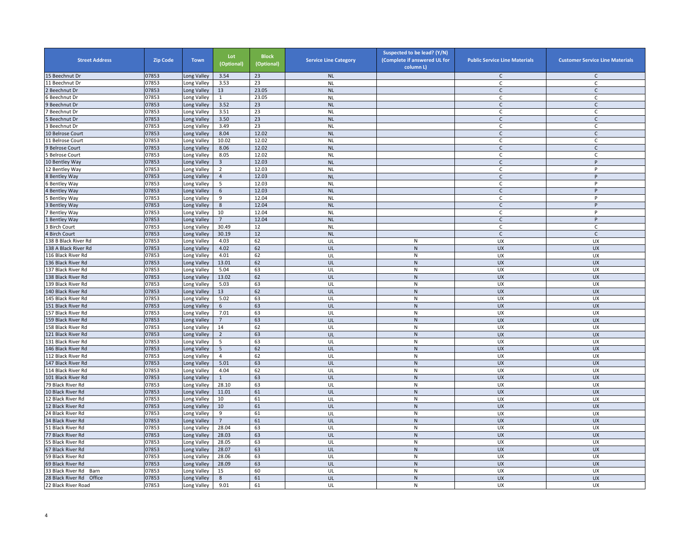| <b>Street Address</b>     | <b>Zip Code</b> | <b>Town</b>                | Lot<br>(Optional) | <b>Block</b><br>(Optional) | <b>Service Line Category</b> | Suspected to be lead? (Y/N)<br>(Complete if answered UL for<br>column L) | <b>Public Service Line Materials</b> | <b>Customer Service Line Materials</b> |
|---------------------------|-----------------|----------------------------|-------------------|----------------------------|------------------------------|--------------------------------------------------------------------------|--------------------------------------|----------------------------------------|
| 15 Beechnut Dr            | 07853           | Long Valley                | 3.54              | 23                         | <b>NL</b>                    |                                                                          | C                                    | C                                      |
| 11 Beechnut Dr            | 07853           | Long Valley                | 3.53              | 23                         | <b>NL</b>                    |                                                                          | C                                    | C                                      |
| Beechnut Dr               | 07853           | Long Valley                | 13                | 23.05                      | <b>NL</b>                    |                                                                          | $\mathsf{C}$                         | $\mathsf{C}$                           |
| Beechnut Dr               | 07853           | Long Valley                | $\mathbf{1}$      | 23.05                      | <b>NL</b>                    |                                                                          | $\mathsf{C}$                         | C                                      |
| Beechnut Dr               | 07853           | Long Valley                | 3.52              | 23                         | <b>NL</b>                    |                                                                          | $\mathsf{C}$                         | $\mathsf{C}$                           |
| Beechnut Dr               | 07853           | Long Valley                | 3.51              | 23                         | <b>NL</b>                    |                                                                          | C                                    | $\mathsf{C}$                           |
| Beechnut Dr               | 07853           | Long Valley                | 3.50              | 23                         | <b>NL</b>                    |                                                                          | $\mathsf{C}$                         | $\mathsf C$                            |
| Beechnut Dr               | 07853           | Long Valley                | 3.49              | 23                         | <b>NL</b>                    |                                                                          | C                                    | C                                      |
| <b>LO Belrose Court</b>   | 07853           | Long Valley                | 8.04              | 12.02                      | <b>NL</b>                    |                                                                          | $\mathsf{C}$                         | $\mathsf C$                            |
| 11 Belrose Court          | 07853           | Long Valley                | 10.02             | 12.02                      | <b>NL</b>                    |                                                                          | C                                    | $\mathsf{C}$                           |
| <b>Belrose Court</b>      | 07853           | Long Valley                | 8.06              | 12.02                      | <b>NL</b>                    |                                                                          | $\mathsf{C}$                         | $\mathsf C$                            |
| <b>Belrose Court</b>      | 07853           | Long Valley                | 8.05              | 12.02                      | <b>NL</b>                    |                                                                          | C                                    | C                                      |
| 10 Bentley Way            | 07853           | Long Valley                | $\overline{3}$    | 12.03                      | <b>NL</b>                    |                                                                          | $\mathsf{C}$                         | P                                      |
| 12 Bentley Way            | 07853           | Long Valley                | $\overline{2}$    | 12.03                      | <b>NL</b>                    |                                                                          | C                                    | P                                      |
| <b>Bentley Way</b>        | 07853           | Long Valley                | $\overline{4}$    | 12.03                      | <b>NL</b>                    |                                                                          | $\mathsf{C}$                         | $\sf P$                                |
| <b>Bentley Way</b>        | 07853           | Long Valley                | 5                 | 12.03                      | <b>NL</b>                    |                                                                          | C                                    | P                                      |
| <b>Bentley Way</b>        | 07853           | Long Valley                | 6                 | 12.03                      | <b>NL</b>                    |                                                                          | $\mathsf{C}$                         | P                                      |
| <b>Bentley Way</b>        | 07853           | Long Valley                | 9                 | 12.04                      | <b>NL</b>                    |                                                                          | $\mathsf{C}$                         | P                                      |
| <b>Bentley Way</b>        | 07853           |                            | $\bf 8$           | 12.04                      | <b>NL</b>                    |                                                                          | $\mathsf{C}$                         | P                                      |
| <b>Bentley Way</b>        | 07853           | Long Valley<br>Long Valley | 10                | 12.04                      | <b>NL</b>                    |                                                                          | $\mathsf{C}$                         | P                                      |
|                           |                 |                            | $\overline{7}$    | 12.04                      | <b>NL</b>                    |                                                                          |                                      | $\sf P$                                |
| <b>Bentley Way</b>        | 07853           | Long Valley                |                   |                            |                              |                                                                          | $\mathsf{C}$                         |                                        |
| <b>Birch Court</b>        | 07853           | Long Valley                | 30.49             | 12                         | <b>NL</b>                    |                                                                          | C                                    | C                                      |
| 4 Birch Court             | 07853           | Long Valley                | 30.19             | 12                         | <b>NL</b>                    |                                                                          | $\mathsf{C}$                         | $\mathsf{C}$                           |
| 138 B Black River Rd      | 07853           | Long Valley                | 4.03              | 62                         | UL                           | ${\sf N}$                                                                | UX                                   | UX                                     |
| 138 A Black River Rd      | 07853           | Long Valley                | 4.02              | 62                         | UL                           | ${\sf N}$                                                                | <b>UX</b>                            | <b>UX</b>                              |
| 116 Black River Rd        | 07853           | Long Valley                | 4.01              | 62                         | UL                           | N                                                                        | UX                                   | <b>UX</b>                              |
| 136 Black River Rd        | 07853           | Long Valley                | 13.01             | 62                         | UL                           | $\mathsf{N}$                                                             | <b>UX</b>                            | <b>UX</b>                              |
| 137 Black River Rd        | 07853           | Long Valley                | 5.04              | 63                         | UL                           | ${\sf N}$                                                                | UX                                   | <b>UX</b>                              |
| 138 Black River Rd        | 07853           | Long Valley                | 13.02             | 62                         | UL                           | ${\sf N}$                                                                | UX                                   | <b>UX</b>                              |
| 139 Black River Rd        | 07853           | Long Valley                | 5.03              | 63                         | UL                           | ${\sf N}$                                                                | UX                                   | UX                                     |
| 140 Black River Rd        | 07853           | Long Valley                | 13                | 62                         | UL                           | $\mathsf{N}$                                                             | <b>UX</b>                            | <b>UX</b>                              |
| 145 Black River Rd        | 07853           | Long Valley                | 5.02              | 63                         | UL                           | N                                                                        | UX                                   | UX                                     |
| 151 Black River Rd        | 07853           | Long Valley                | 6                 | 63                         | UL                           | ${\sf N}$                                                                | <b>UX</b>                            | <b>UX</b>                              |
| 157 Black River Rd        | 07853           | Long Valley                | 7.01              | 63                         | UL                           | $\mathsf{N}$                                                             | UX                                   | <b>UX</b>                              |
| 159 Black River Rd        | 07853           | Long Valley                | $\overline{7}$    | 63                         | UL                           | N                                                                        | <b>UX</b>                            | <b>UX</b>                              |
| 158 Black River Rd        | 07853           | Long Valley                | 14                | 62                         | UL                           | ${\sf N}$                                                                | UX                                   | <b>UX</b>                              |
| 121 Black River Rd        | 07853           | Long Valley                | $\overline{2}$    | 63                         | UL                           | ${\sf N}$                                                                | <b>UX</b>                            | <b>UX</b>                              |
| 131 Black River Rd        | 07853           | Long Valley                | 5                 | 63                         | UL                           | ${\sf N}$                                                                | UX                                   | UX                                     |
| 146 Black River Rd        | 07853           | Long Valley                | 5                 | 62                         | UL                           | $\mathsf{N}$                                                             | <b>UX</b>                            | <b>UX</b>                              |
| 112 Black River Rd        | 07853           | Long Valley                | 4                 | 62                         | UL                           | $\mathsf{N}$                                                             | UX                                   | <b>UX</b>                              |
| 147 Black River Rd        | 07853           | Long Valley                | 5.01              | 63                         | UL                           | ${\sf N}$                                                                | <b>UX</b>                            | <b>UX</b>                              |
| 114 Black River Rd        | 07853           | Long Valley                | 4.04              | 62                         | UL                           | ${\sf N}$                                                                | <b>UX</b>                            | UX                                     |
| 101 Black River Rd        | 07853           | Long Valley                | $\mathbf{1}$      | 63                         | UL                           | ${\sf N}$                                                                | <b>UX</b>                            | <b>UX</b>                              |
| 79 Black River Rd         | 07853           | Long Valley                | 28.10             | 63                         | UL                           | ${\sf N}$                                                                | UX                                   | UX                                     |
| 10 Black River Rd         | 07853           | Long Valley                | 11.01             | 61                         | UL                           | $\mathsf{N}$                                                             | <b>UX</b>                            | <b>UX</b>                              |
| 12 Black River Rd         | 07853           | Long Valley                | 10                | 61                         | UL                           | N                                                                        | <b>UX</b>                            | <b>UX</b>                              |
| 12 Black River Rd         | 07853           | Long Valley                | 10                | 61                         | UL                           | ${\sf N}$                                                                | <b>UX</b>                            | <b>UX</b>                              |
| 24 Black River Rd         | 07853           | Long Valley                | 9                 | 61                         | UL                           | $\mathsf{N}$                                                             | UX                                   | UX                                     |
| 34 Black River Rd         | 07853           | Long Valley                | $\overline{7}$    | 61                         | UL                           | $\mathsf{N}$                                                             | UX                                   | <b>UX</b>                              |
| 51 Black River Rd         | 07853           | Long Valley                | 28.04             | 63                         | UL                           | ${\sf N}$                                                                | UX                                   | UX                                     |
| 77 Black River Rd         | 07853           | Long Valley                | 28.03             | 63                         | UL                           | ${\sf N}$                                                                | <b>UX</b>                            | <b>UX</b>                              |
| 55 Black River Rd         | 07853           |                            | 28.05             | 63                         | UL                           | ${\sf N}$                                                                | UX                                   | UX                                     |
| 67 Black River Rd         |                 | Long Valley                | 28.07             |                            |                              | ${\sf N}$                                                                |                                      |                                        |
|                           | 07853           | Long Valley                |                   | 63                         | UL                           |                                                                          | <b>UX</b>                            | <b>UX</b>                              |
| 59 Black River Rd         | 07853           | Long Valley                | 28.06             | 63                         | UL                           | ${\sf N}$                                                                | UX                                   | <b>UX</b>                              |
| 69 Black River Rd         | 07853           | Long Valley                | 28.09             | 63                         | UL                           | ${\sf N}$                                                                | UX                                   | <b>UX</b>                              |
| 33 Black River Rd<br>Barn | 07853           | Long Valley                | 15                | 60                         | UL                           | ${\sf N}$                                                                | UX                                   | <b>UX</b>                              |
| 28 Black River Rd Office  | 07853           | Long Valley                | $8\phantom{1}$    | 61                         | UL                           | ${\sf N}$                                                                | <b>UX</b>                            | <b>UX</b>                              |
| 22 Black River Road       | 07853           | Long Valley                | 9.01              | 61                         | UL                           | ${\sf N}$                                                                | <b>UX</b>                            | UX                                     |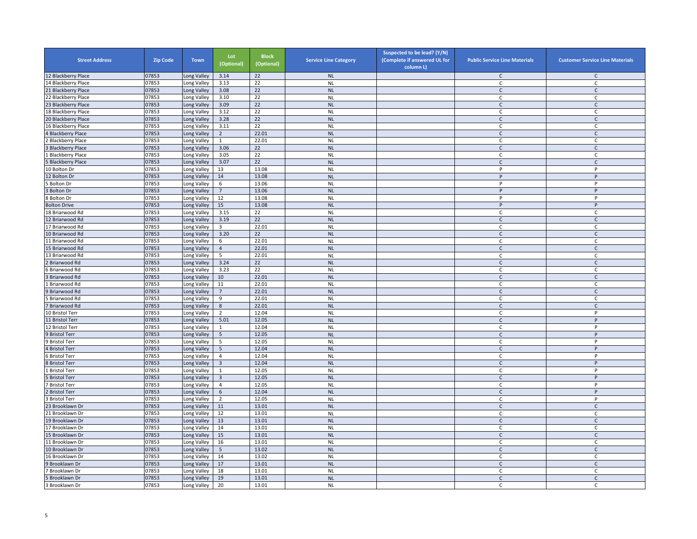| <b>Street Address</b>   | <b>Zip Code</b> | <b>Town</b> | Lot<br>(Optional) | <b>Block</b><br>(Optional) | <b>Service Line Category</b> | Suspected to be lead? (Y/N)<br>(Complete if answered UL for<br>column L) | <b>Public Service Line Materials</b> | <b>Customer Service Line Materials</b> |
|-------------------------|-----------------|-------------|-------------------|----------------------------|------------------------------|--------------------------------------------------------------------------|--------------------------------------|----------------------------------------|
| 12 Blackberry Place     | 07853           | Long Valley | 3.14              | 22                         | <b>NL</b>                    |                                                                          | C                                    | $\mathsf{C}$                           |
| 14 Blackberry Place     | 07853           | Long Valley | 3.13              | 22                         | <b>NL</b>                    |                                                                          | C                                    | $\mathsf C$                            |
| 21 Blackberry Place     | 07853           | Long Valley | 3.08              | 22                         | <b>NL</b>                    |                                                                          | $\mathsf{C}$                         | $\mathsf{C}$                           |
| 22 Blackberry Place     | 07853           | Long Valley | 3.10              | 22                         | <b>NL</b>                    |                                                                          | $\mathsf{C}$                         | $\mathsf{C}$                           |
| 23 Blackberry Place     | 07853           | Long Valley | 3.09              | 22                         | <b>NL</b>                    |                                                                          | $\mathsf{C}$                         | $\mathsf C$                            |
| 18 Blackberry Place     | 07853           | Long Valley | 3.12              | $\overline{22}$            | <b>NL</b>                    |                                                                          | $\mathsf{C}$                         | C                                      |
| 20 Blackberry Place     | 07853           | Long Valley | 3.28              | 22                         | <b>NL</b>                    |                                                                          | $\mathsf{C}$                         | $\mathsf{C}$                           |
| 16 Blackberry Place     | 07853           | Long Valley | 3.11              | $\overline{22}$            | <b>NL</b>                    |                                                                          | C                                    | $\mathsf{C}$                           |
| <b>Blackberry Place</b> | 07853           | Long Valley | $\overline{2}$    | 22.01                      | <b>NL</b>                    |                                                                          | $\mathsf{C}$                         | $\mathsf{C}$                           |
| <b>Blackberry Place</b> | 07853           | Long Valley | 1                 | 22.01                      | <b>NL</b>                    |                                                                          | $\mathsf{C}$                         | $\mathsf{C}$                           |
| <b>Blackberry Place</b> | 07853           | Long Valley | 3.06              | 22                         | <b>NL</b>                    |                                                                          | $\mathsf{C}$                         | $\mathsf{C}$                           |
| <b>Blackberry Place</b> | 07853           | Long Valley | 3.05              | 22                         | <b>NL</b>                    |                                                                          | C                                    | $\mathsf{C}$                           |
| <b>Blackberry Place</b> | 07853           | Long Valley | 3.07              | 22                         | <b>NL</b>                    |                                                                          | $\mathsf{C}$                         | $\mathsf{C}$                           |
| 10 Bolton Dr            | 07853           | Long Valley | 13                | 13.08                      | <b>NL</b>                    |                                                                          | P                                    | P                                      |
| 12 Bolton Dr            | 07853           | Long Valley | 14                | 13.08                      | <b>NL</b>                    |                                                                          | P                                    | P                                      |
| <b>Bolton Dr</b>        | 07853           | Long Valley | 6                 | 13.06                      | <b>NL</b>                    |                                                                          | P                                    | P                                      |
| <b>Bolton Dr</b>        | 07853           | Long Valley | $\overline{7}$    | 13.06                      | <b>NL</b>                    |                                                                          | P                                    | P                                      |
| <b>Bolton Dr</b>        | 07853           | Long Valley | 12                | 13.08                      | <b>NL</b>                    |                                                                          | P                                    | P                                      |
| <b>Bolton Drive</b>     | 07853           | Long Valley | 15                | 13.08                      | <b>NL</b>                    |                                                                          | P                                    | P                                      |
| 18 Briarwood Rd         | 07853           | Long Valley | 3.15              | 22                         | <b>NL</b>                    |                                                                          | $\mathsf{C}$                         | C                                      |
| 12 Briarwood Rd         | 07853           | Long Valley | 3.19              | 22                         | <b>NL</b>                    |                                                                          | $\mathsf{C}$                         | $\mathsf{C}$                           |
| 17 Briarwood Rd         | 07853           |             | 3                 | 22.01                      | <b>NL</b>                    |                                                                          | $\mathsf{C}$                         | C                                      |
|                         |                 | ong Valley  |                   |                            |                              |                                                                          |                                      |                                        |
| 10 Briarwood Rd         | 07853           | Long Valley | 3.20              | 22                         | NL                           |                                                                          | $\mathsf{C}$                         | $\mathsf C$                            |
| 11 Briarwood Rd         | 07853           | Long Valley | 6                 | 22.01                      | <b>NL</b>                    |                                                                          | C                                    | $\mathsf{C}$                           |
| 15 Briarwood Rd         | 07853           | Long Valley | $\overline{4}$    | 22.01                      | <b>NL</b>                    |                                                                          | $\mathsf{C}$                         | $\mathsf{C}$                           |
| 13 Briarwood Rd         | 07853           | Long Valley | 5                 | 22.01                      | <b>NL</b>                    |                                                                          | C                                    | $\mathsf{C}$                           |
| Briarwood Rd            | 07853           | Long Valley | 3.24              | 22                         | <b>NL</b>                    |                                                                          | $\mathsf{C}$                         | $\mathsf C$                            |
| Briarwood Rd            | 07853           | Long Valley | 3.23              | 22                         | <b>NL</b>                    |                                                                          | C                                    | C                                      |
| Briarwood Rd            | 07853           | Long Valley | 10                | 22.01                      | <b>NL</b>                    |                                                                          | $\mathsf{C}$                         | $\mathsf C$                            |
| Briarwood Rd            | 07853           | Long Valley | 11                | 22.01                      | <b>NL</b>                    |                                                                          | C                                    | C                                      |
| Briarwood Rd            | 07853           | Long Valley | $\overline{7}$    | 22.01                      | <b>NL</b>                    |                                                                          | $\mathsf{C}$                         | $\mathsf{C}$                           |
| Briarwood Rd            | 07853           | Long Valley | 9                 | 22.01                      | <b>NL</b>                    |                                                                          | C                                    | $\mathsf{C}$                           |
| Briarwood Rd            | 07853           | Long Valley | $8\phantom{1}$    | 22.01                      | <b>NL</b>                    |                                                                          | $\mathsf{C}$                         | $\mathsf{C}$                           |
| 10 Bristol Terr         | 07853           | Long Valley | $\overline{2}$    | 12.04                      | <b>NL</b>                    |                                                                          | C                                    | P                                      |
| 11 Bristol Terr         | 07853           | Long Valley | 5.01              | 12.05                      | <b>NL</b>                    |                                                                          | $\mathsf{C}$                         | P                                      |
| 12 Bristol Terr         | 07853           | Long Valley | $\mathbf{1}$      | 12.04                      | <b>NL</b>                    |                                                                          | $\mathsf{C}$                         | P                                      |
| <b>Bristol Terr</b>     | 07853           | Long Valley | 5                 | 12.05                      | <b>NL</b>                    |                                                                          | C                                    | $\sf P$                                |
| <b>Bristol Terr</b>     | 07853           | Long Valley | 5                 | 12.05                      | <b>NL</b>                    |                                                                          | C                                    | P                                      |
| <b>Bristol Terr</b>     | 07853           | Long Valley | 5                 | 12.04                      | <b>NL</b>                    |                                                                          | $\mathsf{C}$                         | P                                      |
| <b>Bristol Terr</b>     | 07853           | Long Valley | $\overline{4}$    | 12.04                      | <b>NL</b>                    |                                                                          | C.                                   | P                                      |
| <b>Bristol Terr</b>     | 07853           | Long Valley | $\overline{3}$    | 12.04                      | <b>NL</b>                    |                                                                          | $\mathsf{C}$                         | P                                      |
| <b>Bristol Terr</b>     | 07853           | Long Valley | $\mathbf{1}$      | 12.05                      | <b>NL</b>                    |                                                                          | C                                    | P                                      |
| <b>Bristol Terr</b>     | 07853           | ong Valley  | $\overline{3}$    | 12.05                      | <b>NL</b>                    |                                                                          | $\mathsf{C}$                         | P                                      |
| <b>Bristol Terr</b>     | 07853           | Long Valley | 4                 | 12.05                      | <b>NL</b>                    |                                                                          | C                                    | P                                      |
| <b>Bristol Terr</b>     | 07853           | Long Valley | 6                 | 12.04                      | <b>NL</b>                    |                                                                          | $\mathsf{C}$                         | P                                      |
| <b>Bristol Terr</b>     | 07853           | Long Valley | $\overline{2}$    | 12.05                      | <b>NL</b>                    |                                                                          | C                                    | P                                      |
| 23 Brooklawn Dr         | 07853           | Long Valley | 11                | 13.01                      | <b>NL</b>                    |                                                                          | $\mathsf{C}$                         | $\mathsf{C}$                           |
| 21 Brooklawn Dr         | 07853           | Long Valley | 12                | 13.01                      | <b>NL</b>                    |                                                                          | C                                    | $\mathsf{C}$                           |
| 19 Brooklawn Dr         | 07853           | Long Valley | 13                | 13.01                      | <b>NL</b>                    |                                                                          | $\mathsf{C}$                         | $\mathsf{C}$                           |
| 17 Brooklawn Dr         | 07853           | Long Valley | 14                | 13.01                      | <b>NL</b>                    |                                                                          | C                                    | C                                      |
| 15 Brooklawn Dr         | 07853           | Long Valley | 15                | 13.01                      | <b>NL</b>                    |                                                                          | $\mathsf{C}$                         | $\mathsf C$                            |
| 11 Brooklawn Dr         | 07853           | Long Valley | 16                | 13.01                      | <b>NL</b>                    |                                                                          | $\mathsf C$                          | $\mathsf{C}$                           |
| 10 Brooklawn Dr         | 07853           | Long Valley | 5                 | 13.02                      | <b>NL</b>                    |                                                                          | $\mathsf{C}$                         | $\mathsf{C}$                           |
| 16 Brooklawn Dr         | 07853           | Long Valley | 14                | 13.02                      | <b>NL</b>                    |                                                                          | C                                    | C                                      |
| Brooklawn Dr            | 07853           |             | 17                | 13.01                      | <b>NL</b>                    |                                                                          | $\mathsf{C}$                         | $\mathsf{C}$                           |
|                         | 07853           | Long Valley |                   | 13.01                      | <b>NL</b>                    |                                                                          |                                      |                                        |
| Brooklawn Dr            |                 | Long Valley | 18                | 13.01                      |                              |                                                                          | C<br>$\mathsf{C}$                    | C<br>$\mathsf{C}$                      |
| Brooklawn Dr            | 07853           | Long Valley | 19                |                            | <b>NL</b>                    |                                                                          |                                      |                                        |
| Brooklawn Dr            | 07853           | Long Valley | 20                | 13.01                      | <b>NL</b>                    |                                                                          | C                                    | C                                      |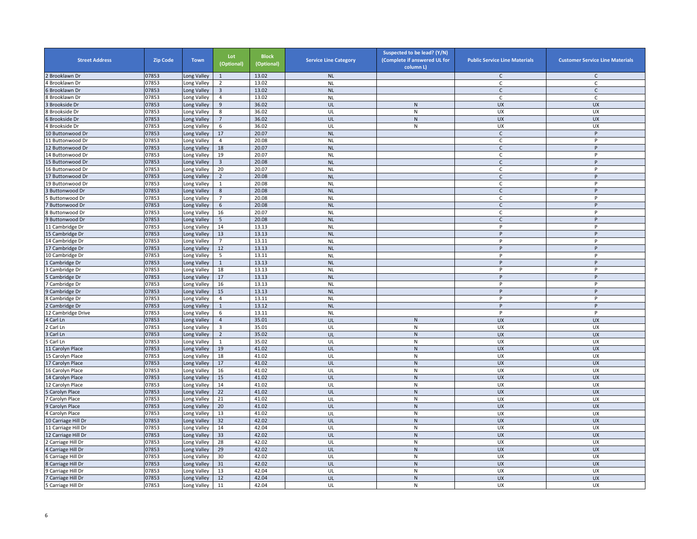| <b>Street Address</b>          | <b>Zip Code</b> | <b>Town</b> | Lot<br>(Optional) | <b>Block</b><br>(Optional) | <b>Service Line Category</b> | Suspected to be lead? (Y/N)<br>(Complete if answered UL for<br>column L) | <b>Public Service Line Materials</b> | <b>Customer Service Line Materials</b> |
|--------------------------------|-----------------|-------------|-------------------|----------------------------|------------------------------|--------------------------------------------------------------------------|--------------------------------------|----------------------------------------|
| Brooklawn Dr                   | 07853           | ong Valley  | $\mathbf{1}$      | 13.02                      | <b>NL</b>                    |                                                                          | C                                    | C                                      |
| Brooklawn Dr                   | 07853           | ong Valley  | 2                 | 13.02                      | <b>NL</b>                    |                                                                          | C                                    | C                                      |
| Brooklawn Dr                   | 07853           | Long Valley | $\overline{3}$    | 13.02                      | <b>NL</b>                    |                                                                          | $\mathsf{C}$                         | $\mathsf{C}$                           |
| Brooklawn Dr                   | 07853           | Long Valley | $\overline{4}$    | 13.02                      | <b>NL</b>                    |                                                                          | $\mathsf{C}$                         | C                                      |
| <b>Brookside Dr</b>            | 07853           | Long Valley | 9                 | 36.02                      | UL                           | $\mathsf{N}$                                                             | <b>UX</b>                            | <b>UX</b>                              |
| <b>Brookside Dr</b>            | 07853           | Long Valley | 8                 | 36.02                      | UL                           | N                                                                        | <b>UX</b>                            | <b>UX</b>                              |
| Brookside Dr                   | 07853           | Long Valley | $\overline{7}$    | 36.02                      | UL                           | ${\sf N}$                                                                | <b>UX</b>                            | <b>UX</b>                              |
| <b>Brookside Dr</b>            | 07853           | Long Valley | 6                 | 36.02                      | UL                           | ${\sf N}$                                                                | UX                                   | UX                                     |
| 10 Buttonwood Dr               | 07853           | Long Valley | 17                | 20.07                      | NL                           |                                                                          | $\mathsf{C}$                         | $\sf P$                                |
| 11 Buttonwood Dr               | 07853           | Long Valley | $\overline{4}$    | 20.08                      | <b>NL</b>                    |                                                                          | $\mathsf{C}$                         | P                                      |
| 12 Buttonwood Dr               | 07853           | Long Valley | 18                | 20.07                      | <b>NL</b>                    |                                                                          | $\mathsf{C}$                         | P                                      |
| 14 Buttonwood Dr               | 07853           | Long Valley | 19                | 20.07                      | <b>NL</b>                    |                                                                          | C                                    | P                                      |
| 15 Buttonwood Dr               | 07853           | Long Valley | $\overline{3}$    | 20.08                      | <b>NL</b>                    |                                                                          | $\mathsf{C}$                         | P                                      |
| 16 Buttonwood Dr               | 07853           | Long Valley | 20                | 20.07                      | <b>NL</b>                    |                                                                          | C                                    | P                                      |
| 17 Buttonwood Dr               | 07853           | Long Valley | $\overline{2}$    | 20.08                      | <b>NL</b>                    |                                                                          | $\mathsf{C}$                         | P                                      |
| 19 Buttonwood Dr               | 07853           | Long Valley | 1                 | 20.08                      | <b>NL</b>                    |                                                                          | C                                    | P                                      |
| <b>Buttonwood Dr</b>           | 07853           | Long Valley | 8                 | 20.08                      | <b>NL</b>                    |                                                                          | $\mathsf{C}$                         | P                                      |
| <b>Buttonwood Dr</b>           | 07853           | Long Valley | $\overline{7}$    | 20.08                      | <b>NL</b>                    |                                                                          | $\mathsf{C}$                         | P                                      |
| <b>Buttonwood Dr</b>           | 07853           | Long Valley | $\,$ 6 $\,$       | 20.08                      | <b>NL</b>                    |                                                                          | $\mathsf{C}$                         | P                                      |
| <b>Buttonwood Dr</b>           | 07853           | Long Valley | 16                | 20.07                      | <b>NL</b>                    |                                                                          | $\mathsf{C}$                         | P                                      |
| <b>Buttonwood Dr</b>           | 07853           | Long Valley | 5                 | 20.08                      | <b>NL</b>                    |                                                                          | $\mathsf{C}$                         | $\sf P$                                |
| 11 Cambridge Dr                | 07853           | ong Valley  | 14                | 13.13                      | <b>NL</b>                    |                                                                          | P                                    | p                                      |
| 15 Cambridge Dr                | 07853           | Long Valley | 13                | 13.13                      | <b>NL</b>                    |                                                                          | P                                    | P                                      |
| 14 Cambridge Dr                | 07853           | Long Valley | $\overline{7}$    | 13.11                      | <b>NL</b>                    |                                                                          | P                                    | Þ                                      |
| 17 Cambridge Dr                | 07853           | Long Valley | 12                | 13.13                      | <b>NL</b>                    |                                                                          | P                                    | P                                      |
| 10 Cambridge Dr                | 07853           | Long Valley | 5                 | 13.11                      | <b>NL</b>                    |                                                                          | P                                    | P                                      |
| Cambridge Dr                   | 07853           | Long Valley | $\mathbf{1}$      | 13.13                      | <b>NL</b>                    |                                                                          | P                                    | P                                      |
| Cambridge Dr                   | 07853           | Long Valley | 18                | 13.13                      | <b>NL</b>                    |                                                                          | P                                    | P                                      |
| Cambridge Dr                   | 07853           | Long Valley | 17                | 13.13                      | <b>NL</b>                    |                                                                          | P                                    | P                                      |
| Cambridge Dr                   | 07853           | Long Valley | 16                | 13.13                      | <b>NL</b>                    |                                                                          | P                                    | P                                      |
| Cambridge Dr                   | 07853           | Long Valley | 15                | 13.13                      | <b>NL</b>                    |                                                                          | P                                    | P                                      |
| Cambridge Dr                   | 07853           | Long Valley | $\overline{4}$    | 13.11                      | <b>NL</b>                    |                                                                          | P                                    | P                                      |
| Cambridge Dr                   | 07853           | Long Valley | $\mathbf{1}$      | 13.12                      | <b>NL</b>                    |                                                                          | P                                    | P                                      |
| 12 Cambridge Drive             | 07853           | Long Valley | 6                 | 13.11                      | <b>NL</b>                    |                                                                          | P                                    | P                                      |
| Carl Ln                        | 07853           | Long Valley | $\overline{4}$    | 35.01                      | UL                           | $\mathsf{N}$                                                             | <b>UX</b>                            | <b>UX</b>                              |
| Carl Ln                        | 07853           | Long Valley | 3                 | 35.01                      | UL                           | $\mathsf{N}$                                                             | UX                                   | UX                                     |
| Carl Ln                        | 07853           | Long Valley | $\overline{2}$    | 35.02                      | UL                           | ${\sf N}$                                                                | <b>UX</b>                            | <b>UX</b>                              |
| Carl Ln                        | 07853           | Long Valley | $\mathbf{1}$      | 35.02                      | UL                           | ${\sf N}$                                                                | UX                                   | UX                                     |
| 11 Carolyn Place               | 07853           | Long Valley | 19                | 41.02                      | UL                           | ${\sf N}$                                                                | <b>UX</b>                            | <b>UX</b>                              |
| 15 Carolyn Place               | 07853           | Long Valley | 18                | 41.02                      | UL                           | N                                                                        | UX                                   | <b>UX</b>                              |
| 17 Carolyn Place               | 07853           | Long Valley | 17                | 41.02                      | UL                           | ${\sf N}$                                                                | <b>UX</b>                            | <b>UX</b>                              |
| 16 Carolyn Place               | 07853           | ong Valley  | 16                | 41.02                      | UL                           | $\overline{\mathsf{N}}$                                                  | <b>UX</b>                            | UX                                     |
| 14 Carolyn Place               | 07853           | Long Valley | 15                | 41.02                      | UL                           | ${\sf N}$                                                                | <b>UX</b>                            | <b>UX</b>                              |
| 12 Carolyn Place               | 07853           | Long Valley | 14                | 41.02                      | UL                           | ${\sf N}$                                                                | UX                                   | UX                                     |
|                                | 07853           | Long Valley | 22                | 41.02                      | UL                           | ${\sf N}$                                                                | <b>UX</b>                            | <b>UX</b>                              |
| Carolyn Place<br>Carolyn Place | 07853           | Long Valley | 21                | 41.02                      | UL                           | N                                                                        | UX                                   | <b>UX</b>                              |
|                                | 07853           |             | 20                | 41.02                      | UL                           | ${\sf N}$                                                                | <b>UX</b>                            | <b>UX</b>                              |
| Carolyn Place                  |                 | Long Valley |                   | 41.02                      |                              |                                                                          | UX                                   | UX                                     |
| Carolyn Place                  | 07853           | Long Valley | 13                |                            | UL                           | N                                                                        |                                      |                                        |
| 10 Carriage Hill Dr            | 07853           | Long Valley | 32                | 42.02                      | UL                           | ${\sf N}$                                                                | <b>UX</b>                            | <b>UX</b>                              |
| 11 Carriage Hill Dr            | 07853           | Long Valley | 14                | 42.04<br>42.02             | UL<br>UL                     | ${\sf N}$                                                                | UX<br>UX                             | UX<br><b>UX</b>                        |
| 12 Carriage Hill Dr            | 07853           | Long Valley | 33                |                            |                              | ${\sf N}$                                                                |                                      |                                        |
| Carriage Hill Dr               | 07853           | Long Valley | 28                | 42.02                      | UL                           | ${\sf N}$                                                                | UX                                   | UX                                     |
| Carriage Hill Dr               | 07853           | Long Valley | 29                | 42.02                      | UL                           | ${\sf N}$                                                                | <b>UX</b>                            | <b>UX</b>                              |
| Carriage Hill Dr               | 07853           | Long Valley | 30                | 42.02                      | UL                           | N                                                                        | UX                                   | <b>UX</b>                              |
| Carriage Hill Dr               | 07853           | ong Valley  | 31                | 42.02                      | UL                           | ${\sf N}$                                                                | UX                                   | <b>UX</b>                              |
| Carriage Hill Dr               | 07853           | ong Valley  | 13                | 42.04                      | UL                           | ${\sf N}$                                                                | UX                                   | UX                                     |
| Carriage Hill Dr               | 07853           | Long Valley | 12                | 42.04                      | UL                           | ${\sf N}$                                                                | <b>UX</b>                            | <b>UX</b>                              |
| Carriage Hill Dr               | 07853           | Long Valley | 11                | 42.04                      | UL                           | ${\sf N}$                                                                | <b>UX</b>                            | UX                                     |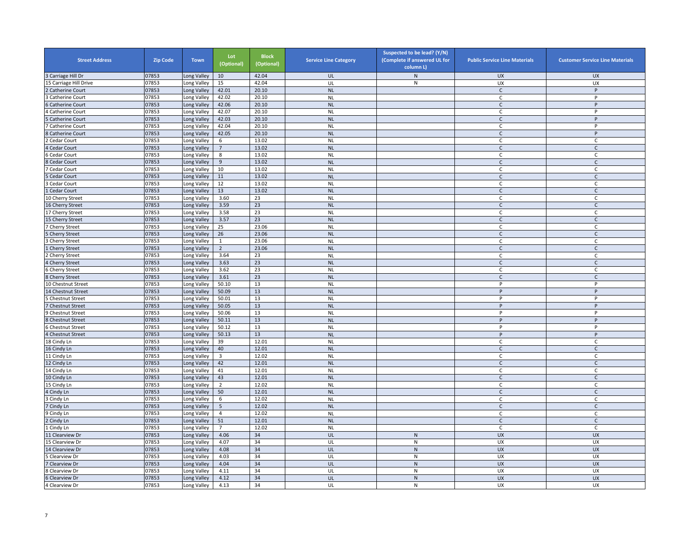| <b>Street Address</b>  | <b>Zip Code</b> | <b>Town</b> | Lot<br>(Optional) | <b>Block</b><br>(Optional) | <b>Service Line Category</b> | Suspected to be lead? (Y/N)<br>(Complete if answered UL for<br>column L) | <b>Public Service Line Materials</b> | <b>Customer Service Line Materials</b> |
|------------------------|-----------------|-------------|-------------------|----------------------------|------------------------------|--------------------------------------------------------------------------|--------------------------------------|----------------------------------------|
| Carriage Hill Dr       | 07853           | ong Valley  | 10                | 42.04                      | UL                           | $\mathsf{N}$                                                             | <b>UX</b>                            | <b>UX</b>                              |
| 5 Carriage Hill Drive  | 07853           | ong Valley  | 15                | 42.04                      | UL                           | N                                                                        | UX                                   | <b>UX</b>                              |
| <b>Catherine Court</b> | 07853           | Long Valley | 42.01             | 20.10                      | <b>NL</b>                    |                                                                          | $\mathsf{C}$                         | P                                      |
| Catherine Court        | 07853           | Long Valley | 42.02             | 20.10                      | <b>NL</b>                    |                                                                          | C                                    | P                                      |
| <b>Catherine Court</b> | 07853           | Long Valley | 42.06             | 20.10                      | <b>NL</b>                    |                                                                          | $\mathsf{C}$                         | P                                      |
| Catherine Court        | 07853           | Long Valley | 42.07             | 20.10                      | <b>NL</b>                    |                                                                          | C                                    | P                                      |
| Catherine Court        | 07853           | Long Valley | 42.03             | 20.10                      | <b>NL</b>                    |                                                                          | $\mathsf{C}$                         | P                                      |
| Catherine Court        | 07853           | Long Valley | 42.04             | 20.10                      | <b>NL</b>                    |                                                                          | C                                    | P                                      |
| Catherine Court        | 07853           | Long Valley | 42.05             | 20.10                      | NL                           |                                                                          | $\mathsf{C}$                         | $\sf P$                                |
| Cedar Court            | 07853           | Long Valley | 6                 | 13.02                      | <b>NL</b>                    |                                                                          | $\mathsf{C}$                         | $\mathsf{C}$                           |
| Cedar Court            | 07853           | Long Valley | $7\overline{ }$   | 13.02                      | <b>NL</b>                    |                                                                          | $\mathsf{C}$                         | $\mathsf{C}$                           |
| Cedar Court            | 07853           | Long Valley | 8                 | 13.02                      | <b>NL</b>                    |                                                                          | C                                    | C                                      |
| Cedar Court            | 07853           | Long Valley | 9                 | 13.02                      | <b>NL</b>                    |                                                                          | $\mathsf{C}$                         | $\mathsf{C}$                           |
| Cedar Court            | 07853           | Long Valley | 10                | 13.02                      | <b>NL</b>                    |                                                                          | C                                    | C                                      |
| Cedar Court            | 07853           | Long Valley | 11                | 13.02                      | <b>NL</b>                    |                                                                          | $\mathsf{C}$                         | $\mathsf C$                            |
| Cedar Court            | 07853           | Long Valley | 12                | 13.02                      | <b>NL</b>                    |                                                                          | C                                    | C                                      |
| Cedar Court            | 07853           | Long Valley | 13                | 13.02                      | <b>NL</b>                    |                                                                          | $\mathsf{C}$                         | $\mathsf{C}$                           |
| 10 Cherry Street       | 07853           | Long Valley | 3.60              | 23                         | <b>NL</b>                    |                                                                          | $\mathsf{C}$                         | $\mathsf{C}$                           |
| 16 Cherry Street       | 07853           | Long Valley | 3.59              | 23                         | <b>NL</b>                    |                                                                          | $\mathsf{C}$                         | $\mathsf{C}$                           |
| 17 Cherry Street       | 07853           | Long Valley | 3.58              | 23                         | <b>NL</b>                    |                                                                          | $\mathsf{C}$                         | $\mathsf{C}$                           |
| 15 Cherry Street       | 07853           | Long Valley | 3.57              | 23                         | <b>NL</b>                    |                                                                          | $\mathsf{C}$                         | $\mathsf{C}$                           |
| Cherry Street          | 07853           | ong Valley  | 25                | 23.06                      | <b>NL</b>                    |                                                                          | C                                    | $\mathsf{C}$                           |
| <b>Cherry Street</b>   | 07853           | Long Valley | 26                | 23.06                      | <b>NL</b>                    |                                                                          | $\mathsf{C}$                         | $\mathsf{C}$                           |
| Cherry Street          | 07853           | Long Valley | $\mathbf{1}$      | 23.06                      | <b>NL</b>                    |                                                                          | C                                    | $\mathsf C$                            |
| Cherry Street          | 07853           | Long Valley | $\overline{2}$    | 23.06                      | <b>NL</b>                    |                                                                          | C                                    | C                                      |
| Cherry Street          | 07853           | Long Valley | 3.64              | 23                         | <b>NL</b>                    |                                                                          | $\mathsf{C}$                         | $\mathsf{C}$                           |
| <b>Cherry Street</b>   | 07853           | Long Valley | 3.63              | 23                         | <b>NL</b>                    |                                                                          | $\mathsf{C}$                         | $\mathsf C$                            |
| Cherry Street          | 07853           | Long Valley | 3.62              | 23                         | <b>NL</b>                    |                                                                          | C                                    | C                                      |
| <b>Cherry Street</b>   | 07853           | Long Valley | 3.61              | 23                         | <b>NL</b>                    |                                                                          | $\mathsf C$                          | $\mathsf{C}$                           |
| 10 Chestnut Street     | 07853           | Long Valley | 50.10             | 13                         | <b>NL</b>                    |                                                                          | P                                    | P                                      |
| 14 Chestnut Street     | 07853           | Long Valley | 50.09             | 13                         | <b>NL</b>                    |                                                                          | P                                    | P                                      |
| Chestnut Street        | 07853           | Long Valley | 50.01             | 13                         | <b>NL</b>                    |                                                                          | P                                    | P                                      |
| <b>Chestnut Street</b> | 07853           | Long Valley | 50.05             | 13                         | <b>NL</b>                    |                                                                          | P                                    | P                                      |
| <b>Chestnut Street</b> | 07853           | Long Valley | 50.06             | 13                         | <b>NL</b>                    |                                                                          | P                                    | P                                      |
| <b>Chestnut Street</b> | 07853           | Long Valley | 50.11             | 13                         | <b>NL</b>                    |                                                                          | P                                    | P                                      |
| Chestnut Street        | 07853           | Long Valley | 50.12             | 13                         | <b>NL</b>                    |                                                                          | P                                    | P                                      |
| <b>Chestnut Street</b> | 07853           | Long Valley | 50.13             | 13                         | <b>NL</b>                    |                                                                          | P                                    | P                                      |
| 18 Cindy Ln            | 07853           | Long Valley | 39                | 12.01                      | <b>NL</b>                    |                                                                          | $\mathsf{C}$                         | C                                      |
| 16 Cindy Ln            | 07853           | Long Valley | 40                | 12.01                      | <b>NL</b>                    |                                                                          | $\mathsf{C}$                         | $\mathsf{C}$                           |
| 11 Cindy Ln            | 07853           | Long Valley | 3                 | 12.02                      | <b>NL</b>                    |                                                                          | C                                    | C                                      |
| 12 Cindy Ln            | 07853           | Long Valley | 42                | 12.01                      | <b>NL</b>                    |                                                                          | $\mathsf{C}$                         | $\mathsf{C}$                           |
| 14 Cindy Ln            | 07853           | ong Valley  | 41                | 12.01                      | <b>NL</b>                    |                                                                          | C                                    | C                                      |
| 10 Cindy Ln            | 07853           | Long Valley | 43                | 12.01                      | <b>NL</b>                    |                                                                          | $\mathsf{C}$                         | $\mathsf{C}$                           |
|                        | 07853           |             | $\overline{2}$    | 12.02                      | <b>NL</b>                    |                                                                          | C                                    | C                                      |
| 15 Cindy Ln            | 07853           | Long Valley | 50                | 12.01                      | <b>NL</b>                    |                                                                          |                                      | $\mathsf{C}$                           |
| Cindy Ln               | 07853           | Long Valley | 6                 | 12.02                      | <b>NL</b>                    |                                                                          | $\mathsf{C}$<br>C.                   |                                        |
| Cindy Ln               |                 | Long Valley |                   | 12.02                      | <b>NL</b>                    |                                                                          |                                      | C                                      |
| Cindy Ln               | 07853           | Long Valley | 5                 |                            |                              |                                                                          | $\mathsf{C}$                         | $\mathsf{C}$                           |
| Cindy Ln               | 07853           | Long Valley | 4                 | 12.02                      | <b>NL</b>                    |                                                                          | C                                    | C                                      |
| Cindy Ln               | 07853           | Long Valley | 51                | 12.01                      | <b>NL</b>                    |                                                                          | $\mathsf{C}$                         | $\mathsf{C}$                           |
| Cindy Ln               | 07853           | Long Valley | $\overline{7}$    | 12.02                      | <b>NL</b>                    |                                                                          | $\mathsf C$                          | $\mathsf{C}$                           |
| 11 Clearview Dr        | 07853           | Long Valley | 4.06              | 34                         | UL                           | ${\sf N}$                                                                | UX                                   | <b>UX</b>                              |
| 15 Clearview Dr        | 07853           | Long Valley | 4.07              | 34                         | UL                           | ${\sf N}$                                                                | <b>UX</b>                            | UX                                     |
| 14 Clearview Dr        | 07853           | Long Valley | 4.08              | 34                         | UL                           | ${\sf N}$                                                                | <b>UX</b>                            | <b>UX</b>                              |
| Clearview Dr           | 07853           | Long Valley | 4.03              | 34                         | UL                           | N                                                                        | UX                                   | <b>UX</b>                              |
| Clearview Dr           | 07853           | ong Valley  | 4.04              | 34                         | UL                           | ${\sf N}$                                                                | UX                                   | <b>UX</b>                              |
| Clearview Dr           | 07853           | ong Valley  | 4.11              | 34                         | UL                           | ${\sf N}$                                                                | UX                                   | UX                                     |
| Clearview Dr           | 07853           | Long Valley | 4.12              | 34                         | UL                           | ${\sf N}$                                                                | <b>UX</b>                            | <b>UX</b>                              |
| Clearview Dr           | 07853           | Long Valley | 4.13              | 34                         | UL                           | ${\sf N}$                                                                | <b>UX</b>                            | UX                                     |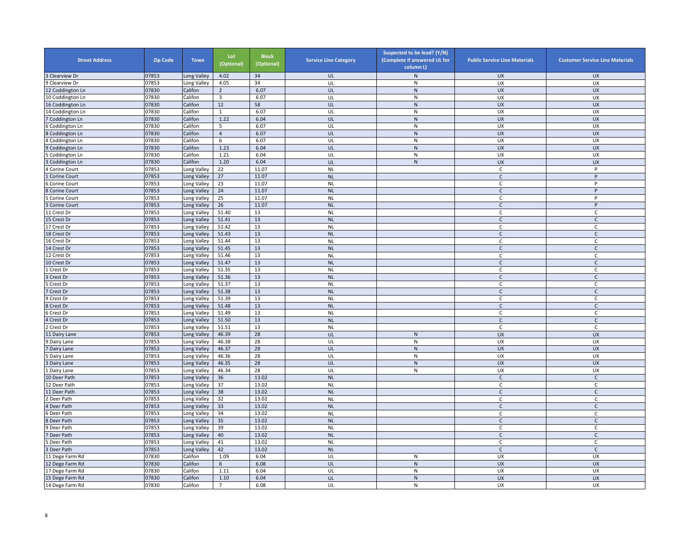| <b>Street Address</b>             | <b>Zip Code</b> | <b>Town</b> | Lot<br>(Optional) | <b>Block</b><br>(Optional) | <b>Service Line Category</b> | Suspected to be lead? (Y/N)<br>(Complete if answered UL for<br>column L) | <b>Public Service Line Materials</b> | <b>Customer Service Line Materials</b> |
|-----------------------------------|-----------------|-------------|-------------------|----------------------------|------------------------------|--------------------------------------------------------------------------|--------------------------------------|----------------------------------------|
| 3 Clearview Dr                    | 07853           | Long Valley | 4.02              | 34                         | UL                           | $\mathsf{N}$                                                             | <b>UX</b>                            | <b>UX</b>                              |
| 9 Clearview Dr                    | 07853           | Long Valley | 4.05              | 34                         | UL                           | ${\sf N}$                                                                | UX                                   | UX                                     |
| 12 Coddington Ln                  | 07830           | Califon     | $\overline{2}$    | 6.07                       | UL                           | $\mathsf{N}$                                                             | <b>UX</b>                            | <b>UX</b>                              |
| 10 Coddington Ln                  | 07830           | Califon     | $\overline{3}$    | 6.07                       | UL                           | $\mathsf{N}$                                                             | <b>UX</b>                            | UX                                     |
| 16 Coddington Ln                  | 07830           | Califon     | 12                | 58                         | UL                           | ${\sf N}$                                                                | <b>UX</b>                            | <b>UX</b>                              |
| 4 Coddington Ln                   | 07830           | Califon     | $\mathbf{1}$      | 6.07                       | UL                           | ${\sf N}$                                                                | UX                                   | UX                                     |
| Coddington Ln                     | 07830           | Califon     | 1.22              | 6.04                       | UL                           | ${\sf N}$                                                                | <b>UX</b>                            | <b>UX</b>                              |
| Coddington Ln                     | 07830           | Califon     | 5                 | 6.07                       | UL                           | ${\sf N}$                                                                | UX                                   | UX                                     |
| Coddington Ln                     | 07830           | Califon     | $\overline{4}$    | 6.07                       | UL                           | ${\sf N}$                                                                | <b>UX</b>                            | <b>UX</b>                              |
| Coddington Ln                     | 07830           | Califon     | 6                 | 6.07                       | UL                           | ${\sf N}$                                                                | UX                                   | UX                                     |
| Coddington Ln                     | 07830           | Califon     | 1.23              | 6.04                       | UL                           | ${\sf N}$                                                                | <b>UX</b>                            | <b>UX</b>                              |
| Coddington Ln                     | 07830           | Califon     | 1.21              | 6.04                       | UL                           | ${\sf N}$                                                                | <b>UX</b>                            | <b>UX</b>                              |
| Coddington Ln                     | 07830           | Califon     | 1.20              | 6.04                       | UL                           | ${\sf N}$                                                                | <b>UX</b>                            | <b>UX</b>                              |
| Corine Court                      | 07853           | Long Valley | 22                | 11.07                      | <b>NL</b>                    |                                                                          | C                                    | P                                      |
| Corine Court                      | 07853           | Long Valley | 27                | 11.07                      | <b>NL</b>                    |                                                                          | $\mathsf{C}$                         | P                                      |
| Corine Court                      | 07853           | Long Valley | 23                | 11.07                      | <b>NL</b>                    |                                                                          | C                                    | P                                      |
| Corine Court                      | 07853           | Long Valley | 24                | 11.07                      | <b>NL</b>                    |                                                                          | $\mathsf{C}$                         | P                                      |
| Corine Court                      | 07853           | Long Valley | 25                | 11.07                      | <b>NL</b>                    |                                                                          | C                                    | P                                      |
| Corine Court                      | 07853           | Long Valley | 26                | 11.07                      | <b>NL</b>                    |                                                                          | $\mathsf{C}$                         | P                                      |
| 1 Crest Dr                        | 07853           | Long Valley | 51.40             | 13                         | <b>NL</b>                    |                                                                          | C                                    | C                                      |
| 15 Crest Dr                       | 07853           | Long Valley | 51.41             | 13                         | <b>NL</b>                    |                                                                          | $\mathsf{C}$                         | C                                      |
| 17 Crest Dr                       | 07853           | Long Valley | 51.42             | 13                         | <b>NL</b>                    |                                                                          | $\mathsf C$                          | $\mathsf C$                            |
| 18 Crest Dr                       | 07853           | Long Valley | 51.43             | 13                         | <b>NL</b>                    |                                                                          | $\mathsf{C}$                         | $\mathsf C$                            |
| 16 Crest Dr                       | 07853           | Long Valley | 51.44             | 13                         | $\sf NL$                     |                                                                          | C                                    | $\mathsf C$                            |
| 14 Crest Dr                       | 07853           | Long Valley | 51.45             | 13                         | <b>NL</b>                    |                                                                          | $\mathsf{C}$                         | $\mathsf{C}$                           |
| 12 Crest Dr                       | 07853           | Long Valley | 51.46             | 13                         | <b>NL</b>                    |                                                                          | C                                    | C                                      |
| 10 Crest Dr                       | 07853           | Long Valley | 51.47             | 13                         | <b>NL</b>                    |                                                                          | $\mathsf{C}$                         | $\mathsf{C}$                           |
| Crest Dr                          | 07853           | Long Valley | 51.35             | 13                         | <b>NL</b>                    |                                                                          | $\mathsf{C}$                         | $\mathsf C$                            |
| <b>Crest Dr</b>                   | 07853           | Long Valley | 51.36             | 13                         | $\sf NL$                     |                                                                          | $\mathsf{C}$                         | $\mathsf C$                            |
| Crest Dr                          | 07853           | Long Valley | 51.37             | 13                         | <b>NL</b>                    |                                                                          | C                                    | C                                      |
| Crest Dr                          | 07853           | Long Valley | 51.38             | 13                         | <b>NL</b>                    |                                                                          | $\mathsf{C}$                         | $\mathsf C$                            |
| 9 Crest Dr                        | 07853           | Long Valley | 51.39             | 13                         | <b>NL</b>                    |                                                                          | $\mathsf{C}$                         | $\mathsf C$                            |
| 8 Crest Dr                        | 07853           | Long Valley | 51.48             | 13                         | <b>NL</b>                    |                                                                          | $\mathsf{C}$                         | $\mathsf{C}$                           |
| Crest Dr                          | 07853           | Long Valley | 51.49             | 13                         | <b>NL</b>                    |                                                                          | C                                    | C                                      |
| Crest Dr                          | 07853           | Long Valley | 51.50             | 13                         | <b>NL</b>                    |                                                                          | $\mathsf{C}$                         | $\mathsf{C}$                           |
| Crest Dr                          | 07853           | Long Valley | 51.51             | 13                         | <b>NL</b>                    |                                                                          | $\mathsf C$                          | $\mathsf C$                            |
| 11 Dairy Lane                     | 07853           | Long Valley | 46.39             | 28                         | UL                           | ${\sf N}$                                                                | UX                                   | <b>UX</b>                              |
| <b>Dairy Lane</b>                 | 07853           | Long Valley | 46.38             | 28                         | UL                           | ${\sf N}$                                                                | UX                                   | UX                                     |
| Dairy Lane                        | 07853           | Long Valley | 46.37             | 28                         | UL                           | N                                                                        | <b>UX</b>                            | <b>UX</b>                              |
| Dairy Lane                        | 07853           | Long Valley | 46.36             | 28                         | UL                           | ${\sf N}$                                                                | UX                                   | UX                                     |
| Dairy Lane                        | 07853           | Long Valley | 46.35             | 28                         | UL                           | ${\sf N}$                                                                | <b>UX</b>                            | <b>UX</b>                              |
| Dairy Lane                        | 07853           | Long Valley | 46.34             | 28                         | UL                           | ${\sf N}$                                                                | UX                                   | UX                                     |
| 10 Deer Path                      | 07853           | Long Valley | 36                | 13.02                      | <b>NL</b>                    |                                                                          | $\mathsf{C}$                         | $\mathsf C$                            |
| 12 Deer Path                      | 07853           | Long Valley | 37                | 13.02                      | <b>NL</b>                    |                                                                          | $\mathsf C$                          | C                                      |
| 11 Deer Path                      | 07853           | Long Valley | 38                | 13.02                      | <b>NL</b>                    |                                                                          | $\mathsf{C}$                         | $\mathsf{C}$                           |
| Deer Path                         | 07853           | Long Valley | 32                | 13.02                      | <b>NL</b>                    |                                                                          | C                                    | C                                      |
| Deer Path                         | 07853           | Long Valley | 33                | 13.02                      | <b>NL</b>                    |                                                                          | $\mathsf{C}$                         | $\mathsf{C}$                           |
| Deer Path                         | 07853           | Long Valley | 34                | 13.02                      | <b>NL</b>                    |                                                                          | $\mathsf{C}$                         | C                                      |
| Deer Path                         | 07853           | Long Valley | 35                | 13.02                      | <b>NL</b>                    |                                                                          | $\mathsf{C}$                         | $\mathsf{C}$                           |
| Deer Path                         | 07853           | Long Valley | 39                | 13.02                      | <b>NL</b>                    |                                                                          | $\mathsf C$                          | $\mathsf C$                            |
| Deer Path                         | 07853           | Long Valley | 40                | 13.02                      | <b>NL</b>                    |                                                                          | $\mathsf{C}$                         | $\mathsf{C}$                           |
| Deer Path                         | 07853           | Long Valley | 41                | 13.02                      | $\sf NL$                     |                                                                          | $\mathsf C$                          | $\mathsf{C}$                           |
| Deer Path                         | 07853           | Long Valley | 42                | 13.02                      | <b>NL</b>                    |                                                                          | $\mathsf{C}$                         | $\mathsf{C}$                           |
| 11 Dege Farm Rd                   | 07830           | Califon     | 1.09              | 6.04                       | UL                           | N                                                                        | <b>UX</b>                            | <b>UX</b>                              |
|                                   |                 | Califon     | $6\,$             | 6.08                       | UL                           | ${\sf N}$                                                                | <b>UX</b>                            | UX                                     |
| 12 Dege Farm Rd                   | 07830<br>07830  | Califon     |                   | 6.04                       | UL                           |                                                                          |                                      |                                        |
| 7 Dege Farm Rd<br>15 Dege Farm Rd | 07830           | Califon     | 1.11<br>1.10      | 6.04                       | UL                           | ${\sf N}$<br>${\sf N}$                                                   | UX<br><b>UX</b>                      | UX<br><b>UX</b>                        |
|                                   |                 |             | $\overline{7}$    |                            | UL                           | $\mathsf{N}$                                                             |                                      |                                        |
| 14 Dege Farm Rd                   | 07830           | Califon     |                   | 6.08                       |                              |                                                                          | UX                                   | UX                                     |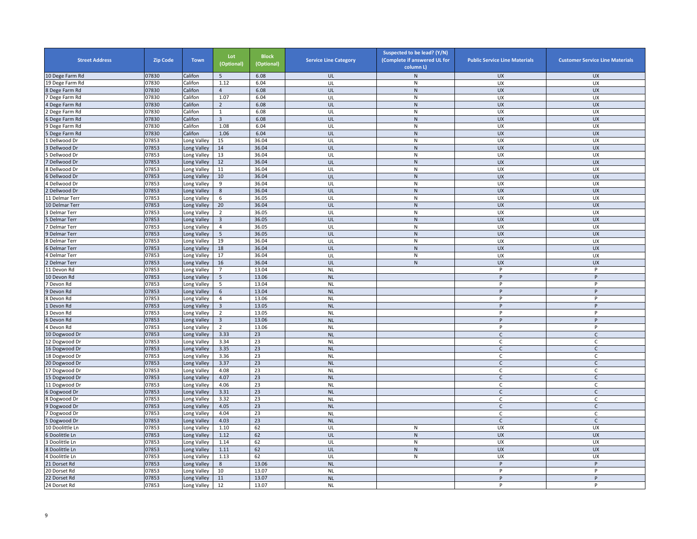| <b>Street Address</b> | <b>Zip Code</b> | <b>Town</b> | Lot<br>(Optional) | <b>Block</b><br>(Optional) | <b>Service Line Category</b> | Suspected to be lead? (Y/N)<br>(Complete if answered UL for<br>column L) | <b>Public Service Line Materials</b> | <b>Customer Service Line Materials</b> |
|-----------------------|-----------------|-------------|-------------------|----------------------------|------------------------------|--------------------------------------------------------------------------|--------------------------------------|----------------------------------------|
| 10 Dege Farm Rd       | 07830           | Califon     | 5                 | 6.08                       | UL                           | $\mathsf{N}$                                                             | <b>UX</b>                            | <b>UX</b>                              |
| 19 Dege Farm Rd       | 07830           | Califon     | 1.12              | 6.04                       | UL                           | ${\sf N}$                                                                | UX                                   | UX                                     |
| 8 Dege Farm Rd        | 07830           | Califon     | $\overline{4}$    | 6.08                       | UL                           | $\mathsf{N}$                                                             | <b>UX</b>                            | <b>UX</b>                              |
| Dege Farm Rd          | 07830           | Califon     | 1.07              | 6.04                       | UL                           | $\mathsf{N}$                                                             | <b>UX</b>                            | UX                                     |
| Dege Farm Rd          | 07830           | Califon     | $\overline{2}$    | 6.08                       | UL                           | ${\sf N}$                                                                | <b>UX</b>                            | <b>UX</b>                              |
| Dege Farm Rd          | 07830           | Califon     | $\mathbf{1}$      | 6.08                       | UL                           | ${\sf N}$                                                                | UX                                   | UX                                     |
| Dege Farm Rd          | 07830           | Califon     | $\overline{3}$    | 6.08                       | UL                           | ${\sf N}$                                                                | <b>UX</b>                            | <b>UX</b>                              |
| Dege Farm Rd          | 07830           | Califon     | 1.08              | 6.04                       | UL                           | ${\sf N}$                                                                | UX                                   | UX                                     |
| Dege Farm Rd          | 07830           | Califon     | 1.06              | 6.04                       | UL                           | ${\sf N}$                                                                | <b>UX</b>                            | <b>UX</b>                              |
| Dellwood Dr           | 07853           | Long Valley | 15                | 36.04                      | UL                           | ${\sf N}$                                                                | UX                                   | UX                                     |
| Dellwood Dr           | 07853           | Long Valley | 14                | 36.04                      | UL                           | N                                                                        | <b>UX</b>                            | <b>UX</b>                              |
| Dellwood Dr           | 07853           | Long Valley | 13                | 36.04                      | UL                           | ${\sf N}$                                                                | UX                                   | UX                                     |
| Dellwood Dr           | 07853           | Long Valley | 12                | 36.04                      | UL                           | $\mathsf{N}$                                                             | <b>UX</b>                            | UX                                     |
| Dellwood Dr           | 07853           | Long Valley | 11                | 36.04                      | UL                           | ${\sf N}$                                                                | UX                                   | UX                                     |
| Dellwood Dr           | 07853           | Long Valley | 10                | 36.04                      | UL                           | ${\sf N}$                                                                | UX                                   | <b>UX</b>                              |
| Dellwood Dr           | 07853           | Long Valley | 9                 | 36.04                      | UL                           | ${\sf N}$                                                                | UX                                   | <b>UX</b>                              |
| Dellwood Dr           | 07853           | Long Valley | 8                 | 36.04                      | UL                           | $\mathsf{N}$                                                             | <b>UX</b>                            | <b>UX</b>                              |
| 1 Delmar Terr         | 07853           | Long Valley | 6                 | 36.05                      | UL                           | ${\sf N}$                                                                | UX                                   | UX                                     |
| 0 Delmar Terr         | 07853           | Long Valley | 20                | 36.04                      | UL                           | ${\sf N}$                                                                | <b>UX</b>                            | <b>UX</b>                              |
| <b>Delmar Terr</b>    | 07853           | Long Valley | $\overline{2}$    | 36.05                      | UL                           | $\mathsf{N}$                                                             | <b>UX</b>                            | <b>UX</b>                              |
| Delmar Terr           | 07853           | Long Valley | $\overline{3}$    | 36.05                      | UL                           | $\mathsf{N}$                                                             | <b>UX</b>                            | <b>UX</b>                              |
|                       |                 |             | $\overline{4}$    | 36.05                      | UL                           | ${\sf N}$                                                                |                                      | UX                                     |
| Delmar Terr           | 07853           | ong Valley  |                   |                            |                              |                                                                          | UX                                   |                                        |
| <b>Delmar Terr</b>    | 07853           | Long Valley | 5                 | 36.05                      | UL                           | ${\sf N}$                                                                | <b>UX</b>                            | <b>UX</b>                              |
| Delmar Terr           | 07853           | Long Valley | 19                | 36.04                      | UL                           | $\mathsf{N}$                                                             | UX                                   | UX                                     |
| <b>Delmar Terr</b>    | 07853           | Long Valley | 18                | 36.04                      | UL                           | ${\sf N}$                                                                | <b>UX</b>                            | <b>UX</b>                              |
| Delmar Terr           | 07853           | Long Valley | 17                | 36.04                      | UL                           | $\mathsf{N}$                                                             | <b>UX</b>                            | <b>UX</b>                              |
| Delmar Terr           | 07853           | Long Valley | 16                | 36.04                      | UL                           | N                                                                        | <b>UX</b>                            | <b>UX</b>                              |
| 1 Devon Rd            | 07853           | Long Valley | $\overline{7}$    | 13.04                      | $\sf NL$                     |                                                                          | P                                    | P                                      |
| 10 Devon Rd           | 07853           | Long Valley | 5                 | 13.06                      | <b>NL</b>                    |                                                                          | P                                    | P                                      |
| Devon Rd              | 07853           | Long Valley | 5                 | 13.04                      | <b>NL</b>                    |                                                                          | P                                    | P                                      |
| Devon Rd              | 07853           | Long Valley | 6                 | 13.04                      | <b>NL</b>                    |                                                                          | P                                    | P                                      |
| Devon Rd              | 07853           | Long Valley | $\overline{4}$    | 13.06                      | <b>NL</b>                    |                                                                          | P                                    | P                                      |
| Devon Rd              | 07853           | Long Valley | $\overline{3}$    | 13.05                      | <b>NL</b>                    |                                                                          | P                                    | P                                      |
| Devon Rd              | 07853           | Long Valley | $\overline{2}$    | 13.05                      | <b>NL</b>                    |                                                                          | P                                    | P                                      |
| Devon Rd              | 07853           | Long Valley | $\overline{3}$    | 13.06                      | <b>NL</b>                    |                                                                          | P                                    | P                                      |
| Devon Rd              | 07853           | Long Valley | $\overline{2}$    | 13.06                      | <b>NL</b>                    |                                                                          | P                                    | P                                      |
| 10 Dogwood Dr         | 07853           | Long Valley | 3.33              | 23                         | <b>NL</b>                    |                                                                          | $\mathsf{C}$                         | $\mathsf{C}$                           |
| 2 Dogwood Dr          | 07853           | Long Valley | 3.34              | 23                         | <b>NL</b>                    |                                                                          | $\mathsf{C}$                         | $\mathsf C$                            |
| 6 Dogwood Dr          | 07853           | Long Valley | 3.35              | 23                         | <b>NL</b>                    |                                                                          | $\mathsf{C}$                         | $\mathsf C$                            |
| 18 Dogwood Dr         | 07853           | Long Valley | 3.36              | 23                         | <b>NL</b>                    |                                                                          | $\mathsf{C}$                         | $\mathsf{C}$                           |
| 20 Dogwood Dr         | 07853           | Long Valley | 3.37              | 23                         | <b>NL</b>                    |                                                                          | $\mathsf{C}$                         | $\mathsf C$                            |
| 17 Dogwood Dr         | 07853           | Long Valley | 4.08              | 23                         | <b>NL</b>                    |                                                                          | C                                    | C                                      |
| 5 Dogwood Dr          | 07853           | Long Valley | 4.07              | 23                         | <b>NL</b>                    |                                                                          | $\mathsf{C}$                         | $\mathsf C$                            |
| 1 Dogwood Dr          | 07853           | Long Valley | 4.06              | 23                         | <b>NL</b>                    |                                                                          | $\mathsf{C}$                         | C                                      |
| Dogwood Dr            | 07853           | Long Valley | 3.31              | 23                         | <b>NL</b>                    |                                                                          | $\mathsf{C}$                         | $\mathsf C$                            |
| Dogwood Dr            | 07853           | Long Valley | 3.32              | 23                         | <b>NL</b>                    |                                                                          | $\mathsf{C}$                         | C                                      |
| Dogwood Dr            | 07853           | Long Valley | 4.05              | 23                         | <b>NL</b>                    |                                                                          | $\mathsf{C}$                         | $\mathsf{C}$                           |
| Dogwood Dr            | 07853           | Long Valley | 4.04              | 23                         | <b>NL</b>                    |                                                                          | $\mathsf{C}$                         | C                                      |
| Dogwood Dr            | 07853           | Long Valley | 4.03              | 23                         | <b>NL</b>                    |                                                                          | $\mathsf{C}$                         | $\mathsf{C}$                           |
| 10 Doolittle Ln       | 07853           | Long Valley | 1.10              | 62                         | UL                           | $\mathsf{N}$                                                             | UX                                   | UX                                     |
| Doolittle Ln          | 07853           | Long Valley | 1.12              | 62                         | UL                           | $\overline{N}$                                                           | UX                                   | UX                                     |
| Doolittle Ln          | 07853           | Long Valley | 1.14              | 62                         | UL                           | ${\sf N}$                                                                | UX                                   | UX                                     |
| Doolittle Ln          | 07853           | Long Valley | 1.11              | 62                         | UL                           | ${\sf N}$                                                                | <b>UX</b>                            | <b>UX</b>                              |
| <b>I</b> Doolittle Ln | 07853           | Long Valley | 1.13              | 62                         | UL                           | ${\sf N}$                                                                | UX                                   | UX                                     |
| 21 Dorset Rd          | 07853           | Long Valley | $8\phantom{1}$    | 13.06                      | <b>NL</b>                    |                                                                          | P                                    | P                                      |
| 20 Dorset Rd          | 07853           | Long Valley | 10                | 13.07                      | <b>NL</b>                    |                                                                          | P                                    | P                                      |
| 22 Dorset Rd          | 07853           | Long Valley | 11                | 13.07                      | <b>NL</b>                    |                                                                          | P                                    | P                                      |
| 24 Dorset Rd          | 07853           | Long Valley | 12                | 13.07                      | <b>NL</b>                    |                                                                          | P                                    | P                                      |
|                       |                 |             |                   |                            |                              |                                                                          |                                      |                                        |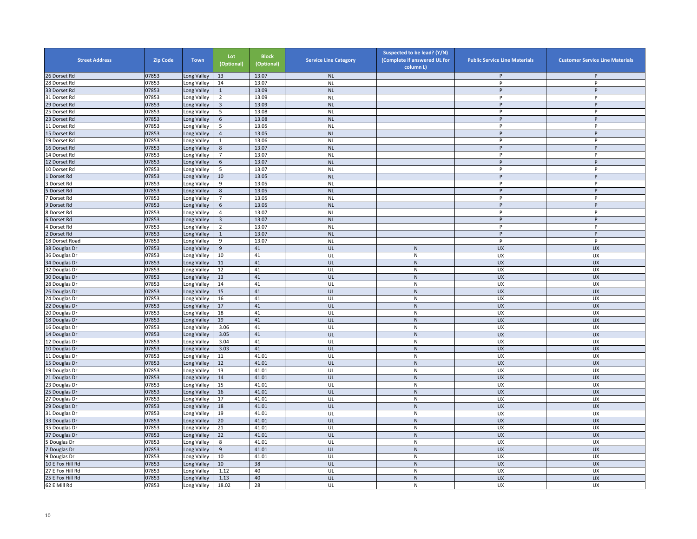| <b>Street Address</b> | <b>Zip Code</b> | <b>Town</b> | Lot<br>(Optional) | <b>Block</b><br>(Optional) | <b>Service Line Category</b> | Suspected to be lead? (Y/N)<br>(Complete if answered UL for<br>column L) | <b>Public Service Line Materials</b> | <b>Customer Service Line Materials</b> |
|-----------------------|-----------------|-------------|-------------------|----------------------------|------------------------------|--------------------------------------------------------------------------|--------------------------------------|----------------------------------------|
| 26 Dorset Rd          | 07853           | ong Valley  | 13                | 13.07                      | <b>NL</b>                    |                                                                          | P                                    | P                                      |
| 28 Dorset Rd          | 07853           | ong Valley  | 14                | 13.07                      | <b>NL</b>                    |                                                                          | P                                    | P                                      |
| 33 Dorset Rd          | 07853           | Long Valley | $\mathbf{1}$      | 13.09                      | <b>NL</b>                    |                                                                          | p                                    | P                                      |
| 31 Dorset Rd          | 07853           | Long Valley | $\overline{2}$    | 13.09                      | <b>NL</b>                    |                                                                          | P                                    | P                                      |
| 29 Dorset Rd          | 07853           | Long Valley | $\overline{3}$    | 13.09                      | <b>NL</b>                    |                                                                          | P                                    | P                                      |
| 5 Dorset Rd           | 07853           | Long Valley | 5                 | 13.08                      | <b>NL</b>                    |                                                                          | P                                    | P                                      |
| 23 Dorset Rd          | 07853           | Long Valley | 6                 | 13.08                      | <b>NL</b>                    |                                                                          | P                                    | P                                      |
| 11 Dorset Rd          | 07853           | Long Valley | 5                 | 13.05                      | <b>NL</b>                    |                                                                          | P                                    | P                                      |
| 15 Dorset Rd          | 07853           | Long Valley | $\overline{4}$    | 13.05                      | NL                           |                                                                          | P                                    | P                                      |
| 19 Dorset Rd          | 07853           | Long Valley | $\mathbf{1}$      | 13.06                      | <b>NL</b>                    |                                                                          | P                                    | P                                      |
| 16 Dorset Rd          | 07853           | Long Valley | $8\phantom{1}$    | 13.07                      | <b>NL</b>                    |                                                                          | P                                    | P                                      |
| 14 Dorset Rd          | 07853           | Long Valley | $\overline{7}$    | 13.07                      | <b>NL</b>                    |                                                                          | P                                    | P                                      |
| 12 Dorset Rd          | 07853           | Long Valley | 6                 | 13.07                      | <b>NL</b>                    |                                                                          | P                                    | P                                      |
| 10 Dorset Rd          | 07853           | Long Valley | 5                 | 13.07                      | <b>NL</b>                    |                                                                          | P                                    | P                                      |
| Dorset Rd             | 07853           | Long Valley | 10                | 13.05                      | <b>NL</b>                    |                                                                          | $\sf P$                              | P                                      |
| Dorset Rd             | 07853           | Long Valley | 9                 | 13.05                      | <b>NL</b>                    |                                                                          | $\sf P$                              | P                                      |
| Dorset Rd             | 07853           | Long Valley | 8                 | 13.05                      | <b>NL</b>                    |                                                                          | P                                    | P                                      |
| Dorset Rd             | 07853           | Long Valley | $\overline{7}$    | 13.05                      | <b>NL</b>                    |                                                                          | P                                    | P                                      |
| Dorset Rd             | 07853           | Long Valley | $\,$ 6 $\,$       | 13.05                      | <b>NL</b>                    |                                                                          | P                                    | P                                      |
| Dorset Rd             | 07853           | Long Valley | $\overline{4}$    | 13.07                      | <b>NL</b>                    |                                                                          | P                                    | P                                      |
| Dorset Rd             | 07853           | Long Valley | $\overline{3}$    | 13.07                      | <b>NL</b>                    |                                                                          | $\sf P$                              | $\sf P$                                |
| Dorset Rd             | 07853           | ong Valley  | $\overline{2}$    | 13.07                      | <b>NL</b>                    |                                                                          | P                                    | p                                      |
| Dorset Rd             | 07853           | Long Valley | $\mathbf{1}$      | 13.07                      | <b>NL</b>                    |                                                                          | P                                    | P                                      |
| 18 Dorset Road        | 07853           | Long Valley | 9                 | 13.07                      | <b>NL</b>                    |                                                                          | P                                    | Þ                                      |
| 38 Douglas Dr         | 07853           | Long Valley | 9                 | 41                         | UL                           | ${\sf N}$                                                                | <b>UX</b>                            | <b>UX</b>                              |
| 36 Douglas Dr         | 07853           | Long Valley | 10                | 41                         | UL                           | ${\sf N}$                                                                | UX                                   | UX                                     |
| 34 Douglas Dr         | 07853           | Long Valley | 11                | 41                         | UL                           | ${\sf N}$                                                                | <b>UX</b>                            | <b>UX</b>                              |
| 32 Douglas Dr         | 07853           | Long Valley | 12                | 41                         | UL                           | $\overline{\mathsf{N}}$                                                  | UX                                   | UX                                     |
| 30 Douglas Dr         | 07853           | Long Valley | 13                | 41                         | UL                           | ${\sf N}$                                                                | UX                                   | <b>UX</b>                              |
| 28 Douglas Dr         | 07853           | Long Valley | 14                | 41                         | UL                           | ${\sf N}$                                                                | UX                                   | UX                                     |
| 26 Douglas Dr         | 07853           | Long Valley | 15                | 41                         | UL                           | ${\sf N}$                                                                | <b>UX</b>                            | <b>UX</b>                              |
| 24 Douglas Dr         | 07853           | Long Valley | 16                | 41                         | UL                           | ${\sf N}$                                                                | UX                                   | UX                                     |
| 22 Douglas Dr         | 07853           | Long Valley | 17                | 41                         | UL                           | ${\sf N}$                                                                | UX                                   | <b>UX</b>                              |
| 20 Douglas Dr         | 07853           | Long Valley | 18                | 41                         | UL                           | N                                                                        | UX                                   | UX                                     |
| 18 Douglas Dr         | 07853           | Long Valley | 19                | 41                         | UL                           | $\mathsf{N}$                                                             | <b>UX</b>                            | <b>UX</b>                              |
| 16 Douglas Dr         | 07853           | Long Valley | 3.06              | 41                         | UL                           | ${\sf N}$                                                                | UX                                   | UX                                     |
| 14 Douglas Dr         | 07853           | Long Valley | 3.05              | 41                         | UL                           | ${\sf N}$                                                                | <b>UX</b>                            | <b>UX</b>                              |
| 12 Douglas Dr         | 07853           | Long Valley | 3.04              | 41                         | UL                           | ${\sf N}$                                                                | UX                                   | UX                                     |
| 10 Douglas Dr         | 07853           | Long Valley | 3.03              | 41                         | UL                           | ${\sf N}$                                                                | <b>UX</b>                            | <b>UX</b>                              |
| 11 Douglas Dr         | 07853           | Long Valley | 11                | 41.01                      | UL                           | ${\sf N}$                                                                | UX                                   | <b>UX</b>                              |
| 15 Douglas Dr         | 07853           | Long Valley | 12                | 41.01                      | UL                           | ${\sf N}$                                                                | <b>UX</b>                            | <b>UX</b>                              |
| 19 Douglas Dr         | 07853           | ong Valley  | 13                | 41.01                      | UL                           | $\overline{\mathsf{N}}$                                                  | <b>UX</b>                            | UX                                     |
| 21 Douglas Dr         | 07853           | Long Valley | 14                | 41.01                      | UL                           | ${\sf N}$                                                                | <b>UX</b>                            | <b>UX</b>                              |
| 23 Douglas Dr         | 07853           | Long Valley | 15                | 41.01                      | UL                           | ${\sf N}$                                                                | UX                                   | UX                                     |
| 25 Douglas Dr         | 07853           | Long Valley | 16                | 41.01                      | UL                           | ${\sf N}$                                                                | <b>UX</b>                            | <b>UX</b>                              |
| 27 Douglas Dr         | 07853           | Long Valley | 17                | 41.01                      | UL                           | ${\sf N}$                                                                | UX                                   | <b>UX</b>                              |
| 29 Douglas Dr         | 07853           | Long Valley | 18                | 41.01                      | UL                           | ${\sf N}$                                                                | <b>UX</b>                            | <b>UX</b>                              |
| 31 Douglas Dr         | 07853           | Long Valley | 19                | 41.01                      | UL                           | N                                                                        | UX                                   | UX                                     |
| 33 Douglas Dr         | 07853           | Long Valley | 20                | 41.01                      | UL                           | ${\sf N}$                                                                | UX                                   | <b>UX</b>                              |
| 35 Douglas Dr         | 07853           | Long Valley | 21                | 41.01                      | UL                           | ${\sf N}$                                                                | UX                                   | UX                                     |
| 37 Douglas Dr         | 07853           | Long Valley | 22                | 41.01                      | UL                           | $\overline{\mathsf{N}}$                                                  | UX                                   | <b>UX</b>                              |
| Douglas Dr            | 07853           | Long Valley | 8                 | 41.01                      | UL                           | ${\sf N}$                                                                | UX                                   | UX                                     |
| Douglas Dr            | 07853           | Long Valley | 9                 | 41.01                      | UL                           | ${\sf N}$                                                                | <b>UX</b>                            | <b>UX</b>                              |
| Douglas Dr            | 07853           | Long Valley | 10                | 41.01                      | UL                           | N                                                                        | UX                                   | <b>UX</b>                              |
| 10 E Fox Hill Rd      | 07853           | ong Valley  | 10                | 38                         | UL                           | ${\sf N}$                                                                | UX                                   | <b>UX</b>                              |
| 27 E Fox Hill Rd      | 07853           | ong Valley  | 1.12              | 40                         | UL                           | ${\sf N}$                                                                | UX                                   | UX                                     |
| 25 E Fox Hill Rd      | 07853           | Long Valley | 1.13              | 40                         | UL                           | $\overline{\mathsf{N}}$                                                  | <b>UX</b>                            | <b>UX</b>                              |
| 62 E Mill Rd          | 07853           | Long Valley | 18.02             | 28                         | UL                           | ${\sf N}$                                                                | <b>UX</b>                            | UX                                     |
|                       |                 |             |                   |                            |                              |                                                                          |                                      |                                        |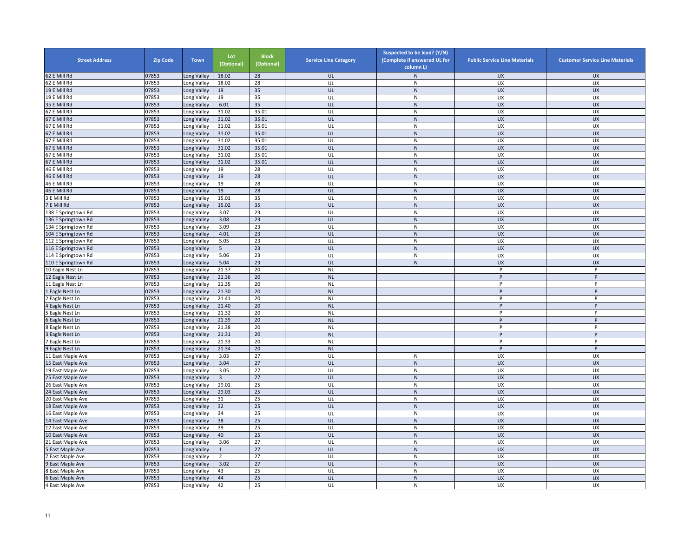| <b>Street Address</b> | <b>Zip Code</b> | <b>Town</b> | Lot<br>(Optional) | <b>Block</b><br>(Optional) | <b>Service Line Category</b> | Suspected to be lead? (Y/N)<br>(Complete if answered UL for<br>column L) | <b>Public Service Line Materials</b> | <b>Customer Service Line Materials</b> |
|-----------------------|-----------------|-------------|-------------------|----------------------------|------------------------------|--------------------------------------------------------------------------|--------------------------------------|----------------------------------------|
| 62 E Mill Rd          | 07853           | Long Valley | 18.02             | 28                         | UL                           | ${\sf N}$                                                                | <b>UX</b>                            | <b>UX</b>                              |
| 62 E Mill Rd          | 07853           | Long Valley | 18.02             | 28                         | UL                           | ${\sf N}$                                                                | UX                                   | UX                                     |
| 19 E Mill Rd          | 07853           | Long Valley | 19                | 35                         | UL                           | N                                                                        | <b>UX</b>                            | <b>UX</b>                              |
| 19 E Mill Rd          | 07853           | Long Valley | 19                | 35                         | UL                           | N                                                                        | UX                                   | UX                                     |
| 35 E Mill Rd          | 07853           | Long Valley | 6.01              | 35                         | UL                           | ${\sf N}$                                                                | <b>UX</b>                            | <b>UX</b>                              |
| 67 E Mill Rd          | 07853           | Long Valley | 31.02             | 35.01                      | UL                           | $\mathsf{N}$                                                             | UX                                   | UX                                     |
| 67 E Mill Rd          | 07853           | Long Valley | 31.02             | 35.01                      | UL                           | ${\sf N}$                                                                | <b>UX</b>                            | <b>UX</b>                              |
| 67 E Mill Rd          | 07853           | Long Valley | 31.02             | 35.01                      | UL                           | ${\sf N}$                                                                | UX                                   | UX                                     |
| 67 E Mill Rd          | 07853           | Long Valley | 31.02             | 35.01                      | UL                           | ${\sf N}$                                                                | <b>UX</b>                            | <b>UX</b>                              |
| 67 E Mill Rd          | 07853           | Long Valley | 31.02             | 35.01                      | UL                           | ${\sf N}$                                                                | UX                                   | UX                                     |
| 67 E Mill Rd          | 07853           | Long Valley | 31.02             | 35.01                      | UL                           | ${\sf N}$                                                                | <b>UX</b>                            | UX                                     |
| 67 E Mill Rd          | 07853           | Long Valley | 31.02             | 35.01                      | UL                           | $\mathsf{N}$                                                             | UX                                   | UX                                     |
| 67 E Mill Rd          | 07853           | Long Valley | 31.02             | 35.01                      | UL                           | ${\sf N}$                                                                | UX                                   | UX                                     |
| 46 E Mill Rd          | 07853           | Long Valley | 19                | 28                         | UL                           | ${\sf N}$                                                                | UX                                   | UX                                     |
| 46 E Mill Rd          | 07853           | Long Valley | 19                | 28                         | UL                           | ${\sf N}$                                                                | <b>UX</b>                            | <b>UX</b>                              |
| 46 E Mill Rd          | 07853           | Long Valley | 19                | 28                         | UL                           | ${\sf N}$                                                                | UX                                   | UX                                     |
| 46 E Mill Rd          | 07853           | Long Valley | 19                | 28                         | UL                           | ${\sf N}$                                                                | <b>UX</b>                            | <b>UX</b>                              |
| 3 E Mill Rd           | 07853           | Long Valley | 15.01             | 35                         | UL                           | N                                                                        | <b>UX</b>                            | UX                                     |
| 7 E Mill Rd           | 07853           | Long Valley | 15.02             | 35                         | UL                           | ${\sf N}$                                                                | <b>UX</b>                            | <b>UX</b>                              |
| 38 E Springtown Rd    | 07853           | Long Valley | 3.07              | 23                         | UL                           | ${\sf N}$                                                                | UX                                   | UX                                     |
| 136 E Springtown Rd   | 07853           | Long Valley | 3.08              | 23                         | UL                           | N                                                                        | <b>UX</b>                            | <b>UX</b>                              |
| 134 E Springtown Rd   | 07853           | Long Valley | 3.09              | 23                         | UL                           | ${\sf N}$                                                                | UX                                   | UX                                     |
| 104 E Springtown Rd   | 07853           | Long Valley | 4.01              | 23                         | UL                           | N                                                                        | <b>UX</b>                            | <b>UX</b>                              |
| 112 E Springtown Rd   | 07853           | Long Valley | 5.05              | 23                         | UL                           | N                                                                        | UX                                   | UX                                     |
| 116 E Springtown Rd   | 07853           | Long Valley | 5                 | 23                         | UL                           | N                                                                        | <b>UX</b>                            | <b>UX</b>                              |
| 114 E Springtown Rd   | 07853           | Long Valley | 5.06              | 23                         | UL                           | ${\sf N}$                                                                | UX                                   | UX                                     |
| 110 E Springtown Rd   | 07853           | Long Valley | 5.04              | 23                         | UL                           | ${\sf N}$                                                                | <b>UX</b>                            | <b>UX</b>                              |
| 10 Eagle Nest Ln      | 07853           | Long Valley | 21.37             | 20                         |                              |                                                                          | P                                    | P                                      |
| 12 Eagle Nest Ln      | 07853           | Long Valley | 21.36             | 20                         | <b>NL</b><br>NL              |                                                                          | P                                    | P                                      |
| 11 Eagle Nest Ln      | 07853           | Long Valley | 21.35             | 20                         | <b>NL</b>                    |                                                                          | P                                    | P                                      |
|                       | 07853           |             | 21.30             | 20                         | <b>NL</b>                    |                                                                          | P                                    | P                                      |
| L Eagle Nest Ln       | 07853           | Long Valley | 21.41             | 20                         |                              |                                                                          | P                                    | P                                      |
| Eagle Nest Ln         | 07853           | Long Valley | 21.40             | 20                         | <b>NL</b><br><b>NL</b>       |                                                                          | P                                    | P                                      |
| 4 Eagle Nest Ln       |                 | Long Valley | 21.32             | 20                         | <b>NL</b>                    |                                                                          | P                                    | P                                      |
| Eagle Nest Ln         | 07853           | Long Valley |                   |                            |                              |                                                                          | P                                    | P                                      |
| Eagle Nest Ln         | 07853           | Long Valley | 21.39             | 20<br>20                   | <b>NL</b>                    |                                                                          | P                                    | P                                      |
| <b>Eagle Nest Ln</b>  | 07853           | Long Valley | 21.38<br>21.31    | 20                         | <b>NL</b>                    |                                                                          | Þ                                    | P                                      |
| <b>Eagle Nest Ln</b>  | 07853           | Long Valley |                   |                            | NL                           |                                                                          | P                                    | P                                      |
| Eagle Nest Ln         | 07853           | Long Valley | 21.33             | 20                         | <b>NL</b>                    |                                                                          |                                      |                                        |
| 9 Eagle Nest Ln       | 07853           | Long Valley | 21.34             | 20                         | <b>NL</b>                    |                                                                          | P                                    | P                                      |
| 11 East Maple Ave     | 07853           | Long Valley | 3.03              | 27                         | UL                           | ${\sf N}$                                                                | UX                                   | UX                                     |
| 15 East Maple Ave     | 07853           | Long Valley | 3.04              | 27                         | UL                           | ${\sf N}$                                                                | <b>UX</b>                            | <b>UX</b>                              |
| 19 East Maple Ave     | 07853           | Long Valley | 3.05              | 27                         | UL                           | $\mathsf{N}$                                                             | UX                                   | UX                                     |
| 25 East Maple Ave     | 07853           | Long Valley | $\overline{3}$    | 27                         | UL                           | ${\sf N}$                                                                | UX                                   | <b>UX</b>                              |
| 26 East Maple Ave     | 07853           | Long Valley | 29.01             | 25                         | UL                           | ${\sf N}$                                                                | UX                                   | UX                                     |
| 24 East Maple Ave     | 07853           | Long Valley | 29.03             | 25                         | UL                           | N                                                                        | <b>UX</b>                            | <b>UX</b>                              |
| 20 East Maple Ave     | 07853           | Long Valley | 31                | 25                         | UL                           | N                                                                        | <b>UX</b>                            | UX                                     |
| 18 East Maple Ave     | 07853           | Long Valley | 32                | 25                         | UL                           | ${\sf N}$                                                                | <b>UX</b>                            | UX                                     |
| 16 East Maple Ave     | 07853           | Long Valley | 34                | 25                         | UL                           | ${\sf N}$                                                                | UX                                   | UX                                     |
| 14 East Maple Ave     | 07853           | Long Valley | 38                | 25                         | UL                           | ${\sf N}$                                                                | <b>UX</b>                            | <b>UX</b>                              |
| 12 East Maple Ave     | 07853           | Long Valley | 39                | 25                         | UL                           | ${\sf N}$                                                                | UX                                   | UX                                     |
| 10 East Maple Ave     | 07853           | Long Valley | 40                | 25                         | UL                           | N                                                                        | <b>UX</b>                            | <b>UX</b>                              |
| 21 East Maple Ave     | 07853           | Long Valley | 3.06              | 27                         | UL                           | ${\sf N}$                                                                | UX                                   | UX                                     |
| East Maple Ave        | 07853           | Long Valley | $\mathbf{1}$      | 27                         | UL                           | ${\sf N}$                                                                | <b>UX</b>                            | <b>UX</b>                              |
| 7 East Maple Ave      | 07853           | Long Valley | $\overline{2}$    | 27                         | UL                           | $\mathsf{N}$                                                             | UX                                   | UX                                     |
| <b>East Maple Ave</b> | 07853           | Long Valley | 3.02              | 27                         | UL                           | ${\sf N}$                                                                | UX                                   | UX                                     |
| East Maple Ave        | 07853           | Long Valley | 43                | 25                         | UL                           | ${\sf N}$                                                                | UX                                   | UX                                     |
| <b>East Maple Ave</b> | 07853           | Long Valley | 44                | 25                         | UL                           | ${\sf N}$                                                                | <b>UX</b>                            | <b>UX</b>                              |
| 4 East Maple Ave      | 07853           | Long Valley | 42                | 25                         | UL                           | $\mathsf{N}$                                                             | UX                                   | UX                                     |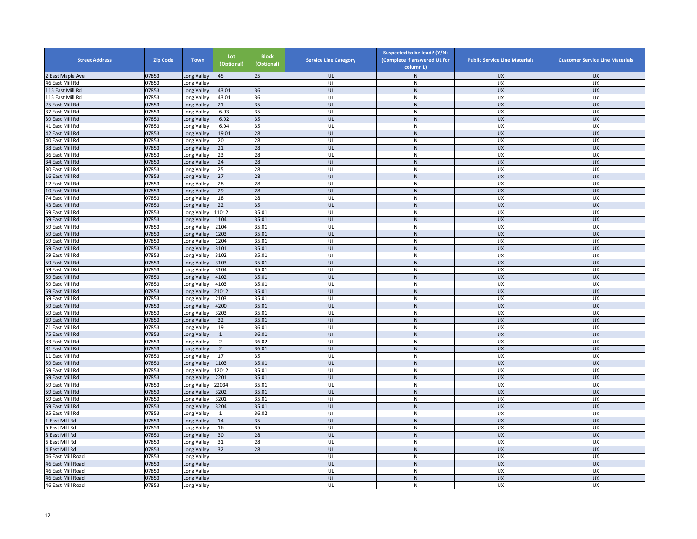| <b>Street Address</b>                  | <b>Zip Code</b> | <b>Town</b>                | Lot<br>(Optional) | <b>Block</b><br>(Optional) | <b>Service Line Category</b> | Suspected to be lead? (Y/N)<br>(Complete if answered UL for<br>column L) | <b>Public Service Line Materials</b> | <b>Customer Service Line Materials</b> |
|----------------------------------------|-----------------|----------------------------|-------------------|----------------------------|------------------------------|--------------------------------------------------------------------------|--------------------------------------|----------------------------------------|
| East Maple Ave                         | 07853           | Long Valley                | 45                | 25                         | UL                           | $\mathsf{N}$                                                             | <b>UX</b>                            | <b>UX</b>                              |
| 46 East Mill Rd                        | 07853           | Long Valley                |                   |                            | UL                           | ${\sf N}$                                                                | UX                                   | UX                                     |
| 115 East Mill Rd                       | 07853           | Long Valley                | 43.01             | 36                         | UL                           | ${\sf N}$                                                                | <b>UX</b>                            | <b>UX</b>                              |
| 115 East Mill Rd                       | 07853           | Long Valley                | 43.01             | 36                         | UL                           | ${\sf N}$                                                                | UX                                   | UX                                     |
| 25 East Mill Rd                        | 07853           | Long Valley                | 21                | 35                         | UL                           | $\overline{N}$                                                           | <b>UX</b>                            | <b>UX</b>                              |
| 37 East Mill Rd                        | 07853           | Long Valley                | 6.03              | 35                         | UL                           | ${\sf N}$                                                                | UX                                   | UX                                     |
| 39 East Mill Rd                        | 07853           | Long Valley                | 6.02              | 35                         | UL                           | ${\sf N}$                                                                | <b>UX</b>                            | <b>UX</b>                              |
| 41 East Mill Rd                        | 07853           | Long Valley                | 6.04              | 35                         | UL                           | ${\sf N}$                                                                | UX                                   | UX                                     |
| 42 East Mill Rd                        | 07853           | Long Valley                | 19.01             | 28                         | UL                           | ${\sf N}$                                                                | <b>UX</b>                            | <b>UX</b>                              |
| 40 East Mill Rd                        | 07853           | Long Valley                | 20                | 28                         | UL                           | ${\sf N}$                                                                | UX                                   | UX                                     |
| 38 East Mill Rd                        | 07853           | Long Valley                | 21                | 28                         | UL                           | ${\sf N}$                                                                | <b>UX</b>                            | <b>UX</b>                              |
| 36 East Mill Rd                        | 07853           | Long Valley                | 23                | 28                         | UL                           | ${\sf N}$                                                                | <b>UX</b>                            | <b>UX</b>                              |
| 34 East Mill Rd                        | 07853           | Long Valley                | 24                | 28                         | UL                           | ${\sf N}$                                                                | <b>UX</b>                            | <b>UX</b>                              |
| 30 East Mill Rd                        | 07853           | ong Valley                 | 25                | 28                         | UL                           | ${\sf N}$                                                                | UX                                   | UX                                     |
| 16 East Mill Rd                        | 07853           | Long Valley                | 27                | 28                         | UL                           | ${\sf N}$                                                                | <b>UX</b>                            | <b>UX</b>                              |
| 12 East Mill Rd                        | 07853           | Long Valley                | 28                | 28                         | UL                           | ${\sf N}$                                                                | UX                                   | UX                                     |
| 10 East Mill Rd                        | 07853           | Long Valley                | 29                | 28                         | UL                           | ${\sf N}$                                                                | <b>UX</b>                            | <b>UX</b>                              |
| 74 East Mill Rd                        | 07853           | Long Valley                | 18                | 28                         | UL                           | ${\sf N}$                                                                | <b>UX</b>                            | UX                                     |
| 43 East Mill Rd                        | 07853           | Long Valley                | 22                | 35                         | UL                           | ${\sf N}$                                                                | <b>UX</b>                            | <b>UX</b>                              |
| 59 East Mill Rd                        | 07853           | Long Valley                | 11012             | 35.01                      | UL                           | ${\sf N}$                                                                | UX                                   | UX                                     |
| 59 East Mill Rd                        | 07853           | Long Valley                | 1104              | 35.01                      | UL                           | ${\sf N}$                                                                | <b>UX</b>                            | <b>UX</b>                              |
| 59 East Mill Rd                        | 07853           | Long Valley                | 2104              | 35.01                      | UL                           | ${\sf N}$                                                                | UX                                   | UX                                     |
| 59 East Mill Rd                        | 07853           | Long Valley                | 1203              | 35.01                      | UL                           | ${\sf N}$                                                                | <b>UX</b>                            | <b>UX</b>                              |
| 59 East Mill Rd                        | 07853           | Long Valley                | 1204              | 35.01                      | UL                           | N                                                                        | UX                                   | UX                                     |
| 59 East Mill Rd                        | 07853           | Long Valley                | 3101              | 35.01                      | UL                           | ${\sf N}$                                                                | <b>UX</b>                            | <b>UX</b>                              |
| 59 East Mill Rd                        | 07853           | Long Valley                | 3102              | 35.01                      | UL                           | ${\sf N}$                                                                | UX                                   | UX                                     |
| 59 East Mill Rd                        | 07853           | Long Valley                | 3103              | 35.01                      | UL                           | ${\sf N}$                                                                | <b>UX</b>                            | <b>UX</b>                              |
| 59 East Mill Rd                        | 07853           | Long Valley                | 3104              | 35.01                      | UL                           | ${\sf N}$                                                                | UX                                   | UX                                     |
| 59 East Mill Rd                        | 07853           | Long Valley                | 4102              | 35.01                      | UL                           | ${\sf N}$                                                                | <b>UX</b>                            | <b>UX</b>                              |
| 59 East Mill Rd                        | 07853           | Long Valley                | 4103              | 35.01                      | UL                           | ${\sf N}$                                                                | <b>UX</b>                            | UX                                     |
| 59 East Mill Rd                        | 07853           | Long Valley                | 21012             | 35.01                      | UL                           | ${\sf N}$                                                                | <b>UX</b>                            | <b>UX</b>                              |
| 59 East Mill Rd                        | 07853           | Long Valley                | 2103              | 35.01                      | UL                           | ${\sf N}$                                                                | <b>UX</b>                            | UX                                     |
| 59 East Mill Rd                        | 07853           | Long Valley                | 4200              | 35.01                      | UL                           | ${\sf N}$                                                                | <b>UX</b>                            | <b>UX</b>                              |
| 59 East Mill Rd                        | 07853           | Long Valley                | 3203              | 35.01                      | UL                           | ${\sf N}$                                                                | UX                                   | UX                                     |
| 69 East Mill Rd                        | 07853           | ong Valley                 | 32                | 35.01                      | UL                           | N                                                                        | <b>UX</b>                            | <b>UX</b>                              |
| 71 East Mill Rd                        | 07853           | Long Valley                | 19                | 36.01                      | UL                           | ${\sf N}$                                                                | UX                                   | UX                                     |
| 75 East Mill Rd                        | 07853           | Long Valley                | $\mathbf{1}$      | 36.01                      | UL                           | ${\sf N}$                                                                | <b>UX</b>                            | <b>UX</b>                              |
| 83 East Mill Rd                        | 07853           | Long Valley                | $\overline{2}$    | 36.02                      | UL                           | ${\sf N}$                                                                | UX                                   | UX                                     |
| 81 East Mill Rd                        | 07853           | Long Valley                | $\overline{2}$    | 36.01                      | UL                           | ${\sf N}$                                                                | <b>UX</b>                            | <b>UX</b>                              |
| 11 East Mill Rd                        | 07853           | Long Valley                | 17                | 35                         | UL                           | ${\sf N}$                                                                | UX                                   | UX                                     |
| 59 East Mill Rd                        | 07853           | Long Valley                | 1103              | 35.01                      | UL                           | ${\sf N}$                                                                | <b>UX</b>                            | <b>UX</b>                              |
| 59 East Mill Rd                        | 07853           | Long Valley                | 12012             | 35.01                      | UL                           | ${\sf N}$                                                                | UX                                   | UX                                     |
| 59 East Mill Rd                        | 07853           | Long Valley                | 2201              | 35.01                      | UL                           | ${\sf N}$                                                                | UX                                   | <b>UX</b>                              |
| 59 East Mill Rd                        | 07853           | Long Valley                | 22034             | 35.01                      | UL                           | ${\sf N}$                                                                | UX                                   | UX                                     |
| 59 East Mill Rd                        | 07853           | Long Valley                | 3202              | 35.01                      | UL                           | ${\sf N}$                                                                | <b>UX</b>                            | <b>UX</b>                              |
| 59 East Mill Rd                        | 07853           | Long Valley                | 3201              | 35.01                      | UL                           | $\mathsf{N}$                                                             | <b>UX</b>                            | UX                                     |
| 59 East Mill Rd                        | 07853           | Long Valley                | 3204              | 35.01                      | UL                           | ${\sf N}$                                                                | <b>UX</b>                            | <b>UX</b>                              |
| 85 East Mill Rd                        | 07853           | Long Valley                | $\mathbf{1}$      | 36.02                      | UL                           | ${\sf N}$                                                                | UX                                   | UX                                     |
| East Mill Rd                           | 07853           | Long Valley                | 14                | 35                         | UL                           | ${\sf N}$                                                                | <b>UX</b>                            | <b>UX</b>                              |
| East Mill Rd                           | 07853           | Long Valley                | 16                | 35                         | UL                           | ${\sf N}$                                                                | UX                                   | UX                                     |
| East Mill Rd                           | 07853           | Long Valley                | 30                | 28                         | UL                           | ${\sf N}$                                                                | <b>UX</b>                            | <b>UX</b>                              |
| East Mill Rd                           | 07853           | Long Valley                | 31                | 28                         | UL                           | ${\sf N}$                                                                | UX                                   | UX                                     |
| 4 East Mill Rd                         | 07853           | Long Valley                | 32                | 28                         | UL                           | ${\sf N}$                                                                | <b>UX</b>                            | <b>UX</b>                              |
| 46 East Mill Road                      | 07853           | Long Valley                |                   |                            | UL                           | ${\sf N}$                                                                | UX                                   | <b>UX</b>                              |
| 46 East Mill Road                      | 07853           | Long Valley                |                   |                            | UL                           | ${\sf N}$                                                                | UX                                   | <b>UX</b>                              |
|                                        | 07853           |                            |                   |                            | UL                           | ${\sf N}$                                                                | UX                                   | UX                                     |
| 46 East Mill Road<br>46 East Mill Road | 07853           | ong Valley.<br>Long Valley |                   |                            | UL                           | $\overline{\mathsf{N}}$                                                  | <b>UX</b>                            | <b>UX</b>                              |
|                                        |                 |                            |                   |                            | UL                           |                                                                          | <b>UX</b>                            |                                        |
| 46 East Mill Road                      | 07853           | Long Valley                |                   |                            |                              | ${\sf N}$                                                                |                                      | UX                                     |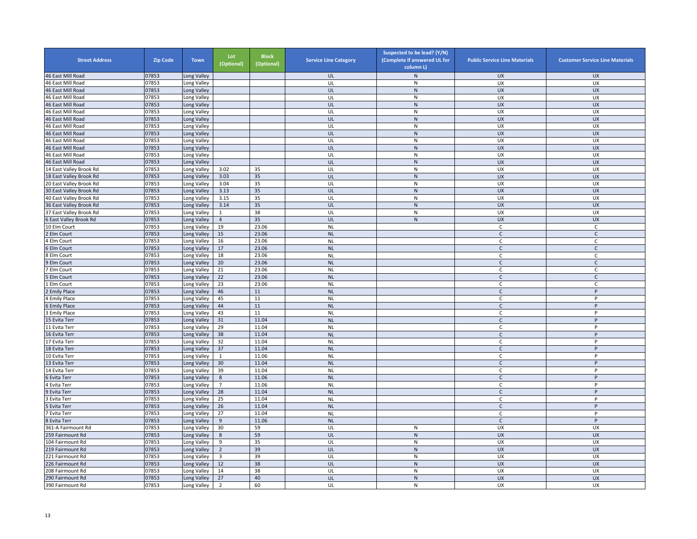| <b>Street Address</b>   | <b>Zip Code</b> | <b>Town</b> | Lot<br>(Optional) | <b>Block</b><br>(Optional) | <b>Service Line Category</b> | Suspected to be lead? (Y/N)<br>(Complete if answered UL for<br>column L) | <b>Public Service Line Materials</b> | <b>Customer Service Line Materials</b> |
|-------------------------|-----------------|-------------|-------------------|----------------------------|------------------------------|--------------------------------------------------------------------------|--------------------------------------|----------------------------------------|
| 46 East Mill Road       | 07853           | Long Valley |                   |                            | UL                           | ${\sf N}$                                                                | <b>UX</b>                            | <b>UX</b>                              |
| 46 East Mill Road       | 07853           | Long Valley |                   |                            | UL                           | ${\sf N}$                                                                | UX                                   | UX                                     |
| 46 East Mill Road       | 07853           | Long Valley |                   |                            | UL                           | ${\sf N}$                                                                | <b>UX</b>                            | <b>UX</b>                              |
| 46 East Mill Road       | 07853           | Long Valley |                   |                            | UL                           | $\mathsf{N}$                                                             | <b>UX</b>                            | UX                                     |
| 46 East Mill Road       | 07853           | Long Valley |                   |                            | UL                           | ${\sf N}$                                                                | UX                                   | <b>UX</b>                              |
| 46 East Mill Road       | 07853           | Long Valley |                   |                            | UL                           | $\mathsf{N}$                                                             | UX                                   | UX                                     |
| 46 East Mill Road       | 07853           | Long Valley |                   |                            | UL                           | N                                                                        | <b>UX</b>                            | <b>UX</b>                              |
| 46 East Mill Road       | 07853           | Long Valley |                   |                            | UL                           | ${\sf N}$                                                                | UX                                   | UX                                     |
| 46 East Mill Road       | 07853           | Long Valley |                   |                            | UL                           | ${\sf N}$                                                                | <b>UX</b>                            | <b>UX</b>                              |
| 46 East Mill Road       | 07853           | Long Valley |                   |                            | UL                           | $\mathsf{N}$                                                             | <b>UX</b>                            | <b>UX</b>                              |
| 46 East Mill Road       | 07853           | Long Valley |                   |                            | UL                           | ${\sf N}$                                                                | <b>UX</b>                            | <b>UX</b>                              |
| 46 East Mill Road       | 07853           | Long Valley |                   |                            | UL                           | ${\sf N}$                                                                | UX                                   | UX                                     |
| 46 East Mill Road       | 07853           | Long Valley |                   |                            | UL                           | $\mathsf{N}$                                                             | <b>UX</b>                            | <b>UX</b>                              |
| 14 East Valley Brook Rd | 07853           | Long Valley | 3.02              | 35                         | UL                           | ${\sf N}$                                                                | UX                                   | UX                                     |
| 18 East Valley Brook Rd | 07853           | Long Valley | 3.03              | 35                         | UL                           | ${\sf N}$                                                                | UX                                   | <b>UX</b>                              |
| 20 East Valley Brook Rd | 07853           | Long Valley | 3.04              | 35                         | UL                           | N                                                                        | UX                                   | UX                                     |
| 30 East Valley Brook Rd | 07853           | Long Valley | 3.13              | 35                         | UL                           | $\mathsf{N}$                                                             | <b>UX</b>                            | <b>UX</b>                              |
| 40 East Valley Brook Rd | 07853           | Long Valley | 3.15              | 35                         | UL                           | ${\sf N}$                                                                | UX                                   | UX                                     |
| 36 East Valley Brook Rd | 07853           | Long Valley | 3.14              | 35                         | UL                           | ${\sf N}$                                                                | <b>UX</b>                            | <b>UX</b>                              |
| 37 East Valley Brook Rd | 07853           | Long Valley | $\mathbf{1}$      | 38                         | UL                           | ${\sf N}$                                                                | UX                                   | UX                                     |
| East Valley Brook Rd    | 07853           | Long Valley | $\overline{4}$    | 35                         | UL                           | ${\sf N}$                                                                | UX                                   | <b>UX</b>                              |
| 10 Elm Court            | 07853           | Long Valley | 19                | 23.06                      | <b>NL</b>                    |                                                                          | C                                    | $\mathsf{C}$                           |
| Elm Court               | 07853           | Long Valley | 15                | 23.06                      | <b>NL</b>                    |                                                                          | $\mathsf{C}$                         | $\mathsf{C}$                           |
| 4 Elm Court             | 07853           | Long Valley | 16                | 23.06                      | <b>NL</b>                    |                                                                          | $\mathsf{C}$                         | C                                      |
| Elm Court               | 07853           | Long Valley | 17                | 23.06                      | <b>NL</b>                    |                                                                          | C                                    | C                                      |
| <b>Elm Court</b>        | 07853           | Long Valley | 18                | 23.06                      | <b>NL</b>                    |                                                                          | C                                    | C                                      |
| Elm Court               | 07853           | ong Valley  | 20                | 23.06                      | <b>NL</b>                    |                                                                          | $\mathsf{C}$                         | $\mathsf C$                            |
| Elm Court               | 07853           | Long Valley | 21                | 23.06                      | <b>NL</b>                    |                                                                          | C                                    | C                                      |
| Elm Court               | 07853           | Long Valley | 22                | 23.06                      | <b>NL</b>                    |                                                                          | $\mathsf{C}$                         | $\mathsf{C}$                           |
| Elm Court               | 07853           | Long Valley | 23                | 23.06                      | <b>NL</b>                    |                                                                          | $\Gamma$                             | $\epsilon$                             |
| <b>Emily Place</b>      | 07853           | Long Valley | 46                | 11                         | <b>NL</b>                    |                                                                          | $\mathsf{C}$                         | P                                      |
| <b>Emily Place</b>      | 07853           | Long Valley | 45                | 11                         | <b>NL</b>                    |                                                                          | C                                    | P                                      |
| Emily Place             | 07853           | Long Valley | 44                | 11                         | <b>NL</b>                    |                                                                          | C                                    | P                                      |
| <b>Emily Place</b>      | 07853           | Long Valley | 43                | 11                         | <b>NL</b>                    |                                                                          | $\mathsf{C}$                         | P                                      |
| 5 Evita Terr            | 07853           | Long Valley | 31                | 11.04                      | <b>NL</b>                    |                                                                          | $\mathsf{C}$                         | P                                      |
| 11 Evita Terr           | 07853           | Long Valley | 29                | 11.04                      | <b>NL</b>                    |                                                                          | $\mathsf C$                          | P                                      |
| 16 Evita Terr           | 07853           | Long Valley | 38                | 11.04                      | <b>NL</b>                    |                                                                          | $\mathsf{C}$                         | P                                      |
| 17 Evita Terr           | 07853           | Long Valley | 32                | 11.04                      | <b>NL</b>                    |                                                                          | $\mathsf{C}$                         | P                                      |
| 18 Evita Terr           | 07853           | Long Valley | 37                | 11.04                      | <b>NL</b>                    |                                                                          | $\mathsf{C}$                         | P                                      |
| 10 Evita Terr           | 07853           | Long Valley | $\mathbf{1}$      | 11.06                      | <b>NL</b>                    |                                                                          | C                                    | P                                      |
| 13 Evita Terr           | 07853           | Long Valley | 30                | 11.04                      | <b>NL</b>                    |                                                                          | $\mathsf{C}$                         | P                                      |
| 14 Evita Terr           | 07853           | Long Valley | 39                | 11.04                      | <b>NL</b>                    |                                                                          | C.                                   | P                                      |
| 6 Evita Terr            | 07853           | Long Valley | $\bf 8$           | 11.06                      | <b>NL</b>                    |                                                                          | $\mathsf{C}$                         | P                                      |
| Evita Terr              | 07853           | Long Valley | $\overline{7}$    | 11.06                      | <b>NL</b>                    |                                                                          | C                                    | P                                      |
| 9 Evita Terr            | 07853           | Long Valley | 28                | 11.04                      | <b>NL</b>                    |                                                                          | $\mathsf{C}$                         | P                                      |
| 3 Evita Terr            | 07853           | Long Valley | 25                | 11.04                      | <b>NL</b>                    |                                                                          | C                                    | P                                      |
| Evita Terr              | 07853           | Long Valley | 26                | 11.04                      | <b>NL</b>                    |                                                                          | $\mathsf{C}$                         | P                                      |
| Evita Terr              | 07853           | Long Valley | 27                | 11.04                      | <b>NL</b>                    |                                                                          | $\mathsf{C}$                         | P                                      |
| 8 Evita Terr            | 07853           | Long Valley | 9                 | 11.06                      | <b>NL</b>                    |                                                                          | $\mathsf{C}$                         | P                                      |
| 361-A Fairmount Rd      | 07853           | Long Valley | 30                | 59                         | UL                           | ${\sf N}$                                                                | UX                                   | UX                                     |
| 259 Fairmount Rd        | 07853           | Long Valley | 8                 | 59                         | UL                           | ${\sf N}$                                                                | <b>UX</b>                            | <b>UX</b>                              |
| 104 Fairmount Rd        | 07853           | Long Valley | 9                 | 35                         | UL                           | ${\sf N}$                                                                | UX                                   | UX                                     |
| 219 Fairmount Rd        | 07853           | Long Valley | $\overline{2}$    | 39                         | UL                           | ${\sf N}$                                                                | <b>UX</b>                            | <b>UX</b>                              |
| 221 Fairmount Rd        | 07853           | Long Valley | 3                 | 39                         | UL                           | $\mathsf{N}$                                                             | <b>UX</b>                            | <b>UX</b>                              |
| 226 Fairmount Rd        | 07853           | ong Valley  | 12                | 38                         | UL                           | ${\sf N}$                                                                | <b>UX</b>                            | UX                                     |
| 208 Fairmount Rd        | 07853           | Long Valley | 14                | 38                         | UL                           | ${\sf N}$                                                                | UX                                   | UX                                     |
| 290 Fairmount Rd        | 07853           | Long Valley | 27                | 40                         | UL                           | ${\sf N}$                                                                | <b>UX</b>                            | <b>UX</b>                              |
| 390 Fairmount Rd        | 07853           | Long Valley | 2                 | 60                         | UL                           | $\mathsf{N}$                                                             | UX                                   | UX                                     |
|                         |                 |             |                   |                            |                              |                                                                          |                                      |                                        |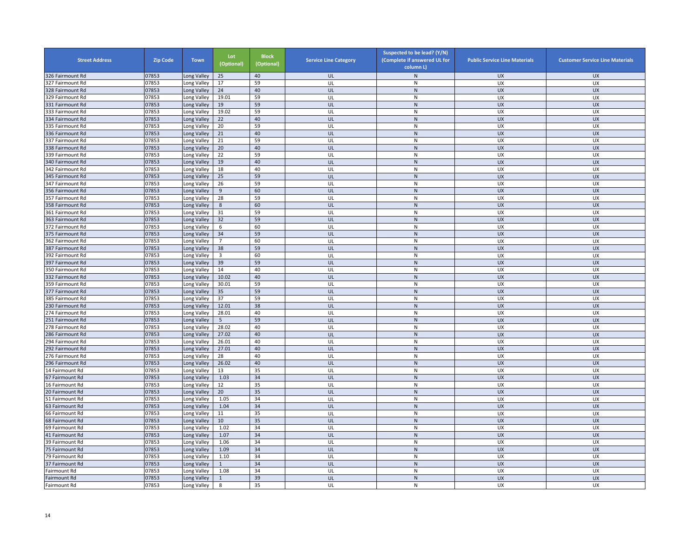| <b>Street Address</b> | <b>Zip Code</b> | <b>Town</b> | Lot<br>(Optional) | <b>Block</b><br>(Optional) | <b>Service Line Category</b> | Suspected to be lead? (Y/N)<br>(Complete if answered UL for<br>column L) | <b>Public Service Line Materials</b> | <b>Customer Service Line Materials</b> |
|-----------------------|-----------------|-------------|-------------------|----------------------------|------------------------------|--------------------------------------------------------------------------|--------------------------------------|----------------------------------------|
| 326 Fairmount Rd      | 07853           | Long Valley | 25                | 40                         | UL                           | $\mathsf{N}$                                                             | <b>UX</b>                            | <b>UX</b>                              |
| 327 Fairmount Rd      | 07853           | Long Valley | 17                | 59                         | UL                           | ${\sf N}$                                                                | UX                                   | UX                                     |
| 328 Fairmount Rd      | 07853           | Long Valley | 24                | 40                         | UL                           | $\mathsf{N}$                                                             | <b>UX</b>                            | <b>UX</b>                              |
| 329 Fairmount Rd      | 07853           | Long Valley | 19.01             | 59                         | UL                           | $\mathsf{N}$                                                             | UX                                   | <b>UX</b>                              |
| 331 Fairmount Rd      | 07853           | Long Valley | 19                | 59                         | UL                           | ${\sf N}$                                                                | <b>UX</b>                            | <b>UX</b>                              |
| 333 Fairmount Rd      | 07853           | Long Valley | 19.02             | 59                         | UL                           | $\mathsf{N}$                                                             | UX                                   | UX                                     |
| 334 Fairmount Rd      | 07853           | Long Valley | 22                | 40                         | UL                           | ${\sf N}$                                                                | <b>UX</b>                            | <b>UX</b>                              |
| 335 Fairmount Rd      | 07853           | Long Valley | 20                | 59                         | UL                           | ${\sf N}$                                                                | UX                                   | UX                                     |
| 336 Fairmount Rd      | 07853           | Long Valley | 21                | 40                         | UL                           | ${\sf N}$                                                                | <b>UX</b>                            | <b>UX</b>                              |
| 337 Fairmount Rd      | 07853           | Long Valley | 21                | 59                         | UL                           | ${\sf N}$                                                                | UX                                   | UX                                     |
| 338 Fairmount Rd      | 07853           | Long Valley | 20                | 40                         | UL                           | ${\sf N}$                                                                | <b>UX</b>                            | <b>UX</b>                              |
| 339 Fairmount Rd      | 07853           | Long Valley | 22                | 59                         | UL                           | $\mathsf{N}$                                                             | <b>UX</b>                            | <b>UX</b>                              |
| 340 Fairmount Rd      | 07853           | Long Valley | 19                | 40                         | UL                           | ${\sf N}$                                                                | UX                                   | <b>UX</b>                              |
| 342 Fairmount Rd      | 07853           | Long Valley | 18                | 40                         | UL                           | N                                                                        | UX                                   | UX                                     |
| 345 Fairmount Rd      | 07853           | Long Valley | 25                | 59                         | UL                           | ${\sf N}$                                                                | <b>UX</b>                            | <b>UX</b>                              |
| 47 Fairmount Rd       | 07853           | Long Valley | 26                | 59                         | UL                           | ${\sf N}$                                                                | UX                                   | UX                                     |
| 356 Fairmount Rd      | 07853           | Long Valley | 9                 | 60                         | UL                           | $\mathsf{N}$                                                             | <b>UX</b>                            | <b>UX</b>                              |
| 357 Fairmount Rd      | 07853           | Long Valley | 28                | 59                         | UL                           | N                                                                        | <b>UX</b>                            | <b>UX</b>                              |
| 358 Fairmount Rd      | 07853           | Long Valley | 8                 | 60                         | UL                           | ${\sf N}$                                                                | <b>UX</b>                            | <b>UX</b>                              |
| 361 Fairmount Rd      | 07853           | Long Valley | 31                | 59                         | UL                           | ${\sf N}$                                                                | UX                                   | UX                                     |
| 363 Fairmount Rd      | 07853           | Long Valley | 32                | 59                         | UL                           | ${\sf N}$                                                                | <b>UX</b>                            | <b>UX</b>                              |
| 372 Fairmount Rd      | 07853           | Long Valley | 6                 | 60                         | UL                           | ${\sf N}$                                                                | UX                                   | UX                                     |
| 375 Fairmount Rd      | 07853           | Long Valley | 34                | 59                         | UL                           | ${\sf N}$                                                                | <b>UX</b>                            | <b>UX</b>                              |
| 362 Fairmount Rd      | 07853           | Long Valley | $\overline{7}$    | 60                         | UL                           | $\mathsf{N}$                                                             | UX                                   | UX                                     |
| 387 Fairmount Rd      | 07853           |             | 38                | 59                         | UL                           | ${\sf N}$                                                                | UX                                   | <b>UX</b>                              |
| 392 Fairmount Rd      | 07853           | Long Valley | $\overline{3}$    | 60                         | UL                           | $\mathsf{N}$                                                             | UX                                   | <b>UX</b>                              |
|                       |                 | Long Valley |                   | 59                         |                              |                                                                          |                                      |                                        |
| 397 Fairmount Rd      | 07853           | Long Valley | 39                |                            | UL                           | $\mathsf{N}$                                                             | UX                                   | <b>UX</b>                              |
| 350 Fairmount Rd      | 07853           | Long Valley | 14                | 40                         | UL                           | ${\sf N}$                                                                | UX                                   | UX                                     |
| 332 Fairmount Rd      | 07853           | Long Valley | 10.02             | 40                         | UL                           | ${\sf N}$                                                                | UX                                   | <b>UX</b>                              |
| 359 Fairmount Rd      | 07853           | Long Valley | 30.01             | 59                         | UL                           | $\mathsf{N}$                                                             | UX                                   | <b>UX</b>                              |
| 377 Fairmount Rd      | 07853           | Long Valley | 35                | 59                         | UL                           | ${\sf N}$                                                                | <b>UX</b>                            | <b>UX</b>                              |
| 385 Fairmount Rd      | 07853           | Long Valley | 37                | 59                         | UL                           | $\mathsf{N}$                                                             | UX                                   | UX                                     |
| 230 Fairmount Rd      | 07853           | Long Valley | 12.01             | 38                         | UL                           | ${\sf N}$                                                                | <b>UX</b>                            | <b>UX</b>                              |
| '74 Fairmount Rd      | 07853           | Long Valley | 28.01             | 40                         | UL                           | ${\sf N}$                                                                | UX                                   | UX                                     |
| 51 Fairmount Rd       | 07853           | Long Valley | 5                 | 59                         | UL                           | $\mathsf{N}$                                                             | <b>UX</b>                            | <b>UX</b>                              |
| 278 Fairmount Rd      | 07853           | Long Valley | 28.02             | 40                         | UL                           | ${\sf N}$                                                                | UX                                   | UX                                     |
| 286 Fairmount Rd      | 07853           | Long Valley | 27.02             | 40                         | UL                           | N                                                                        | UX                                   | <b>UX</b>                              |
| 294 Fairmount Rd      | 07853           | Long Valley | 26.01             | 40                         | UL                           | ${\sf N}$                                                                | UX                                   | UX                                     |
| 292 Fairmount Rd      | 07853           | Long Valley | 27.01             | 40                         | UL                           | N                                                                        | <b>UX</b>                            | <b>UX</b>                              |
| 76 Fairmount Rd       | 07853           | Long Valley | 28                | 40                         | UL                           | ${\sf N}$                                                                | <b>UX</b>                            | <b>UX</b>                              |
| 296 Fairmount Rd      | 07853           | Long Valley | 26.02             | 40                         | UL                           | ${\sf N}$                                                                | UX                                   | <b>UX</b>                              |
| 14 Fairmount Rd       | 07853           | Long Valley | 13                | 35                         | UL                           | ${\sf N}$                                                                | UX                                   | UX                                     |
| 67 Fairmount Rd       | 07853           | Long Valley | 1.03              | 34                         | UL                           | ${\sf N}$                                                                | UX                                   | <b>UX</b>                              |
| 6 Fairmount Rd        | 07853           | Long Valley | 12                | 35                         | UL                           | ${\sf N}$                                                                | UX                                   | UX                                     |
| 20 Fairmount Rd       | 07853           | Long Valley | 20                | 35                         | UL                           | $\mathsf{N}$                                                             | <b>UX</b>                            | <b>UX</b>                              |
| 51 Fairmount Rd       | 07853           | Long Valley | 1.05              | 34                         | UL                           | N                                                                        | <b>UX</b>                            | <b>UX</b>                              |
| 63 Fairmount Rd       | 07853           | Long Valley | 1.04              | 34                         | UL                           | ${\sf N}$                                                                | <b>UX</b>                            | <b>UX</b>                              |
| 66 Fairmount Rd       | 07853           | Long Valley | 11                | 35                         | UL                           | $\mathsf{N}$                                                             | UX                                   | UX                                     |
| 68 Fairmount Rd       | 07853           | Long Valley | 10                | 35                         | UL                           | ${\sf N}$                                                                | UX                                   | <b>UX</b>                              |
| 69 Fairmount Rd       | 07853           | Long Valley | 1.02              | 34                         | UL                           | ${\sf N}$                                                                | UX                                   | UX                                     |
| 41 Fairmount Rd       | 07853           | Long Valley | 1.07              | 34                         | UL                           | ${\sf N}$                                                                | <b>UX</b>                            | <b>UX</b>                              |
| 39 Fairmount Rd       | 07853           | Long Valley | 1.06              | 34                         | UL                           | ${\sf N}$                                                                | UX                                   | UX                                     |
| 75 Fairmount Rd       | 07853           | Long Valley | 1.09              | 34                         | UL                           | $\mathsf{N}$                                                             | <b>UX</b>                            | <b>UX</b>                              |
| 79 Fairmount Rd       | 07853           | Long Valley | 1.10              | 34                         | UL                           | $\mathsf{N}$                                                             | <b>UX</b>                            | <b>UX</b>                              |
| 37 Fairmount Rd       | 07853           | Long Valley | $\mathbf{1}$      | 34                         | UL                           | ${\sf N}$                                                                | UX                                   | <b>UX</b>                              |
| Fairmount Rd          | 07853           | Long Valley | 1.08              | 34                         | UL                           | $\mathsf{N}$                                                             | UX                                   | <b>UX</b>                              |
| Fairmount Rd          | 07853           | Long Valley | $\mathbf{1}$      | 39                         | UL                           | ${\sf N}$                                                                | <b>UX</b>                            | <b>UX</b>                              |
| Fairmount Rd          | 07853           | Long Valley | 8                 | 35                         | UL                           | N                                                                        | UX                                   | UX                                     |
|                       |                 |             |                   |                            |                              |                                                                          |                                      |                                        |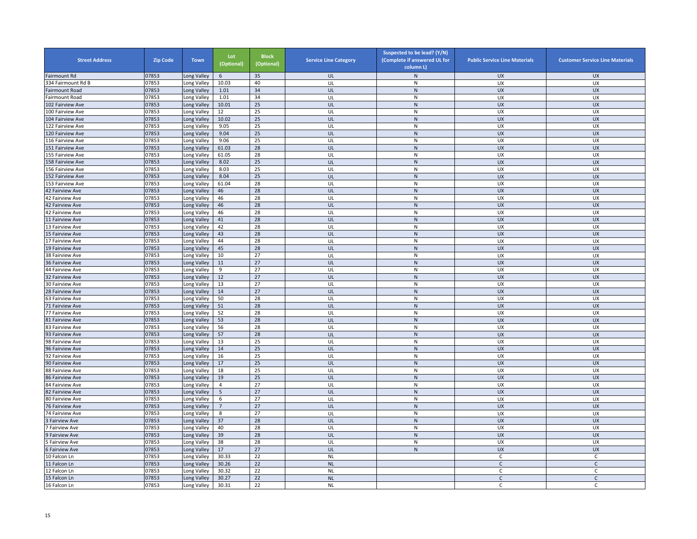| <b>Street Address</b>  | <b>Zip Code</b> | <b>Town</b>              | Lot<br>(Optional) | <b>Block</b><br>(Optional) | <b>Service Line Category</b> | Suspected to be lead? (Y/N)<br>(Complete if answered UL for<br>column L) | <b>Public Service Line Materials</b> | <b>Customer Service Line Materials</b> |
|------------------------|-----------------|--------------------------|-------------------|----------------------------|------------------------------|--------------------------------------------------------------------------|--------------------------------------|----------------------------------------|
| Fairmount Rd           | 07853           | ong Valley               | 6                 | 35                         | UL                           | N                                                                        | UX                                   | <b>UX</b>                              |
| 334 Fairmount Rd B     | 07853           | Long Valley              | 10.03             | 40                         | UL                           | ${\sf N}$                                                                | UX                                   | UX                                     |
| Fairmount Road         | 07853           | Long Valley              | 1.01              | 34                         | UL                           | $\mathsf{N}$                                                             | <b>UX</b>                            | <b>UX</b>                              |
| Fairmount Road         | 07853           | Long Valley              | 1.01              | 34                         | UL                           | N                                                                        | <b>UX</b>                            | UX                                     |
| 102 Fairview Ave       | 07853           | Long Valley              | 10.01             | 25                         | UL                           | ${\sf N}$                                                                | <b>UX</b>                            | <b>UX</b>                              |
| 100 Fairview Ave       | 07853           | ong Valley               | 12                | 25                         | UL                           | N                                                                        | UX                                   | UX                                     |
| 104 Fairview Ave       | 07853           | Long Valley              | 10.02             | 25                         | UL                           | ${\sf N}$                                                                | <b>UX</b>                            | <b>UX</b>                              |
| 122 Fairview Ave       | 07853           | ong Valley               | 9.05              | 25                         | UL                           | ${\sf N}$                                                                | UX                                   | UX                                     |
| 120 Fairview Ave       | 07853           | Long Valley              | 9.04              | 25                         | UL                           | ${\sf N}$                                                                | <b>UX</b>                            | UX                                     |
| 116 Fairview Ave       | 07853           | Long Valley              | 9.06              | 25                         | UL                           | ${\sf N}$                                                                | UX                                   | UX                                     |
| 151 Fairview Ave       | 07853           | Long Valley              | 61.03             | 28                         | UL                           | ${\sf N}$                                                                | <b>UX</b>                            | <b>UX</b>                              |
| 155 Fairview Ave       | 07853           | Long Valley              | 61.05             | 28                         | UL                           | ${\sf N}$                                                                | <b>UX</b>                            | <b>UX</b>                              |
| 158 Fairview Ave       | 07853           | ong Valley               | 8.02              | 25                         | UL                           | $\mathsf{N}$                                                             | <b>UX</b>                            | <b>UX</b>                              |
| 156 Fairview Ave       | 07853           | ong Valley               | 8.03              | 25                         | UL                           | ${\sf N}$                                                                | UX                                   | UX                                     |
| 152 Fairview Ave       | 07853           | Long Valley              | 8.04              | 25                         | UL                           | ${\sf N}$                                                                | <b>UX</b>                            | <b>UX</b>                              |
| 153 Fairview Ave       | 07853           | Long Valley              | 61.04             | 28                         | UL                           | ${\sf N}$                                                                | UX                                   | UX                                     |
| 42 Fairview Ave        | 07853           | Long Valley              | 46                | 28                         | UL                           | $\mathsf{N}$                                                             | <b>UX</b>                            | <b>UX</b>                              |
| 42 Fairview Ave        | 07853           | Long Valley              | 46                | 28                         | UL                           | ${\sf N}$                                                                | <b>UX</b>                            | UX                                     |
| 42 Fairview Ave        | 07853           |                          | 46                | 28                         | UL                           | N                                                                        | <b>UX</b>                            | <b>UX</b>                              |
|                        | 07853           | ong Valley<br>ong Valley | 46                | 28                         |                              | ${\sf N}$                                                                | UX                                   | UX                                     |
| 42 Fairview Ave        |                 |                          |                   | 28                         | UL<br>UL                     | ${\sf N}$                                                                | <b>UX</b>                            | <b>UX</b>                              |
| 11 Fairview Ave        | 07853           | Long Valley              | 41                |                            |                              |                                                                          |                                      |                                        |
| 13 Fairview Ave        | 07853           | ong Valley               | 42                | 28                         | UL                           | N                                                                        | UX                                   | UX                                     |
| 5 Fairview Ave         | 07853           | Long Valley              | 43                | 28                         | UL                           | $\mathsf{N}$                                                             | <b>UX</b>                            | <b>UX</b>                              |
| 17 Fairview Ave        | 07853           | Long Valley              | 44                | 28                         | UL                           | ${\sf N}$                                                                | UX                                   | UX                                     |
| 19 Fairview Ave        | 07853           | Long Valley              | 45                | 28                         | UL                           | N                                                                        | <b>UX</b>                            | <b>UX</b>                              |
| 38 Fairview Ave        | 07853           | Long Valley              | 10                | 27                         | UL                           | N                                                                        | <b>UX</b>                            | UX                                     |
| 36 Fairview Ave        | 07853           | Long Valley              | 11                | 27                         | UL                           | $\mathsf{N}$                                                             | <b>UX</b>                            | <b>UX</b>                              |
| 44 Fairview Ave        | 07853           | Long Valley              | 9                 | 27                         | UL                           | ${\sf N}$                                                                | UX                                   | UX                                     |
| 32 Fairview Ave        | 07853           | ong Valley               | 12                | 27                         | UL                           | ${\sf N}$                                                                | <b>UX</b>                            | <b>UX</b>                              |
| 30 Fairview Ave        | 07853           | Long Valley              | 13                | 27                         | UL                           | ${\sf N}$                                                                | UX                                   | UX                                     |
| 28 Fairview Ave        | 07853           | Long Valley              | 14                | 27                         | UL                           | $\mathsf{N}$                                                             | <b>UX</b>                            | <b>UX</b>                              |
| 63 Fairview Ave        | 07853           | Long Valley              | 50                | 28                         | UL                           | N                                                                        | <b>UX</b>                            | UX                                     |
| 71 Fairview Ave        | 07853           | Long Valley              | 51                | 28                         | UL                           | ${\sf N}$                                                                | <b>UX</b>                            | <b>UX</b>                              |
| 77 Fairview Ave        | 07853           | Long Valley              | 52                | 28                         | UL                           | N                                                                        | UX                                   | UX                                     |
| 81 Fairview Ave        | 07853           | Long Valley              | 53                | 28                         | UL                           | N                                                                        | <b>UX</b>                            | <b>UX</b>                              |
| 83 Fairview Ave        | 07853           | ong Valley               | 56                | 28                         | UL                           | ${\sf N}$                                                                | UX                                   | UX                                     |
| 93 Fairview Ave        | 07853           | Long Valley              | 57                | 28                         | UL                           | ${\sf N}$                                                                | <b>UX</b>                            | <b>UX</b>                              |
| 98 Fairview Ave        | 07853           | Long Valley              | 13                | 25                         | UL                           | ${\sf N}$                                                                | UX                                   | <b>UX</b>                              |
| 96 Fairview Ave        | 07853           | Long Valley              | $14\,$            | 25                         | UL                           | ${\sf N}$                                                                | <b>UX</b>                            | <b>UX</b>                              |
| 92 Fairview Ave        | 07853           | Long Valley              | 16                | 25                         | UL                           | ${\sf N}$                                                                | UX                                   | UX                                     |
| 90 Fairview Ave        | 07853           | ong Valley               | 17                | 25                         | UL                           | ${\sf N}$                                                                | <b>UX</b>                            | <b>UX</b>                              |
| 88 Fairview Ave        | 07853           | Long Valley              | 18                | 25                         | UL                           | ${\sf N}$                                                                | UX                                   | UX                                     |
| <b>86 Fairview Ave</b> | 07853           | ong Valley               | 19                | 25                         | UL                           | ${\sf N}$                                                                | <b>UX</b>                            | <b>UX</b>                              |
| <b>84 Fairview Ave</b> | 07853           | ong Valley               | 4                 | 27                         | UL                           | N                                                                        | UX                                   | UX                                     |
| 82 Fairview Ave        | 07853           | Long Valley              | 5                 | 27                         | UL                           | $\mathsf{N}$                                                             | UX                                   | <b>UX</b>                              |
| 80 Fairview Ave        | 07853           | Long Valley              | 6                 | 27                         | UL                           | ${\sf N}$                                                                | UX                                   | UX                                     |
| 76 Fairview Ave        | 07853           | ong Valley               | 7                 | 27                         | UL                           | ${\sf N}$                                                                | <b>UX</b>                            | <b>UX</b>                              |
| 4 Fairview Ave         | 07853           | Long Valley              | 8                 | 27                         | UL                           | N                                                                        | <b>UX</b>                            | <b>UX</b>                              |
| Fairview Ave           | 07853           | Long Valley              | 37                | 28                         | UL                           | $\mathsf{N}$                                                             | <b>UX</b>                            | <b>UX</b>                              |
| <b>Fairview Ave</b>    | 07853           | ong Valley               | 40                | 28                         | UL                           | $\overline{N}$                                                           | <b>UX</b>                            | UX                                     |
| <b>Fairview Ave</b>    | 07853           | Long Valley              | 39                | 28                         | UL                           | ${\sf N}$                                                                | <b>UX</b>                            | <b>UX</b>                              |
|                        |                 |                          |                   |                            | UL                           |                                                                          |                                      |                                        |
| <b>Fairview Ave</b>    | 07853<br>07853  | Long Valley              | 38<br>17          | 28<br>27                   |                              | ${\sf N}$<br>${\sf N}$                                                   | UX                                   | UX                                     |
| Fairview Ave           |                 | Long Valley              |                   |                            | UL                           |                                                                          | <b>UX</b>                            | <b>UX</b>                              |
| 10 Falcon Ln           | 07853           | Long Valley              | 30.33             | 22                         | <b>NL</b>                    |                                                                          | C                                    | C                                      |
| 11 Falcon Ln           | 07853           | Long Valley              | 30.26             | 22                         | <b>NL</b>                    |                                                                          | $\mathsf{C}$                         | $\mathsf{C}$                           |
| 12 Falcon Ln           | 07853           | Long Valley              | 30.32             | 22                         | <b>NL</b>                    |                                                                          | C                                    | C                                      |
| 15 Falcon Ln           | 07853           | ong Valley               | 30.27             | 22                         | <b>NL</b>                    |                                                                          | $\mathsf{C}$                         | $\mathsf{C}$                           |
| 16 Falcon Ln           | 07853           | Long Valley              | 30.31             | 22                         | <b>NL</b>                    |                                                                          | С                                    | C                                      |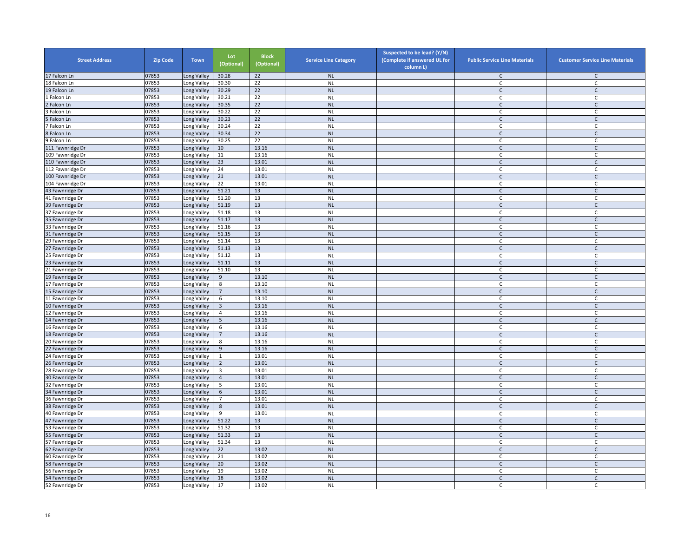| <b>Street Address</b>              | <b>Zip Code</b> | <b>Town</b>                | Lot<br>(Optional) | <b>Block</b><br>(Optional) | <b>Service Line Category</b> | Suspected to be lead? (Y/N)<br>(Complete if answered UL for<br>column L) | <b>Public Service Line Materials</b> | <b>Customer Service Line Materials</b> |
|------------------------------------|-----------------|----------------------------|-------------------|----------------------------|------------------------------|--------------------------------------------------------------------------|--------------------------------------|----------------------------------------|
| 17 Falcon Ln                       | 07853           | ong Valley                 | 30.28             | 22                         | NL                           |                                                                          | C                                    | $\mathsf{C}$                           |
| 18 Falcon Ln                       | 07853           | Long Valley                | 30.30             | 22                         | <b>NL</b>                    |                                                                          | C                                    | $\mathsf{C}$                           |
| 19 Falcon Ln                       | 07853           | Long Valley                | 30.29             | 22                         | <b>NL</b>                    |                                                                          | $\mathsf{C}$                         | $\mathsf{C}$                           |
| Falcon Ln                          | 07853           | Long Valley                | 30.21             | 22                         | <b>NL</b>                    |                                                                          | $\mathsf{C}$                         | $\mathsf{C}$                           |
| Falcon Ln                          | 07853           | Long Valley                | 30.35             | 22                         | <b>NL</b>                    |                                                                          | $\mathsf{C}$                         | $\mathsf{C}$                           |
| Falcon Ln                          | 07853           | ong Valley                 | 30.22             | 22                         | <b>NL</b>                    |                                                                          | $\mathsf{C}$                         | $\mathsf{C}$                           |
| Falcon Ln                          | 07853           | Long Valley                | 30.23             | 22                         | <b>NL</b>                    |                                                                          | $\mathsf{C}$                         | $\mathsf{C}$                           |
| Falcon Ln                          | 07853           | ong Valley                 | 30.24             | $\overline{22}$            | <b>NL</b>                    |                                                                          | $\mathsf{C}$                         | $\mathsf C$                            |
| <b>Falcon Ln</b>                   | 07853           | Long Valley                | 30.34             | 22                         | <b>NL</b>                    |                                                                          | $\mathsf{C}$                         | $\mathsf C$                            |
| 9 Falcon Ln                        | 07853           | Long Valley                | 30.25             | 22                         | <b>NL</b>                    |                                                                          | $\mathsf{C}$                         | $\mathsf{C}$                           |
| 111 Fawnridge Dr                   | 07853           | Long Valley                | 10                | 13.16                      | <b>NL</b>                    |                                                                          | $\mathsf{C}$                         | $\mathsf{C}$                           |
| 109 Fawnridge Dr                   | 07853           | Long Valley                | 11                | 13.16                      | <b>NL</b>                    |                                                                          | $\mathsf{C}$                         | $\mathsf{C}$                           |
| 110 Fawnridge Dr                   | 07853           | ong Valley                 | 23                | 13.01                      | <b>NL</b>                    |                                                                          | $\mathsf{C}$                         | $\mathsf C$                            |
| 112 Fawnridge Dr                   | 07853           | ong Valley                 | 24                | 13.01                      | <b>NL</b>                    |                                                                          | C                                    | C                                      |
| 100 Fawnridge Dr                   | 07853           | ong Valley                 | 21                | 13.01                      | <b>NL</b>                    |                                                                          | $\mathsf{C}$                         | $\mathsf{C}$                           |
| 104 Fawnridge Dr                   | 07853           | Long Valley                | 22                | 13.01                      | <b>NL</b>                    |                                                                          | C                                    | C                                      |
| 43 Fawnridge Dr                    | 07853           | ong Valley                 | 51.21             | 13                         | <b>NL</b>                    |                                                                          | $\mathsf{C}$                         | $\mathsf{C}$                           |
| 41 Fawnridge Dr                    | 07853           | Long Valley                | 51.20             | 13                         | <b>NL</b>                    |                                                                          | $\mathsf C$                          | $\mathsf{C}$                           |
| 39 Fawnridge Dr                    | 07853           | ong Valley                 | 51.19             | 13                         | <b>NL</b>                    |                                                                          | $\mathsf{C}$                         | $\mathsf{C}$                           |
| 37 Fawnridge Dr                    | 07853           | ong Valley                 | 51.18             | 13                         | <b>NL</b>                    |                                                                          | C                                    | C                                      |
| 35 Fawnridge Dr                    | 07853           | Long Valley                | 51.17             | 13                         | <b>NL</b>                    |                                                                          | $\mathsf{C}$                         | $\mathsf C$                            |
| 33 Fawnridge Dr                    | 07853           | ong Valley                 | 51.16             | 13                         | <b>NL</b>                    |                                                                          | $\mathsf{C}$                         | $\mathsf{C}$                           |
| 31 Fawnridge Dr                    | 07853           | Long Valley                | 51.15             | 13                         | NL                           |                                                                          | $\mathsf{C}$                         | $\mathsf{C}$                           |
| 29 Fawnridge Dr                    | 07853           | Long Valley                | 51.14             | 13                         | <b>NL</b>                    |                                                                          | $\mathsf{C}$                         | $\mathsf{C}$                           |
| 27 Fawnridge Dr                    | 07853           | Long Valley                | 51.13             | 13                         | <b>NL</b>                    |                                                                          | C                                    | C                                      |
|                                    | 07853           |                            | 51.12             | 13                         | <b>NL</b>                    |                                                                          | $\mathsf{C}$                         | $\mathsf{C}$                           |
| 25 Fawnridge Dr                    | 07853           | Long Valley                | 51.11             | 13                         | <b>NL</b>                    |                                                                          | $\mathsf{C}$                         | $\mathsf{C}$                           |
| 23 Fawnridge Dr                    | 07853           | ong Valley                 | 51.10             | 13                         | <b>NL</b>                    |                                                                          |                                      |                                        |
| 21 Fawnridge Dr                    | 07853           | Long Valley<br>Long Valley | 9                 | 13.10                      | <b>NL</b>                    |                                                                          | C<br>$\mathsf{C}$                    | C<br>$\mathsf{C}$                      |
| 19 Fawnridge Dr<br>17 Fawnridge Dr | 07853           | Long Valley                |                   | 13.10                      | <b>NL</b>                    |                                                                          | C                                    | C                                      |
|                                    | 07853           |                            | 8                 | 13.10                      | <b>NL</b>                    |                                                                          |                                      | $\mathsf{C}$                           |
| 15 Fawnridge Dr                    |                 | Long Valley                | $7\overline{ }$   |                            |                              |                                                                          | $\mathsf{C}$                         |                                        |
| 11 Fawnridge Dr                    | 07853           | Long Valley                | 6                 | 13.10                      | <b>NL</b>                    |                                                                          | C                                    | $\mathsf{C}$                           |
| 10 Fawnridge Dr<br>12 Fawnridge Dr | 07853<br>07853  | Long Valley                | $\overline{3}$    | 13.16<br>13.16             | <b>NL</b><br><b>NL</b>       |                                                                          | $\mathsf{C}$                         | $\mathsf{C}$                           |
|                                    |                 | Long Valley                | 4                 |                            |                              |                                                                          | C<br>$\mathsf{C}$                    | C                                      |
| 14 Fawnridge Dr                    | 07853           | ong Valley                 | 5                 | 13.16                      | <b>NL</b>                    |                                                                          |                                      | $\mathsf{C}$                           |
| 16 Fawnridge Dr                    | 07853           | ong Valley                 | 6                 | 13.16                      | <b>NL</b>                    |                                                                          | $\mathsf{C}$                         | $\mathsf{C}$                           |
| 18 Fawnridge Dr                    | 07853           | Long Valley                | $\overline{7}$    | 13.16                      | <b>NL</b>                    |                                                                          | $\mathsf{C}$                         | $\mathsf{C}$                           |
| 20 Fawnridge Dr                    | 07853           | Long Valley                | 8                 | 13.16                      | <b>NL</b>                    |                                                                          | C                                    | C                                      |
| 22 Fawnridge Dr                    | 07853           | Long Valley                | $9\,$             | 13.16                      | <b>NL</b>                    |                                                                          | $\mathsf{C}$                         | $\mathsf{C}$                           |
| 24 Fawnridge Dr                    | 07853           | Long Valley                | 1                 | 13.01                      | <b>NL</b>                    |                                                                          | $\mathsf C$                          | $\mathsf{C}$                           |
| 26 Fawnridge Dr                    | 07853           | Long Valley                | $\overline{2}$    | 13.01                      | <b>NL</b>                    |                                                                          | $\mathsf{C}$                         | $\mathsf{C}$                           |
| 28 Fawnridge Dr                    | 07853           | ong Valley                 | 3                 | 13.01                      | <b>NL</b>                    |                                                                          | C                                    | C                                      |
| 30 Fawnridge Dr                    | 07853           | ong Valley                 | $\overline{4}$    | 13.01                      | <b>NL</b>                    |                                                                          | $\mathsf{C}$                         | $\mathsf{C}$                           |
| 32 Fawnridge Dr                    | 07853           | ong Valley                 | 5                 | 13.01                      | <b>NL</b>                    |                                                                          | C                                    | C                                      |
| 34 Fawnridge Dr                    | 07853           | Long Valley                | 6                 | 13.01                      | <b>NL</b>                    |                                                                          | $\mathsf{C}$                         | $\mathsf{C}$                           |
| 36 Fawnridge Dr                    | 07853           | ong Valley                 | $\overline{7}$    | 13.01                      | <b>NL</b>                    |                                                                          | C                                    | C                                      |
| 38 Fawnridge Dr                    | 07853           | ong Valley                 | 8                 | 13.01                      | <b>NL</b>                    |                                                                          | $\mathsf{C}$                         | $\mathsf{C}$                           |
| 40 Fawnridge Dr                    | 07853           | ong Valley                 | 9                 | 13.01                      | <b>NL</b>                    |                                                                          | C                                    | C                                      |
| 47 Fawnridge Dr                    | 07853           | Long Valley                | 51.22             | 13                         | <b>NL</b>                    |                                                                          | $\mathsf{C}$                         | $\mathsf{C}$                           |
| 53 Fawnridge Dr                    | 07853           | ong Valley                 | 51.32             | 13                         | <b>NL</b>                    |                                                                          | C                                    | C                                      |
| 55 Fawnridge Dr                    | 07853           | ong Valley                 | 51.33             | 13                         | <b>NL</b>                    |                                                                          | $\mathsf{C}$                         | $\mathsf C$                            |
| 57 Fawnridge Dr                    | 07853           | Long Valley                | 51.34             | 13                         | <b>NL</b>                    |                                                                          | $\mathsf C$                          | $\mathsf{C}$                           |
| 62 Fawnridge Dr                    | 07853           | Long Valley                | 22                | 13.02                      | <b>NL</b>                    |                                                                          | $\mathsf{C}$                         | $\mathsf C$                            |
| 60 Fawnridge Dr                    | 07853           | Long Valley                | 21                | 13.02                      | <b>NL</b>                    |                                                                          | C                                    | C                                      |
| 58 Fawnridge Dr                    | 07853           | Long Valley                | 20                | 13.02                      | <b>NL</b>                    |                                                                          | $\mathsf{C}$                         | $\mathsf C$                            |
| 56 Fawnridge Dr                    | 07853           | Long Valley                | 19                | 13.02                      | <b>NL</b>                    |                                                                          | C                                    | C                                      |
| 54 Fawnridge Dr                    | 07853           | ong Valley                 | 18                | 13.02                      | <b>NL</b>                    |                                                                          | $\mathsf{C}$                         | $\mathsf{C}$                           |
| 52 Fawnridge Dr                    | 07853           | Long Valley                | 17                | 13.02                      | <b>NL</b>                    |                                                                          | C                                    | C                                      |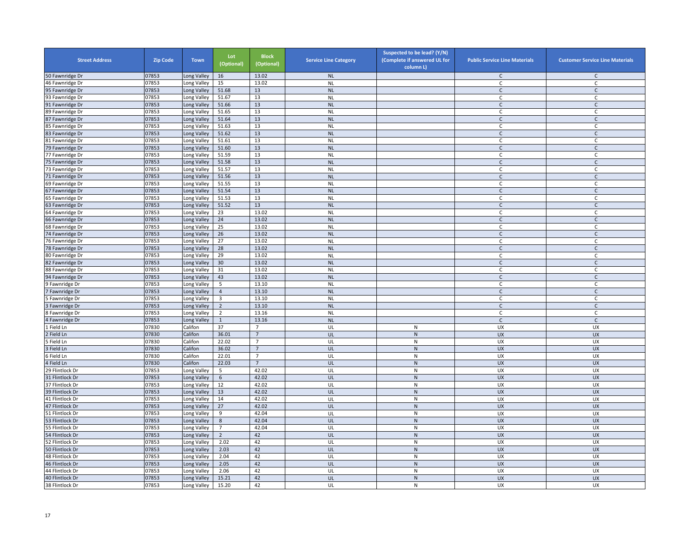| <b>Street Address</b> | <b>Zip Code</b> | <b>Town</b> | Lot<br>(Optional) | <b>Block</b><br>(Optional)       | <b>Service Line Category</b> | Suspected to be lead? (Y/N)<br>(Complete if answered UL for<br>column L) | <b>Public Service Line Materials</b> | <b>Customer Service Line Materials</b> |
|-----------------------|-----------------|-------------|-------------------|----------------------------------|------------------------------|--------------------------------------------------------------------------|--------------------------------------|----------------------------------------|
| 50 Fawnridge Dr       | 07853           | Long Valley | 16                | 13.02                            | <b>NL</b>                    |                                                                          | $\mathsf{C}$                         | $\mathsf{C}$                           |
| 46 Fawnridge Dr       | 07853           | Long Valley | 15                | 13.02                            | $\sf NL$                     |                                                                          | $\mathsf{C}$                         | $\mathsf{C}$                           |
| 95 Fawnridge Dr       | 07853           | Long Valley | 51.68             | 13                               | <b>NL</b>                    |                                                                          | $\mathsf{C}$                         | $\mathsf{C}$                           |
| 93 Fawnridge Dr       | 07853           | Long Valley | 51.67             | 13                               | <b>NL</b>                    |                                                                          | C                                    | C                                      |
| 91 Fawnridge Dr       | 07853           | Long Valley | 51.66             | 13                               | <b>NL</b>                    |                                                                          | $\mathsf{C}$                         | $\mathsf{C}$                           |
| 89 Fawnridge Dr       | 07853           | Long Valley | 51.65             | 13                               | <b>NL</b>                    |                                                                          | $\mathsf{C}$                         | $\mathsf{C}$                           |
| 87 Fawnridge Dr       | 07853           | Long Valley | 51.64             | 13                               | <b>NL</b>                    |                                                                          | $\mathsf C$                          | $\mathsf C$                            |
| 85 Fawnridge Dr       | 07853           | Long Valley | 51.63             | 13                               | <b>NL</b>                    |                                                                          | $\mathsf{C}$                         | $\mathsf C$                            |
| 83 Fawnridge Dr       | 07853           | Long Valley | 51.62             | 13                               | <b>NL</b>                    |                                                                          | $\mathsf{C}$                         | C                                      |
| 81 Fawnridge Dr       | 07853           | Long Valley | 51.61             | 13                               | <b>NL</b>                    |                                                                          | $\mathsf{C}$                         | $\mathsf C$                            |
| 79 Fawnridge Dr       | 07853           | Long Valley | 51.60             | 13                               | <b>NL</b>                    |                                                                          | $\mathsf{C}$                         | $\mathsf{C}$                           |
| 77 Fawnridge Dr       | 07853           | Long Valley | 51.59             | 13                               | <b>NL</b>                    |                                                                          | C                                    | $\mathsf{C}$                           |
| 75 Fawnridge Dr       | 07853           | ong Valley  | 51.58             | 13                               | <b>NL</b>                    |                                                                          | $\mathsf{C}$                         | $\mathsf{C}$                           |
| 73 Fawnridge Dr       | 07853           | Long Valley | 51.57             | 13                               | <b>NL</b>                    |                                                                          | $\mathsf{C}$                         | C                                      |
| 71 Fawnridge Dr       | 07853           | Long Valley | 51.56             | 13                               | <b>NL</b>                    |                                                                          | $\mathsf{C}$                         | $\mathsf{C}$                           |
|                       |                 |             | 51.55             |                                  |                              |                                                                          |                                      |                                        |
| 69 Fawnridge Dr       | 07853           | Long Valley |                   | 13                               | <b>NL</b>                    |                                                                          | C                                    | C                                      |
| 67 Fawnridge Dr       | 07853           | Long Valley | 51.54             | 13                               | <b>NL</b>                    |                                                                          | $\mathsf{C}$                         | $\mathsf{C}$                           |
| 65 Fawnridge Dr       | 07853           | Long Valley | 51.53             | 13                               | <b>NL</b>                    |                                                                          | C                                    | $\mathsf{C}$                           |
| 63 Fawnridge Dr       | 07853           | Long Valley | 51.52             | 13                               | <b>NL</b>                    |                                                                          | $\mathsf{C}$                         | $\mathsf{C}$                           |
| 64 Fawnridge Dr       | 07853           | Long Valley | 23                | 13.02                            | <b>NL</b>                    |                                                                          | $\mathsf{C}$                         | C                                      |
| 66 Fawnridge Dr       | 07853           | Long Valley | 24                | 13.02                            | <b>NL</b>                    |                                                                          | $\mathsf{C}$                         | $\mathsf C$                            |
| 68 Fawnridge Dr       | 07853           | Long Valley | 25                | 13.02                            | <b>NL</b>                    |                                                                          | $\mathsf{C}$                         | $\mathsf{C}$                           |
| 74 Fawnridge Dr       | 07853           | Long Valley | 26                | 13.02                            | <b>NL</b>                    |                                                                          | $\mathsf{C}$                         | $\mathsf{C}$                           |
| 76 Fawnridge Dr       | 07853           | Long Valley | 27                | 13.02                            | <b>NL</b>                    |                                                                          | $\mathsf{C}$                         | $\mathsf{C}$                           |
| 78 Fawnridge Dr       | 07853           | Long Valley | 28                | 13.02                            | <b>NL</b>                    |                                                                          | $\mathsf{C}$                         | $\mathsf{C}$                           |
| 80 Fawnridge Dr       | 07853           | Long Valley | 29                | 13.02                            | <b>NL</b>                    |                                                                          | C                                    | C                                      |
| 82 Fawnridge Dr       | 07853           | ong Valley  | 30                | 13.02                            | <b>NL</b>                    |                                                                          | $\mathsf{C}$                         | $\mathsf{C}$                           |
| 88 Fawnridge Dr       | 07853           | Long Valley | 31                | 13.02                            | <b>NL</b>                    |                                                                          | C                                    | C                                      |
| 94 Fawnridge Dr       | 07853           | Long Valley | 43                | 13.02                            | <b>NL</b>                    |                                                                          | $\mathsf{C}$                         | $\mathsf C$                            |
| Fawnridge Dr          | 07853           | Long Valley | 5                 | 13.10                            | <b>NL</b>                    |                                                                          | C                                    | C                                      |
| Fawnridge Dr          | 07853           | Long Valley | $\overline{4}$    | 13.10                            | <b>NL</b>                    |                                                                          | $\mathsf{C}$                         | $\mathsf{C}$                           |
| Fawnridge Dr          | 07853           | Long Valley | 3                 | 13.10                            | <b>NL</b>                    |                                                                          | $\mathsf C$                          | $\mathsf{C}$                           |
| Fawnridge Dr          | 07853           | Long Valley | $\overline{2}$    | 13.10                            | <b>NL</b>                    |                                                                          | $\mathsf{C}$                         | $\mathsf{C}$                           |
| Fawnridge Dr          | 07853           | Long Valley | $\overline{2}$    | 13.16                            | <b>NL</b>                    |                                                                          | $\mathsf{C}$                         | $\mathsf{C}$                           |
| Fawnridge Dr          | 07853           | Long Valley | $\mathbf{1}$      | 13.16                            | <b>NL</b>                    |                                                                          | $\mathsf{C}$                         | $\mathsf C$                            |
| Field Ln              | 07830           | Califon     | 37                | $\overline{7}$                   | UL                           | ${\sf N}$                                                                | UX                                   | UX                                     |
| Field Ln              | 07830           | Califon     | 36.01             | $\overline{7}$                   | UL                           | ${\sf N}$                                                                | UX                                   | <b>UX</b>                              |
| Field Ln              | 07830           | Califon     | 22.02             | $\overline{7}$                   | UL                           | ${\sf N}$                                                                | UX                                   | UX                                     |
| Field Ln              | 07830           | Califon     | 36.02             | $\overline{7}$                   | UL                           | ${\sf N}$                                                                | <b>UX</b>                            | <b>UX</b>                              |
|                       |                 |             |                   |                                  |                              |                                                                          |                                      |                                        |
| Field Ln              | 07830           | Califon     | 22.01<br>22.03    | $\overline{7}$<br>$\overline{7}$ | UL                           | ${\sf N}$                                                                | UX                                   | <b>UX</b>                              |
| Field Ln              | 07830           | Califon     |                   |                                  | UL                           | $\mathsf{N}$                                                             | <b>UX</b>                            | <b>UX</b>                              |
| 29 Flintlock Dr       | 07853           | ong Valley  | 5                 | 42.02                            | UL                           | ${\sf N}$                                                                | UX                                   | UX                                     |
| 31 Flintlock Dr       | 07853           | Long Valley | $\,$ 6 $\,$       | 42.02                            | UL                           | $\mathsf{N}$                                                             | UX                                   | <b>UX</b>                              |
| 37 Flintlock Dr       | 07853           | Long Valley | 12                | 42.02                            | UL                           | ${\sf N}$                                                                | UX                                   | UX                                     |
| 39 Flintlock Dr       | 07853           | Long Valley | 13                | 42.02                            | UL                           | $\mathsf{N}$                                                             | UX                                   | <b>UX</b>                              |
| 41 Flintlock Dr       | 07853           | Long Valley | 14                | 42.02                            | UL                           | ${\sf N}$                                                                | <b>UX</b>                            | <b>UX</b>                              |
| 47 Flintlock Dr       | 07853           | Long Valley | 27                | 42.02                            | UL                           | ${\sf N}$                                                                | <b>UX</b>                            | <b>UX</b>                              |
| 51 Flintlock Dr       | 07853           | Long Valley | 9                 | 42.04                            | UL                           | N                                                                        | UX                                   | UX                                     |
| 53 Flintlock Dr       | 07853           | Long Valley | 8                 | 42.04                            | UL                           | $\mathsf{N}$                                                             | UX                                   | <b>UX</b>                              |
| 55 Flintlock Dr       | 07853           | Long Valley | $\overline{7}$    | 42.04                            | UL                           | ${\sf N}$                                                                | UX                                   | UX                                     |
| 54 Flintlock Dr       | 07853           | Long Valley | $\overline{2}$    | 42                               | UL                           | $\mathsf{N}$                                                             | <b>UX</b>                            | <b>UX</b>                              |
| 52 Flintlock Dr       | 07853           | Long Valley | 2.02              | 42                               | UL                           | ${\sf N}$                                                                | UX                                   | UX                                     |
| 50 Flintlock Dr       | 07853           | Long Valley | 2.03              | 42                               | UL                           | ${\sf N}$                                                                | UX                                   | <b>UX</b>                              |
| 48 Flintlock Dr       | 07853           | Long Valley | 2.04              | 42                               | UL                           | N                                                                        | UX                                   | UX                                     |
| 46 Flintlock Dr       | 07853           | ong Valley  | 2.05              | 42                               | UL                           | $\mathsf{N}$                                                             | UX                                   | <b>UX</b>                              |
| 44 Flintlock Dr       | 07853           | ong Valley. | 2.06              | 42                               | UL                           | ${\sf N}$                                                                | UX                                   | UX                                     |
| 40 Flintlock Dr       | 07853           | Long Valley | 15.21             | 42                               | UL                           | $\overline{\mathsf{N}}$                                                  | <b>UX</b>                            | <b>UX</b>                              |
| 38 Flintlock Dr       | 07853           | Long Valley | 15.20             | 42                               | UL                           | ${\sf N}$                                                                | UX                                   | UX                                     |
|                       |                 |             |                   |                                  |                              |                                                                          |                                      |                                        |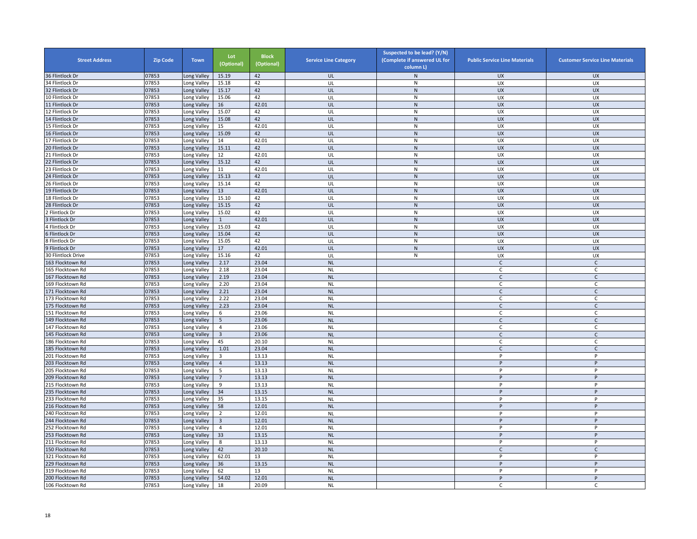| <b>Street Address</b>                | <b>Zip Code</b> | <b>Town</b>                | Lot<br>(Optional) | <b>Block</b><br>(Optional) | <b>Service Line Category</b> | Suspected to be lead? (Y/N)<br>(Complete if answered UL for<br>column L) | <b>Public Service Line Materials</b> | <b>Customer Service Line Materials</b> |
|--------------------------------------|-----------------|----------------------------|-------------------|----------------------------|------------------------------|--------------------------------------------------------------------------|--------------------------------------|----------------------------------------|
| 36 Flintlock Dr                      | 07853           | Long Valley                | 15.19             | 42                         | UL                           | $\mathsf{N}$                                                             | <b>UX</b>                            | <b>UX</b>                              |
| 34 Flintlock Dr                      | 07853           | Long Valley                | 15.18             | 42                         | UL                           | ${\sf N}$                                                                | UX                                   | UX                                     |
| 32 Flintlock Dr                      | 07853           | Long Valley                | 15.17             | 42                         | UL                           | $\mathsf{N}$                                                             | <b>UX</b>                            | <b>UX</b>                              |
| 10 Flintlock Dr                      | 07853           | Long Valley                | 15.06             | 42                         | UL                           | N                                                                        | <b>UX</b>                            | UX                                     |
| 11 Flintlock Dr                      | 07853           | Long Valley                | 16                | 42.01                      | UL                           | ${\sf N}$                                                                | <b>UX</b>                            | <b>UX</b>                              |
| 12 Flintlock Dr                      | 07853           | Long Valley                | 15.07             | 42                         | UL                           | $\mathsf{N}$                                                             | UX                                   | UX                                     |
| 14 Flintlock Dr                      | 07853           | Long Valley                | 15.08             | 42                         | UL                           | ${\sf N}$                                                                | <b>UX</b>                            | <b>UX</b>                              |
| 15 Flintlock Dr                      | 07853           | Long Valley                | 15                | 42.01                      | UL                           | ${\sf N}$                                                                | UX                                   | UX                                     |
| 16 Flintlock Dr                      | 07853           | Long Valley                | 15.09             | 42                         | UL                           | ${\sf N}$                                                                | <b>UX</b>                            | <b>UX</b>                              |
| 17 Flintlock Dr                      | 07853           | Long Valley                | 14                | 42.01                      | UL                           | ${\sf N}$                                                                | UX                                   | UX                                     |
| 20 Flintlock Dr                      | 07853           | Long Valley                | 15.11             | 42                         | UL                           | ${\sf N}$                                                                | <b>UX</b>                            | <b>UX</b>                              |
| 21 Flintlock Dr                      | 07853           | Long Valley                | 12                | 42.01                      | UL                           | ${\sf N}$                                                                | UX                                   | <b>UX</b>                              |
| 22 Flintlock Dr                      | 07853           | Long Valley                | 15.12             | 42                         | UL                           | $\mathsf{N}$                                                             | <b>UX</b>                            | <b>UX</b>                              |
| 23 Flintlock Dr                      | 07853           | Long Valley                | 11                | 42.01                      | UL                           | ${\sf N}$                                                                | UX                                   | UX                                     |
| 24 Flintlock Dr                      | 07853           | Long Valley                | 15.13             | 42                         | UL                           | ${\sf N}$                                                                | <b>UX</b>                            | <b>UX</b>                              |
| 26 Flintlock Dr                      | 07853           | Long Valley                | 15.14             | 42                         | UL                           | $\mathsf{N}$                                                             | UX                                   | <b>UX</b>                              |
| 19 Flintlock Dr                      | 07853           | Long Valley                | 13                | 42.01                      | UL                           | ${\sf N}$                                                                | <b>UX</b>                            | <b>UX</b>                              |
| 18 Flintlock Dr                      | 07853           | Long Valley                | 15.10             | 42                         | UL                           | ${\sf N}$                                                                | UX                                   | UX                                     |
| 28 Flintlock Dr                      | 07853           | Long Valley                | 15.15             | 42                         | UL                           | N                                                                        | <b>UX</b>                            | <b>UX</b>                              |
| Flintlock Dr                         | 07853           | Long Valley                | 15.02             | 42                         | UL                           | ${\sf N}$                                                                | UX                                   | UX                                     |
| 3 Flintlock Dr                       | 07853           | Long Valley                | $\mathbf{1}$      | 42.01                      | UL                           | $\overline{N}$                                                           | UX                                   | UX                                     |
| 4 Flintlock Dr                       | 07853           | Long Valley                | 15.03             | 42                         | UL                           | $\mathsf{N}$                                                             | <b>UX</b>                            | UX                                     |
| 6 Flintlock Dr                       | 07853           | Long Valley                | 15.04             | 42                         | UL                           | ${\sf N}$                                                                | UX                                   | <b>UX</b>                              |
| 8 Flintlock Dr                       | 07853           | Long Valley                | 15.05             | 42                         | UL                           | ${\sf N}$                                                                | UX                                   | UX                                     |
| 9 Flintlock Dr                       | 07853           | Long Valley                | 17                | 42.01                      | UL                           | N                                                                        | <b>UX</b>                            | <b>UX</b>                              |
| 30 Flintlock Drive                   | 07853           | Long Valley                | 15.16             | 42                         | UL                           | N                                                                        | UX                                   | UX                                     |
| 163 Flocktown Rd                     | 07853           | Long Valley                | 2.17              | 23.04                      | <b>NL</b>                    |                                                                          | $\mathsf{C}$                         | $\mathsf C$                            |
| 165 Flocktown Rd                     | 07853           | Long Valley                | 2.18              | 23.04                      | <b>NL</b>                    |                                                                          | C                                    | C                                      |
| 167 Flocktown Rd<br>169 Flocktown Rd | 07853           | Long Valley                | 2.19              | 23.04                      | <b>NL</b>                    |                                                                          | $\mathsf{C}$<br>C                    | $\mathsf C$                            |
|                                      | 07853<br>07853  | Long Valley                | 2.20              | 23.04<br>23.04             | <b>NL</b><br><b>NL</b>       |                                                                          | $\mathsf{C}$                         | C<br>$\mathsf{C}$                      |
| 171 Flocktown Rd<br>173 Flocktown Rd | 07853           | Long Valley<br>Long Valley | 2.21<br>2.22      | 23.04                      | <b>NL</b>                    |                                                                          | C                                    | C                                      |
| 175 Flocktown Rd                     | 07853           | Long Valley                | 2.23              | 23.04                      | <b>NL</b>                    |                                                                          | $\mathsf{C}$                         | $\mathsf{C}$                           |
| 151 Flocktown Rd                     | 07853           | Long Valley                | 6                 | 23.06                      | <b>NL</b>                    |                                                                          | C                                    | C                                      |
| 149 Flocktown Rd                     | 07853           | Long Valley                | 5                 | 23.06                      | <b>NL</b>                    |                                                                          | $\mathsf{C}$                         | C                                      |
| 147 Flocktown Rd                     | 07853           | Long Valley                | $\overline{4}$    | 23.06                      | <b>NL</b>                    |                                                                          | $\mathsf{C}$                         | $\mathsf{C}$                           |
| 145 Flocktown Rd                     | 07853           | Long Valley                | $\overline{3}$    | 23.06                      | <b>NL</b>                    |                                                                          | C                                    | C                                      |
| 186 Flocktown Rd                     | 07853           | Long Valley                | 45                | 20.10                      | <b>NL</b>                    |                                                                          | C                                    | C                                      |
| 185 Flocktown Rd                     | 07853           | Long Valley                | 1.01              | 23.04                      | <b>NL</b>                    |                                                                          | $\mathsf{C}$                         | $\mathsf{C}$                           |
| 201 Flocktown Rd                     | 07853           | Long Valley                | $\overline{3}$    | 13.13                      | <b>NL</b>                    |                                                                          | P                                    | P                                      |
| 203 Flocktown Rd                     | 07853           | Long Valley                | $\overline{4}$    | 13.13                      | <b>NL</b>                    |                                                                          | P                                    | P                                      |
| 205 Flocktown Rd                     | 07853           | Long Valley                | 5                 | 13.13                      | <b>NL</b>                    |                                                                          | P                                    | P                                      |
| 209 Flocktown Rd                     | 07853           | Long Valley                | $\overline{7}$    | 13.13                      | <b>NL</b>                    |                                                                          | P                                    | P                                      |
| 215 Flocktown Rd                     | 07853           | Long Valley                | 9                 | 13.13                      | <b>NL</b>                    |                                                                          | P                                    | P                                      |
| 235 Flocktown Rd                     | 07853           | Long Valley                | 34                | 13.15                      | <b>NL</b>                    |                                                                          | P                                    | P                                      |
| 233 Flocktown Rd                     | 07853           | Long Valley                | 35                | 13.15                      | <b>NL</b>                    |                                                                          | Þ                                    | P                                      |
| 216 Flocktown Rd                     | 07853           | Long Valley                | 58                | 12.01                      | <b>NL</b>                    |                                                                          | P                                    | P                                      |
| 40 Flocktown Rd                      | 07853           | Long Valley                | $\overline{2}$    | 12.01                      | <b>NL</b>                    |                                                                          | P                                    | P                                      |
| 244 Flocktown Rd                     | 07853           | Long Valley                | $\overline{3}$    | 12.01                      | <b>NL</b>                    |                                                                          | P                                    | P                                      |
| 252 Flocktown Rd                     | 07853           | Long Valley                | $\overline{4}$    | 12.01                      | <b>NL</b>                    |                                                                          | P                                    | P                                      |
| 253 Flocktown Rd                     | 07853           | Long Valley                | 33                | 13.15                      | <b>NL</b>                    |                                                                          | P                                    | P                                      |
| 211 Flocktown Rd                     | 07853           | Long Valley                | 8                 | 13.13                      | <b>NL</b>                    |                                                                          | P                                    | P                                      |
| 150 Flocktown Rd                     | 07853           | Long Valley                | 42                | 20.10                      | <b>NL</b>                    |                                                                          | $\mathsf{C}$                         | $\mathsf{C}$                           |
| 321 Flocktown Rd                     | 07853           | Long Valley                | 62.01             | 13                         | <b>NL</b>                    |                                                                          | P                                    | P                                      |
| 229 Flocktown Rd                     | 07853           | Long Valley                | 36                | 13.15                      | <b>NL</b>                    |                                                                          | P                                    | P                                      |
| 319 Flocktown Rd                     | 07853           | Long Valley                | 62                | 13                         | <b>NL</b>                    |                                                                          | P                                    | P                                      |
| 200 Flocktown Rd                     | 07853           | Long Valley                | 54.02             | 12.01                      | <b>NL</b>                    |                                                                          | P                                    | P                                      |
| 106 Flocktown Rd                     | 07853           | Long Valley                | 18                | 20.09                      | <b>NL</b>                    |                                                                          | $\mathsf{C}$                         | $\mathsf{C}$                           |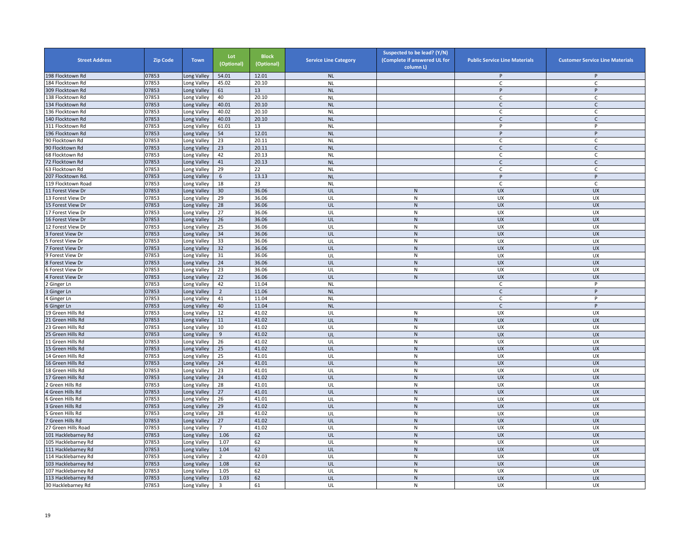| <b>Street Address</b>                | <b>Zip Code</b> | <b>Town</b>               | Lot<br>(Optional) | <b>Block</b><br>(Optional) | <b>Service Line Category</b> | Suspected to be lead? (Y/N)<br>(Complete if answered UL for<br>column L) | <b>Public Service Line Materials</b> | <b>Customer Service Line Materials</b> |
|--------------------------------------|-----------------|---------------------------|-------------------|----------------------------|------------------------------|--------------------------------------------------------------------------|--------------------------------------|----------------------------------------|
| 198 Flocktown Rd                     | 07853           | ong Valley                | 54.01             | 12.01                      | <b>NL</b>                    |                                                                          | P                                    | P                                      |
| 184 Flocktown Rd                     | 07853           | Long Valley               | 45.02             | 20.10                      | <b>NL</b>                    |                                                                          | $\mathsf{C}$                         | $\mathsf{C}$                           |
| 309 Flocktown Rd                     | 07853           | Long Valley               | 61                | 13                         | <b>NL</b>                    |                                                                          | P                                    | P                                      |
| 138 Flocktown Rd                     | 07853           | ong Valley                | 40                | 20.10                      | <b>NL</b>                    |                                                                          | $\mathsf{C}$                         | C                                      |
| 134 Flocktown Rd                     | 07853           | Long Valley               | 40.01             | 20.10                      | <b>NL</b>                    |                                                                          | $\mathsf{C}$                         | $\mathsf{C}$                           |
| 136 Flocktown Rd                     | 07853           | ong Valley                | 40.02             | 20.10                      | <b>NL</b>                    |                                                                          | $\mathsf{C}$                         | $\mathsf{C}$                           |
| 140 Flocktown Rd                     | 07853           | Long Valley               | 40.03             | 20.10                      | <b>NL</b>                    |                                                                          | $\mathsf{C}$                         | $\mathsf C$                            |
| 311 Flocktown Rd                     | 07853           | ong Valley                | 61.01             | 13                         | <b>NL</b>                    |                                                                          | P                                    | P                                      |
| 196 Flocktown Rd                     | 07853           | Long Valley               | 54                | 12.01                      | <b>NL</b>                    |                                                                          | P                                    | P                                      |
| 90 Flocktown Rd                      | 07853           | Long Valley               | 23                | 20.11                      | <b>NL</b>                    |                                                                          | C                                    | $\mathsf{C}$                           |
| 90 Flocktown Rd                      | 07853           | ong Valley                | 23                | 20.11                      | <b>NL</b>                    |                                                                          | $\mathsf{C}$                         | $\mathsf{C}$                           |
| 68 Flocktown Rd                      | 07853           | Long Valley               | 42                | 20.13                      | <b>NL</b>                    |                                                                          | C                                    | C                                      |
| 72 Flocktown Rd                      | 07853           | ong Valley                | 41                | 20.13                      | <b>NL</b>                    |                                                                          | $\mathsf{C}$                         | $\mathsf{C}$                           |
| 63 Flocktown Rd                      | 07853           | ong Valley                | 29                | 22                         | <b>NL</b>                    |                                                                          | C                                    | C                                      |
| 207 Flocktown Rd.                    | 07853           | ong Valley                | 6                 | 13.13                      | <b>NL</b>                    |                                                                          | P                                    | P                                      |
| 19 Flocktown Road                    | 07853           | Long Valley               | 18                | 23                         | <b>NL</b>                    |                                                                          | C                                    | C                                      |
| 11 Forest View Dr                    | 07853           | ong Valley                | 30                | 36.06                      | UL                           | $\mathsf{N}$                                                             | <b>UX</b>                            | <b>UX</b>                              |
| 13 Forest View Dr                    | 07853           | Long Valley               | 29                | 36.06                      | UL                           | N                                                                        | <b>UX</b>                            | <b>UX</b>                              |
| 15 Forest View Dr                    | 07853           | ong Valley                | 28                | 36.06                      | UL                           | ${\sf N}$                                                                | <b>UX</b>                            | <b>UX</b>                              |
| 7 Forest View Dr                     | 07853           | ong Valley                | 27                | 36.06                      | UL                           | N                                                                        | UX                                   | UX                                     |
| 16 Forest View Dr                    | 07853           | ong Valley                | 26                | 36.06                      | UL                           | ${\sf N}$                                                                | <b>UX</b>                            | <b>UX</b>                              |
| 12 Forest View Dr                    | 07853           | Long Valley               | 25                | 36.06                      | UL                           | ${\sf N}$                                                                | UX                                   | UX                                     |
| Forest View Dr                       | 07853           | Long Valley               | 34                | 36.06                      | UL                           | ${\sf N}$                                                                | <b>UX</b>                            | <b>UX</b>                              |
| Forest View Dr                       | 07853           | Long Valley               | 33                | 36.06                      | UL                           | N                                                                        | UX                                   | UX                                     |
| Forest View Dr                       | 07853           | ong Valley                | 32                | 36.06                      | UL                           | ${\sf N}$                                                                | <b>UX</b>                            | <b>UX</b>                              |
| 9 Forest View Dr                     | 07853           | Long Valley               | 31                | 36.06                      | UL                           | ${\sf N}$                                                                | UX                                   | <b>UX</b>                              |
| Forest View Dr                       | 07853           | ong Valley                | 24                | 36.06                      | UL                           | $\mathsf{N}$                                                             | UX                                   | <b>UX</b>                              |
| Forest View Dr                       | 07853           |                           | 23                | 36.06                      |                              | ${\sf N}$                                                                | UX                                   |                                        |
| Forest View Dr                       | 07853           | ong Valley.<br>ong Valley | 22                | 36.06                      | UL<br>UL                     | ${\sf N}$                                                                | <b>UX</b>                            | UX<br><b>UX</b>                        |
|                                      | 07853           | Long Valley               | 42                | 11.04                      | <b>NL</b>                    |                                                                          | C                                    | P                                      |
| Ginger Ln                            | 07853           |                           | $\overline{2}$    | 11.06                      | <b>NL</b>                    |                                                                          | $\mathsf{C}$                         | P                                      |
| Ginger Ln                            | 07853           | Long Valley               | 41                | 11.04                      |                              |                                                                          |                                      | P                                      |
| 4 Ginger Ln                          | 07853           | Long Valley               | 40                | 11.04                      | <b>NL</b><br><b>NL</b>       |                                                                          | $\mathsf C$<br>C                     | P                                      |
| Ginger Ln                            | 07853           | Long Valley               | 12                | 41.02                      | UL                           | ${\sf N}$                                                                | UX                                   | <b>UX</b>                              |
| 9 Green Hills Rd<br>1 Green Hills Rd | 07853           | ong Valley                | 11                | 41.02                      | UL                           | $\mathsf{N}$                                                             | UX                                   | <b>UX</b>                              |
| 23 Green Hills Rd                    | 07853           | ong Valley<br>ong Valley  | 10                | 41.02                      | UL                           | ${\sf N}$                                                                | UX                                   | UX                                     |
| 5 Green Hills Rd                     | 07853           |                           |                   | 41.02                      |                              | ${\sf N}$                                                                |                                      |                                        |
| 1 Green Hills Rd                     | 07853           | Long Valley               | 9                 | 41.02                      | UL<br>UL                     | ${\sf N}$                                                                | <b>UX</b><br>UX                      | <b>UX</b><br>UX                        |
|                                      |                 | Long Valley               | 26                |                            | UL                           |                                                                          | <b>UX</b>                            | <b>UX</b>                              |
| 5 Green Hills Rd                     | 07853           | ong Valley                | 25                | 41.02                      |                              | ${\sf N}$                                                                |                                      |                                        |
| 14 Green Hills Rd                    | 07853           | Long Valley               | 25                | 41.01<br>41.01             | UL                           | ${\sf N}$                                                                | UX                                   | <b>UX</b>                              |
| 16 Green Hills Rd                    | 07853           | ong Valley                | 24                |                            | UL                           | $\mathsf{N}$                                                             | <b>UX</b>                            | <b>UX</b>                              |
| 18 Green Hills Rd                    | 07853           | ong Valley                | 23                | 41.01                      | UL                           | ${\sf N}$                                                                | UX                                   | <b>UX</b>                              |
| 7 Green Hills Rd                     | 07853           | ong Valley                | 24                | 41.02                      | UL                           | ${\sf N}$                                                                | <b>UX</b>                            | <b>UX</b>                              |
| Green Hills Rd                       | 07853           | Long Valley               | 28                | 41.01                      | UL                           | ${\sf N}$                                                                | UX                                   | UX                                     |
| Green Hills Rd                       | 07853           | Long Valley               | 27                | 41.01                      | UL                           | ${\sf N}$                                                                | <b>UX</b>                            | <b>UX</b>                              |
| Green Hills Rd                       | 07853           | Long Valley               | 26                | 41.01                      | UL                           | $\mathsf{N}$                                                             | <b>UX</b>                            | <b>UX</b>                              |
| Green Hills Rd                       | 07853           | Long Valley               | 29                | 41.02                      | UL                           | ${\sf N}$                                                                | <b>UX</b>                            | <b>UX</b>                              |
| Green Hills Rd                       | 07853           | ong Valley                | 28                | 41.02                      | UL                           | N                                                                        | UX                                   | UX                                     |
| Green Hills Rd                       | 07853           | Long Valley               | 27                | 41.02                      | UL                           | ${\sf N}$                                                                | <b>UX</b>                            | <b>UX</b>                              |
| 27 Green Hills Road                  | 07853           | ong Valley                | $\overline{7}$    | 41.02                      | UL                           | ${\sf N}$                                                                | UX                                   | UX                                     |
| 101 Hacklebarney Rd                  | 07853           | Long Valley               | 1.06              | 62                         | UL                           | ${\sf N}$                                                                | <b>UX</b>                            | <b>UX</b>                              |
| 105 Hacklebarney Rd                  | 07853           | Long Valley               | 1.07              | 62                         | UL                           | ${\sf N}$                                                                | UX                                   | UX                                     |
| 111 Hacklebarney Rd                  | 07853           | Long Valley               | 1.04              | 62                         | UL                           | ${\sf N}$                                                                | UX                                   | <b>UX</b>                              |
| 114 Hacklebarney Rd                  | 07853           | Long Valley               | $\overline{2}$    | 42.03                      | UL                           | N                                                                        | UX                                   | <b>UX</b>                              |
| 103 Hacklebarney Rd                  | 07853           | ong Valley                | 1.08              | 62                         | UL                           | $\mathsf{N}$                                                             | UX                                   | UX                                     |
| 107 Hacklebarney Rd                  | 07853           | ong Valley.               | 1.05              | 62                         | UL                           | ${\sf N}$                                                                | UX                                   | <b>UX</b>                              |
| 113 Hacklebarney Rd                  | 07853           | Long Valley               | 1.03              | 62                         | UL                           | ${\sf N}$                                                                | <b>UX</b>                            | <b>UX</b>                              |
| 30 Hacklebarney Rd                   | 07853           | Long Valley               | $\overline{3}$    | 61                         | UL                           | ${\sf N}$                                                                | <b>UX</b>                            | UX                                     |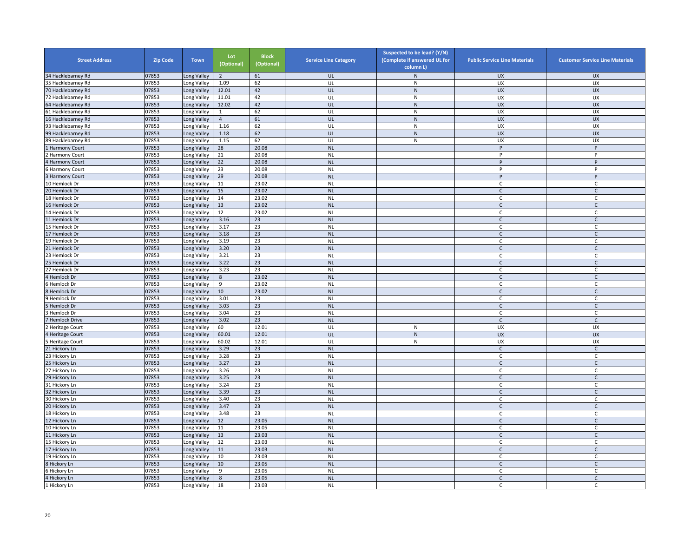| <b>Street Address</b>          | <b>Zip Code</b> | <b>Town</b>                | Lot<br>(Optional) | <b>Block</b><br>(Optional) | <b>Service Line Category</b> | Suspected to be lead? (Y/N)<br>(Complete if answered UL for<br>column L | <b>Public Service Line Materials</b> | <b>Customer Service Line Materials</b> |
|--------------------------------|-----------------|----------------------------|-------------------|----------------------------|------------------------------|-------------------------------------------------------------------------|--------------------------------------|----------------------------------------|
| 34 Hacklebarney Rd             | 07853           | ong Valley                 | $\overline{2}$    | 61                         | UL                           | $\mathsf{N}$                                                            | <b>UX</b>                            | <b>UX</b>                              |
| 35 Hacklebarney Rd             | 07853           | ong Valley                 | 1.09              | 62                         | UL                           | N                                                                       | UX                                   | <b>UX</b>                              |
| 70 Hacklebarney Rd             | 07853           | Long Valley                | 12.01             | 42                         | UL                           | $\mathsf{N}$                                                            | UX                                   | <b>UX</b>                              |
| 72 Hacklebarney Rd             | 07853           | Long Valley                | 11.01             | 42                         | UL                           | ${\sf N}$                                                               | UX                                   | UX                                     |
| 64 Hacklebarney Rd             | 07853           | Long Valley                | 12.02             | 42                         | UL                           | $\mathsf{N}$                                                            | UX                                   | <b>UX</b>                              |
| 61 Hacklebarney Rd             | 07853           | Long Valley                | $\mathbf{1}$      | 62                         | UL                           | N                                                                       | <b>UX</b>                            | <b>UX</b>                              |
| 16 Hacklebarney Rd             | 07853           | Long Valley                | $\overline{4}$    | 61                         | UL                           | ${\sf N}$                                                               | <b>UX</b>                            | <b>UX</b>                              |
| 93 Hacklebarney Rd             | 07853           | Long Valley                | 1.16              | 62                         | UL                           | ${\sf N}$                                                               | <b>UX</b>                            | UX                                     |
| 99 Hacklebarney Rd             | 07853           | Long Valley                | 1.18              | 62                         | UL                           | ${\sf N}$                                                               | <b>UX</b>                            | <b>UX</b>                              |
| 89 Hacklebarney Rd             | 07853           | Long Valley                | 1.15              | 62                         | UL                           | ${\sf N}$                                                               | UX                                   | UX                                     |
| Harmony Court                  | 07853           | Long Valley                | 28                | 20.08                      | <b>NL</b>                    |                                                                         | P                                    | P                                      |
| Harmony Court                  | 07853           | Long Valley                | 21                | 20.08                      | <b>NL</b>                    |                                                                         | P                                    | P                                      |
| Harmony Court                  | 07853           | Long Valley                | 22                | 20.08                      | <b>NL</b>                    |                                                                         | P                                    | P                                      |
| Harmony Court                  | 07853           | Long Valley                | 23                | 20.08                      | <b>NL</b>                    |                                                                         | P                                    | P                                      |
| <b>Harmony Court</b>           | 07853           | Long Valley                | 29                | 20.08                      | <b>NL</b>                    |                                                                         | P                                    | P                                      |
| 10 Hemlock Dr                  | 07853           | Long Valley                | 11                | 23.02                      | <b>NL</b>                    |                                                                         | C                                    | C                                      |
| 20 Hemlock Dr                  | 07853           | Long Valley                | 15                | 23.02                      | <b>NL</b>                    |                                                                         | $\mathsf{C}$                         | $\mathsf{C}$                           |
| 18 Hemlock Dr                  | 07853           | Long Valley                | 14                | 23.02                      | <b>NL</b>                    |                                                                         | C                                    | C                                      |
| 16 Hemlock Dr                  | 07853           | Long Valley                | 13                | 23.02                      | <b>NL</b>                    |                                                                         | $\mathsf C$                          | $\mathsf{C}$                           |
| 14 Hemlock Dr                  | 07853           | Long Valley                | 12                | 23.02                      | <b>NL</b>                    |                                                                         | C.                                   | C                                      |
| 11 Hemlock Dr                  | 07853           | Long Valley                | 3.16              | 23                         | <b>NL</b>                    |                                                                         | $\mathsf{C}$                         | C                                      |
| 15 Hemlock Dr                  | 07853           | ong Valley                 | 3.17              | 23                         | <b>NL</b>                    |                                                                         | $\mathsf{C}$                         | C                                      |
| 17 Hemlock Dr                  | 07853           | Long Valley                | 3.18              | 23                         | <b>NL</b>                    |                                                                         | $\mathsf{C}$                         | $\mathsf{C}$                           |
| 19 Hemlock Dr                  | 07853           | Long Valley                | 3.19              | 23                         | <b>NL</b>                    |                                                                         | C                                    | $\mathsf{C}$                           |
| 21 Hemlock Dr                  | 07853           | Long Valley                | 3.20              | 23                         | <b>NL</b>                    |                                                                         | $\mathsf{C}$                         | $\mathsf{C}$                           |
| 23 Hemlock Dr                  | 07853           | Long Valley                | 3.21              | 23                         | <b>NL</b>                    |                                                                         | $\mathsf{C}$                         | $\mathsf{C}$                           |
| 25 Hemlock Dr                  | 07853           | Long Valley                | 3.22              | 23                         | <b>NL</b>                    |                                                                         | $\mathsf{C}$                         | $\mathsf{C}$                           |
| 27 Hemlock Dr                  | 07853           | Long Valley                | 3.23              | 23                         | <b>NL</b>                    |                                                                         | C                                    | C                                      |
| Hemlock Dr                     | 07853           | Long Valley                | 8                 | 23.02                      | <b>NL</b>                    |                                                                         | $\mathsf{C}$                         | $\mathsf C$                            |
| Hemlock Dr                     | 07853           | Long Valley                | 9                 | 23.02                      | <b>NL</b>                    |                                                                         | C.                                   | C                                      |
| Hemlock Dr                     | 07853           | Long Valley                | 10                | 23.02                      | <b>NL</b>                    |                                                                         | $\mathsf{C}$                         | $\mathsf C$                            |
| Hemlock Dr                     | 07853           | Long Valley                | 3.01              | 23                         | <b>NL</b>                    |                                                                         | C                                    | C                                      |
| Hemlock Dr                     | 07853           | Long Valley                | 3.03              | 23                         | <b>NL</b>                    |                                                                         | $\mathsf{C}$                         | $\mathsf{C}$                           |
| Hemlock Dr                     | 07853           | Long Valley                | 3.04              | 23                         | <b>NL</b>                    |                                                                         | C                                    | C                                      |
| <b>Hemlock Drive</b>           | 07853           | Long Valley                | 3.02              | 23                         | <b>NL</b>                    |                                                                         | C                                    | C                                      |
| <b>Heritage Court</b>          | 07853           | Long Valley                | 60                | 12.01                      | UL                           | N                                                                       | UX                                   | UX                                     |
| Heritage Court                 | 07853           | Long Valley                | 60.01             | 12.01                      | UL                           | ${\sf N}$                                                               | <b>UX</b>                            | <b>UX</b>                              |
| <b>Heritage Court</b>          | 07853           | Long Valley                | 60.02             | 12.01                      | UL                           | ${\sf N}$                                                               | UX                                   | UX                                     |
| 21 Hickory Ln                  | 07853<br>07853  | Long Valley                | 3.29<br>3.28      | 23<br>23                   | <b>NL</b>                    |                                                                         | $\mathsf C$                          | $\mathsf{C}$<br>$\mathsf{C}$           |
| 23 Hickory Ln<br>25 Hickory Ln | 07853           | Long Valley                | 3.27              | 23                         | <b>NL</b><br><b>NL</b>       |                                                                         | C                                    |                                        |
| 27 Hickory Ln                  | 07853           | Long Valley<br>Long Valley | 3.26              | 23                         | <b>NL</b>                    |                                                                         | $\mathsf{C}$<br>C                    | $\mathsf{C}$<br>C                      |
| 29 Hickory Ln                  | 07853           | ong Valley                 | 3.25              | 23                         | <b>NL</b>                    |                                                                         | $\mathsf{C}$                         | $\mathsf C$                            |
| 31 Hickory Ln                  | 07853           | ong Valley                 | 3.24              | 23                         | <b>NL</b>                    |                                                                         | C                                    | C                                      |
| 32 Hickory Ln                  | 07853           | Long Valley                | 3.39              | 23                         | <b>NL</b>                    |                                                                         | $\mathsf{C}$                         | $\mathsf{C}$                           |
| 30 Hickory Ln                  | 07853           | Long Valley                | 3.40              | 23                         | <b>NL</b>                    |                                                                         | $\mathsf{C}$                         | C                                      |
| 20 Hickory Ln                  | 07853           | Long Valley                | 3.47              | 23                         | <b>NL</b>                    |                                                                         | $\mathsf{C}$                         | $\mathsf{C}$                           |
| 18 Hickory Ln                  | 07853           | Long Valley                | 3.48              | 23                         | <b>NL</b>                    |                                                                         | $\mathsf{C}$                         | $\mathsf{C}$                           |
| 12 Hickory Ln                  | 07853           | Long Valley                | 12                | 23.05                      | <b>NL</b>                    |                                                                         | $\mathsf{C}$                         | $\mathsf{C}$                           |
| 10 Hickory Ln                  | 07853           | Long Valley                | 11                | 23.05                      | <b>NL</b>                    |                                                                         | C                                    | $\mathsf C$                            |
| 11 Hickory Ln                  | 07853           | Long Valley                | 13                | 23.03                      | <b>NL</b>                    |                                                                         | $\mathsf{C}$                         | $\mathsf{C}$                           |
| 15 Hickory Ln                  | 07853           | Long Valley                | 12                | 23.03                      | <b>NL</b>                    |                                                                         | C                                    | $\mathsf{C}$                           |
| 17 Hickory Ln                  | 07853           | Long Valley                | 11                | 23.03                      | <b>NL</b>                    |                                                                         | $\mathsf{C}$                         | $\mathsf{C}$                           |
| 19 Hickory Ln                  | 07853           | Long Valley                | 10                | 23.03                      | <b>NL</b>                    |                                                                         | C                                    | C                                      |
| 8 Hickory Ln                   | 07853           | Long Valley                | 10                | 23.05                      | <b>NL</b>                    |                                                                         | $\mathsf{C}$                         | $\mathsf{C}$                           |
| Hickory Ln                     | 07853           | Long Valley                | 9                 | 23.05                      | <b>NL</b>                    |                                                                         | C                                    | C                                      |
| 4 Hickory Ln                   | 07853           | Long Valley                | 8                 | 23.05                      | <b>NL</b>                    |                                                                         | $\mathsf{C}$                         | $\mathsf{C}$                           |
| 1 Hickory Ln                   | 07853           | Long Valley                | 18                | 23.03                      | <b>NL</b>                    |                                                                         | C                                    | C                                      |
|                                |                 |                            |                   |                            |                              |                                                                         |                                      |                                        |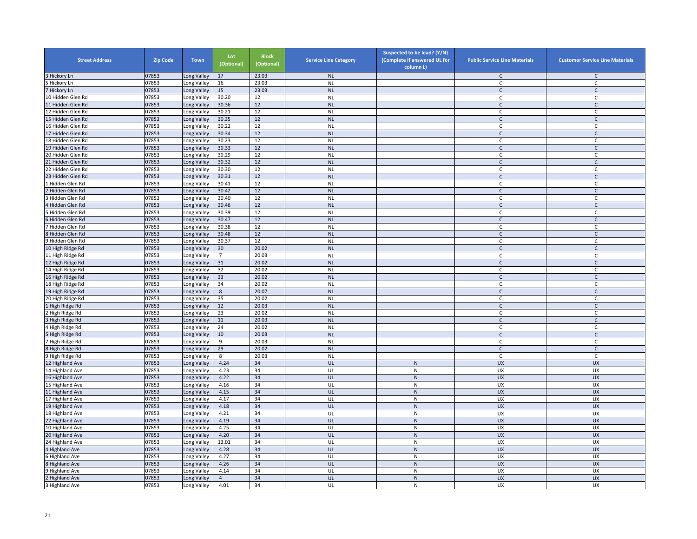| <b>Street Address</b>              | <b>Zip Code</b> | <b>Town</b> | Lot<br>(Optional) | <b>Block</b><br>(Optional) | <b>Service Line Category</b> | Suspected to be lead? (Y/N)<br>(Complete if answered UL for<br>column L) | <b>Public Service Line Materials</b> | <b>Customer Service Line Materials</b> |
|------------------------------------|-----------------|-------------|-------------------|----------------------------|------------------------------|--------------------------------------------------------------------------|--------------------------------------|----------------------------------------|
| 3 Hickory Ln                       | 07853           | Long Valley | 17                | 23.03                      | <b>NL</b>                    |                                                                          | $\mathsf{C}$                         | $\mathsf{C}$                           |
| Hickory Ln                         | 07853           | Long Valley | 16                | 23.03                      | <b>NL</b>                    |                                                                          | C                                    | $\mathsf{C}$                           |
| 7 Hickory Ln                       | 07853           | Long Valley | 15                | 23.03                      | <b>NL</b>                    |                                                                          | $\mathsf{C}$                         | $\mathsf{C}$                           |
| 10 Hidden Glen Rd                  | 07853           | Long Valley | 30.20             | 12                         | <b>NL</b>                    |                                                                          | $\mathsf{C}$                         | C                                      |
| 11 Hidden Glen Rd                  | 07853           | Long Valley | 30.36             | 12                         | <b>NL</b>                    |                                                                          | $\mathsf{C}$                         | $\mathsf{C}$                           |
| 12 Hidden Glen Rd                  | 07853           | Long Valley | 30.21             | 12                         | <b>NL</b>                    |                                                                          | C                                    | $\mathsf{C}$                           |
| 15 Hidden Glen Rd                  | 07853           | Long Valley | 30.35             | 12                         | <b>NL</b>                    |                                                                          | $\mathsf{C}$                         | $\mathsf C$                            |
| 16 Hidden Glen Rd                  | 07853           | Long Valley | 30.22             | 12                         | <b>NL</b>                    |                                                                          | C                                    | $\mathsf{C}$                           |
| 17 Hidden Glen Rd                  | 07853           | Long Valley | 30.34             | 12                         | <b>NL</b>                    |                                                                          | $\mathsf{C}$                         | $\mathsf{C}$                           |
| 18 Hidden Glen Rd                  | 07853           | Long Valley | 30.23             | 12                         | <b>NL</b>                    |                                                                          | $\mathsf{C}$                         | $\mathsf{C}$                           |
| 19 Hidden Glen Rd                  | 07853           | Long Valley | 30.33             | 12                         | <b>NL</b>                    |                                                                          | $\mathsf{C}$                         | $\mathsf{C}$                           |
| 20 Hidden Glen Rd                  | 07853           | Long Valley | 30.29             | 12                         | <b>NL</b>                    |                                                                          | $\mathsf{C}$                         | $\mathsf{C}$                           |
| 21 Hidden Glen Rd                  | 07853           | Long Valley | 30.32             | 12                         | <b>NL</b>                    |                                                                          | $\mathsf{C}$                         | $\mathsf{C}$                           |
| 22 Hidden Glen Rd                  | 07853           | Long Valley | 30.30             | 12                         | <b>NL</b>                    |                                                                          | C                                    | C                                      |
| 23 Hidden Glen Rd                  | 07853           | Long Valley | 30.31             | 12                         | <b>NL</b>                    |                                                                          | $\mathsf{C}$                         | $\mathsf{C}$                           |
| Hidden Glen Rd                     | 07853           | Long Valley | 30.41             | 12                         | <b>NL</b>                    |                                                                          | C                                    | C                                      |
| Hidden Glen Rd                     | 07853           | Long Valley | 30.42             | 12                         | <b>NL</b>                    |                                                                          | $\mathsf{C}$                         | $\mathsf{C}$                           |
| Hidden Glen Rd                     | 07853           | Long Valley | 30.40             | 12                         | <b>NL</b>                    |                                                                          | C                                    | $\mathsf{C}$                           |
| 4 Hidden Glen Rd                   | 07853           | Long Valley | 30.46             | 12                         | <b>NL</b>                    |                                                                          | $\mathsf{C}$                         | $\mathsf{C}$                           |
| Hidden Glen Rd                     | 07853           | Long Valley | 30.39             | 12                         | <b>NL</b>                    |                                                                          | C                                    | C                                      |
| 6 Hidden Glen Rd                   | 07853           | Long Valley | 30.47             | 12                         | <b>NL</b>                    |                                                                          | $\mathsf{C}$                         | $\mathsf C$                            |
| Hidden Glen Rd                     | 07853           | Long Valley | 30.38             | 12                         | <b>NL</b>                    |                                                                          | $\mathsf{C}$                         | $\mathsf{C}$                           |
| 8 Hidden Glen Rd                   | 07853           | Long Valley | 30.48             | 12                         | <b>NL</b>                    |                                                                          | $\mathsf{C}$                         | $\mathsf{C}$                           |
| 9 Hidden Glen Rd                   | 07853           | Long Valley | 30.37             | 12                         | <b>NL</b>                    |                                                                          | $\mathsf{C}$                         | $\mathsf{C}$                           |
| 10 High Ridge Rd                   | 07853           | Long Valley | 30                | 20.02                      | <b>NL</b>                    |                                                                          | $\mathsf{C}$                         | $\mathsf C$                            |
| 11 High Ridge Rd                   | 07853           | Long Valley | $\overline{7}$    | 20.03                      | <b>NL</b>                    |                                                                          | C                                    | C                                      |
| 12 High Ridge Rd                   | 07853           | Long Valley | 31                | 20.02                      | <b>NL</b>                    |                                                                          | $\mathsf{C}$                         | $\mathsf{C}$                           |
| 14 High Ridge Rd                   | 07853           | Long Valley | 32                | 20.02                      | <b>NL</b>                    |                                                                          | C                                    | $\mathsf C$                            |
| 16 High Ridge Rd                   | 07853           | Long Valley | 33                | 20.02                      | <b>NL</b>                    |                                                                          | $\mathsf{C}$                         | $\mathsf{C}$                           |
| 18 High Ridge Rd                   | 07853           | Long Valley | 34                | 20.02                      | <b>NL</b>                    |                                                                          | C.                                   | C                                      |
| 19 High Ridge Rd                   | 07853           | Long Valley | $8\phantom{1}$    | 20.07                      | <b>NL</b>                    |                                                                          | $\mathsf{C}$                         | $\mathsf{C}$                           |
| 20 High Ridge Rd                   | 07853           | Long Valley | 35                | 20.02                      | <b>NL</b>                    |                                                                          | $\mathsf C$                          | $\mathsf{C}$                           |
| 1 High Ridge Rd                    | 07853           | Long Valley | 12                | 20.03                      | <b>NL</b>                    |                                                                          | $\mathsf{C}$                         | $\mathsf{C}$                           |
| High Ridge Rd                      | 07853           | Long Valley | 23                | 20.02                      | <b>NL</b>                    |                                                                          | $\mathsf{C}$                         | $\mathsf{C}$                           |
| 3 High Ridge Rd                    | 07853           | Long Valley | 11                | 20.03                      | <b>NL</b>                    |                                                                          | $\mathsf{C}$                         |                                        |
| 4 High Ridge Rd                    | 07853           | Long Valley | 24                | 20.02                      | <b>NL</b>                    |                                                                          | $\mathsf{C}$                         | C<br>$\mathsf{C}$                      |
|                                    | 07853           |             | 10                | 20.03                      |                              |                                                                          |                                      | $\mathsf{C}$                           |
| 5 High Ridge Rd<br>7 High Ridge Rd | 07853           | Long Valley | 9                 | 20.03                      | <b>NL</b><br><b>NL</b>       |                                                                          | $\mathsf{C}$<br>C                    | $\mathsf{C}$                           |
|                                    |                 | Long Valley |                   |                            |                              |                                                                          |                                      |                                        |
| 8 High Ridge Rd                    | 07853           | Long Valley | 29                | 20.02                      | <b>NL</b>                    |                                                                          | $\mathsf{C}$                         | $\mathsf{C}$                           |
| 9 High Ridge Rd                    | 07853           | Long Valley | 8                 | 20.03                      | <b>NL</b>                    |                                                                          | C                                    | C                                      |
| 12 Highland Ave                    | 07853           | Long Valley | 4.24              | 34                         | UL                           | ${\sf N}$                                                                | <b>UX</b>                            | <b>UX</b>                              |
| 14 Highland Ave                    | 07853           | Long Valley | 4.23              | 34                         | UL                           | ${\sf N}$                                                                | UX                                   | UX                                     |
| 16 Highland Ave                    | 07853           | Long Valley | 4.22              | 34                         | UL                           | ${\sf N}$                                                                | UX                                   | <b>UX</b>                              |
| 15 Highland Ave                    | 07853           | Long Valley | 4.16              | 34                         | UL                           | ${\sf N}$                                                                | UX                                   | UX                                     |
| 11 Highland Ave                    | 07853           | Long Valley | 4.15              | 34                         | UL                           | $\mathsf{N}$                                                             | <b>UX</b>                            | <b>UX</b>                              |
| 17 Highland Ave                    | 07853           | Long Valley | 4.17              | 34                         | UL                           | N                                                                        | <b>UX</b>                            | <b>UX</b>                              |
| 19 Highland Ave                    | 07853           | Long Valley | 4.18              | 34                         | UL                           | ${\sf N}$                                                                | <b>UX</b>                            | <b>UX</b>                              |
| 18 Highland Ave                    | 07853           | Long Valley | 4.21              | 34                         | UL                           | ${\sf N}$                                                                | UX                                   | UX                                     |
| 22 Highland Ave                    | 07853           | Long Valley | 4.19              | 34                         | UL                           | ${\sf N}$                                                                | <b>UX</b>                            | <b>UX</b>                              |
| 10 Highland Ave                    | 07853           | Long Valley | 4.25              | 34                         | UL                           | ${\sf N}$                                                                | UX                                   | UX                                     |
| 20 Highland Ave                    | 07853           | Long Valley | 4.20              | 34                         | UL                           | $\mathsf{N}$                                                             | <b>UX</b>                            | <b>UX</b>                              |
| 24 Highland Ave                    | 07853           | Long Valley | 13.01             | 34                         | UL                           | ${\sf N}$                                                                | UX                                   | UX                                     |
| 4 Highland Ave                     | 07853           | Long Valley | 4.28              | 34                         | UL                           | ${\sf N}$                                                                | <b>UX</b>                            | <b>UX</b>                              |
| 6 Highland Ave                     | 07853           | Long Valley | 4.27              | 34                         | UL                           | ${\sf N}$                                                                | UX                                   | <b>UX</b>                              |
| <b>B</b> Highland Ave              | 07853           | Long Valley | 4.26              | 34                         | UL                           | ${\sf N}$                                                                | UX                                   | <b>UX</b>                              |
| <b>Highland Ave</b>                | 07853           | Long Valley | 4.14              | 34                         | UL                           | ${\sf N}$                                                                | UX                                   | <b>UX</b>                              |
| 2 Highland Ave                     | 07853           | Long Valley | $\overline{4}$    | 34                         | UL                           | ${\sf N}$                                                                | <b>UX</b>                            | <b>UX</b>                              |
| 3 Highland Ave                     | 07853           | Long Valley | 4.01              | 34                         | UL                           | ${\sf N}$                                                                | <b>UX</b>                            | UX                                     |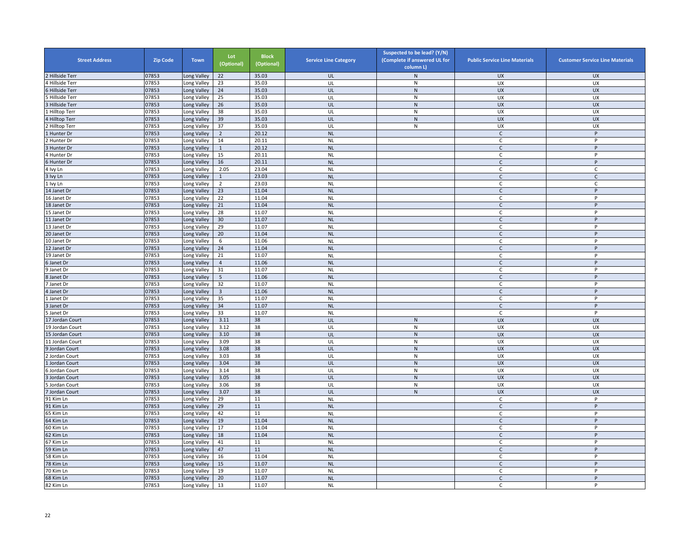| <b>Street Address</b> | <b>Zip Code</b> | <b>Town</b>               | Lot<br>(Optional)       | <b>Block</b><br>(Optional) | <b>Service Line Category</b> | Suspected to be lead? (Y/N)<br>(Complete if answered UL for<br>column L) | <b>Public Service Line Materials</b> | <b>Customer Service Line Materials</b> |
|-----------------------|-----------------|---------------------------|-------------------------|----------------------------|------------------------------|--------------------------------------------------------------------------|--------------------------------------|----------------------------------------|
| Hillside Terr         | 07853           | ong Valley                | 22                      | 35.03                      | UL                           | N                                                                        | <b>UX</b>                            | <b>UX</b>                              |
| 4 Hillside Terr       | 07853           | ong Valley                | 23                      | 35.03                      | UL                           | N                                                                        | UX                                   | UX                                     |
| 6 Hillside Terr       | 07853           | Long Valley               | $24\,$                  | 35.03                      | UL                           | $\mathsf{N}$                                                             | UX                                   | <b>UX</b>                              |
| Hillside Terr         | 07853           | Long Valley               | 25                      | 35.03                      | UL                           | ${\sf N}$                                                                | UX                                   | UX                                     |
| 3 Hillside Terr       | 07853           | Long Valley               | 26                      | 35.03                      | UL                           | ${\sf N}$                                                                | <b>UX</b>                            | UX                                     |
| <b>Hilltop Terr</b>   | 07853           | ong Valley                | 38                      | 35.03                      | UL                           | N                                                                        | <b>UX</b>                            | UX                                     |
| 4 Hilltop Terr        | 07853           | Long Valley               | 39                      | 35.03                      | UL                           | $\mathsf{N}$                                                             | <b>UX</b>                            | <b>UX</b>                              |
| Hilltop Terr          | 07853           | ong Valley                | 37                      | 35.03                      | UL                           | $\overline{N}$                                                           | <b>UX</b>                            | UX                                     |
| Hunter Dr             | 07853           | Long Valley               | $\overline{2}$          | 20.12                      | <b>NL</b>                    |                                                                          | $\mathsf{C}$                         | P                                      |
| Hunter Dr             | 07853           | Long Valley               | 14                      | 20.11                      | <b>NL</b>                    |                                                                          | C                                    | Þ                                      |
| Hunter Dr             | 07853           | Long Valley               | $\mathbf{1}$            | 20.12                      | <b>NL</b>                    |                                                                          | $\mathsf{C}$                         | P                                      |
| 4 Hunter Dr           | 07853           | Long Valley               | 15                      | 20.11                      | <b>NL</b>                    |                                                                          | C                                    | P                                      |
| 6 Hunter Dr           | 07853           | Long Valley               | 16                      | 20.11                      | <b>NL</b>                    |                                                                          | $\mathsf{C}$                         | P                                      |
| 4 Ivy Ln              | 07853           | Long Valley               | 2.05                    | 23.04                      | <b>NL</b>                    |                                                                          | C                                    | C                                      |
| lvy Ln                | 07853           | ong Valley                | $\mathbf{1}$            | 23.03                      | <b>NL</b>                    |                                                                          | $\mathsf{C}$                         | $\mathsf{C}$                           |
| Ivy Ln                | 07853           | Long Valley               | $\overline{2}$          | 23.03                      | <b>NL</b>                    |                                                                          | C                                    | C                                      |
| 14 Janet Dr           | 07853           | Long Valley               | 23                      | 11.04                      | <b>NL</b>                    |                                                                          | $\mathsf{C}$                         | P                                      |
| 16 Janet Dr           | 07853           | Long Valley               | 22                      | 11.04                      | <b>NL</b>                    |                                                                          | C                                    | P                                      |
| 18 Janet Dr           | 07853           | Long Valley               | 21                      | 11.04                      | <b>NL</b>                    |                                                                          | $\mathsf{C}$                         | P                                      |
| 15 Janet Dr           | 07853           | Long Valley               | 28                      | 11.07                      | <b>NL</b>                    |                                                                          | C                                    | P                                      |
| 11 Janet Dr           | 07853           | Long Valley               | 30                      | 11.07                      | <b>NL</b>                    |                                                                          | $\mathsf{C}$                         | P                                      |
| 13 Janet Dr           | 07853           | ong Valley                | 29                      | 11.07                      | <b>NL</b>                    |                                                                          | C                                    | P                                      |
| 20 Janet Dr           | 07853           | Long Valley               | 20                      | 11.04                      | <b>NL</b>                    |                                                                          | C                                    | P                                      |
| 10 Janet Dr           | 07853           | Long Valley               | 6                       | 11.06                      | <b>NL</b>                    |                                                                          | $\mathsf{C}$                         | P                                      |
| 12 Janet Dr           | 07853           | Long Valley               | 24                      | 11.04                      | <b>NL</b>                    |                                                                          | $\mathsf{C}$                         | P                                      |
| 19 Janet Dr           | 07853           | Long Valley               | 21                      | 11.07                      | <b>NL</b>                    |                                                                          | $\mathsf{C}$                         | P                                      |
| 6 Janet Dr            | 07853           | ong Valley                | $\overline{4}$          | 11.06                      | <b>NL</b>                    |                                                                          | $\mathsf{C}$                         | P                                      |
| 9 Janet Dr            | 07853           | Long Valley               | 31                      | 11.07                      | <b>NL</b>                    |                                                                          | C                                    | P                                      |
| 8 Janet Dr            | 07853           | ong Valley                | $\overline{5}$          | 11.06                      | <b>NL</b>                    |                                                                          | $\mathsf{C}$                         | P                                      |
| Janet Dr              | 07853           | Long Valley               | 32                      | 11.07                      | <b>NL</b>                    |                                                                          | Ċ                                    | P                                      |
| 4 Janet Dr            | 07853           | Long Valley               | $\overline{\mathbf{3}}$ | 11.06                      | <b>NL</b>                    |                                                                          | $\mathsf{C}$                         | P                                      |
| 1 Janet Dr            | 07853           | Long Valley               | 35                      | 11.07                      | <b>NL</b>                    |                                                                          | C                                    | P                                      |
| 3 Janet Dr            | 07853           | Long Valley               | 34                      | 11.07                      | <b>NL</b>                    |                                                                          | $\mathsf{C}$                         | P                                      |
| Janet Dr              | 07853           | Long Valley               | 33                      | 11.07                      | <b>NL</b>                    |                                                                          | C                                    | P                                      |
| 17 Jordan Court       | 07853           | Long Valley               | 3.11                    | 38                         | UL                           | $\mathsf{N}$                                                             | <b>UX</b>                            | <b>UX</b>                              |
| 19 Jordan Court       | 07853           | ong Valley                | 3.12                    | 38                         | UL                           | N                                                                        | UX                                   | UX                                     |
| 15 Jordan Court       | 07853           | Long Valley               | 3.10                    | 38                         | UL                           | ${\sf N}$                                                                | <b>UX</b>                            | <b>UX</b>                              |
| 11 Jordan Court       | 07853           | Long Valley               | 3.09                    | 38                         | UL                           | ${\sf N}$                                                                | UX                                   | UX                                     |
| Jordan Court          | 07853           | Long Valley               | 3.08                    | 38                         | UL                           | ${\sf N}$                                                                | <b>UX</b>                            | <b>UX</b>                              |
| Jordan Court          | 07853           | Long Valley               | 3.03                    | 38                         | UL                           | ${\sf N}$                                                                | UX                                   | UX                                     |
| Jordan Court          | 07853           | Long Valley               | 3.04                    | 38                         | UL                           | N                                                                        | <b>UX</b>                            | <b>UX</b>                              |
| Jordan Court          | 07853           | Long Valley               | 3.14                    | 38                         | UL                           | $\mathsf{N}$                                                             | UX                                   | <b>UX</b>                              |
| Jordan Court          | 07853           | Long Valley               | 3.05                    | 38                         | UL                           | ${\sf N}$                                                                | UX                                   | <b>UX</b>                              |
| Jordan Court          | 07853           | ong Valley                | 3.06                    | 38                         | UL                           | ${\sf N}$                                                                | UX                                   | UX                                     |
| Jordan Court          | 07853           | Long Valley               | 3.07                    | 38                         | UL                           | ${\sf N}$                                                                | <b>UX</b>                            | <b>UX</b>                              |
| 91 Kim Ln             | 07853           | Long Valley               | 29                      | 11                         | <b>NL</b>                    |                                                                          | C                                    | P                                      |
| 91 Kim Ln             | 07853           | Long Valley               | 29                      | 11                         | <b>NL</b>                    |                                                                          | $\mathsf{C}$                         | P                                      |
| 65 Kim Ln             | 07853           | Long Valley               | 42                      | 11                         | <b>NL</b>                    |                                                                          | C                                    | P                                      |
| 64 Kim Ln             | 07853           | Long Valley               | 19                      | 11.04                      | <b>NL</b>                    |                                                                          | $\mathsf{C}$                         | P                                      |
| 60 Kim Ln             | 07853           | ong Valley                | 17                      | 11.04                      | <b>NL</b>                    |                                                                          | $\mathsf{C}$                         | P                                      |
| 62 Kim Ln             | 07853           | Long Valley               | 18                      | 11.04                      | <b>NL</b>                    |                                                                          | $\mathsf{C}$                         | P                                      |
| 67 Kim Ln             | 07853           | Long Valley               | 41                      | $11\,$                     | <b>NL</b>                    |                                                                          | C                                    | P                                      |
| 59 Kim Ln             | 07853           | Long Valley               | 47                      | 11                         | <b>NL</b>                    |                                                                          | $\mathsf{C}$                         | P                                      |
| 58 Kim Ln             | 07853           | Long Valley               | 16                      | 11.04                      | <b>NL</b>                    |                                                                          | C                                    | P                                      |
| 78 Kim Ln             | 07853           |                           | 15                      | 11.07                      | <b>NL</b>                    |                                                                          | $\mathsf{C}$                         | P                                      |
| 70 Kim Ln             | 07853           | Long Valley               | 19                      |                            | <b>NL</b>                    |                                                                          |                                      | P                                      |
| 68 Kim Ln             | 07853           | Long Valley<br>ong Valley | 20                      | 11.07<br>11.07             | <b>NL</b>                    |                                                                          | C<br>$\mathsf{C}$                    | P                                      |
|                       |                 |                           |                         |                            |                              |                                                                          |                                      | P                                      |
| 82 Kim Ln             | 07853           | Long Valley               | 13                      | 11.07                      | <b>NL</b>                    |                                                                          | C                                    |                                        |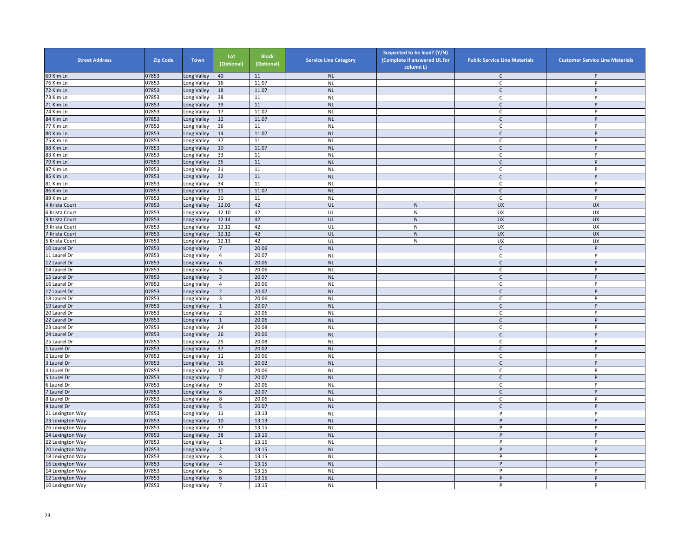| <b>Street Address</b> | <b>Zip Code</b> | <b>Town</b> | Lot<br>(Optional) | <b>Block</b><br>(Optional) | <b>Service Line Category</b> | Suspected to be lead? (Y/N)<br>(Complete if answered UL for<br>column L) | <b>Public Service Line Materials</b> | <b>Customer Service Line Materials</b> |
|-----------------------|-----------------|-------------|-------------------|----------------------------|------------------------------|--------------------------------------------------------------------------|--------------------------------------|----------------------------------------|
| 69 Kim Ln             | 07853           | ong Valley  | 40                | 11                         | <b>NL</b>                    |                                                                          | C                                    | P                                      |
| 76 Kim Ln             | 07853           | ong Valley  | 16                | 11.07                      | <b>NL</b>                    |                                                                          | C                                    | P                                      |
| 72 Kim Ln             | 07853           | Long Valley | 18                | 11.07                      | <b>NL</b>                    |                                                                          | $\mathsf{C}$                         | P                                      |
| 73 Kim Ln             | 07853           | Long Valley | 38                | 11                         | <b>NL</b>                    |                                                                          | C                                    | P                                      |
| 71 Kim Ln             | 07853           | Long Valley | 39                | 11                         | <b>NL</b>                    |                                                                          | $\mathsf{C}$                         | P                                      |
| 74 Kim Ln             | 07853           | ong Valley  | 17                | 11.07                      | <b>NL</b>                    |                                                                          | $\mathsf{C}$                         | P                                      |
| 84 Kim Ln             | 07853           | Long Valley | 12                | 11.07                      | <b>NL</b>                    |                                                                          | $\mathsf{C}$                         | P                                      |
| 77 Kim Ln             | 07853           | Long Valley | 36                | $11\,$                     | <b>NL</b>                    |                                                                          | $\mathsf{C}$                         | P                                      |
| 80 Kim Ln             | 07853           | Long Valley | 14                | 11.07                      | <b>NL</b>                    |                                                                          | $\mathsf{C}$                         | P                                      |
| 75 Kim Ln             | 07853           | Long Valley | 37                | $11\,$                     | <b>NL</b>                    |                                                                          | $\mathsf{C}$                         | Þ                                      |
| 88 Kim Ln             | 07853           | Long Valley | $10\,$            | 11.07                      | <b>NL</b>                    |                                                                          | $\mathsf{C}$                         | P                                      |
| 83 Kim Ln             | 07853           | Long Valley | 33                | 11                         | <b>NL</b>                    |                                                                          | C                                    | P                                      |
| 79 Kim Ln             | 07853           | Long Valley | 35                | $11\,$                     | <b>NL</b>                    |                                                                          | $\mathsf{C}$                         | P                                      |
| 87 Kim Ln             | 07853           | Long Valley | 31                | 11                         | <b>NL</b>                    |                                                                          | C                                    | P                                      |
| 85 Kim Ln             | 07853           | ong Valley  | 32                | 11                         | <b>NL</b>                    |                                                                          | $\mathsf{C}$                         | P                                      |
| 81 Kim Ln             | 07853           | Long Valley | 34                | 11                         | <b>NL</b>                    |                                                                          | C                                    | P                                      |
| 86 Kim Ln             | 07853           | Long Valley | $11\,$            | 11.07                      | <b>NL</b>                    |                                                                          | $\mathsf{C}$                         | P                                      |
| 89 Kim Ln             | 07853           | Long Valley | 30                | 11                         | <b>NL</b>                    |                                                                          | C                                    | P                                      |
| 4 Krista Court        | 07853           | Long Valley | 12.03             | 42                         | UL                           | ${\sf N}$                                                                | <b>UX</b>                            | <b>UX</b>                              |
| Krista Court          | 07853           | Long Valley | 12.10             | 42                         | UL                           | ${\sf N}$                                                                | UX                                   | UX                                     |
| 3 Krista Court        | 07853           | Long Valley | 12.14             | 42                         | UL                           | ${\sf N}$                                                                | <b>UX</b>                            | <b>UX</b>                              |
| 9 Krista Court        | 07853           | Long Valley | 12.11             | 42                         | UL                           | N                                                                        | UX                                   | UX                                     |
| Krista Court          | 07853           | Long Valley | 12.12             | 42                         | UL                           | ${\sf N}$                                                                | <b>UX</b>                            | <b>UX</b>                              |
| Krista Court          | 07853           | Long Valley | 12.13             | 42                         | UL                           | ${\sf N}$                                                                | UX                                   | UX                                     |
| 10 Laurel Dr          | 07853           | Long Valley | $\overline{7}$    | 20.06                      | <b>NL</b>                    |                                                                          | $\mathsf{C}$                         | P                                      |
| 11 Laurel Dr          | 07853           | Long Valley | $\overline{4}$    | 20.07                      | <b>NL</b>                    |                                                                          | C                                    | $\mathsf{P}$                           |
| 12 Laurel Dr          | 07853           | Long Valley | 6                 | 20.06                      | <b>NL</b>                    |                                                                          | $\mathsf{C}$                         | P                                      |
| 14 Laurel Dr          | 07853           | Long Valley | 5                 | 20.06                      | <b>NL</b>                    |                                                                          | $\mathsf{C}$                         | P                                      |
| 15 Laurel Dr          | 07853           | Long Valley | $\overline{3}$    | 20.07                      | <b>NL</b>                    |                                                                          | $\mathsf C$                          | P                                      |
| 16 Laurel Dr          | 07853           | ong Valley  | $\overline{4}$    | 20.06                      | N <sub>L</sub>               |                                                                          | C                                    | P                                      |
| 17 Laurel Dr          | 07853           | ong Valley  | $\overline{2}$    | 20.07                      | <b>NL</b>                    |                                                                          | $\mathsf{C}$                         | P                                      |
| 18 Laurel Dr          | 07853           | Long Valley | $\overline{3}$    | 20.06                      | <b>NL</b>                    |                                                                          | C                                    | P                                      |
| 19 Laurel Dr          | 07853           | Long Valley | $\mathbf{1}$      | 20.07                      | <b>NL</b>                    |                                                                          | $\mathsf{C}$                         | P                                      |
| 20 Laurel Dr          | 07853           | Long Valley | $\overline{2}$    | 20.06                      | <b>NL</b>                    |                                                                          | C                                    | P                                      |
| 22 Laurel Dr          | 07853           | Long Valley | $\mathbf{1}$      | 20.06                      | <b>NL</b>                    |                                                                          | $\mathsf{C}$                         | P                                      |
| 23 Laurel Dr          | 07853           | Long Valley | 24                | 20.08                      | <b>NL</b>                    |                                                                          | $\mathsf{C}$                         | P                                      |
| 24 Laurel Dr          | 07853           | Long Valley | 26                | 20.06                      | <b>NL</b>                    |                                                                          | $\mathsf{C}$                         | P                                      |
| 25 Laurel Dr          | 07853           | ong Valley  | 25                | 20.08                      | <b>NL</b>                    |                                                                          | $\mathsf{C}$                         | P                                      |
| Laurel Dr             | 07853           | Long Valley | 37                | 20.02                      | <b>NL</b>                    |                                                                          | $\mathsf{C}$                         | P                                      |
| 2 Laurel Dr           | 07853           | Long Valley | 11                | 20.06                      | <b>NL</b>                    |                                                                          | C                                    | P                                      |
| 3 Laurel Dr           | 07853           | Long Valley | 36                | 20.02                      | <b>NL</b>                    |                                                                          | $\mathsf{C}$                         | P                                      |
| 4 Laurel Dr           | 07853           | Long Valley | 10                | 20.06                      | <b>NL</b>                    |                                                                          | C                                    | P                                      |
| Laurel Dr             | 07853           | Long Valley | $\overline{7}$    | 20.07                      | <b>NL</b>                    |                                                                          | $\mathsf{C}$                         | P                                      |
| Laurel Dr             | 07853           | ong Valley  | 9                 | 20.06                      | <b>NL</b>                    |                                                                          | C                                    | P                                      |
| Laurel Dr             | 07853           | ong Valley  | $\,$ 6 $\,$       | 20.07                      | <b>NL</b>                    |                                                                          | $\mathsf{C}$                         | P                                      |
| Laurel Dr             | 07853           | Long Valley | 8                 | 20.06                      | <b>NL</b>                    |                                                                          | C                                    | P                                      |
| 9 Laurel Dr           | 07853           | Long Valley | 5                 | 20.07                      | <b>NL</b>                    |                                                                          | $\mathsf{C}$                         | P                                      |
| 21 Lexington Way      | 07853           | Long Valley | 11                | 13.13                      | <b>NL</b>                    |                                                                          | P                                    | $\mathsf{P}$                           |
| 23 Lexington Way      | 07853           | Long Valley | $10\,$            | 13.13                      | <b>NL</b>                    |                                                                          | P                                    | P                                      |
| 26 Lexington Way      | 07853           | Long Valley | 37                | 13.15                      | <b>NL</b>                    |                                                                          | P                                    | P                                      |
| 24 Lexington Way      | 07853           | Long Valley | 38                | 13.15                      | <b>NL</b>                    |                                                                          | P                                    | P                                      |
| 2 Lexington Way       | 07853           | ong Valley  | $\mathbf{1}$      | 13.15                      | <b>NL</b>                    |                                                                          | P                                    | P                                      |
| 20 Lexington Way      | 07853           | Long Valley | $\overline{2}$    | 13.15                      | <b>NL</b>                    |                                                                          | P                                    | P                                      |
| 18 Lexington Way      | 07853           | Long Valley | $\overline{3}$    | 13.15                      | <b>NL</b>                    |                                                                          | P                                    | P                                      |
| 16 Lexington Way      | 07853           | Long Valley | $\overline{4}$    | 13.15                      | <b>NL</b>                    |                                                                          | P                                    | P                                      |
| 14 Lexington Way      | 07853           | Long Valley | 5                 | 13.15                      | <b>NL</b>                    |                                                                          | P                                    | P                                      |
| 12 Lexington Way      | 07853           | Long Valley | 6                 | 13.15                      | <b>NL</b>                    |                                                                          | P                                    | P                                      |
| 10 Lexington Way      | 07853           | Long Valley | $\overline{7}$    | 13.15                      | <b>NL</b>                    |                                                                          | P                                    | P                                      |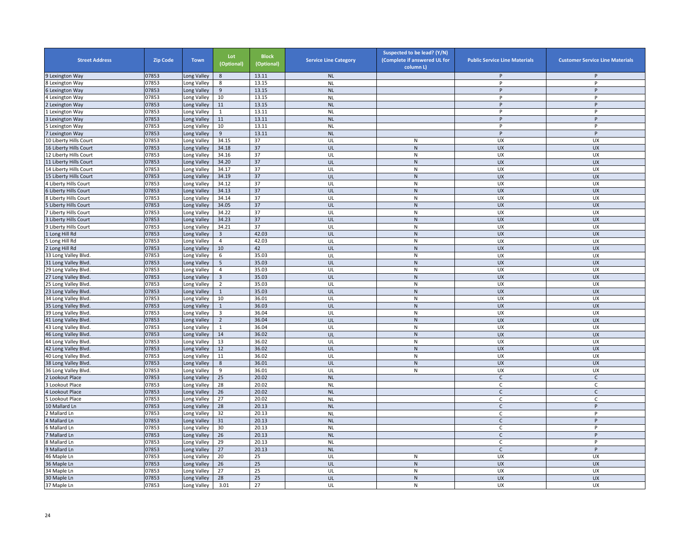| <b>Street Address</b>      | <b>Zip Code</b> | <b>Town</b> | Lot<br>(Optional)       | <b>Block</b><br>(Optional) | <b>Service Line Category</b> | Suspected to be lead? (Y/N)<br>(Complete if answered UL for<br>column L) | <b>Public Service Line Materials</b> | <b>Customer Service Line Materials</b> |
|----------------------------|-----------------|-------------|-------------------------|----------------------------|------------------------------|--------------------------------------------------------------------------|--------------------------------------|----------------------------------------|
| 9 Lexington Way            | 07853           | ong Valley  | 8                       | 13.11                      | <b>NL</b>                    |                                                                          | P                                    | P                                      |
| Lexington Way              | 07853           | Long Valley | 8                       | 13.15                      | <b>NL</b>                    |                                                                          | P                                    | P                                      |
| <b>Lexington Way</b>       | 07853           | Long Valley | 9                       | 13.15                      | <b>NL</b>                    |                                                                          | P                                    | P                                      |
| Lexington Way              | 07853           | Long Valley | 10                      | 13.15                      | <b>NL</b>                    |                                                                          | P                                    | P                                      |
| Lexington Way              | 07853           | Long Valley | 11                      | 13.15                      | <b>NL</b>                    |                                                                          | P                                    | P                                      |
| Lexington Way              | 07853           | ong Valley  | $\mathbf{1}$            | 13.11                      | <b>NL</b>                    |                                                                          | P                                    | P                                      |
| Lexington Way              | 07853           | Long Valley | $11\,$                  | 13.11                      | <b>NL</b>                    |                                                                          | P                                    | $\sf P$                                |
| Lexington Way              | 07853           | Long Valley | 10                      | 13.11                      | <b>NL</b>                    |                                                                          | P                                    | P                                      |
| Lexington Way              | 07853           | Long Valley | 9                       | 13.11                      | <b>NL</b>                    |                                                                          | P                                    | P                                      |
| 10 Liberty Hills Court     | 07853           | Long Valley | 34.15                   | 37                         | UL                           | ${\sf N}$                                                                | UX                                   | UX                                     |
| 16 Liberty Hills Court     | 07853           | ong Valley  | 34.18                   | 37                         | UL                           | $\mathsf{N}$                                                             | <b>UX</b>                            | <b>UX</b>                              |
| 12 Liberty Hills Court     | 07853           | Long Valley | 34.16                   | 37                         | UL                           | ${\sf N}$                                                                | <b>UX</b>                            | <b>UX</b>                              |
| 11 Liberty Hills Court     | 07853           | ong Valley  | 34.20                   | 37                         | UL                           | ${\sf N}$                                                                | UX                                   | UX                                     |
| 14 Liberty Hills Court     | 07853           | ong Valley  | 34.17                   | 37                         | UL                           | ${\sf N}$                                                                | UX                                   | UX                                     |
| 15 Liberty Hills Court     | 07853           | Long Valley | 34.19                   | 37                         | UL                           | ${\sf N}$                                                                | <b>UX</b>                            | <b>UX</b>                              |
| Liberty Hills Court        | 07853           | Long Valley | 34.12                   | 37                         | UL                           | ${\sf N}$                                                                | UX                                   | UX                                     |
| Liberty Hills Court        | 07853           | Long Valley | 34.13                   | 37                         | UL                           | ${\sf N}$                                                                | <b>UX</b>                            | <b>UX</b>                              |
| Liberty Hills Court        | 07853           | Long Valley | 34.14                   | 37                         | UL                           | N                                                                        | <b>UX</b>                            | <b>UX</b>                              |
| Liberty Hills Court        | 07853           | ong Valley  | 34.05                   | 37                         | UL                           | ${\sf N}$                                                                | <b>UX</b>                            | <b>UX</b>                              |
| Liberty Hills Court        | 07853           | ong Valley  | 34.22                   | 37                         | UL                           | N                                                                        | UX                                   | UX                                     |
| Liberty Hills Court        | 07853           | Long Valley | 34.23                   | 37                         | UL                           | ${\sf N}$                                                                | <b>UX</b>                            | <b>UX</b>                              |
| 9 Liberty Hills Court      | 07853           | Long Valley | 34.21                   | 37                         | UL                           | ${\sf N}$                                                                | UX                                   | UX                                     |
| Long Hill Rd               | 07853           | Long Valley | $\overline{3}$          | 42.03                      | UL                           | ${\sf N}$                                                                | <b>UX</b>                            | <b>UX</b>                              |
| Long Hill Rd               | 07853           | Long Valley | $\overline{4}$          | 42.03                      | UL                           | $\mathsf{N}$                                                             | UX                                   | UX                                     |
| Long Hill Rd               | 07853           | ong Valley  | $10\,$                  | 42                         | UL                           | ${\sf N}$                                                                | UX                                   | <b>UX</b>                              |
| 33 Long Valley Blvd.       | 07853           | Long Valley | 6                       | 35.03                      | UL                           | ${\sf N}$                                                                | UX                                   | UX                                     |
| 31 Long Valley Blvd.       | 07853           | ong Valley  | 5                       | 35.03                      | UL                           | $\mathsf{N}$                                                             | <b>UX</b>                            | <b>UX</b>                              |
| 29 Long Valley Blvd.       | 07853           | ong Valley. | $\overline{4}$          | 35.03                      | UL                           | ${\sf N}$                                                                | UX                                   | UX                                     |
| 7 Long Valley Blvd.        | 07853           | ong Valley  | $\overline{\mathbf{3}}$ | 35.03                      | UL                           | ${\sf N}$                                                                | <b>UX</b>                            | <b>UX</b>                              |
| 5 Long Valley Blvd.        | 07853           | Long Valley | $\overline{2}$          | 35.03                      | UL                           | ${\sf N}$                                                                | <b>UX</b>                            | <b>UX</b>                              |
| 23 Long Valley Blvd.       | 07853           | Long Valley | $\mathbf{1}$            | 35.03                      | UL                           | ${\sf N}$                                                                | <b>UX</b>                            | <b>UX</b>                              |
| 4 Long Valley Blvd.        | 07853           | Long Valley | 10                      | 36.01                      | UL                           | ${\sf N}$                                                                | <b>UX</b>                            | UX                                     |
| 35 Long Valley Blvd.       | 07853           | Long Valley | $\mathbf{1}$            | 36.03                      | UL                           | ${\sf N}$                                                                | <b>UX</b>                            | <b>UX</b>                              |
| <b>9 Long Valley Blvd.</b> | 07853           | ong Valley  | $\overline{\mathbf{3}}$ | 36.04                      | UL                           | ${\sf N}$                                                                | <b>UX</b>                            | UX                                     |
| 41 Long Valley Blvd        | 07853           | ong Valley  | $\overline{2}$          | 36.04                      | UL                           | $\mathsf{N}$                                                             | <b>UX</b>                            | <b>UX</b>                              |
| 43 Long Valley Blvd.       | 07853           | Long Valley | $\mathbf{1}$            | 36.04                      | UL                           | N                                                                        | UX                                   | UX                                     |
| 46 Long Valley Blvd.       | 07853           | Long Valley | $14\,$                  | 36.02                      | UL                           | $\mathsf{N}$                                                             | <b>UX</b>                            | <b>UX</b>                              |
| 44 Long Valley Blvd.       | 07853           | Long Valley | 13                      | 36.02                      | UL                           | ${\sf N}$                                                                | UX                                   | UX                                     |
| 42 Long Valley Blvd.       | 07853           | Long Valley | 12                      | 36.02                      | UL                           | $\mathsf{N}$                                                             | <b>UX</b>                            | <b>UX</b>                              |
| 40 Long Valley Blvd.       | 07853           | Long Valley | 11                      | 36.02                      | UL                           | ${\sf N}$                                                                | UX                                   | UX                                     |
| 38 Long Valley Blvd.       | 07853           | ong Valley  | $\bf 8$                 | 36.01                      | UL                           | $\mathsf{N}$                                                             | <b>UX</b>                            | <b>UX</b>                              |
| 36 Long Valley Blvd.       | 07853           | Long Valley | 9                       | 36.01                      | UL                           | ${\sf N}$                                                                | UX                                   | UX                                     |
| Lookout Place              | 07853           | Long Valley | 25                      | 20.02                      | <b>NL</b>                    |                                                                          | $\mathsf{C}$                         | $\mathsf{C}$                           |
| Lookout Place              | 07853           | Long Valley | 28                      | 20.02                      | <b>NL</b>                    |                                                                          | C                                    | $\mathsf C$                            |
| Lookout Place              | 07853           | Long Valley | 26                      | 20.02                      | <b>NL</b>                    |                                                                          | $\mathsf{C}$                         | $\mathsf{C}$                           |
| Lookout Place              | 07853           | Long Valley | 27                      | 20.02                      | <b>NL</b>                    |                                                                          | C                                    | C                                      |
| 10 Mallard Ln              | 07853           | Long Valley | 28                      | 20.13                      | <b>NL</b>                    |                                                                          | $\mathsf{C}$                         | $\sf P$                                |
| Mallard Ln                 | 07853           | ong Valley  | 32                      | 20.13                      | <b>NL</b>                    |                                                                          | $\mathsf{C}$                         | P                                      |
| 4 Mallard Ln               | 07853           | Long Valley | 31                      | 20.13                      | <b>NL</b>                    |                                                                          | $\mathsf{C}$                         | P                                      |
| 6 Mallard Ln               | 07853           | ong Valley  | 30                      | 20.13                      | <b>NL</b>                    |                                                                          | C                                    | P                                      |
| Mallard Ln                 | 07853           | Long Valley | 26                      | 20.13                      | <b>NL</b>                    |                                                                          | $\mathsf{C}$                         | P                                      |
| 8 Mallard Ln               | 07853           | Long Valley | 29                      | 20.13                      | <b>NL</b>                    |                                                                          | $\mathsf C$                          | P                                      |
| 9 Mallard Ln               | 07853           | Long Valley | 27                      | 20.13                      | <b>NL</b>                    |                                                                          | $\mathsf{C}$                         | P                                      |
| 46 Maple Ln                | 07853           | Long Valley | 20                      | 25                         | UL                           | ${\sf N}$                                                                | UX                                   | <b>UX</b>                              |
| 36 Maple Ln                | 07853           | ong Valley  | 26                      | 25                         | UL                           | $\mathsf{N}$                                                             | UX                                   | <b>UX</b>                              |
| 34 Maple Ln                | 07853           | ong Valley. | 27                      | 25                         | UL                           | ${\sf N}$                                                                | UX                                   | UX                                     |
| 30 Maple Ln                | 07853           | Long Valley | 28                      | 25                         | UL                           | ${\sf N}$                                                                | <b>UX</b>                            | <b>UX</b>                              |
| 37 Maple Ln                | 07853           | Long Valley | 3.01                    | 27                         | UL                           | $\mathsf{N}$                                                             | UX                                   | UX                                     |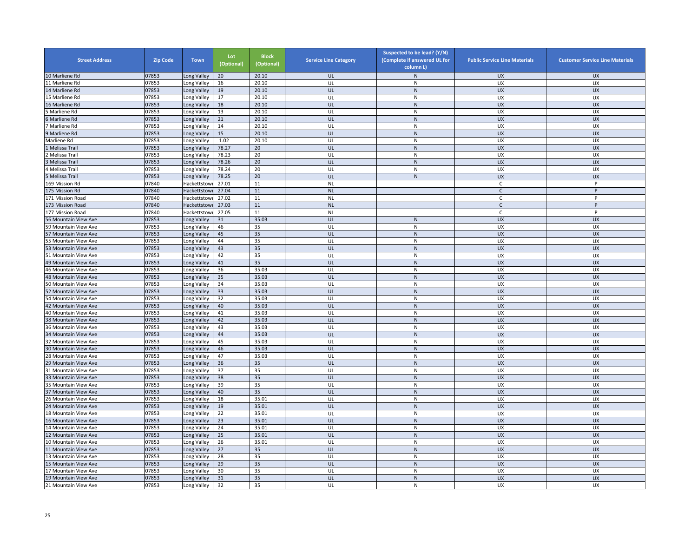| <b>Street Address</b> | <b>Zip Code</b> | <b>Town</b>  | Lot<br>(Optional) | <b>Block</b><br>(Optional) | <b>Service Line Category</b> | Suspected to be lead? (Y/N)<br>(Complete if answered UL for<br>column L) | <b>Public Service Line Materials</b> | <b>Customer Service Line Materials</b> |
|-----------------------|-----------------|--------------|-------------------|----------------------------|------------------------------|--------------------------------------------------------------------------|--------------------------------------|----------------------------------------|
| 10 Marliene Rd        | 07853           | Long Valley  | 20                | 20.10                      | UL                           | $\mathsf{N}$                                                             | <b>UX</b>                            | <b>UX</b>                              |
| 11 Marliene Rd        | 07853           | Long Valley  | 16                | 20.10                      | UL                           | ${\sf N}$                                                                | UX                                   | UX                                     |
| 14 Marliene Rd        | 07853           | Long Valley  | 19                | 20.10                      | UL                           | N                                                                        | <b>UX</b>                            | <b>UX</b>                              |
| 15 Marliene Rd        | 07853           | Long Valley  | 17                | 20.10                      | UL                           | N                                                                        | UX                                   | <b>UX</b>                              |
| 16 Marliene Rd        | 07853           | Long Valley  | 18                | 20.10                      | UL                           | N                                                                        | <b>UX</b>                            | <b>UX</b>                              |
| Marliene Rd           | 07853           | Long Valley  | 13                | 20.10                      | UL                           | N                                                                        | UX                                   | UX                                     |
| Marliene Rd           | 07853           | Long Valley  | 21                | 20.10                      | UL                           | ${\sf N}$                                                                | <b>UX</b>                            | <b>UX</b>                              |
| ' Marliene Rd         | 07853           | Long Valley  | 14                | 20.10                      | UL                           | ${\sf N}$                                                                | UX                                   | <b>UX</b>                              |
| Marliene Rd           | 07853           | Long Valley  | 15                | 20.10                      | UL                           | ${\sf N}$                                                                | <b>UX</b>                            | <b>UX</b>                              |
| Marliene Rd           | 07853           | Long Valley  | 1.02              | 20.10                      | UL                           | ${\sf N}$                                                                | UX                                   | <b>UX</b>                              |
| L Melissa Trail       | 07853           | Long Valley  | 78.27             | 20                         | UL                           | N                                                                        | <b>UX</b>                            | <b>UX</b>                              |
| Melissa Trail         | 07853           | Long Valley  | 78.23             | 20                         | UL                           | $\mathsf{N}$                                                             | <b>UX</b>                            | <b>UX</b>                              |
| Melissa Trail         | 07853           | Long Valley  | 78.26             | 20                         | UL                           | ${\sf N}$                                                                | <b>UX</b>                            | <b>UX</b>                              |
| 4 Melissa Trail       | 07853           | Long Valley  | 78.24             | 20                         | UL                           | N                                                                        | UX                                   | UX                                     |
| Melissa Trail         | 07853           | Long Valley  | 78.25             | 20                         | UL                           | ${\sf N}$                                                                | <b>UX</b>                            | <b>UX</b>                              |
| 169 Mission Rd        | 07840           | Hackettstow  | 27.01             | 11                         | <b>NL</b>                    |                                                                          | C                                    | P                                      |
| 175 Mission Rd        | 07840           | Hackettstow  | 27.04             | 11                         | <b>NL</b>                    |                                                                          | $\mathsf{C}$                         | P                                      |
| 171 Mission Road      | 07840           | Hackettstowi | 27.02             | 11                         | <b>NL</b>                    |                                                                          | C                                    | P                                      |
| 173 Mission Road      | 07840           | Hackettstow  | 27.03             | 11                         | <b>NL</b>                    |                                                                          | $\mathsf{C}$                         | P                                      |
| 177 Mission Road      | 07840           | Hackettstow  | 27.05             | 11                         | <b>NL</b>                    |                                                                          | $\mathsf{C}$                         | P                                      |
| 56 Mountain View Ave  | 07853           | Long Valley  | 31                | 35.03                      | UL                           | ${\sf N}$                                                                | <b>UX</b>                            | <b>UX</b>                              |
| 59 Mountain View Ave  | 07853           | Long Valley  | 46                | 35                         | UL                           | ${\sf N}$                                                                | UX                                   | UX                                     |
| 57 Mountain View Ave  | 07853           | Long Valley  | 45                | 35                         | UL                           | ${\sf N}$                                                                | <b>UX</b>                            | <b>UX</b>                              |
| 55 Mountain View Ave  | 07853           | Long Valley  | 44                | 35                         | UL                           | $\mathsf{N}$                                                             | <b>UX</b>                            | UX                                     |
| 53 Mountain View Ave  | 07853           | Long Valley  | 43                | 35                         | UL                           | N                                                                        | <b>UX</b>                            | <b>UX</b>                              |
| 51 Mountain View Ave  | 07853           | Long Valley  | 42                | 35                         | UL                           | $\mathsf{N}$                                                             | UX                                   | UX                                     |
| 49 Mountain View Ave  | 07853           | Long Valley  | 41                | 35                         | UL                           | ${\sf N}$                                                                | UX                                   | <b>UX</b>                              |
| 46 Mountain View Ave  | 07853           | Long Valley  | 36                | 35.03                      | UL                           | ${\sf N}$                                                                | UX                                   | UX                                     |
| 48 Mountain View Ave  | 07853           | Long Valley  | 35                | 35.03                      | UL                           | ${\sf N}$                                                                | <b>UX</b>                            | <b>UX</b>                              |
| 50 Mountain View Ave  | 07853           | Long Valley  | 34                | 35.03                      | UL                           | $\mathsf{N}$                                                             | UX                                   | <b>UX</b>                              |
| 52 Mountain View Ave  | 07853           | Long Valley  | 33                | 35.03                      | UL                           | ${\sf N}$                                                                | <b>UX</b>                            | <b>UX</b>                              |
| 54 Mountain View Ave  | 07853           | Long Valley  | 32                | 35.03                      | UL                           | N                                                                        | <b>UX</b>                            | UX                                     |
| 42 Mountain View Ave  | 07853           | Long Valley  | 40                | 35.03                      | UL                           | N                                                                        | <b>UX</b>                            | <b>UX</b>                              |
| 40 Mountain View Ave  | 07853           | Long Valley  | 41                | 35.03                      | UL                           | ${\sf N}$                                                                | UX                                   | UX                                     |
| 38 Mountain View Ave  | 07853           | Long Valley  | 42                | 35.03                      | UL                           | $\mathsf{N}$                                                             | <b>UX</b>                            | <b>UX</b>                              |
| 36 Mountain View Ave  | 07853           | Long Valley  | 43                | 35.03                      | UL                           | ${\sf N}$                                                                | UX                                   | UX                                     |
| 34 Mountain View Ave  | 07853           | Long Valley  | 44                | 35.03                      | UL                           | $\mathsf{N}$                                                             | UX                                   | <b>UX</b>                              |
| 32 Mountain View Ave  | 07853           | Long Valley  | 45                | 35.03                      | UL                           | ${\sf N}$                                                                | UX                                   | UX                                     |
| 30 Mountain View Ave  | 07853           | Long Valley  | 46                | 35.03                      | UL                           | N                                                                        | <b>UX</b>                            | <b>UX</b>                              |
| 28 Mountain View Ave  | 07853           | Long Valley  | 47                | 35.03                      | UL                           | N                                                                        | UX                                   | UX                                     |
| 29 Mountain View Ave  | 07853           | Long Valley  | 36                | 35                         | UL                           | ${\sf N}$                                                                | <b>UX</b>                            | <b>UX</b>                              |
| 31 Mountain View Ave  | 07853           | Long Valley  | 37                | 35                         | UL                           | $\mathsf{N}$                                                             | UX                                   | UX                                     |
| 33 Mountain View Ave  | 07853           | Long Valley  | 38                | 35                         | UL                           | ${\sf N}$                                                                | UX                                   | <b>UX</b>                              |
| 35 Mountain View Ave  | 07853           | Long Valley  | 39                | 35                         | UL                           | ${\sf N}$                                                                | UX                                   | UX                                     |
| 37 Mountain View Ave  | 07853           | Long Valley  | 40                | 35                         | UL                           | N                                                                        | <b>UX</b>                            | <b>UX</b>                              |
| 26 Mountain View Ave  | 07853           | Long Valley  | 18                | 35.01                      | UL                           | N                                                                        | <b>UX</b>                            | <b>UX</b>                              |
| 24 Mountain View Ave  | 07853           | Long Valley  | 19                | 35.01                      | UL                           | ${\sf N}$                                                                | <b>UX</b>                            | <b>UX</b>                              |
|                       | 07853           |              | 22                | 35.01                      | UL                           | $\mathsf{N}$                                                             | UX                                   | UX                                     |
| 18 Mountain View Ave  |                 | Long Valley  |                   |                            |                              |                                                                          |                                      |                                        |
| 16 Mountain View Ave  | 07853<br>07853  | Long Valley  | 23<br>24          | 35.01<br>35.01             | UL<br>UL                     | ${\sf N}$<br>${\sf N}$                                                   | <b>UX</b>                            | <b>UX</b><br>UX                        |
| 14 Mountain View Ave  |                 | Long Valley  |                   |                            |                              |                                                                          | UX                                   |                                        |
| 12 Mountain View Ave  | 07853           | Long Valley  | 25                | 35.01                      | UL                           | N                                                                        | <b>UX</b>                            | <b>UX</b>                              |
| 10 Mountain View Ave  | 07853           | Long Valley  | 26                | 35.01                      | UL                           | ${\sf N}$                                                                | UX                                   | UX                                     |
| 11 Mountain View Ave  | 07853           | Long Valley  | 27                | 35                         | UL                           | N                                                                        | <b>UX</b>                            | <b>UX</b>                              |
| 13 Mountain View Ave  | 07853           | Long Valley  | 28                | 35                         | UL                           | N                                                                        | UX                                   | UX                                     |
| 15 Mountain View Ave  | 07853           | Long Valley  | 29                | 35                         | UL                           | ${\sf N}$                                                                | <b>UX</b>                            | <b>UX</b>                              |
| 17 Mountain View Ave  | 07853           | Long Valley  | 30                | 35                         | UL                           | $\mathsf{N}$                                                             | UX                                   | UX                                     |
| 19 Mountain View Ave  | 07853           | Long Valley  | 31                | 35                         | UL                           | ${\sf N}$                                                                | <b>UX</b>                            | <b>UX</b>                              |
| 21 Mountain View Ave  | 07853           | Long Valley  | 32                | 35                         | UL                           | N                                                                        | UX                                   | UX                                     |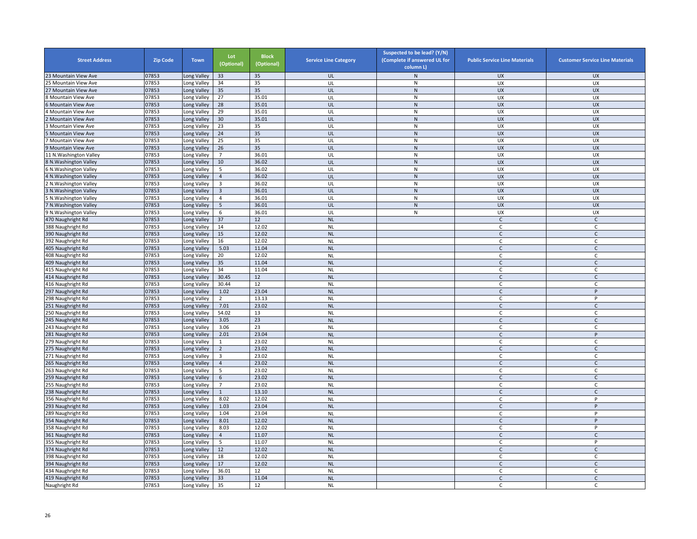| <b>Street Address</b>                  | <b>Zip Code</b> | <b>Town</b>                | Lot<br>(Optional) | <b>Block</b><br>(Optional) | <b>Service Line Category</b> | Suspected to be lead? (Y/N)<br>(Complete if answered UL for<br>column L) | <b>Public Service Line Materials</b> | <b>Customer Service Line Materials</b> |
|----------------------------------------|-----------------|----------------------------|-------------------|----------------------------|------------------------------|--------------------------------------------------------------------------|--------------------------------------|----------------------------------------|
| 23 Mountain View Ave                   | 07853           | Long Valley                | 33                | 35                         | UL                           | $\mathsf{N}$                                                             | <b>UX</b>                            | <b>UX</b>                              |
| !5 Mountain View Ave                   | 07853           | Long Valley                | 34                | 35                         | UL                           | ${\sf N}$                                                                | UX                                   | UX                                     |
| 27 Mountain View Ave                   | 07853           | Long Valley                | 35                | 35                         | UL                           | $\mathsf{N}$                                                             | <b>UX</b>                            | <b>UX</b>                              |
| <b>Mountain View Ave</b>               | 07853           | Long Valley                | 27                | 35.01                      | UL                           | N                                                                        | <b>UX</b>                            | UX                                     |
| Mountain View Ave                      | 07853           | Long Valley                | 28                | 35.01                      | UL                           | ${\sf N}$                                                                | <b>UX</b>                            | <b>UX</b>                              |
| <b>Mountain View Ave</b>               | 07853           | Long Valley                | 29                | 35.01                      | UL                           | $\mathsf{N}$                                                             | UX                                   | UX                                     |
| Mountain View Ave                      | 07853           | Long Valley                | 30 <sup>°</sup>   | 35.01                      | UL                           | ${\sf N}$                                                                | <b>UX</b>                            | <b>UX</b>                              |
| Mountain View Ave                      | 07853           | Long Valley                | 23                | 35                         | UL                           | ${\sf N}$                                                                | UX                                   | UX                                     |
| Mountain View Ave                      | 07853           | Long Valley                | 24                | 35                         | UL                           | ${\sf N}$                                                                | <b>UX</b>                            | <b>UX</b>                              |
| Mountain View Ave                      | 07853           | Long Valley                | 25                | 35                         | UL                           | ${\sf N}$                                                                | UX                                   | UX                                     |
| Mountain View Ave                      | 07853           | Long Valley                | 26                | 35                         | UL                           | ${\sf N}$                                                                | <b>UX</b>                            | <b>UX</b>                              |
| 11 N.Washington Valley                 | 07853           | Long Valley                | $\overline{7}$    | 36.01                      | UL                           | ${\sf N}$                                                                | <b>UX</b>                            | <b>UX</b>                              |
| 8 N.Washington Valley                  | 07853           | Long Valley                | 10                | 36.02                      | UL                           | $\mathsf{N}$                                                             | <b>UX</b>                            | <b>UX</b>                              |
| N. Washington Valley                   | 07853           | Long Valley                | 5                 | 36.02                      | UL                           | ${\sf N}$                                                                | UX                                   | UX                                     |
| N. Washington Valley                   | 07853           | Long Valley                | $\overline{4}$    | 36.02                      | UL                           | ${\sf N}$                                                                | <b>UX</b>                            | <b>UX</b>                              |
| N.Washington Valley                    | 07853           | Long Valley                | $\overline{3}$    | 36.02                      | UL                           | N                                                                        | UX                                   | <b>UX</b>                              |
| <b>N.Washington Valley</b>             | 07853           | Long Valley                | $\overline{3}$    | 36.01                      | UL                           | ${\sf N}$                                                                | <b>UX</b>                            | <b>UX</b>                              |
| N. Washington Valley                   | 07853           | Long Valley                | $\overline{4}$    | 36.01                      | UL                           | ${\sf N}$                                                                | UX                                   | UX                                     |
| N. Washington Valley                   | 07853           | Long Valley                | 5                 | 36.01                      | UL                           | N                                                                        | <b>UX</b>                            | <b>UX</b>                              |
| N.Washington Valley                    | 07853           | Long Valley                | 6                 | 36.01                      | UL                           | ${\sf N}$                                                                | UX                                   | UX                                     |
| 470 Naughright Rd                      | 07853           | Long Valley                | 37                | 12                         | <b>NL</b>                    |                                                                          | $\mathsf{C}$                         | $\mathsf{C}$                           |
| 388 Naughright Rd                      | 07853           | Long Valley                | 14                | 12.02                      | <b>NL</b>                    |                                                                          | C                                    | C                                      |
| 390 Naughright Rd                      | 07853           | Long Valley                | 15                | 12.02                      | NL                           |                                                                          | $\mathsf{C}$                         | $\mathsf C$                            |
| 392 Naughright Rd                      | 07853           | Long Valley                | 16                | 12.02                      | <b>NL</b>                    |                                                                          | $\mathsf C$                          | $\mathsf C$                            |
| 405 Naughright Rd                      | 07853           | Long Valley                | 5.03              | 11.04                      | <b>NL</b>                    |                                                                          | $\mathsf{C}$                         | C                                      |
| 408 Naughright Rd                      | 07853           | Long Valley                | 20                | 12.02                      | <b>NL</b>                    |                                                                          | C                                    | C                                      |
| 409 Naughright Rd                      | 07853           | Long Valley                | 35                | 11.04                      | <b>NL</b>                    |                                                                          | $\mathsf{C}$                         | $\mathsf C$                            |
| 415 Naughright Rd                      | 07853           | Long Valley                | 34                | 11.04                      | <b>NL</b>                    |                                                                          | C                                    | C                                      |
| 414 Naughright Rd                      | 07853           | Long Valley                | 30.45             | 12                         | <b>NL</b>                    |                                                                          | $\mathsf{C}$                         | $\mathsf C$                            |
| 416 Naughright Rd                      | 07853           | Long Valley                | 30.44             | 12                         | <b>NL</b>                    |                                                                          | C                                    | C                                      |
| 297 Naughright Rd                      | 07853           | Long Valley                | 1.02              | 23.04                      | <b>NL</b>                    |                                                                          | $\mathsf{C}$                         | P                                      |
| 298 Naughright Rd                      | 07853           | Long Valley                | 2                 | 13.13                      | <b>NL</b>                    |                                                                          | C                                    | P                                      |
| 251 Naughright Rd                      | 07853           | Long Valley                | 7.01              | 23.02                      | <b>NL</b>                    |                                                                          | $\mathsf{C}$                         | $\mathsf{C}$                           |
|                                        | 07853           |                            | 54.02             | 13                         | <b>NL</b>                    |                                                                          | C                                    | C                                      |
| 250 Naughright Rd<br>245 Naughright Rd | 07853           | Long Valley<br>Long Valley | 3.05              | 23                         | <b>NL</b>                    |                                                                          | $\mathsf{C}$                         | C                                      |
|                                        | 07853           |                            | 3.06              | 23                         | <b>NL</b>                    |                                                                          | $\mathsf{C}$                         | $\mathsf{C}$                           |
| 243 Naughright Rd<br>281 Naughright Rd | 07853           | Long Valley<br>Long Valley | 2.01              | 23.04                      |                              |                                                                          |                                      | P                                      |
|                                        |                 |                            | $\mathbf{1}$      |                            | <b>NL</b>                    |                                                                          | C<br>C                               | C                                      |
| 279 Naughright Rd                      | 07853           | Long Valley                |                   | 23.02                      | <b>NL</b>                    |                                                                          |                                      |                                        |
| 275 Naughright Rd                      | 07853           | Long Valley                | $\overline{2}$    | 23.02                      | <b>NL</b>                    |                                                                          | $\mathsf{C}$                         | $\mathsf C$                            |
| 271 Naughright Rd                      | 07853           | Long Valley                | $\overline{3}$    | 23.02                      | <b>NL</b>                    |                                                                          | $\mathsf{C}$                         | $\mathsf C$                            |
| 265 Naughright Rd                      | 07853           | Long Valley                | $\overline{4}$    | 23.02                      | <b>NL</b>                    |                                                                          | $\mathsf{C}$                         | $\mathsf{C}$                           |
| 263 Naughright Rd                      | 07853           | Long Valley                | 5                 | 23.02                      | $\sf NL$                     |                                                                          | C                                    | C                                      |
| 259 Naughright Rd                      | 07853           | Long Valley                | $6\,$             | 23.02                      | <b>NL</b>                    |                                                                          | $\mathsf{C}$                         | $\mathsf C$                            |
| 255 Naughright Rd                      | 07853           | Long Valley                | $\overline{7}$    | 23.02                      | <b>NL</b>                    |                                                                          | C.                                   | C                                      |
| 238 Naughright Rd                      | 07853           | Long Valley                | $\mathbf{1}$      | 13.10                      | <b>NL</b>                    |                                                                          | $\mathsf{C}$                         | $\mathsf C$                            |
| 356 Naughright Rd                      | 07853           | Long Valley                | 8.02              | 12.02                      | <b>NL</b>                    |                                                                          | C                                    | P                                      |
| 293 Naughright Rd                      | 07853           | Long Valley                | 1.03              | 23.04                      | <b>NL</b>                    |                                                                          | $\mathsf{C}$                         | P                                      |
| 289 Naughright Rd                      | 07853           | Long Valley                | 1.04              | 23.04                      | <b>NL</b>                    |                                                                          | C                                    | P                                      |
| 354 Naughright Rd                      | 07853           | Long Valley                | 8.01              | 12.02                      | <b>NL</b>                    |                                                                          | $\mathsf{C}$                         | P                                      |
| 358 Naughright Rd                      | 07853           | Long Valley                | 8.03              | 12.02                      | <b>NL</b>                    |                                                                          | C                                    | P                                      |
| 361 Naughright Rd                      | 07853           | Long Valley                | $\overline{4}$    | 11.07                      | <b>NL</b>                    |                                                                          | $\mathsf{C}$                         | $\mathsf C$                            |
| 355 Naughright Rd                      | 07853           | Long Valley                | 5                 | 11.07                      | <b>NL</b>                    |                                                                          | $\mathsf C$                          | P                                      |
| 374 Naughright Rd                      | 07853           | Long Valley                | 12                | 12.02                      | <b>NL</b>                    |                                                                          | $\mathsf{C}$                         | $\mathsf{C}$                           |
| 398 Naughright Rd                      | 07853           | Long Valley                | 18                | 12.02                      | <b>NL</b>                    |                                                                          | C                                    | C                                      |
| 394 Naughright Rd                      | 07853           | Long Valley                | 17                | 12.02                      | <b>NL</b>                    |                                                                          | $\mathsf{C}$                         | $\mathsf{C}$                           |
| 434 Naughright Rd                      | 07853           | Long Valley                | 36.01             | 12                         | <b>NL</b>                    |                                                                          | C                                    | C                                      |
| 419 Naughright Rd                      | 07853           | Long Valley                | 33                | 11.04                      | <b>NL</b>                    |                                                                          | $\mathsf{C}$                         | $\mathsf{C}$                           |
| Naughright Rd                          | 07853           | Long Valley                | 35                | 12                         | <b>NL</b>                    |                                                                          | C.                                   | C                                      |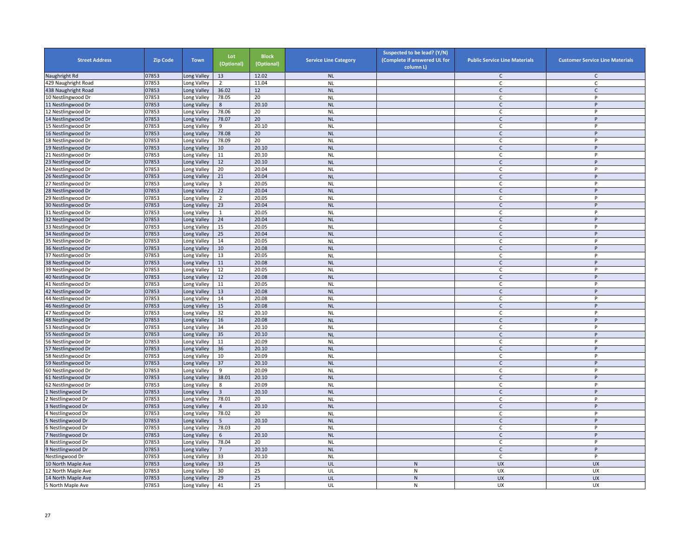| <b>Street Address</b> | <b>Zip Code</b> | <b>Town</b> | Lot<br>(Optional) | <b>Block</b><br>(Optional) | <b>Service Line Category</b> | Suspected to be lead? (Y/N)<br>(Complete if answered UL for<br>column L) | <b>Public Service Line Materials</b> | <b>Customer Service Line Materials</b> |
|-----------------------|-----------------|-------------|-------------------|----------------------------|------------------------------|--------------------------------------------------------------------------|--------------------------------------|----------------------------------------|
| Naughright Rd         | 07853           | Long Valley | 13                | 12.02                      | NL                           |                                                                          | $\mathsf{C}$                         | $\mathsf{C}$                           |
| 429 Naughright Road   | 07853           | Long Valley | 2                 | 11.04                      | <b>NL</b>                    |                                                                          | C                                    | $\mathsf C$                            |
| 438 Naughright Road   | 07853           | Long Valley | 36.02             | 12                         | <b>NL</b>                    |                                                                          | $\mathsf{C}$                         | $\mathsf{C}$                           |
| 10 Nestlingwood Dr    | 07853           | Long Valley | 78.05             | 20                         | <b>NL</b>                    |                                                                          | $\mathsf{C}$                         | P                                      |
| 11 Nestlingwood Dr    | 07853           | Long Valley | 8                 | 20.10                      | <b>NL</b>                    |                                                                          | C                                    | P                                      |
| 12 Nestlingwood Dr    | 07853           | Long Valley | 78.06             | 20                         | <b>NL</b>                    |                                                                          | $\mathsf{C}$                         | P                                      |
| 14 Nestlingwood Dr    | 07853           | Long Valley | 78.07             | 20                         | <b>NL</b>                    |                                                                          | $\mathsf{C}$                         | $\sf P$                                |
| 15 Nestlingwood Dr    | 07853           | Long Valley | 9                 | 20.10                      | <b>NL</b>                    |                                                                          | C                                    | P                                      |
| 16 Nestlingwood Dr    | 07853           | Long Valley | 78.08             | 20                         | <b>NL</b>                    |                                                                          | $\mathsf{C}$                         | P                                      |
| 18 Nestlingwood Dr    | 07853           | Long Valley | 78.09             | 20                         | <b>NL</b>                    |                                                                          | C                                    | P                                      |
| 19 Nestlingwood Dr    | 07853           | Long Valley | 10                | 20.10                      | <b>NL</b>                    |                                                                          | $\mathsf{C}$                         | $\sf P$                                |
| 21 Nestlingwood Dr    | 07853           | Long Valley | 11                | 20.10                      | <b>NL</b>                    |                                                                          | C                                    | P                                      |
| 23 Nestlingwood Dr    | 07853           | Long Valley | 12                | 20.10                      | <b>NL</b>                    |                                                                          | $\mathsf{C}$                         | P                                      |
| 24 Nestlingwood Dr    | 07853           | Long Valley | 20                | 20.04                      | <b>NL</b>                    |                                                                          | C                                    | P                                      |
| 26 Nestlingwood Dr    | 07853           | Long Valley | 21                | 20.04                      | <b>NL</b>                    |                                                                          | $\mathsf{C}$                         | P                                      |
| 27 Nestlingwood Dr    | 07853           | Long Valley | 3                 | 20.05                      | <b>NL</b>                    |                                                                          | C                                    | P                                      |
| 28 Nestlingwood Dr    | 07853           | Long Valley | 22                | 20.04                      | <b>NL</b>                    |                                                                          | $\mathsf{C}$                         | P                                      |
| 29 Nestlingwood Dr    | 07853           | Long Valley | $\overline{2}$    | 20.05                      | <b>NL</b>                    |                                                                          | C                                    | P                                      |
| 30 Nestlingwood Dr    | 07853           | Long Valley | 23                | 20.04                      | <b>NL</b>                    |                                                                          | $\mathsf{C}$                         | P                                      |
| 31 Nestlingwood Dr    | 07853           | Long Valley | $\mathbf{1}$      | 20.05                      | <b>NL</b>                    |                                                                          | C                                    | P                                      |
| 32 Nestlingwood Dr    | 07853           | Long Valley | 24                | 20.04                      | <b>NL</b>                    |                                                                          | $\mathsf{C}$                         | P                                      |
| 33 Nestlingwood Dr    | 07853           | Long Valley | 15                | 20.05                      | <b>NL</b>                    |                                                                          | $\mathsf{C}$                         | P                                      |
| 34 Nestlingwood Dr    | 07853           | Long Valley | 25                | 20.04                      | NL                           |                                                                          | $\mathsf{C}$                         | P                                      |
| 35 Nestlingwood Dr    | 07853           | Long Valley | 14                | 20.05                      | <b>NL</b>                    |                                                                          | $\mathsf{C}$                         | P                                      |
| 36 Nestlingwood Dr    | 07853           | Long Valley | 10                | 20.08                      | <b>NL</b>                    |                                                                          | $\mathsf{C}$                         | P                                      |
| 37 Nestlingwood Dr    | 07853           | Long Valley | 13                | 20.05                      | <b>NL</b>                    |                                                                          | C                                    | P                                      |
| 38 Nestlingwood Dr    | 07853           | Long Valley | 11                | 20.08                      | <b>NL</b>                    |                                                                          | $\mathsf{C}$                         | P                                      |
| 39 Nestlingwood Dr    | 07853           | Long Valley | 12                | 20.05                      | <b>NL</b>                    |                                                                          | C                                    | P                                      |
| 40 Nestlingwood Dr    | 07853           | Long Valley | 12                | 20.08                      | <b>NL</b>                    |                                                                          | $\mathsf{C}$                         | P                                      |
| 41 Nestlingwood Dr    | 07853           | Long Valley | 11                | 20.05                      | <b>NL</b>                    |                                                                          | $\mathsf{C}$                         | P                                      |
| 42 Nestlingwood Dr    | 07853           | Long Valley | 13                | 20.08                      | <b>NL</b>                    |                                                                          | $\mathsf{C}$                         | P                                      |
| 44 Nestlingwood Dr    | 07853           | Long Valley | 14                | 20.08                      | <b>NL</b>                    |                                                                          | $\mathsf{C}$                         | P                                      |
| 46 Nestlingwood Dr    | 07853           | Long Valley | 15                | 20.08                      | <b>NL</b>                    |                                                                          | $\mathsf{C}$                         | P                                      |
| 47 Nestlingwood Dr    | 07853           | Long Valley | 32                | 20.10                      | <b>NL</b>                    |                                                                          | $\mathsf{C}$                         | P                                      |
| 48 Nestlingwood Dr    | 07853           | Long Valley | 16                | 20.08                      | <b>NL</b>                    |                                                                          | $\mathsf{C}$                         | P                                      |
| 53 Nestlingwood Dr    | 07853           | Long Valley | 34                | 20.10                      | <b>NL</b>                    |                                                                          | $\mathsf{C}$                         | P                                      |
| 55 Nestlingwood Dr    | 07853           | Long Valley | 35                | 20.10                      | NL                           |                                                                          | $\mathsf{C}$                         | P                                      |
| 56 Nestlingwood Dr    | 07853           | Long Valley | 11                | 20.09                      | <b>NL</b>                    |                                                                          | C                                    | P                                      |
| 57 Nestlingwood Dr    | 07853           | Long Valley | 36                | 20.10                      | <b>NL</b>                    |                                                                          | $\mathsf{C}$                         | P                                      |
| 58 Nestlingwood Dr    | 07853           | Long Valley | 10                | 20.09                      | <b>NL</b>                    |                                                                          | C                                    | P                                      |
| 59 Nestlingwood Dr    | 07853           | Long Valley | 37                | 20.10                      | <b>NL</b>                    |                                                                          | $\mathsf{C}$                         | P                                      |
| 60 Nestlingwood Dr    | 07853           | Long Valley | 9                 | 20.09                      | <b>NL</b>                    |                                                                          | C                                    | P                                      |
| 61 Nestlingwood Dr    | 07853           | Long Valley | 38.01             | 20.10                      | <b>NL</b>                    |                                                                          | $\mathsf{C}$                         | P                                      |
| 62 Nestlingwood Dr    | 07853           | Long Valley | 8                 | 20.09                      | <b>NL</b>                    |                                                                          | C                                    | P                                      |
| Nestlingwood Dr       | 07853           | Long Valley | $\overline{3}$    | 20.10                      | <b>NL</b>                    |                                                                          | $\mathsf{C}$                         | P                                      |
| Nestlingwood Dr       | 07853           | Long Valley | 78.01             | 20                         | <b>NL</b>                    |                                                                          | C                                    | P                                      |
| Nestlingwood Dr       | 07853           | Long Valley | $\overline{4}$    | 20.10                      | <b>NL</b>                    |                                                                          | $\mathsf{C}$                         | $\sf P$                                |
| Nestlingwood Dr       | 07853           | Long Valley | 78.02             | 20                         | <b>NL</b>                    |                                                                          | C                                    | P                                      |
| Nestlingwood Dr       | 07853           | Long Valley | -5                | 20.10                      | <b>NL</b>                    |                                                                          | $\mathsf{C}$                         | P                                      |
| Nestlingwood Dr       | 07853           | Long Valley | 78.03             | 20                         | <b>NL</b>                    |                                                                          | C                                    | P                                      |
| Nestlingwood Dr       | 07853           | Long Valley | 6                 | 20.10                      | <b>NL</b>                    |                                                                          | $\mathsf{C}$                         | P                                      |
| Nestlingwood Dr       | 07853           | Long Valley | 78.04             | 20                         | <b>NL</b>                    |                                                                          | C                                    | P                                      |
| Nestlingwood Dr       | 07853           | Long Valley | $\overline{7}$    | 20.10                      | <b>NL</b>                    |                                                                          | $\mathsf{C}$                         | P                                      |
| Nestlingwood Dr       | 07853           | Long Valley | 33                | 20.10                      | <b>NL</b>                    |                                                                          | C                                    | P                                      |
| 10 North Maple Ave    | 07853           | Long Valley | 33                | 25                         | UL                           | $\mathsf{N}$                                                             | UX                                   | <b>UX</b>                              |
| 12 North Maple Ave    | 07853           | ong Valley. | 30                | 25                         | UL                           | ${\sf N}$                                                                | UX                                   | UX                                     |
| 14 North Maple Ave    | 07853           | Long Valley | 29                | 25                         | UL                           | ${\sf N}$                                                                | <b>UX</b>                            | <b>UX</b>                              |
| 5 North Maple Ave     | 07853           | Long Valley | 41                | 25                         | UL                           | ${\sf N}$                                                                | <b>UX</b>                            | UX                                     |
|                       |                 |             |                   |                            |                              |                                                                          |                                      |                                        |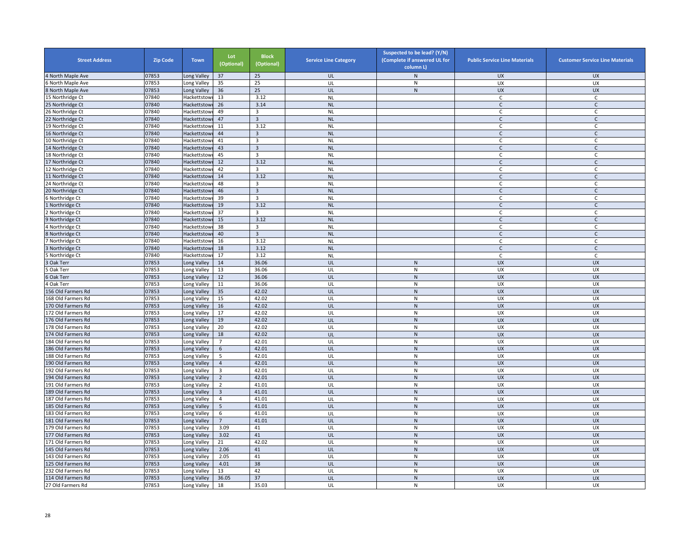| <b>Street Address</b> | <b>Zip Code</b> | <b>Town</b>  | Lot<br>(Optional) | <b>Block</b><br>(Optional) | <b>Service Line Category</b> | Suspected to be lead? (Y/N)<br>(Complete if answered UL for<br>column L) | <b>Public Service Line Materials</b> | <b>Customer Service Line Materials</b> |
|-----------------------|-----------------|--------------|-------------------|----------------------------|------------------------------|--------------------------------------------------------------------------|--------------------------------------|----------------------------------------|
| 4 North Maple Ave     | 07853           | Long Valley  | 37                | 25                         | UL                           | $\mathsf{N}$                                                             | <b>UX</b>                            | <b>UX</b>                              |
| North Maple Ave       | 07853           | Long Valley  | 35                | 25                         | UL                           | ${\sf N}$                                                                | UX                                   | UX                                     |
| 8 North Maple Ave     | 07853           | Long Valley  | 36                | 25                         | UL                           | ${\sf N}$                                                                | <b>UX</b>                            | <b>UX</b>                              |
| 15 Northridge Ct      | 07840           | Hackettstowi | 13                | 3.12                       | <b>NL</b>                    |                                                                          | C                                    | C                                      |
| 25 Northridge Ct      | 07840           | Hackettstowi | 26                | 3.14                       | <b>NL</b>                    |                                                                          | $\mathsf{C}$                         | C                                      |
| 26 Northridge Ct      | 07840           | Hackettstow  | 49                | $\overline{3}$             | <b>NL</b>                    |                                                                          | $\mathsf{C}$                         | $\mathsf{C}$                           |
| 22 Northridge Ct      | 07840           | Hackettstowi | 47                | $\overline{\mathbf{3}}$    | <b>NL</b>                    |                                                                          | $\mathsf{C}$                         | $\mathsf{C}$                           |
| 19 Northridge Ct      | 07840           | Hackettstow  | 11                | 3.12                       | <b>NL</b>                    |                                                                          | C                                    | $\mathsf{C}$                           |
| 16 Northridge Ct      | 07840           | Hackettstowi | 44                | $\overline{3}$             | <b>NL</b>                    |                                                                          | $\mathsf{C}$                         | $\mathsf{C}$                           |
| 10 Northridge Ct      | 07840           | Hackettstow  | 41                | $\overline{3}$             | <b>NL</b>                    |                                                                          | C                                    | C                                      |
| 14 Northridge Ct      | 07840           | Hackettstowi | 43                | $\overline{\mathbf{3}}$    | <b>NL</b>                    |                                                                          | $\mathsf{C}$                         | $\mathsf{C}$                           |
| 18 Northridge Ct      | 07840           | Hackettstowi | 45                | $\overline{\mathbf{3}}$    | <b>NL</b>                    |                                                                          | C                                    | $\mathsf{C}$                           |
| 17 Northridge Ct      | 07840           | Hackettstow  | 12                | 3.12                       | <b>NL</b>                    |                                                                          | $\mathsf{C}$                         | $\mathsf{C}$                           |
| 12 Northridge Ct      | 07840           | Hackettstowi | 42                | 3                          | <b>NL</b>                    |                                                                          | C                                    | C                                      |
| 11 Northridge Ct      | 07840           | Hackettstowi | 14                | 3.12                       | <b>NL</b>                    |                                                                          | $\mathsf{C}$                         | $\mathsf{C}$                           |
| 24 Northridge Ct      | 07840           | Hackettstowi | 48                | 3                          | <b>NL</b>                    |                                                                          | C                                    | C                                      |
| 20 Northridge Ct      | 07840           | Hackettstowi | 46                | $\overline{3}$             | <b>NL</b>                    |                                                                          | $\mathsf{C}$                         | $\mathsf{C}$                           |
| Northridge Ct         | 07840           | Hackettstowi | 39                | $\overline{3}$             | <b>NL</b>                    |                                                                          | $\mathsf{C}$                         | C                                      |
| Northridge Ct         | 07840           | Hackettstowi | 19                | 3.12                       | <b>NL</b>                    |                                                                          | $\mathsf{C}$                         | $\mathsf{C}$                           |
| Northridge Ct         | 07840           | Hackettstow  | 37                | 3                          | <b>NL</b>                    |                                                                          | C                                    | C                                      |
| Northridge Ct         | 07840           | Hackettstowi | 15                | 3.12                       | <b>NL</b>                    |                                                                          | $\mathsf{C}$                         | $\mathsf{C}$                           |
| Northridge Ct         | 07840           | Hackettstow  | 38                | 3                          | <b>NL</b>                    |                                                                          | $\mathsf{C}$                         | $\mathsf{C}$                           |
| Northridge Ct         | 07840           | Hackettstowi | 40                | $\overline{\mathbf{3}}$    | <b>NL</b>                    |                                                                          | $\mathsf{C}$                         | $\mathsf C$                            |
| Northridge Ct         | 07840           | Hackettstowi | 16                | 3.12                       | <b>NL</b>                    |                                                                          | $\mathsf{C}$                         | C                                      |
| Northridge Ct         | 07840           | Hackettstowi | 18                | 3.12                       | <b>NL</b>                    |                                                                          | $\mathsf{C}$                         | $\mathsf{C}$                           |
| Northridge Ct         | 07840           | Hackettstowi | 17                | 3.12                       | <b>NL</b>                    |                                                                          | C                                    | C                                      |
| Oak Terr              | 07853           | Long Valley  | 14                | 36.06                      | UL                           | N                                                                        | UX                                   | <b>UX</b>                              |
| Oak Terr              | 07853           | Long Valley  | 13                | 36.06                      | UL                           | ${\sf N}$                                                                | UX                                   | UX                                     |
| Oak Terr              | 07853           | Long Valley  | 12                | 36.06                      | UL                           | ${\sf N}$                                                                | <b>UX</b>                            | <b>UX</b>                              |
| Oak Terr              | 07853           | Long Valley  | 11                | 36.06                      | UL                           | N                                                                        | <b>UX</b>                            | <b>UX</b>                              |
| 156 Old Farmers Rd    | 07853           | Long Valley  | 35                | 42.02                      | UL                           | ${\sf N}$                                                                | <b>UX</b>                            | <b>UX</b>                              |
| 168 Old Farmers Rd    | 07853           | Long Valley  | 15                | 42.02                      | UL                           | N                                                                        | <b>UX</b>                            | UX                                     |
| 170 Old Farmers Rd    | 07853           | Long Valley  | 16                | 42.02                      | UL                           | ${\sf N}$                                                                | <b>UX</b>                            | <b>UX</b>                              |
| 172 Old Farmers Rd    | 07853           | Long Valley  | 17                | 42.02                      | UL                           | ${\sf N}$                                                                | UX                                   | UX                                     |
| 176 Old Farmers Rd    | 07853           | Long Valley  | 19                | 42.02                      | UL                           | N                                                                        | <b>UX</b>                            | <b>UX</b>                              |
| 178 Old Farmers Rd    | 07853           | Long Valley  | 20                | 42.02                      | UL                           | ${\sf N}$                                                                | UX                                   | UX                                     |
| 174 Old Farmers Rd    | 07853           | Long Valley  | 18                | 42.02                      | UL                           | ${\sf N}$                                                                | <b>UX</b>                            | <b>UX</b>                              |
| 184 Old Farmers Rd    | 07853           | Long Valley  | $\overline{7}$    | 42.01                      | UL                           | ${\sf N}$                                                                | UX                                   | UX                                     |
| 186 Old Farmers Rd    | 07853           | Long Valley  | 6                 | 42.01                      | UL                           | ${\sf N}$                                                                | <b>UX</b>                            | <b>UX</b>                              |
| 188 Old Farmers Rd    | 07853           | Long Valley  | 5                 | 42.01                      | UL                           | ${\sf N}$                                                                | UX                                   | <b>UX</b>                              |
| 190 Old Farmers Rd    | 07853           | Long Valley  | $\overline{4}$    | 42.01                      | UL                           | ${\sf N}$                                                                | <b>UX</b>                            | <b>UX</b>                              |
| 192 Old Farmers Rd    | 07853           | Long Valley  | 3                 | 42.01                      | UL                           | ${\sf N}$                                                                | UX                                   | UX                                     |
| 194 Old Farmers Rd    | 07853           | Long Valley  | $\mathbf 2$       | 42.01                      | UL                           | ${\sf N}$                                                                | UX                                   | <b>UX</b>                              |
| 191 Old Farmers Rd    | 07853           | Long Valley  | $\overline{2}$    | 41.01                      | UL                           | ${\sf N}$                                                                | UX                                   | UX                                     |
| 189 Old Farmers Rd    | 07853           | Long Valley  | 3                 | 41.01                      | UL                           | ${\sf N}$                                                                | <b>UX</b>                            | <b>UX</b>                              |
| 187 Old Farmers Rd    | 07853           | Long Valley  | $\overline{4}$    | 41.01                      | UL                           | N                                                                        | <b>UX</b>                            | UX                                     |
| 185 Old Farmers Rd    | 07853           | Long Valley  | 5                 | 41.01                      | UL                           | ${\sf N}$                                                                | <b>UX</b>                            | <b>UX</b>                              |
| 183 Old Farmers Rd    | 07853           | Long Valley  | 6                 | 41.01                      | UL                           | N                                                                        | UX                                   | UX                                     |
| 181 Old Farmers Rd    | 07853           | Long Valley  | $\overline{7}$    | 41.01                      | UL                           | ${\sf N}$                                                                | <b>UX</b>                            | <b>UX</b>                              |
| 179 Old Farmers Rd    | 07853           | Long Valley  | 3.09              | 41                         | UL                           | ${\sf N}$                                                                | UX                                   | UX                                     |
| 177 Old Farmers Rd    | 07853           | Long Valley  | 3.02              | 41                         | UL                           | ${\sf N}$                                                                | <b>UX</b>                            | <b>UX</b>                              |
| 171 Old Farmers Rd    | 07853           | Long Valley  | 21                | 42.02                      | UL                           | ${\sf N}$                                                                | UX                                   | UX                                     |
| 145 Old Farmers Rd    | 07853           | Long Valley  | 2.06              | 41                         | UL                           | ${\sf N}$                                                                | <b>UX</b>                            | <b>UX</b>                              |
| 143 Old Farmers Rd    | 07853           | Long Valley  | 2.05              | 41                         | UL                           | N                                                                        | UX                                   | <b>UX</b>                              |
| 125 Old Farmers Rd    | 07853           | Long Valley  | 4.01              | 38                         | UL                           | $\mathsf{N}$                                                             | UX                                   | <b>UX</b>                              |
| 232 Old Farmers Rd    | 07853           | ong Valley.  | 13                | 42                         | UL                           | ${\sf N}$                                                                | UX                                   | UX                                     |
| 114 Old Farmers Rd    | 07853           | Long Valley  | 36.05             | 37                         | UL                           | ${\sf N}$                                                                | <b>UX</b>                            | <b>UX</b>                              |
|                       | 07853           |              | 18                | 35.03                      | UL                           | ${\sf N}$                                                                | <b>UX</b>                            | UX                                     |
| 27 Old Farmers Rd     |                 | Long Valley  |                   |                            |                              |                                                                          |                                      |                                        |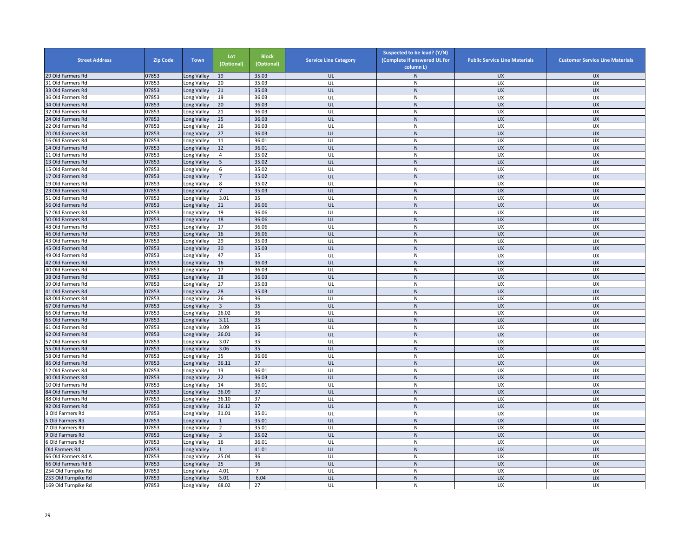| <b>Street Address</b> | <b>Zip Code</b> | <b>Town</b>                | Lot<br>(Optional) | <b>Block</b><br>(Optional) | <b>Service Line Category</b> | Suspected to be lead? (Y/N)<br>(Complete if answered UL for<br>column L) | <b>Public Service Line Materials</b> | <b>Customer Service Line Materials</b> |
|-----------------------|-----------------|----------------------------|-------------------|----------------------------|------------------------------|--------------------------------------------------------------------------|--------------------------------------|----------------------------------------|
| 29 Old Farmers Rd     | 07853           | Long Valley                | 19                | 35.03                      | UL                           | ${\sf N}$                                                                | <b>UX</b>                            | <b>UX</b>                              |
| 31 Old Farmers Rd     | 07853           | Long Valley                | 20                | 35.03                      | UL                           | ${\sf N}$                                                                | UX                                   | UX                                     |
| 33 Old Farmers Rd     | 07853           | Long Valley                | 21                | 35.03                      | UL                           | N                                                                        | <b>UX</b>                            | <b>UX</b>                              |
| 36 Old Farmers Rd     | 07853           | Long Valley                | 19                | 36.03                      | UL                           | N                                                                        | UX                                   | UX                                     |
| 34 Old Farmers Rd     | 07853           | Long Valley                | 20                | 36.03                      | UL                           | N                                                                        | <b>UX</b>                            | <b>UX</b>                              |
| 32 Old Farmers Rd     | 07853           | Long Valley                | 21                | 36.03                      | UL                           | N                                                                        | UX                                   | UX                                     |
| 24 Old Farmers Rd     | 07853           | Long Valley                | 25                | 36.03                      | UL                           | ${\sf N}$                                                                | <b>UX</b>                            | <b>UX</b>                              |
| 22 Old Farmers Rd     | 07853           | Long Valley                | 26                | 36.03                      | UL                           | ${\sf N}$                                                                | UX                                   | UX                                     |
| 20 Old Farmers Rd     | 07853           | Long Valley                | 27                | 36.03                      | UL                           | ${\sf N}$                                                                | <b>UX</b>                            | <b>UX</b>                              |
| 16 Old Farmers Rd     | 07853           | Long Valley                | 11                | 36.01                      | UL                           | ${\sf N}$                                                                | UX                                   | UX                                     |
| 14 Old Farmers Rd     | 07853           | Long Valley                | 12                | 36.01                      | UL                           | N                                                                        | <b>UX</b>                            | <b>UX</b>                              |
| 11 Old Farmers Rd     | 07853           | Long Valley                | 4                 | 35.02                      | UL                           | N                                                                        | UX                                   | UX                                     |
| 13 Old Farmers Rd     | 07853           | Long Valley                | 5                 | 35.02                      | UL                           | ${\sf N}$                                                                | UX                                   | UX                                     |
| 15 Old Farmers Rd     | 07853           | Long Valley                | 6                 | 35.02                      | UL                           | N                                                                        | UX                                   | UX                                     |
| 17 Old Farmers Rd     | 07853           | Long Valley                | $\overline{7}$    | 35.02                      | UL                           | ${\sf N}$                                                                | <b>UX</b>                            | <b>UX</b>                              |
| 19 Old Farmers Rd     | 07853           | Long Valley                | 8                 | 35.02                      | UL                           | $\mathsf{N}$                                                             | UX                                   | UX                                     |
| 23 Old Farmers Rd     | 07853           | Long Valley                | $7^{\circ}$       | 35.03                      | UL                           | ${\sf N}$                                                                | <b>UX</b>                            | <b>UX</b>                              |
| 51 Old Farmers Rd     | 07853           | Long Valley                | 3.01              | 35                         | UL                           | N                                                                        | <b>UX</b>                            | <b>UX</b>                              |
| 56 Old Farmers Rd     | 07853           | Long Valley                | 21                | 36.06                      | UL                           | N                                                                        | <b>UX</b>                            | <b>UX</b>                              |
| 52 Old Farmers Rd     | 07853           | Long Valley                | 19                | 36.06                      | UL                           | ${\sf N}$                                                                | UX                                   | UX                                     |
| 50 Old Farmers Rd     | 07853           | Long Valley                | 18                | 36.06                      | UL                           | ${\sf N}$                                                                | <b>UX</b>                            | <b>UX</b>                              |
| 48 Old Farmers Rd     | 07853           | Long Valley                | 17                | 36.06                      | UL                           | ${\sf N}$                                                                | UX                                   | UX                                     |
| 46 Old Farmers Rd     | 07853           | Long Valley                | 16                | 36.06                      | UL                           | ${\sf N}$                                                                | <b>UX</b>                            | <b>UX</b>                              |
| 43 Old Farmers Rd     | 07853           | Long Valley                | 29                | 35.03                      | UL                           | N                                                                        | UX                                   | UX                                     |
| 45 Old Farmers Rd     | 07853           | Long Valley                | 30                | 35.03                      | UL                           | ${\sf N}$                                                                | <b>UX</b>                            | <b>UX</b>                              |
| 49 Old Farmers Rd     | 07853           | Long Valley                | 47                | 35                         | UL                           | $\mathsf{N}$                                                             | UX                                   | UX                                     |
| 42 Old Farmers Rd     | 07853           | Long Valley                | 16                | 36.03                      | UL                           | ${\sf N}$                                                                | UX                                   | <b>UX</b>                              |
| 40 Old Farmers Rd     | 07853           | Long Valley                | 17                | 36.03                      | UL                           | ${\sf N}$                                                                | UX                                   | UX                                     |
| 38 Old Farmers Rd     | 07853           | Long Valley                | 18                | 36.03                      | UL                           | ${\sf N}$                                                                | UX                                   | <b>UX</b>                              |
| 39 Old Farmers Rd     | 07853           | Long Valley                | 27                | 35.03                      | UL                           | $\mathsf{N}$                                                             | UX                                   | <b>UX</b>                              |
| 41 Old Farmers Rd     | 07853           | Long Valley                | 28                | 35.03                      | UL                           | ${\sf N}$                                                                | <b>UX</b>                            | <b>UX</b>                              |
| 68 Old Farmers Rd     | 07853           | Long Valley                | 26                | 36                         | UL                           | N                                                                        | <b>UX</b>                            | UX                                     |
| 67 Old Farmers Rd     | 07853           | Long Valley                | 3                 | 35                         | UL                           | N                                                                        | <b>UX</b>                            | <b>UX</b>                              |
| 66 Old Farmers Rd     | 07853           | Long Valley                | 26.02             | 36                         | UL                           | ${\sf N}$                                                                | UX                                   | <b>UX</b>                              |
| 65 Old Farmers Rd     | 07853           | Long Valley                | 3.11              | 35                         | UL                           | ${\sf N}$                                                                | UX                                   | <b>UX</b>                              |
| 61 Old Farmers Rd     | 07853           | Long Valley                | 3.09              | 35                         | UL                           | ${\sf N}$                                                                | UX                                   | UX                                     |
| 62 Old Farmers Rd     | 07853           | Long Valley                | 26.01             | 36                         | UL                           | $\mathsf{N}$                                                             | UX                                   | <b>UX</b>                              |
| 57 Old Farmers Rd     | 07853           | Long Valley                | 3.07              | 35                         | UL                           | ${\sf N}$                                                                | UX                                   | UX                                     |
| 55 Old Farmers Rd     | 07853           | Long Valley                | 3.06              | 35                         | UL                           | N                                                                        | <b>UX</b>                            | <b>UX</b>                              |
| 58 Old Farmers Rd     | 07853           | Long Valley                | 35                | 36.06                      | UL                           | ${\sf N}$                                                                | UX                                   | UX                                     |
| 86 Old Farmers Rd     | 07853           | Long Valley                | 36.11             | 37                         | UL                           | ${\sf N}$                                                                | <b>UX</b>                            | <b>UX</b>                              |
| 12 Old Farmers Rd     | 07853           | Long Valley                | 13                | 36.01                      | UL                           | $\mathsf{N}$                                                             | UX                                   | <b>UX</b>                              |
| 30 Old Farmers Rd     | 07853           | Long Valley                | 22                | 36.03                      | UL                           | ${\sf N}$                                                                | UX                                   | <b>UX</b>                              |
| 10 Old Farmers Rd     | 07853           | Long Valley                | 14                | 36.01                      | UL                           | ${\sf N}$                                                                | UX                                   | UX                                     |
| 84 Old Farmers Rd     | 07853           | Long Valley                | 36.09             | 37                         | UL                           | N                                                                        | <b>UX</b>                            | <b>UX</b>                              |
| 88 Old Farmers Rd     | 07853           | Long Valley                | 36.10             | $\overline{37}$            | UL                           | N                                                                        | <b>UX</b>                            | <b>UX</b>                              |
| 92 Old Farmers Rd     | 07853           | Long Valley                | 36.12             | 37                         | UL                           | ${\sf N}$                                                                | <b>UX</b>                            | <b>UX</b>                              |
| Old Farmers Rd        | 07853           | Long Valley                | 31.01             | 35.01                      | UL                           | $\mathsf{N}$                                                             | UX                                   | UX                                     |
| Old Farmers Rd        | 07853           | Long Valley                | $\mathbf{1}$      | 35.01                      | UL                           | ${\sf N}$                                                                | UX                                   | <b>UX</b>                              |
| ' Old Farmers Rd      | 07853           | Long Valley                | $\overline{2}$    | 35.01                      | UL                           | ${\sf N}$                                                                | UX                                   | UX                                     |
| Old Farmers Rd        | 07853           | Long Valley                | $\overline{3}$    | 35.02                      | UL                           | N                                                                        | <b>UX</b>                            | <b>UX</b>                              |
| Old Farmers Rd        | 07853           |                            | 16                | 36.01                      | UL                           | ${\sf N}$                                                                | UX                                   | UX                                     |
| Old Farmers Rd        | 07853           | Long Valley<br>Long Valley | $\mathbf 1$       | 41.01                      | UL                           | N                                                                        | <b>UX</b>                            | <b>UX</b>                              |
|                       |                 |                            | 25.04             | 36                         | UL                           |                                                                          | UX                                   | UX                                     |
| 66 Old Farmers Rd A   | 07853           | Long Valley                |                   |                            | UL                           | N                                                                        |                                      |                                        |
| 66 Old Farmers Rd B   | 07853           | Long Valley                | 25                | 36                         |                              | ${\sf N}$                                                                | UX                                   | <b>UX</b>                              |
| 254 Old Turnpike Rd   | 07853           | Long Valley                | 4.01              | 7                          | UL                           | $\mathsf{N}$                                                             | UX                                   | UX                                     |
| 253 Old Turnpike Rd   | 07853           | Long Valley                | 5.01              | 6.04                       | UL                           | ${\sf N}$                                                                | <b>UX</b>                            | <b>UX</b>                              |
| 169 Old Turnpike Rd   | 07853           | Long Valley                | 68.02             | 27                         | UL                           | N                                                                        | UX                                   | UX                                     |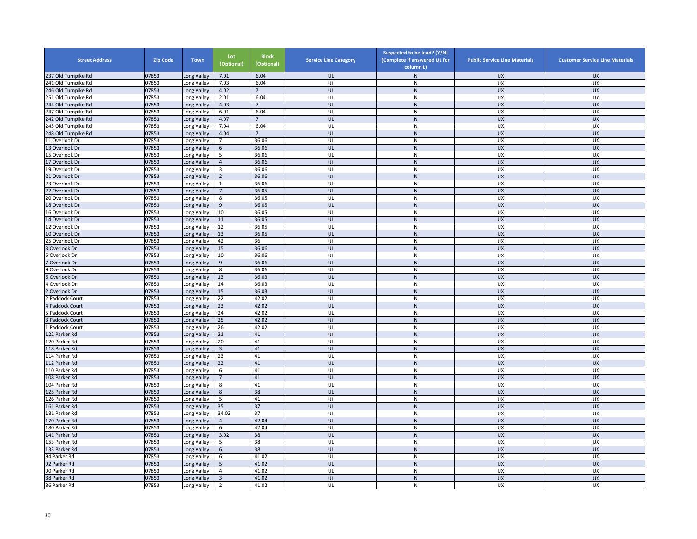| <b>Street Address</b> | <b>Zip Code</b> | <b>Town</b>                | Lot<br>(Optional) | <b>Block</b><br>(Optional) | <b>Service Line Category</b> | Suspected to be lead? (Y/N)<br>(Complete if answered UL for<br>column L) | <b>Public Service Line Materials</b> | <b>Customer Service Line Materials</b> |
|-----------------------|-----------------|----------------------------|-------------------|----------------------------|------------------------------|--------------------------------------------------------------------------|--------------------------------------|----------------------------------------|
| 237 Old Turnpike Rd   | 07853           | Long Valley                | 7.01              | 6.04                       | UL                           | $\mathsf{N}$                                                             | <b>UX</b>                            | <b>UX</b>                              |
| 241 Old Turnpike Rd   | 07853           | Long Valley                | 7.03              | 6.04                       | UL                           | ${\sf N}$                                                                | UX                                   | UX                                     |
| 246 Old Turnpike Rd   | 07853           | Long Valley                | 4.02              | $7\overline{ }$            | UL                           | ${\sf N}$                                                                | <b>UX</b>                            | <b>UX</b>                              |
| 251 Old Turnpike Rd   | 07853           | Long Valley                | 2.01              | 6.04                       | UL                           | N                                                                        | UX                                   | UX                                     |
| 244 Old Turnpike Rd   | 07853           | Long Valley                | 4.03              | $\overline{7}$             | UL                           | ${\sf N}$                                                                | <b>UX</b>                            | <b>UX</b>                              |
| 247 Old Turnpike Rd   | 07853           | Long Valley                | 6.01              | 6.04                       | UL                           | ${\sf N}$                                                                | UX                                   | UX                                     |
| 242 Old Turnpike Rd   | 07853           | Long Valley                | 4.07              | $\overline{7}$             | UL                           | ${\sf N}$                                                                | <b>UX</b>                            | <b>UX</b>                              |
| 245 Old Turnpike Rd   | 07853           | Long Valley                | 7.04              | 6.04                       | UL                           | ${\sf N}$                                                                | UX                                   | UX                                     |
| 248 Old Turnpike Rd   | 07853           | Long Valley                | 4.04              | $\overline{7}$             | UL                           | ${\sf N}$                                                                | <b>UX</b>                            | <b>UX</b>                              |
| 11 Overlook Dr        | 07853           | Long Valley                | $\overline{7}$    | 36.06                      | UL                           | ${\sf N}$                                                                | UX                                   | UX                                     |
| 13 Overlook Dr        | 07853           | Long Valley                | 6                 | 36.06                      | UL                           | ${\sf N}$                                                                | <b>UX</b>                            | <b>UX</b>                              |
| 15 Overlook Dr        | 07853           | Long Valley                | 5                 | 36.06                      | UL                           | ${\sf N}$                                                                | <b>UX</b>                            | <b>UX</b>                              |
| 17 Overlook Dr        | 07853           | Long Valley                | $\overline{4}$    | 36.06                      | UL                           | ${\sf N}$                                                                | UX                                   | <b>UX</b>                              |
| 19 Overlook Dr        | 07853           | ong Valley                 | 3                 | 36.06                      | UL                           | ${\sf N}$                                                                | UX                                   | UX                                     |
| 21 Overlook Dr        | 07853           | Long Valley                | $\overline{2}$    | 36.06                      | UL                           | ${\sf N}$                                                                | <b>UX</b>                            | <b>UX</b>                              |
| 23 Overlook Dr        | 07853           | Long Valley                | $\mathbf{1}$      | 36.06                      | UL                           | ${\sf N}$                                                                | UX                                   | UX                                     |
| 22 Overlook Dr        | 07853           | Long Valley                | $7\overline{ }$   | 36.05                      | UL                           | ${\sf N}$                                                                | <b>UX</b>                            | <b>UX</b>                              |
| 20 Overlook Dr        | 07853           | Long Valley                | 8                 | 36.05                      | UL                           | N                                                                        | <b>UX</b>                            | <b>UX</b>                              |
| 18 Overlook Dr        | 07853           | Long Valley                | 9                 | 36.05                      | UL                           | ${\sf N}$                                                                | <b>UX</b>                            | <b>UX</b>                              |
| 16 Overlook Dr        | 07853           | Long Valley                | 10                | 36.05                      | UL                           | ${\sf N}$                                                                | UX                                   | UX                                     |
| 14 Overlook Dr        | 07853           | Long Valley                | 11                | 36.05                      | UL                           | ${\sf N}$                                                                | <b>UX</b>                            | <b>UX</b>                              |
| 12 Overlook Dr        | 07853           | Long Valley                | 12                | 36.05                      | UL                           | ${\sf N}$                                                                | UX                                   | UX                                     |
| 10 Overlook Dr        | 07853           | Long Valley                | 13                | 36.05                      | UL                           | ${\sf N}$                                                                | <b>UX</b>                            | <b>UX</b>                              |
| 25 Overlook Dr        | 07853           | Long Valley                | 42                | 36                         | UL                           | N                                                                        | UX                                   | UX                                     |
| Overlook Dr           | 07853           | Long Valley                | 15                | 36.06                      | UL                           | ${\sf N}$                                                                | <b>UX</b>                            | <b>UX</b>                              |
| Overlook Dr           | 07853           | Long Valley                | 10                | 36.06                      | UL                           | ${\sf N}$                                                                | UX                                   | UX                                     |
| Overlook Dr           | 07853           | Long Valley                | 9                 | 36.06                      | UL                           | ${\sf N}$                                                                | UX                                   | <b>UX</b>                              |
| Overlook Dr           | 07853           |                            | 8                 | 36.06                      | UL                           | ${\sf N}$                                                                | UX                                   | UX                                     |
| Overlook Dr           | 07853           | Long Valley<br>Long Valley | 13                | 36.03                      | UL                           | ${\sf N}$                                                                | <b>UX</b>                            | <b>UX</b>                              |
| Overlook Dr           | 07853           | Long Valley                | 14                | 36.03                      | UL                           | N                                                                        | <b>UX</b>                            | UX                                     |
|                       | 07853           |                            | 15                | 36.03                      | UL                           | ${\sf N}$                                                                | <b>UX</b>                            | <b>UX</b>                              |
| Overlook Dr           | 07853           | Long Valley                | 22                | 42.02                      |                              | ${\sf N}$                                                                | <b>UX</b>                            |                                        |
| Paddock Court         | 07853           | Long Valley                | 23                | 42.02                      | UL<br>UL                     | ${\sf N}$                                                                | <b>UX</b>                            | UX<br><b>UX</b>                        |
| Paddock Court         | 07853           | Long Valley                |                   | 42.02                      | UL                           |                                                                          | UX                                   | UX                                     |
| Paddock Court         | 07853           | Long Valley                | 24<br>25          | 42.02                      | UL                           | ${\sf N}$<br>N                                                           | <b>UX</b>                            | <b>UX</b>                              |
| Paddock Court         |                 | Long Valley                |                   | 42.02                      |                              |                                                                          |                                      |                                        |
| Paddock Court         | 07853<br>07853  | Long Valley                | 26<br>21          | 41                         | UL                           | ${\sf N}$<br>${\sf N}$                                                   | UX                                   | UX                                     |
| 122 Parker Rd         |                 | Long Valley                |                   | 41                         | UL<br>UL                     |                                                                          | <b>UX</b><br>UX                      | <b>UX</b><br>UX                        |
| 120 Parker Rd         | 07853           | Long Valley                | 20                |                            |                              | ${\sf N}$                                                                |                                      |                                        |
| 118 Parker Rd         | 07853           | Long Valley                | $\overline{3}$    | 41                         | UL                           | ${\sf N}$                                                                | <b>UX</b>                            | <b>UX</b>                              |
| 114 Parker Rd         | 07853           | Long Valley                | 23                | 41<br>41                   | UL                           | ${\sf N}$                                                                | UX                                   | UX                                     |
| 112 Parker Rd         | 07853           | Long Valley                | 22                |                            | UL                           | ${\sf N}$                                                                | <b>UX</b>                            | <b>UX</b>                              |
| 110 Parker Rd         | 07853           | Long Valley                | 6                 | 41                         | UL                           | ${\sf N}$                                                                | UX                                   | UX                                     |
| 108 Parker Rd         | 07853           | Long Valley                | $\overline{7}$    | 41                         | UL                           | ${\sf N}$                                                                | UX                                   | <b>UX</b>                              |
| 104 Parker Rd         | 07853           | Long Valley                | 8                 | 41                         | UL                           | ${\sf N}$                                                                | UX                                   | UX                                     |
| 125 Parker Rd         | 07853           | Long Valley                | 8                 | 38                         | UL                           | ${\sf N}$                                                                | <b>UX</b>                            | <b>UX</b>                              |
| 126 Parker Rd         | 07853           | Long Valley                | 5                 | 41                         | UL                           | $\mathsf{N}$                                                             | <b>UX</b>                            | UX                                     |
| 161 Parker Rd         | 07853           | Long Valley                | 35                | 37                         | UL                           | ${\sf N}$                                                                | <b>UX</b>                            | <b>UX</b>                              |
| 181 Parker Rd         | 07853           | Long Valley                | 34.02             | 37                         | UL                           | N                                                                        | UX                                   | UX                                     |
| 170 Parker Rd         | 07853           | Long Valley                | $\overline{4}$    | 42.04                      | UL                           | ${\sf N}$                                                                | <b>UX</b>                            | <b>UX</b>                              |
| 180 Parker Rd         | 07853           | Long Valley                | 6                 | 42.04                      | UL                           | ${\sf N}$                                                                | UX                                   | UX                                     |
| 141 Parker Rd         | 07853           | Long Valley                | 3.02              | 38                         | UL                           | ${\sf N}$                                                                | <b>UX</b>                            | <b>UX</b>                              |
| 153 Parker Rd         | 07853           | Long Valley                | 5                 | 38                         | UL                           | ${\sf N}$                                                                | UX                                   | UX                                     |
| 133 Parker Rd         | 07853           | Long Valley                | 6                 | 38                         | UL                           | ${\sf N}$                                                                | <b>UX</b>                            | <b>UX</b>                              |
| 94 Parker Rd          | 07853           | Long Valley                | 6                 | 41.02                      | UL                           | ${\sf N}$                                                                | UX                                   | <b>UX</b>                              |
| 92 Parker Rd          | 07853           | Long Valley                | 5                 | 41.02                      | UL                           | ${\sf N}$                                                                | UX                                   | <b>UX</b>                              |
| 90 Parker Rd          | 07853           | ong Valley.                | $\overline{4}$    | 41.02                      | UL                           | ${\sf N}$                                                                | UX                                   | UX                                     |
| 88 Parker Rd          | 07853           | Long Valley                | $\overline{3}$    | 41.02                      | UL                           | ${\sf N}$                                                                | <b>UX</b>                            | <b>UX</b>                              |
| 86 Parker Rd          | 07853           | Long Valley                | $\overline{2}$    | 41.02                      | UL                           | ${\sf N}$                                                                | <b>UX</b>                            | UX                                     |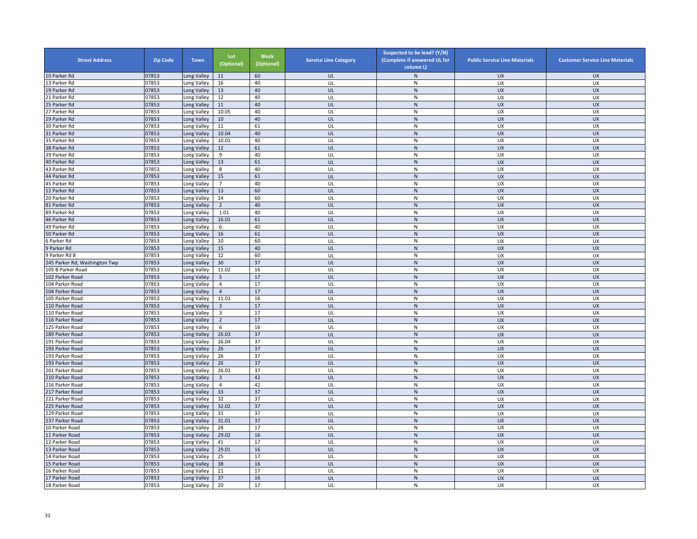| <b>Street Address</b>        | <b>Zip Code</b> | <b>Town</b> | Lot<br>(Optional)       | <b>Block</b><br>(Optional) | <b>Service Line Category</b> | Suspected to be lead? (Y/N)<br>(Complete if answered UL for<br>column L) | <b>Public Service Line Materials</b> | <b>Customer Service Line Materials</b> |
|------------------------------|-----------------|-------------|-------------------------|----------------------------|------------------------------|--------------------------------------------------------------------------|--------------------------------------|----------------------------------------|
| 10 Parker Rd                 | 07853           | Long Valley | 11                      | 60                         | UL                           | N                                                                        | <b>UX</b>                            | <b>UX</b>                              |
| 13 Parker Rd                 | 07853           | Long Valley | 16                      | 40                         | UL                           | ${\sf N}$                                                                | UX                                   | UX                                     |
| 19 Parker Rd                 | 07853           | Long Valley | 13                      | 40                         | UL                           | ${\sf N}$                                                                | <b>UX</b>                            | <b>UX</b>                              |
| 21 Parker Rd                 | 07853           | Long Valley | 12                      | 40                         | UL                           | ${\sf N}$                                                                | UX                                   | UX                                     |
| 25 Parker Rd                 | 07853           | Long Valley | 11                      | 40                         | UL                           | ${\sf N}$                                                                | <b>UX</b>                            | <b>UX</b>                              |
| 27 Parker Rd                 | 07853           | ong Valley  | 10.05                   | 40                         | UL                           | N                                                                        | UX                                   | UX                                     |
| 29 Parker Rd                 | 07853           | Long Valley | 10                      | 40                         | UL                           | ${\sf N}$                                                                | <b>UX</b>                            | <b>UX</b>                              |
| 30 Parker Rd                 | 07853           | Long Valley | $11\,$                  | 61                         | UL                           | ${\sf N}$                                                                | UX                                   | UX                                     |
| 31 Parker Rd                 | 07853           | Long Valley | 10.04                   | 40                         | UL                           | ${\sf N}$                                                                | <b>UX</b>                            | <b>UX</b>                              |
| 35 Parker Rd                 | 07853           | Long Valley | 10.01                   | 40                         | UL                           | ${\sf N}$                                                                | UX                                   | UX                                     |
| 38 Parker Rd                 | 07853           | Long Valley | 12                      | 61                         | UL                           | ${\sf N}$                                                                | <b>UX</b>                            | <b>UX</b>                              |
| 39 Parker Rd                 | 07853           | Long Valley | 9                       | 40                         | UL                           | ${\sf N}$                                                                | <b>UX</b>                            | <b>UX</b>                              |
| 40 Parker Rd                 | 07853           | ong Valley  | 13                      | 61                         | UL                           | $\mathsf{N}$                                                             | UX                                   | UX                                     |
| 43 Parker Rd                 | 07853           | ong Valley  | 8                       | 40                         | UL                           | ${\sf N}$                                                                | UX                                   | UX                                     |
| 44 Parker Rd                 | 07853           | Long Valley | 15                      | 61                         | UL                           | ${\sf N}$                                                                | <b>UX</b>                            | <b>UX</b>                              |
| 45 Parker Rd                 | 07853           | Long Valley | $\overline{7}$          | 40                         | UL                           | ${\sf N}$                                                                | UX                                   | UX                                     |
| 12 Parker Rd                 | 07853           | Long Valley | 13                      | 60                         | UL                           | ${\sf N}$                                                                | <b>UX</b>                            | <b>UX</b>                              |
| 20 Parker Rd                 | 07853           | Long Valley | 14                      | 60                         | UL                           | N                                                                        | <b>UX</b>                            | <b>UX</b>                              |
| 81 Parker Rd                 | 07853           | Long Valley | $\overline{2}$          | 40                         | UL                           | ${\sf N}$                                                                | <b>UX</b>                            | <b>UX</b>                              |
| 89 Parker Rd                 | 07853           | ong Valley  | 1.01                    | 40                         | UL                           | N                                                                        | UX                                   | UX                                     |
| 46 Parker Rd                 | 07853           | Long Valley | 16.01                   | 61                         | UL                           | ${\sf N}$                                                                | <b>UX</b>                            | <b>UX</b>                              |
| 49 Parker Rd                 | 07853           | Long Valley | 6                       | 40                         | UL                           | ${\sf N}$                                                                | UX                                   | UX                                     |
| 50 Parker Rd                 | 07853           | Long Valley | 16                      | 61                         | UL                           | ${\sf N}$                                                                | <b>UX</b>                            | <b>UX</b>                              |
| 6 Parker Rd                  | 07853           | Long Valley | 10                      | 60                         | UL                           | $\mathsf{N}$                                                             | UX                                   | UX                                     |
| 9 Parker Rd                  | 07853           | Long Valley | 15                      | 40                         | UL                           | ${\sf N}$                                                                | UX                                   | <b>UX</b>                              |
| 9 Parker Rd B                | 07853           | Long Valley | 12                      | 60                         | UL                           | ${\sf N}$                                                                | UX                                   | UX                                     |
| 45 Parker Rd, Washington Twp | 07853           | ong Valley  | 30                      | 37                         | UL                           | $\mathsf{N}$                                                             | <b>UX</b>                            | <b>UX</b>                              |
| 105 B Parker Road            | 07853           | Long Valley | 11.02                   | 16                         | UL                           | ${\sf N}$                                                                | UX                                   | UX                                     |
| 102 Parker Road              | 07853           | Long Valley | $\overline{5}$          | 17                         | UL                           | ${\sf N}$                                                                | <b>UX</b>                            | <b>UX</b>                              |
| 104 Parker Road              | 07853           | Long Valley | $\overline{4}$          | 17                         | UL                           | ${\sf N}$                                                                | <b>UX</b>                            | <b>UX</b>                              |
| 104 Parker Road              | 07853           | Long Valley | $\overline{4}$          | 17                         | UL                           | ${\sf N}$                                                                | <b>UX</b>                            | <b>UX</b>                              |
| 105 Parker Road              | 07853           | Long Valley | 11.01                   | 16                         | UL                           | ${\sf N}$                                                                | <b>UX</b>                            | UX                                     |
| 110 Parker Road              | 07853           | Long Valley | $\overline{3}$          | 17                         | UL                           | ${\sf N}$                                                                | <b>UX</b>                            | <b>UX</b>                              |
| 10 Parker Road               | 07853           | ong Valley  | $\overline{\mathbf{3}}$ | 17                         | UL                           | ${\sf N}$                                                                | <b>UX</b>                            | UX                                     |
| 16 Parker Road               | 07853           | Long Valley | $\overline{2}$          | 17                         | UL                           | $\mathsf{N}$                                                             | <b>UX</b>                            | <b>UX</b>                              |
| 125 Parker Road              | 07853           | Long Valley | 6                       | 16                         | UL                           | N                                                                        | UX                                   | UX                                     |
|                              | 07853           |             | 26.03                   | 37                         |                              | $\mathsf{N}$                                                             |                                      |                                        |
| 189 Parker Road              | 07853           | Long Valley | 26.04                   | 37                         | UL<br>UL                     | ${\sf N}$                                                                | <b>UX</b><br>UX                      | <b>UX</b><br>UX                        |
| 191 Parker Road              |                 | Long Valley |                         |                            |                              |                                                                          | <b>UX</b>                            |                                        |
| 193 Parker Road              | 07853           | Long Valley | 26                      | 37                         | UL                           | N                                                                        |                                      | <b>UX</b>                              |
| 193 Parker Road              | 07853           | Long Valley | 26                      | 37                         | UL                           | N                                                                        | UX                                   | UX                                     |
| 193 Parker Road              | 07853           | ong Valley  | 26                      | 37                         | UL                           | $\mathsf{N}$                                                             | <b>UX</b>                            | <b>UX</b>                              |
| 201 Parker Road              | 07853           | Long Valley | 26.01                   | 37                         | UL                           | ${\sf N}$                                                                | UX                                   | UX                                     |
| 210 Parker Road              | 07853           | Long Valley | $\overline{\mathbf{3}}$ | 42                         | UL                           | ${\sf N}$                                                                | <b>UX</b>                            | <b>UX</b>                              |
| 16 Parker Road               | 07853           | Long Valley | $\overline{4}$          | 42                         | UL                           | ${\sf N}$                                                                | UX                                   | UX                                     |
| 217 Parker Road              | 07853           | Long Valley | 33                      | 37                         | UL                           | ${\sf N}$                                                                | <b>UX</b>                            | <b>UX</b>                              |
| 221 Parker Road              | 07853           | Long Valley | 32                      | 37                         | UL                           | N                                                                        | <b>UX</b>                            | <b>UX</b>                              |
| 225 Parker Road              | 07853           | Long Valley | 32.02                   | 37                         | UL                           | ${\sf N}$                                                                | <b>UX</b>                            | <b>UX</b>                              |
| 229 Parker Road              | 07853           | ong Valley  | 31                      | 37                         | UL                           | N                                                                        | UX                                   | UX                                     |
| 237 Parker Road              | 07853           | Long Valley | 31.01                   | 37                         | UL                           | ${\sf N}$                                                                | <b>UX</b>                            | <b>UX</b>                              |
| 10 Parker Road               | 07853           | ong Valley  | 28                      | 17                         | UL                           | ${\sf N}$                                                                | UX                                   | UX                                     |
| 11 Parker Road               | 07853           | Long Valley | 29.02                   | 16                         | UL                           | ${\sf N}$                                                                | <b>UX</b>                            | <b>UX</b>                              |
| 12 Parker Road               | 07853           | Long Valley | 41                      | 17                         | UL                           | ${\sf N}$                                                                | UX                                   | UX                                     |
| 13 Parker Road               | 07853           | Long Valley | 29.01                   | 16                         | UL                           | ${\sf N}$                                                                | <b>UX</b>                            | <b>UX</b>                              |
| 14 Parker Road               | 07853           | Long Valley | 25                      | 17                         | UL                           | ${\sf N}$                                                                | UX                                   | <b>UX</b>                              |
| 15 Parker Road               | 07853           | ong Valley  | 38                      | 16                         | UL                           | $\mathsf{N}$                                                             | UX                                   | <b>UX</b>                              |
| 16 Parker Road               | 07853           | ong Valley. | 21                      | 17                         | UL                           | ${\sf N}$                                                                | UX                                   | UX                                     |
| 17 Parker Road               | 07853           | Long Valley | 37                      | 16                         | UL                           | ${\sf N}$                                                                | <b>UX</b>                            | <b>UX</b>                              |
| 18 Parker Road               | 07853           | Long Valley | 20                      | 17                         | UL                           | ${\sf N}$                                                                | <b>UX</b>                            | UX                                     |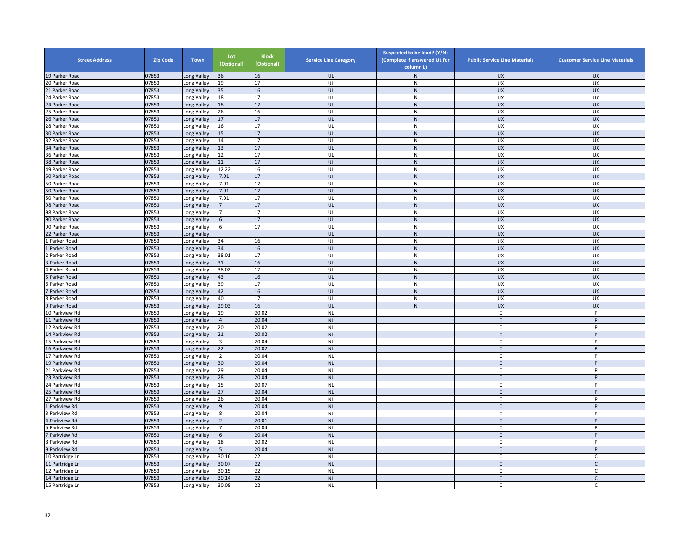| <b>Street Address</b> | <b>Zip Code</b> | <b>Town</b> | Lot<br>(Optional) | <b>Block</b><br>(Optional) | <b>Service Line Category</b> | Suspected to be lead? (Y/N)<br>(Complete if answered UL for<br>column L) | <b>Public Service Line Materials</b> | <b>Customer Service Line Materials</b> |
|-----------------------|-----------------|-------------|-------------------|----------------------------|------------------------------|--------------------------------------------------------------------------|--------------------------------------|----------------------------------------|
| 19 Parker Road        | 07853           | Long Valley | 36                | 16                         | UL                           | N                                                                        | <b>UX</b>                            | <b>UX</b>                              |
| 20 Parker Road        | 07853           | Long Valley | 19                | 17                         | UL                           | ${\sf N}$                                                                | UX                                   | UX                                     |
| 21 Parker Road        | 07853           | Long Valley | 35                | 16                         | UL                           | ${\sf N}$                                                                | <b>UX</b>                            | <b>UX</b>                              |
| 24 Parker Road        | 07853           | Long Valley | 18                | 17                         | UL                           | N                                                                        | <b>UX</b>                            | <b>UX</b>                              |
| 24 Parker Road        | 07853           | Long Valley | 18                | 17                         | UL                           | ${\sf N}$                                                                | <b>UX</b>                            | <b>UX</b>                              |
| 5 Parker Road         | 07853           | ong Valley  | 26                | 16                         | UL                           | N                                                                        | UX                                   | UX                                     |
| 26 Parker Road        | 07853           | Long Valley | 17                | 17                         | UL                           | ${\sf N}$                                                                | <b>UX</b>                            | <b>UX</b>                              |
| 28 Parker Road        | 07853           | Long Valley | 16                | 17                         | UL                           | ${\sf N}$                                                                | UX                                   | UX                                     |
| 30 Parker Road        | 07853           | Long Valley | 15                | 17                         | UL                           | ${\sf N}$                                                                | <b>UX</b>                            | UX                                     |
| 32 Parker Road        | 07853           | Long Valley | 14                | 17                         | UL                           | ${\sf N}$                                                                | UX                                   | UX                                     |
| 34 Parker Road        | 07853           | Long Valley | 13                | $17\,$                     | UL                           | ${\sf N}$                                                                | <b>UX</b>                            | <b>UX</b>                              |
| 36 Parker Road        | 07853           | Long Valley | 12                | 17                         | UL                           | ${\sf N}$                                                                | UX                                   | <b>UX</b>                              |
| 38 Parker Road        | 07853           | Long Valley | 11                | 17                         | UL                           | $\mathsf{N}$                                                             | <b>UX</b>                            | <b>UX</b>                              |
| 49 Parker Road        | 07853           | ong Valley  | 12.22             | 16                         | UL                           | ${\sf N}$                                                                | UX                                   | UX                                     |
| 50 Parker Road        | 07853           | Long Valley | 7.01              | $17\,$                     | UL                           | ${\sf N}$                                                                | <b>UX</b>                            | <b>UX</b>                              |
| 50 Parker Road        | 07853           | Long Valley | 7.01              | 17                         | UL                           | ${\sf N}$                                                                | UX                                   | UX                                     |
| 50 Parker Road        | 07853           | Long Valley | 7.01              | 17                         | UL                           | $\mathsf{N}$                                                             | UX                                   | <b>UX</b>                              |
| 50 Parker Road        | 07853           | Long Valley | 7.01              | 17                         | UL                           | ${\sf N}$                                                                | <b>UX</b>                            | UX                                     |
| 98 Parker Road        | 07853           | Long Valley | $\overline{7}$    | 17                         | UL                           | ${\sf N}$                                                                | <b>UX</b>                            | <b>UX</b>                              |
| 98 Parker Road        | 07853           | ong Valley  | $\overline{7}$    | 17                         | UL                           | ${\sf N}$                                                                | UX                                   | UX                                     |
| 90 Parker Road        | 07853           | Long Valley | 6                 | 17                         | UL                           | $\overline{N}$                                                           | <b>UX</b>                            | UX                                     |
| 90 Parker Road        | 07853           | ong Valley  | 6                 | 17                         | UL                           | N                                                                        | UX                                   | UX                                     |
| 2 Parker Road         | 07853           | Long Valley |                   |                            | UL                           | ${\sf N}$                                                                | <b>UX</b>                            | <b>UX</b>                              |
| Parker Road           | 07853           | Long Valley | 34                | 16                         | UL                           | ${\sf N}$                                                                | UX                                   | UX                                     |
| Parker Road           | 07853           | Long Valley | 34                | 16                         | UL                           | N                                                                        | <b>UX</b>                            | <b>UX</b>                              |
| Parker Road           | 07853           | Long Valley | 38.01             | 17                         | UL                           | N                                                                        | <b>UX</b>                            | UX                                     |
| Parker Road           | 07853           | Long Valley | 31                | 16                         | UL                           | $\mathsf{N}$                                                             | <b>UX</b>                            | <b>UX</b>                              |
| 4 Parker Road         | 07853           | Long Valley | 38.02             | 17                         | UL                           | ${\sf N}$                                                                | UX                                   | UX                                     |
| Parker Road           | 07853           | Long Valley | 43                | 16                         | UL                           | ${\sf N}$                                                                | <b>UX</b>                            | <b>UX</b>                              |
| Parker Road           | 07853           | Long Valley | 39                | 17                         | UL                           | ${\sf N}$                                                                | UX                                   | UX                                     |
| Parker Road           | 07853           | Long Valley | 42                | 16                         | UL                           | ${\sf N}$                                                                | <b>UX</b>                            | <b>UX</b>                              |
| 8 Parker Road         | 07853           | Long Valley | 40                | 17                         | UL                           | N                                                                        | <b>UX</b>                            | UX                                     |
| 9 Parker Road         | 07853           | Long Valley | 29.03             | 16                         | UL                           | ${\sf N}$                                                                | <b>UX</b>                            | <b>UX</b>                              |
| 10 Parkview Rd        | 07853           | Long Valley | 19                | 20.02                      | <b>NL</b>                    |                                                                          | $\mathsf{C}$                         | P                                      |
| 11 Parkview Rd        | 07853           | Long Valley | $\overline{4}$    | 20.04                      | <b>NL</b>                    |                                                                          | $\mathsf{C}$                         | P                                      |
| 12 Parkview Rd        | 07853           | ong Valley  | 20                | 20.02                      | <b>NL</b>                    |                                                                          | C                                    | P                                      |
| 14 Parkview Rd        | 07853           | Long Valley | 21                | 20.02                      | <b>NL</b>                    |                                                                          | C                                    | $\sf P$                                |
| 15 Parkview Rd        | 07853           | Long Valley | $\overline{3}$    | 20.04                      | <b>NL</b>                    |                                                                          | C                                    | P                                      |
| 16 Parkview Rd        | 07853           | Long Valley | 22                | 20.02                      | <b>NL</b>                    |                                                                          | $\mathsf{C}$                         | P                                      |
| 17 Parkview Rd        | 07853           | Long Valley | $\overline{2}$    | 20.04                      | <b>NL</b>                    |                                                                          | $\mathsf{C}$                         | P                                      |
| 19 Parkview Rd        | 07853           | ong Valley  | 30                | 20.04                      | <b>NL</b>                    |                                                                          | $\mathsf{C}$                         | P                                      |
| 21 Parkview Rd        | 07853           | Long Valley | 29                | 20.04                      | <b>NL</b>                    |                                                                          | C                                    | P                                      |
| 3 Parkview Rd         | 07853           | Long Valley | 28                | 20.04                      | <b>NL</b>                    |                                                                          | $\mathsf{C}$                         | P                                      |
| 4 Parkview Rd         | 07853           | ong Valley  | 15                | 20.07                      | <b>NL</b>                    |                                                                          | C                                    | P                                      |
| 25 Parkview Rd        | 07853           | Long Valley | 27                | 20.04                      | <b>NL</b>                    |                                                                          | $\mathsf{C}$                         | P                                      |
| 7 Parkview Rd         | 07853           | Long Valley | 26                | 20.04                      | <b>NL</b>                    |                                                                          | C                                    | P                                      |
| Parkview Rd           | 07853           | Long Valley | 9                 | 20.04                      | <b>NL</b>                    |                                                                          | $\mathsf{C}$                         | P                                      |
| Parkview Rd           | 07853           | Long Valley | 8                 | 20.04                      | <b>NL</b>                    |                                                                          | C                                    | P                                      |
| Parkview Rd           | 07853           | Long Valley | $\overline{2}$    | 20.01                      | <b>NL</b>                    |                                                                          | $\mathsf{C}$                         | P                                      |
| Parkview Rd           | 07853           | ong Valley  | $\overline{7}$    | 20.04                      | <b>NL</b>                    |                                                                          | C                                    | P                                      |
| Parkview Rd           | 07853           | Long Valley | 6                 | 20.04                      | <b>NL</b>                    |                                                                          | $\mathsf{C}$                         | P                                      |
| Parkview Rd           | 07853           | Long Valley | 18                | 20.02                      | <b>NL</b>                    |                                                                          | C                                    | P                                      |
| Parkview Rd           | 07853           | Long Valley | 5                 | 20.04                      | <b>NL</b>                    |                                                                          | $\mathsf{C}$                         | P                                      |
| 10 Partridge Ln       | 07853           | Long Valley | 30.16             | 22                         | <b>NL</b>                    |                                                                          | C                                    | C                                      |
| 11 Partridge Ln       | 07853           | Long Valley | 30.07             | 22                         | <b>NL</b>                    |                                                                          | $\mathsf{C}$                         | $\mathsf{C}$                           |
| 12 Partridge Ln       | 07853           | Long Valley | 30.15             | 22                         | <b>NL</b>                    |                                                                          | C                                    | C                                      |
| 14 Partridge Ln       | 07853           | ong Valley  | 30.14             | 22                         | <b>NL</b>                    |                                                                          | $\mathsf{C}$                         | $\mathsf{C}$                           |
| 15 Partridge Ln       | 07853           | Long Valley | 30.08             | 22                         | <b>NL</b>                    |                                                                          | C                                    | C                                      |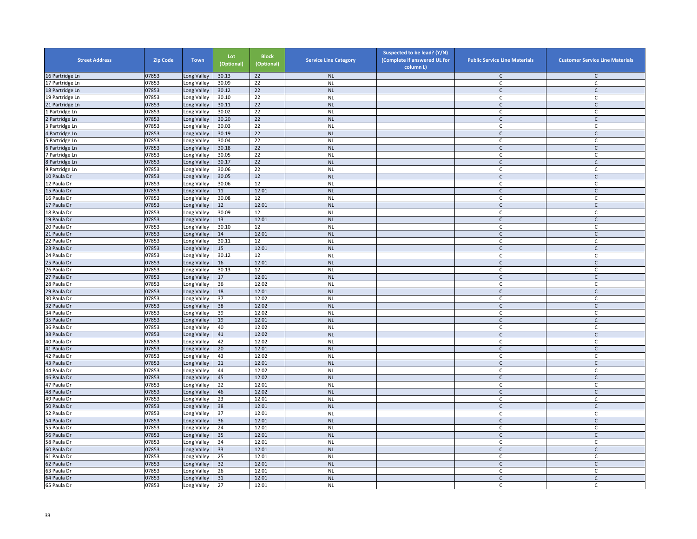| <b>Street Address</b>      | <b>Zip Code</b> | <b>Town</b>                | Lot<br>(Optional) | <b>Block</b><br>(Optional) | <b>Service Line Category</b> | Suspected to be lead? (Y/N)<br>(Complete if answered UL for<br>column L) | <b>Public Service Line Materials</b> | <b>Customer Service Line Materials</b> |
|----------------------------|-----------------|----------------------------|-------------------|----------------------------|------------------------------|--------------------------------------------------------------------------|--------------------------------------|----------------------------------------|
| 16 Partridge Ln            | 07853           | Long Valley                | 30.13             | 22                         | <b>NL</b>                    |                                                                          | C                                    | $\mathsf{C}$                           |
| 17 Partridge Ln            | 07853           | Long Valley                | 30.09             | 22                         | <b>NL</b>                    |                                                                          | C                                    | $\mathsf{C}$                           |
| 18 Partridge Ln            | 07853           | Long Valley                | 30.12             | 22                         | <b>NL</b>                    |                                                                          | $\mathsf{C}$                         | $\mathsf{C}$                           |
| 19 Partridge Ln            | 07853           | Long Valley                | 30.10             | $\overline{22}$            | <b>NL</b>                    |                                                                          | C                                    | $\mathsf{C}$                           |
| 21 Partridge Ln            | 07853           | Long Valley                | 30.11             | 22                         | N <sub>L</sub>               |                                                                          | $\mathsf{C}$                         | $\mathsf{C}$                           |
| Partridge Ln               | 07853           | Long Valley                | 30.02             | $\overline{22}$            | <b>NL</b>                    |                                                                          | C                                    | $\mathsf{C}$                           |
| Partridge Ln               | 07853           | Long Valley                | 30.20             | 22                         | <b>NL</b>                    |                                                                          | $\mathsf{C}$                         | $\mathsf{C}$                           |
| 3 Partridge Ln             | 07853           | Long Valley                | 30.03             | $\overline{22}$            | <b>NL</b>                    |                                                                          | C                                    | $\mathsf C$                            |
| <b>I</b> Partridge Ln      | 07853           | Long Valley                | 30.19             | $\overline{22}$            | <b>NL</b>                    |                                                                          | $\mathsf{C}$                         | $\mathsf C$                            |
| Partridge Ln               | 07853           | Long Valley                | 30.04             | 22                         | <b>NL</b>                    |                                                                          | C                                    | $\mathsf{C}$                           |
| Partridge Ln               | 07853           | Long Valley                | 30.18             | 22                         | <b>NL</b>                    |                                                                          | $\mathsf C$                          | $\mathsf{C}$                           |
| 7 Partridge Ln             | 07853           | Long Valley                | 30.05             | $\overline{22}$            | <b>NL</b>                    |                                                                          | C                                    | $\mathsf{C}$                           |
| 8 Partridge Ln             | 07853           | Long Valley                | 30.17             | 22                         | <b>NL</b>                    |                                                                          | $\mathsf{C}$                         | $\mathsf C$                            |
| Partridge Ln               | 07853           | Long Valley                | 30.06             | 22                         | <b>NL</b>                    |                                                                          | C                                    | C                                      |
| 10 Paula Dr                | 07853           | Long Valley                | 30.05             | 12                         | <b>NL</b>                    |                                                                          | $\mathsf{C}$                         | $\mathsf C$                            |
| 12 Paula Dr                | 07853           | Long Valley                | 30.06             | 12                         | <b>NL</b>                    |                                                                          | C.                                   | C                                      |
| 15 Paula Dr                | 07853           | Long Valley                | 11                | 12.01                      | <b>NL</b>                    |                                                                          | $\mathsf{C}$                         | $\mathsf{C}$                           |
| 16 Paula Dr                | 07853           | Long Valley                | 30.08             | 12                         | <b>NL</b>                    |                                                                          | $\mathsf{C}$                         | $\mathsf{C}$                           |
| 17 Paula Dr                | 07853           | Long Valley                | 12                | 12.01                      | <b>NL</b>                    |                                                                          | $\mathsf{C}$                         | $\mathsf{C}$                           |
| 18 Paula Dr                | 07853           | Long Valley                | 30.09             | 12                         | <b>NL</b>                    |                                                                          | $\mathsf{C}$                         | C                                      |
| 19 Paula Dr                | 07853           | Long Valley                | 13                | 12.01                      | <b>NL</b>                    |                                                                          | $\mathsf{C}$                         | $\mathsf{C}$                           |
| 20 Paula Dr                | 07853           | Long Valley                | 30.10             | 12                         | <b>NL</b>                    |                                                                          | $\mathsf{C}$                         | $\mathsf{C}$                           |
| 21 Paula Dr                | 07853           | Long Valley                | 14                | 12.01                      | <b>NL</b>                    |                                                                          | $\mathsf{C}$                         | $\mathsf C$                            |
| 22 Paula Dr                | 07853           | Long Valley                | 30.11             | 12                         | <b>NL</b>                    |                                                                          | C                                    | $\mathsf{C}$                           |
| 23 Paula Dr                | 07853           | Long Valley                | 15                | 12.01                      | <b>NL</b>                    |                                                                          | C                                    | C                                      |
| 24 Paula Dr                | 07853           |                            | 30.12             | 12                         | <b>NL</b>                    |                                                                          | $\mathsf{C}$                         | $\mathsf{C}$                           |
| 25 Paula Dr                | 07853           | Long Valley                | 16                | 12.01                      | <b>NL</b>                    |                                                                          | $\mathsf{C}$                         | $\mathsf{C}$                           |
|                            | 07853           | Long Valley<br>Long Valley | 30.13             | 12                         | <b>NL</b>                    |                                                                          |                                      |                                        |
| 26 Paula Dr<br>27 Paula Dr | 07853           | Long Valley                | 17                | 12.01                      | <b>NL</b>                    |                                                                          | C<br>$\mathsf{C}$                    | C<br>$\mathsf C$                       |
| 28 Paula Dr                | 07853           | Long Valley                | 36                | 12.02                      | <b>NL</b>                    |                                                                          | C                                    | C                                      |
|                            | 07853           |                            | 18                | 12.01                      | <b>NL</b>                    |                                                                          |                                      | $\mathsf{C}$                           |
| 29 Paula Dr                |                 | Long Valley                |                   |                            |                              |                                                                          | $\mathsf{C}$                         |                                        |
| 30 Paula Dr                | 07853           | Long Valley                | 37                | 12.02                      | <b>NL</b>                    |                                                                          | C                                    | $\mathsf{C}$                           |
| 32 Paula Dr                | 07853<br>07853  | Long Valley                | 38                | 12.02<br>12.02             | NL<br><b>NL</b>              |                                                                          | $\mathsf{C}$<br>C                    | $\mathsf{C}$                           |
| 34 Paula Dr                |                 | Long Valley                | 39                | 12.01                      |                              |                                                                          | $\mathsf{C}$                         | C                                      |
| 35 Paula Dr                | 07853           | Long Valley                | 19                |                            | <b>NL</b>                    |                                                                          |                                      | $\mathsf{C}$                           |
| 36 Paula Dr                | 07853           | Long Valley                | 40                | 12.02                      | <b>NL</b>                    |                                                                          | C                                    | $\mathsf{C}$                           |
| 38 Paula Dr                | 07853           | Long Valley                | 41                | 12.02                      | <b>NL</b>                    |                                                                          | $\mathsf{C}$                         | $\mathsf C$                            |
| 40 Paula Dr                | 07853           | Long Valley                | 42                | 12.02                      | <b>NL</b>                    |                                                                          | C                                    | $\mathsf{C}$                           |
| 41 Paula Dr                | 07853           | Long Valley                | 20                | 12.01                      | <b>NL</b>                    |                                                                          | $\mathsf C$                          | $\mathsf{C}$                           |
| 42 Paula Dr                | 07853           | Long Valley                | 43                | 12.02                      | <b>NL</b>                    |                                                                          | $\mathsf{C}$                         | $\mathsf C$                            |
| 43 Paula Dr                | 07853           | Long Valley                | 21                | 12.01                      | <b>NL</b>                    |                                                                          | $\mathsf{C}$                         | $\mathsf{C}$                           |
| 44 Paula Dr                | 07853           | Long Valley                | 44                | 12.02                      | <b>NL</b>                    |                                                                          | C                                    | C                                      |
| 46 Paula Dr                | 07853           | Long Valley                | 45                | 12.02                      | <b>NL</b>                    |                                                                          | $\mathsf{C}$                         | $\mathsf{C}$                           |
| 47 Paula Dr                | 07853           | Long Valley                | 22                | 12.01                      | <b>NL</b>                    |                                                                          | C                                    | C                                      |
| 48 Paula Dr                | 07853           | Long Valley                | 46                | 12.02                      | <b>NL</b>                    |                                                                          | $\mathsf{C}$                         | $\mathsf{C}$                           |
| 49 Paula Dr                | 07853           | Long Valley                | 23                | 12.01                      | <b>NL</b>                    |                                                                          | C                                    | C                                      |
| 50 Paula Dr                | 07853           | Long Valley                | 38                | 12.01                      | <b>NL</b>                    |                                                                          | $\mathsf{C}$                         | $\mathsf{C}$                           |
| 52 Paula Dr                | 07853           | Long Valley                | 37                | 12.01                      | <b>NL</b>                    |                                                                          | C                                    | $\mathsf{C}$                           |
| 54 Paula Dr                | 07853           | Long Valley                | 36                | 12.01                      | <b>NL</b>                    |                                                                          | $\mathsf{C}$                         | $\mathsf{C}$                           |
| 55 Paula Dr                | 07853           | Long Valley                | 24                | 12.01                      | <b>NL</b>                    |                                                                          | C                                    | C                                      |
| 56 Paula Dr                | 07853           | Long Valley                | 35                | 12.01                      | <b>NL</b>                    |                                                                          | $\mathsf{C}$                         | $\mathsf C$                            |
| 58 Paula Dr                | 07853           | Long Valley                | 34                | 12.01                      | <b>NL</b>                    |                                                                          | $\mathsf{C}$                         | $\mathsf{C}$                           |
| 60 Paula Dr                | 07853           | Long Valley                | 33                | 12.01                      | <b>NL</b>                    |                                                                          | $\mathsf{C}$                         | $\mathsf C$                            |
| 61 Paula Dr                | 07853           | Long Valley                | 25                | 12.01                      | <b>NL</b>                    |                                                                          | C                                    | C                                      |
| 62 Paula Dr                | 07853           | Long Valley                | 32                | 12.01                      | <b>NL</b>                    |                                                                          | $\mathsf{C}$                         | $\mathsf{C}$                           |
| 63 Paula Dr                | 07853           | Long Valley                | 26                | 12.01                      | <b>NL</b>                    |                                                                          | C                                    | C                                      |
| 64 Paula Dr                | 07853           | Long Valley                | 31                | 12.01                      | <b>NL</b>                    |                                                                          | $\mathsf{C}$                         | $\mathsf{C}$                           |
| 65 Paula Dr                | 07853           | Long Valley                | 27                | 12.01                      | <b>NL</b>                    |                                                                          | C                                    | C                                      |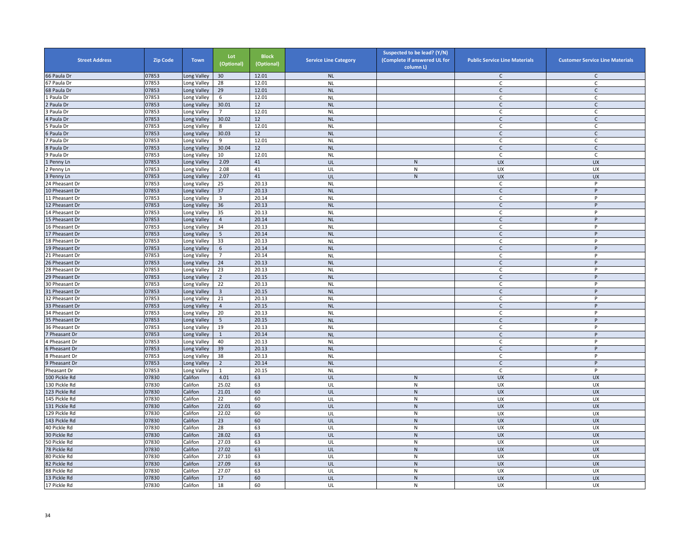| <b>Street Address</b> | <b>Zip Code</b> | <b>Town</b> | Lot<br>(Optional) | <b>Block</b><br>(Optional) | <b>Service Line Category</b> | Suspected to be lead? (Y/N)<br>(Complete if answered UL for<br>column L) | <b>Public Service Line Materials</b> | <b>Customer Service Line Materials</b> |
|-----------------------|-----------------|-------------|-------------------|----------------------------|------------------------------|--------------------------------------------------------------------------|--------------------------------------|----------------------------------------|
| 66 Paula Dr           | 07853           | Long Valley | 30                | 12.01                      | <b>NL</b>                    |                                                                          | $\mathsf{C}$                         | $\mathsf{C}$                           |
| 67 Paula Dr           | 07853           | Long Valley | 28                | 12.01                      | <b>NL</b>                    |                                                                          | C                                    | $\mathsf{C}$                           |
| 68 Paula Dr           | 07853           | Long Valley | 29                | 12.01                      | <b>NL</b>                    |                                                                          | $\mathsf{C}$                         | $\mathsf{C}$                           |
| L Paula Dr            | 07853           | Long Valley | 6                 | 12.01                      | <b>NL</b>                    |                                                                          | $\mathsf{C}$                         | C                                      |
| Paula Dr              | 07853           | Long Valley | 30.01             | 12                         | <b>NL</b>                    |                                                                          | $\mathsf{C}$                         | $\mathsf{C}$                           |
| Paula Dr              | 07853           | Long Valley | $\overline{7}$    | 12.01                      | <b>NL</b>                    |                                                                          | C                                    | $\mathsf{C}$                           |
| <b>Paula Dr</b>       | 07853           | Long Valley | 30.02             | 12                         | <b>NL</b>                    |                                                                          | $\mathsf{C}$                         | $\mathsf C$                            |
| Paula Dr              | 07853           | Long Valley | 8                 | 12.01                      | <b>NL</b>                    |                                                                          | C                                    | $\mathsf C$                            |
| Paula Dr              | 07853           | Long Valley | 30.03             | 12                         | <b>NL</b>                    |                                                                          | $\mathsf{C}$                         | $\mathsf{C}$                           |
| ' Paula Dr            | 07853           | Long Valley | 9                 | 12.01                      | <b>NL</b>                    |                                                                          | $\mathsf{C}$                         | $\mathsf{C}$                           |
| Paula Dr              | 07853           | Long Valley | 30.04             | 12                         | <b>NL</b>                    |                                                                          | $\mathsf C$                          | $\mathsf{C}$                           |
| Paula Dr              | 07853           | Long Valley | 10                | 12.01                      | <b>NL</b>                    |                                                                          | C                                    | C                                      |
| Penny Ln              | 07853           | Long Valley | 2.09              | 41                         | UL                           | $\mathsf{N}$                                                             | UX                                   | <b>UX</b>                              |
| Penny Ln              | 07853           | Long Valley | 2.08              | 41                         | UL                           | ${\sf N}$                                                                | UX                                   | UX                                     |
| Penny Ln              | 07853           | Long Valley | 2.07              | 41                         | UL                           | ${\sf N}$                                                                | <b>UX</b>                            | <b>UX</b>                              |
| 4 Pheasant Dr         | 07853           | Long Valley | 25                | 20.13                      | <b>NL</b>                    |                                                                          | C                                    | $\sf P$                                |
| 10 Pheasant Dr        | 07853           | Long Valley | 37                | 20.13                      | <b>NL</b>                    |                                                                          | $\mathsf{C}$                         | P                                      |
| 11 Pheasant Dr        | 07853           | Long Valley | $\overline{3}$    | 20.14                      | <b>NL</b>                    |                                                                          | C                                    | P                                      |
| 12 Pheasant Dr        | 07853           | Long Valley | 36                | 20.13                      | <b>NL</b>                    |                                                                          | $\mathsf{C}$                         | P                                      |
| 14 Pheasant Dr        | 07853           | Long Valley | 35                | 20.13                      | <b>NL</b>                    |                                                                          | C                                    | P                                      |
| <b>15 Pheasant Dr</b> | 07853           | Long Valley | $\overline{4}$    | 20.14                      | <b>NL</b>                    |                                                                          | $\mathsf{C}$                         | P                                      |
| 16 Pheasant Dr        | 07853           | Long Valley | 34                | 20.13                      | <b>NL</b>                    |                                                                          | $\mathsf{C}$                         | P                                      |
| 17 Pheasant Dr        | 07853           | Long Valley | $5\phantom{.0}$   | 20.14                      | <b>NL</b>                    |                                                                          | $\mathsf{C}$                         | P                                      |
| 18 Pheasant Dr        | 07853           | Long Valley | 33                | 20.13                      | <b>NL</b>                    |                                                                          | $\mathsf{C}$                         | P                                      |
| 19 Pheasant Dr        | 07853           | Long Valley | $6\overline{6}$   | 20.14                      | <b>NL</b>                    |                                                                          | $\mathsf{C}$                         | P                                      |
| 21 Pheasant Dr        | 07853           | Long Valley | 7                 | 20.14                      | <b>NL</b>                    |                                                                          | C                                    | P                                      |
| 26 Pheasant Dr        | 07853           | Long Valley | 24                | 20.13                      | <b>NL</b>                    |                                                                          | $\mathsf{C}$                         | P                                      |
| 28 Pheasant Dr        | 07853           | Long Valley | 23                | 20.13                      | <b>NL</b>                    |                                                                          | C                                    | $\sf P$                                |
| 29 Pheasant Dr        | 07853           | Long Valley | $\overline{2}$    | 20.15                      | <b>NL</b>                    |                                                                          | $\mathsf{C}$                         | P                                      |
| 30 Pheasant Dr        | 07853           | Long Valley | 22                | 20.13                      | <b>NL</b>                    |                                                                          | $\mathsf{C}$                         | P                                      |
| 31 Pheasant Dr        | 07853           | Long Valley | $\overline{3}$    | 20.15                      | <b>NL</b>                    |                                                                          | $\mathsf{C}$                         | P                                      |
| 32 Pheasant Dr        | 07853           | Long Valley | 21                | 20.13                      | <b>NL</b>                    |                                                                          | $\mathsf C$                          | P                                      |
| 33 Pheasant Dr        | 07853           | Long Valley | $\overline{4}$    | 20.15                      | <b>NL</b>                    |                                                                          | $\mathsf{C}$                         | P                                      |
| 34 Pheasant Dr        | 07853           | Long Valley | 20                | 20.13                      | <b>NL</b>                    |                                                                          | $\mathsf{C}$                         | P                                      |
| 5 Pheasant Dr         | 07853           | Long Valley | 5                 | 20.15                      | <b>NL</b>                    |                                                                          | C                                    | P                                      |
| 36 Pheasant Dr        | 07853           | Long Valley | 19                | 20.13                      | <b>NL</b>                    |                                                                          | C                                    | P                                      |
| Pheasant Dr           | 07853           | Long Valley | $\mathbf{1}$      | 20.14                      | <b>NL</b>                    |                                                                          | $\mathsf{C}$                         | $\sf P$                                |
| 4 Pheasant Dr         | 07853           | Long Valley | 40                | 20.13                      | <b>NL</b>                    |                                                                          | C                                    | P                                      |
| Pheasant Dr           | 07853           | Long Valley | 39                | 20.13                      | <b>NL</b>                    |                                                                          | $\mathsf{C}$                         | P                                      |
| 8 Pheasant Dr         | 07853           | Long Valley | 38                | 20.13                      | <b>NL</b>                    |                                                                          | C                                    | P                                      |
| 9 Pheasant Dr         | 07853           | Long Valley | $\overline{2}$    | 20.14                      | <b>NL</b>                    |                                                                          | $\mathsf{C}$                         | P                                      |
| Pheasant Dr           | 07853           | Long Valley | $\mathbf{1}$      | 20.15                      | <b>NL</b>                    |                                                                          | C                                    | P                                      |
| 100 Pickle Rd         | 07830           | Califon     | 4.01              | 63                         | UL                           | ${\sf N}$                                                                | UX                                   | <b>UX</b>                              |
| 130 Pickle Rd         | 07830           | Califon     | 25.02             | 63                         | UL                           | ${\sf N}$                                                                | UX                                   | UX                                     |
| 123 Pickle Rd         | 07830           | Califon     | 21.01             | 60                         | UL                           | $\mathsf{N}$                                                             | <b>UX</b>                            | <b>UX</b>                              |
| 145 Pickle Rd         | 07830           | Califon     | $\overline{22}$   | 60                         | UL                           | N                                                                        | <b>UX</b>                            | <b>UX</b>                              |
| 131 Pickle Rd         | 07830           | Califon     | 22.01             | 60                         | UL                           | ${\sf N}$                                                                | <b>UX</b>                            | <b>UX</b>                              |
| 129 Pickle Rd         | 07830           | Califon     | 22.02             | 60                         | UL                           | ${\sf N}$                                                                | UX                                   | UX                                     |
| 143 Pickle Rd         | 07830           | Califon     | 23                | 60                         | UL                           | ${\sf N}$                                                                | <b>UX</b>                            | <b>UX</b>                              |
| 40 Pickle Rd          | 07830           | Califon     | 28                | 63                         | UL                           | ${\sf N}$                                                                | UX                                   | UX                                     |
| 30 Pickle Rd          | 07830           | Califon     | 28.02             | 63                         | UL                           | $\mathsf{N}$                                                             | <b>UX</b>                            | <b>UX</b>                              |
| 50 Pickle Rd          | 07830           | Califon     | 27.03             | 63                         | UL                           | ${\sf N}$                                                                | UX                                   | UX                                     |
| 78 Pickle Rd          | 07830           | Califon     | 27.02             | 63                         | UL                           | ${\sf N}$                                                                | <b>UX</b>                            | <b>UX</b>                              |
| 80 Pickle Rd          | 07830           | Califon     | 27.10             | 63                         | UL                           | ${\sf N}$                                                                | UX                                   | UX                                     |
| 82 Pickle Rd          | 07830           | Califon     | 27.09             | 63                         | UL                           | ${\sf N}$                                                                | UX                                   | <b>UX</b>                              |
| 88 Pickle Rd          | 07830           | Califon     | 27.07             | 63                         | UL                           | ${\sf N}$                                                                | UX                                   | UX                                     |
| 13 Pickle Rd          | 07830           | Califon     | 17                | 60                         | UL                           | ${\sf N}$                                                                | <b>UX</b>                            | <b>UX</b>                              |
| 17 Pickle Rd          | 07830           | Califon     | 18                | 60                         | UL                           | ${\sf N}$                                                                | <b>UX</b>                            | UX                                     |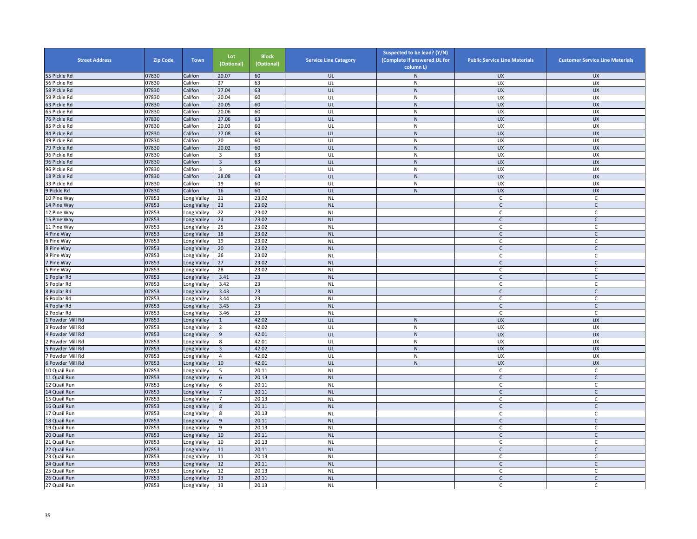| <b>Street Address</b> | <b>Zip Code</b> | <b>Town</b> | Lot<br>(Optional)       | <b>Block</b><br>(Optional) | <b>Service Line Category</b> | Suspected to be lead? (Y/N)<br>(Complete if answered UL for<br>column L) | <b>Public Service Line Materials</b> | <b>Customer Service Line Materials</b> |
|-----------------------|-----------------|-------------|-------------------------|----------------------------|------------------------------|--------------------------------------------------------------------------|--------------------------------------|----------------------------------------|
| 55 Pickle Rd          | 07830           | Califon     | 20.07                   | 60                         | UL                           | $\mathsf{N}$                                                             | <b>UX</b>                            | <b>UX</b>                              |
| 56 Pickle Rd          | 07830           | Califon     | 27                      | 63                         | UL                           | ${\sf N}$                                                                | UX                                   | UX                                     |
| 58 Pickle Rd          | 07830           | Califon     | 27.04                   | 63                         | UL                           | ${\sf N}$                                                                | <b>UX</b>                            | <b>UX</b>                              |
| 59 Pickle Rd          | 07830           | Califon     | 20.04                   | 60                         | UL                           | $\mathsf{N}$                                                             | <b>UX</b>                            | UX                                     |
| 63 Pickle Rd          | 07830           | Califon     | 20.05                   | 60                         | UL                           | ${\sf N}$                                                                | UX                                   | UX                                     |
| 65 Pickle Rd          | 07830           | Califon     | 20.06                   | 60                         | UL                           | ${\sf N}$                                                                | UX                                   | UX                                     |
| 76 Pickle Rd          | 07830           | Califon     | 27.06                   | 63                         | UL                           | ${\sf N}$                                                                | <b>UX</b>                            | <b>UX</b>                              |
| 85 Pickle Rd          | 07830           | Califon     | 20.03                   | 60                         | UL                           | ${\sf N}$                                                                | UX                                   | UX                                     |
| 84 Pickle Rd          | 07830           | Califon     | 27.08                   | 63                         | UL                           | ${\sf N}$                                                                | <b>UX</b>                            | UX                                     |
| 49 Pickle Rd          | 07830           | Califon     | 20                      | 60                         | UL                           | ${\sf N}$                                                                | UX                                   | UX                                     |
| 79 Pickle Rd          | 07830           | Califon     | 20.02                   | 60                         | UL                           | ${\sf N}$                                                                | <b>UX</b>                            | <b>UX</b>                              |
| 96 Pickle Rd          | 07830           | Califon     | $\overline{\mathbf{3}}$ | 63                         | UL                           | ${\sf N}$                                                                | UX                                   | <b>UX</b>                              |
| 96 Pickle Rd          | 07830           | Califon     | $\overline{\mathbf{3}}$ | 63                         | UL                           | ${\sf N}$                                                                | <b>UX</b>                            | <b>UX</b>                              |
| 96 Pickle Rd          | 07830           | Califon     | $\overline{3}$          | 63                         | UL                           | ${\sf N}$                                                                | UX                                   | UX                                     |
| 18 Pickle Rd          | 07830           | Califon     | 28.08                   | 63                         | UL                           | ${\sf N}$                                                                | UX                                   | <b>UX</b>                              |
| 33 Pickle Rd          | 07830           | Califon     | 19                      | 60                         | UL                           | $\mathsf{N}$                                                             | UX                                   | UX                                     |
| 9 Pickle Rd           | 07830           | Califon     | 16                      | 60                         | UL                           | ${\sf N}$                                                                | UX                                   | <b>UX</b>                              |
| 10 Pine Way           | 07853           | Long Valley | 21                      | 23.02                      | <b>NL</b>                    |                                                                          | $\mathsf C$                          | $\mathsf{C}$                           |
| 14 Pine Way           | 07853           | Long Valley | 23                      | 23.02                      | <b>NL</b>                    |                                                                          | $\mathsf{C}$                         | $\mathsf{C}$                           |
| 12 Pine Way           | 07853           | Long Valley | 22                      | 23.02                      | <b>NL</b>                    |                                                                          | $\mathsf C$                          | C                                      |
| 15 Pine Way           | 07853           | Long Valley | 24                      | 23.02                      | <b>NL</b>                    |                                                                          | $\mathsf{C}$                         | $\mathsf{C}$                           |
| 11 Pine Way           | 07853           | Long Valley | 25                      | 23.02                      | <b>NL</b>                    |                                                                          | $\mathsf C$                          | $\mathsf{C}$                           |
| 4 Pine Way            | 07853           | Long Valley | 18                      | 23.02                      | NL                           |                                                                          | $\mathsf{C}$                         | $\mathsf{C}$                           |
| 6 Pine Way            | 07853           | Long Valley | 19                      | 23.02                      | <b>NL</b>                    |                                                                          | $\mathsf C$                          | $\mathsf{C}$                           |
| <b>Pine Way</b>       | 07853           | Long Valley | 20                      | 23.02                      | <b>NL</b>                    |                                                                          | $\mathsf{C}$                         | C                                      |
| 9 Pine Way            | 07853           | Long Valley | 26                      | 23.02                      | <b>NL</b>                    |                                                                          | C                                    | $\mathsf{C}$                           |
| Pine Way              | 07853           | Long Valley | 27                      | 23.02                      | <b>NL</b>                    |                                                                          | $\mathsf{C}$                         | $\mathsf{C}$                           |
| S Pine Way            | 07853           | Long Valley | 28                      | 23.02                      | <b>NL</b>                    |                                                                          | C                                    | C                                      |
| Poplar Rd             | 07853           | Long Valley | 3.41                    | 23                         | <b>NL</b>                    |                                                                          | $\mathsf{C}$                         | $\mathsf{C}$                           |
| Poplar Rd             | 07853           | Long Valley | 3.42                    | 23                         | <b>NL</b>                    |                                                                          | C                                    | C                                      |
| Poplar Rd             | 07853           | Long Valley | 3.43                    | 23                         | <b>NL</b>                    |                                                                          | $\mathsf{C}$                         | $\mathsf{C}$                           |
| Poplar Rd             | 07853           | Long Valley | 3.44                    | 23                         | <b>NL</b>                    |                                                                          | $\mathsf{C}$                         | $\mathsf{C}$                           |
| 4 Poplar Rd           | 07853           | Long Valley | 3.45                    | 23                         | <b>NL</b>                    |                                                                          | $\mathsf{C}$                         | $\mathsf{C}$                           |
| Poplar Rd             | 07853           | Long Valley | 3.46                    | 23                         | <b>NL</b>                    |                                                                          | C                                    | C                                      |
| Powder Mill Rd        | 07853           | Long Valley | $\mathbf{1}$            | 42.02                      | UL                           | N                                                                        | <b>UX</b>                            | <b>UX</b>                              |
| Powder Mill Rd        | 07853           | Long Valley | $\overline{2}$          | 42.02                      | UL                           | ${\sf N}$                                                                | UX                                   | UX                                     |
| Powder Mill Rd        | 07853           | Long Valley | $\boldsymbol{9}$        | 42.01                      | UL                           | ${\sf N}$                                                                | <b>UX</b>                            | <b>UX</b>                              |
| Powder Mill Rd        | 07853           | Long Valley | 8                       | 42.01                      | UL                           | ${\sf N}$                                                                | <b>UX</b>                            | <b>UX</b>                              |
| Powder Mill Rd        | 07853           | Long Valley | $\overline{3}$          | 42.02                      | UL                           | ${\sf N}$                                                                | <b>UX</b>                            | <b>UX</b>                              |
| ' Powder Mill Rd      | 07853           | Long Valley | $\overline{4}$          | 42.02                      | UL                           | ${\sf N}$                                                                | UX                                   | UX                                     |
| 6 Powder Mill Rd      | 07853           | Long Valley | 10                      | 42.01                      | UL                           | ${\sf N}$                                                                | <b>UX</b>                            | <b>UX</b>                              |
| 10 Quail Run          | 07853           | Long Valley | 5                       | 20.11                      | <b>NL</b>                    |                                                                          | C                                    | $\mathsf{C}$                           |
| 11 Quail Run          | 07853           | Long Valley | $6\,$                   | 20.13                      | <b>NL</b>                    |                                                                          | $\mathsf{C}$                         | $\mathsf{C}$                           |
| 12 Quail Run          | 07853           | Long Valley | 6                       | 20.11                      | <b>NL</b>                    |                                                                          | C                                    | C                                      |
| 14 Quail Run          | 07853           | Long Valley | $\overline{7}$          | 20.11                      | <b>NL</b>                    |                                                                          | $\mathsf{C}$                         | $\mathsf{C}$                           |
| 15 Quail Run          | 07853           | Long Valley | $\overline{7}$          | 20.13                      | <b>NL</b>                    |                                                                          | C                                    | C                                      |
| 16 Quail Run          | 07853           | Long Valley | 8                       | 20.11                      | <b>NL</b>                    |                                                                          | $\mathsf{C}$                         | $\mathsf{C}$                           |
| 17 Quail Run          | 07853           | Long Valley | 8                       | 20.13                      | <b>NL</b>                    |                                                                          | C                                    | $\mathsf{C}$                           |
| 18 Quail Run          | 07853           | Long Valley | 9                       | 20.11                      | <b>NL</b>                    |                                                                          | $\mathsf{C}$                         | $\mathsf{C}$                           |
| 19 Quail Run          | 07853           | Long Valley | 9                       | 20.13                      | <b>NL</b>                    |                                                                          | C                                    | $\mathsf{C}$                           |
| 20 Quail Run          | 07853           | Long Valley | 10                      | 20.11                      | <b>NL</b>                    |                                                                          | $\mathsf{C}$                         | $\mathsf{C}$                           |
| 21 Quail Run          | 07853           | Long Valley | 10                      | 20.13                      | <b>NL</b>                    |                                                                          | $\mathsf C$                          | $\mathsf{C}$                           |
| 22 Quail Run          | 07853           | Long Valley | 11                      | 20.11                      | <b>NL</b>                    |                                                                          | $\mathsf{C}$                         | $\mathsf{C}$                           |
| 23 Quail Run          | 07853           | Long Valley | 11                      | 20.13                      | <b>NL</b>                    |                                                                          | C                                    | C                                      |
| 24 Quail Run          | 07853           | Long Valley | 12                      | 20.11                      | <b>NL</b>                    |                                                                          | $\mathsf{C}$                         | $\mathsf C$                            |
| 25 Quail Run          | 07853           | Long Valley | 12                      | 20.13                      | <b>NL</b>                    |                                                                          | C                                    | $\mathsf C$                            |
| 26 Quail Run          | 07853           | Long Valley | 13                      | 20.11                      | <b>NL</b>                    |                                                                          | $\mathsf{C}$                         | $\mathsf{C}$                           |
| 27 Quail Run          | 07853           | Long Valley | 13                      | 20.13                      | <b>NL</b>                    |                                                                          | C                                    | C                                      |
|                       |                 |             |                         |                            |                              |                                                                          |                                      |                                        |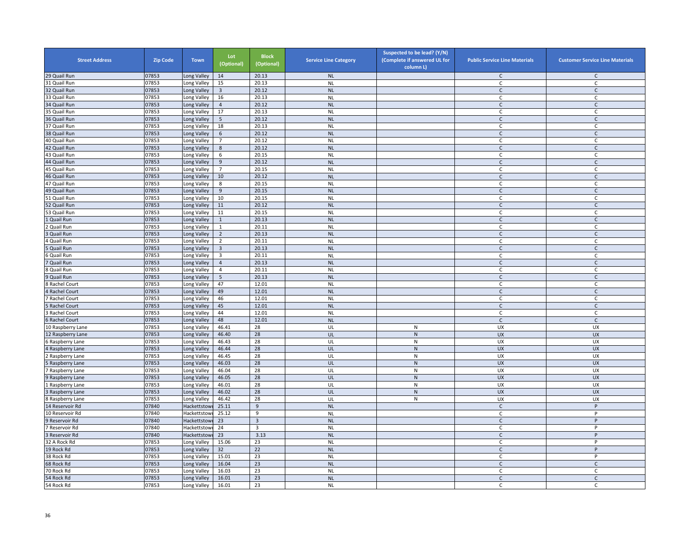| <b>Street Address</b>      | <b>Zip Code</b> | <b>Town</b>  | Lot<br>(Optional) | <b>Block</b><br>(Optional) | <b>Service Line Category</b> | Suspected to be lead? (Y/N)<br>(Complete if answered UL for<br>column L) | <b>Public Service Line Materials</b> | <b>Customer Service Line Materials</b> |
|----------------------------|-----------------|--------------|-------------------|----------------------------|------------------------------|--------------------------------------------------------------------------|--------------------------------------|----------------------------------------|
| 29 Quail Run               | 07853           | Long Valley  | 14                | 20.13                      | <b>NL</b>                    |                                                                          | $\mathsf{C}$                         | $\mathsf{C}$                           |
| 31 Quail Run               | 07853           | Long Valley  | 15                | 20.13                      | $\sf NL$                     |                                                                          | $\mathsf{C}$                         | $\mathsf{C}$                           |
| 32 Quail Run               | 07853           | Long Valley  | $\overline{3}$    | 20.12                      | <b>NL</b>                    |                                                                          | $\mathsf{C}$                         | $\mathsf{C}$                           |
| 33 Quail Run               | 07853           | Long Valley  | 16                | 20.13                      | <b>NL</b>                    |                                                                          | C                                    | $\mathsf{C}$                           |
| 34 Quail Run               | 07853           | Long Valley  | $\overline{4}$    | 20.12                      | <b>NL</b>                    |                                                                          | $\mathsf{C}$                         | $\mathsf{C}$                           |
| 35 Quail Run               | 07853           | Long Valley  | 17                | 20.13                      | <b>NL</b>                    |                                                                          | $\mathsf{C}$                         | C                                      |
| 36 Quail Run               | 07853           | Long Valley  | 5                 | 20.12                      | <b>NL</b>                    |                                                                          | $\mathsf{C}$                         | $\mathsf{C}$                           |
| 37 Quail Run               | 07853           | Long Valley  | 18                | 20.13                      | <b>NL</b>                    |                                                                          | $\mathsf{C}$                         | $\mathsf C$                            |
| 38 Quail Run               | 07853           | Long Valley  | 6                 | 20.12                      | <b>NL</b>                    |                                                                          | $\mathsf{C}$                         | $\mathsf C$                            |
| 40 Quail Run               | 07853           | Long Valley  | $\overline{7}$    | 20.12                      | <b>NL</b>                    |                                                                          | $\mathsf{C}$                         | $\mathsf{C}$                           |
| 42 Quail Run               | 07853           | Long Valley  | 8                 | 20.12                      | <b>NL</b>                    |                                                                          | $\mathsf C$                          | $\mathsf{C}$                           |
| 43 Quail Run               | 07853           | Long Valley  | 6                 | 20.15                      | <b>NL</b>                    |                                                                          | C                                    | $\mathsf{C}$                           |
| 44 Quail Run               | 07853           | Long Valley  | 9                 | 20.12                      | <b>NL</b>                    |                                                                          | $\mathsf{C}$                         | C                                      |
| 45 Quail Run               | 07853           | Long Valley  | $\overline{7}$    | 20.15                      | <b>NL</b>                    |                                                                          | C                                    | C                                      |
| 46 Quail Run               | 07853           | Long Valley  | 10                | 20.12                      | <b>NL</b>                    |                                                                          | $\mathsf{C}$                         | $\mathsf C$                            |
| 47 Quail Run               | 07853           | Long Valley  | 8                 | 20.15                      | <b>NL</b>                    |                                                                          | C                                    | C                                      |
| 49 Quail Run               | 07853           | Long Valley  | 9                 | 20.15                      | <b>NL</b>                    |                                                                          | $\mathsf{C}$                         | $\mathsf{C}$                           |
| 51 Quail Run               | 07853           | Long Valley  | 10                | 20.15                      | <b>NL</b>                    |                                                                          | $\mathsf C$                          | $\mathsf{C}$                           |
| 52 Quail Run               | 07853           | Long Valley  | 11                | 20.12                      | <b>NL</b>                    |                                                                          | $\mathsf{C}$                         | $\mathsf{C}$                           |
|                            | 07853           | Long Valley  | 11                | 20.15                      |                              |                                                                          | $\mathsf C$                          |                                        |
| 3 Quail Run                | 07853           |              |                   | 20.13                      | <b>NL</b><br><b>NL</b>       |                                                                          | $\mathsf{C}$                         | C                                      |
| Quail Run                  |                 | Long Valley  | $\mathbf{1}$      |                            |                              |                                                                          |                                      | $\mathsf C$                            |
| Quail Run                  | 07853           | ong Valley   | $\mathbf{1}$      | 20.11                      | <b>NL</b>                    |                                                                          | C                                    | C                                      |
| Quail Run                  | 07853           | Long Valley  | $\mathbf 2$       | 20.13                      | $\sf NL$                     |                                                                          | $\mathsf{C}$                         | $\mathsf C$                            |
| Quail Run                  | 07853           | Long Valley  | $\overline{2}$    | 20.11                      | <b>NL</b>                    |                                                                          | $\mathsf{C}$                         | $\mathsf{C}$                           |
| Quail Run                  | 07853           | Long Valley  | $\overline{3}$    | 20.13                      | <b>NL</b>                    |                                                                          | $\mathsf{C}$                         | $\mathsf C$                            |
| Quail Run                  | 07853           | Long Valley  | 3                 | 20.11                      | <b>NL</b>                    |                                                                          | C                                    | C                                      |
| Quail Run                  | 07853           | Long Valley  | $\overline{4}$    | 20.13                      | <b>NL</b>                    |                                                                          | $\mathsf{C}$                         | $\mathsf{C}$                           |
| Quail Run                  | 07853           | Long Valley  | 4                 | 20.11                      | <b>NL</b>                    |                                                                          | $\mathsf{C}$                         | C                                      |
| Quail Run                  | 07853           | Long Valley  | 5                 | 20.13                      | <b>NL</b>                    |                                                                          | $\mathsf{C}$                         | $\mathsf{C}$                           |
| Rachel Court               | 07853           | Long Valley  | 47                | 12.01                      | <b>NL</b>                    |                                                                          | C                                    | C                                      |
| Rachel Court               | 07853           | Long Valley  | 49                | 12.01                      | <b>NL</b>                    |                                                                          | $\mathsf{C}$                         | $\mathsf{C}$                           |
| Rachel Court               | 07853           | Long Valley  | 46                | 12.01                      | <b>NL</b>                    |                                                                          | $\mathsf{C}$                         | $\mathsf{C}$                           |
| Rachel Court               | 07853           | Long Valley  | 45                | 12.01                      | <b>NL</b>                    |                                                                          | $\mathsf{C}$                         | $\mathsf{C}$                           |
| Rachel Court               | 07853           | Long Valley  | 44                | 12.01                      | <b>NL</b>                    |                                                                          | C                                    | C                                      |
| <b>Rachel Court</b>        | 07853           | Long Valley  | 48                | 12.01                      | <b>NL</b>                    |                                                                          | $\mathsf{C}$                         | $\mathsf C$                            |
| 10 Raspberry Lane          | 07853           | Long Valley  | 46.41             | 28                         | UL                           | ${\sf N}$                                                                | UX                                   | UX                                     |
| 12 Raspberry Lane          | 07853           | Long Valley  | 46.40             | 28                         | UL                           | ${\sf N}$                                                                | <b>UX</b>                            | <b>UX</b>                              |
| Raspberry Lane             | 07853           | Long Valley  | 46.43             | 28                         | UL                           | N                                                                        | UX                                   | <b>UX</b>                              |
| Raspberry Lane             | 07853           | Long Valley  | 46.44             | 28                         | UL                           | ${\sf N}$                                                                | UX                                   | <b>UX</b>                              |
| Raspberry Lane             | 07853           | Long Valley  | 46.45             | 28                         | UL                           | N                                                                        | UX                                   | UX                                     |
| Raspberry Lane             | 07853           | Long Valley  | 46.03             | 28                         | UL                           | ${\sf N}$                                                                | <b>UX</b>                            | <b>UX</b>                              |
| Raspberry Lane             | 07853           | Long Valley  | 46.04             | 28                         | UL                           | ${\sf N}$                                                                | UX                                   | UX                                     |
| Raspberry Lane             | 07853           | ong Valley   | 46.05             | 28                         | UL                           | ${\sf N}$                                                                | <b>UX</b>                            | <b>UX</b>                              |
| Raspberry Lane             | 07853           | Long Valley  | 46.01             | 28                         | UL                           | N                                                                        | UX                                   | <b>UX</b>                              |
| Raspberry Lane             | 07853           | Long Valley  | 46.02             | 28                         | UL                           | $\mathsf{N}$                                                             | UX                                   | <b>UX</b>                              |
| Raspberry Lane             | 07853           | Long Valley  | 46.42             | 28                         | UL                           | ${\sf N}$                                                                | UX                                   | UX                                     |
| 14 Reservoir Rd            | 07840           | Hackettstow  | 25.11             | 9                          | <b>NL</b>                    |                                                                          | $\mathsf{C}$                         | P                                      |
| 10 Reservoir Rd            | 07840           | Hackettstowi | 25.12             | 9                          | <b>NL</b>                    |                                                                          | C                                    | P                                      |
| Reservoir Rd               | 07840           | Hackettstowi | 23                | $\overline{3}$             | <b>NL</b>                    |                                                                          | $\mathsf{C}$                         | P                                      |
| Reservoir Rd               | 07840           | Hackettstowi | 24                | $\overline{\mathbf{3}}$    | <b>NL</b>                    |                                                                          | $\overline{c}$                       | $\overline{P}$                         |
| Reservoir Rd               | 07840           | Hackettstowi | 23                | 3.13                       | <b>NL</b>                    |                                                                          | $\mathsf{C}$                         | P                                      |
|                            |                 |              |                   |                            |                              |                                                                          |                                      | P                                      |
| 32 A Rock Rd<br>19 Rock Rd | 07853<br>07853  | Long Valley  | 15.06<br>32       | 23<br>22                   | <b>NL</b>                    |                                                                          | $\mathsf C$                          |                                        |
|                            |                 | Long Valley  |                   |                            | <b>NL</b>                    |                                                                          | $\mathsf{C}$                         | P                                      |
| 38 Rock Rd                 | 07853           | Long Valley  | 15.01             | 23                         | <b>NL</b>                    |                                                                          | C                                    | P                                      |
| 68 Rock Rd                 | 07853           | Long Valley  | 16.04             | 23                         | <b>NL</b>                    |                                                                          | $\mathsf{C}$                         | $\mathsf C$                            |
| 70 Rock Rd                 | 07853           | Long Valley  | 16.03             | 23                         | <b>NL</b>                    |                                                                          | C                                    | C                                      |
| 54 Rock Rd                 | 07853           | ong Valley   | 16.01             | 23                         | <b>NL</b>                    |                                                                          | $\mathsf{C}$                         | $\mathsf{C}$                           |
| 54 Rock Rd                 | 07853           | Long Valley  | 16.01             | 23                         | <b>NL</b>                    |                                                                          | C                                    | C                                      |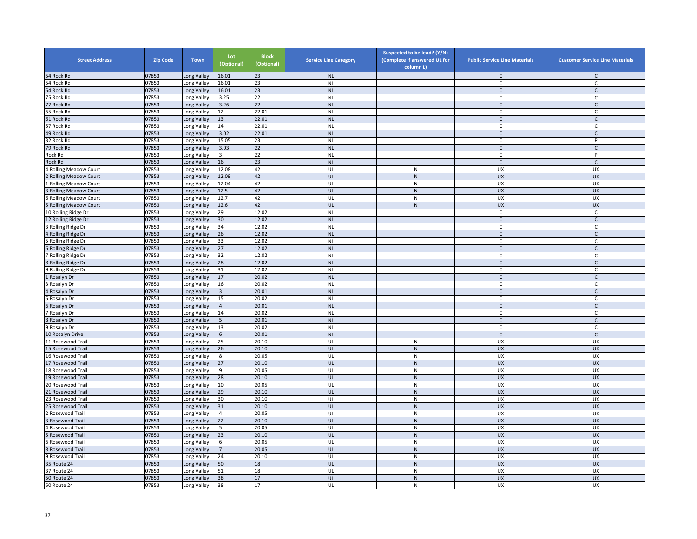| <b>Street Address</b>       | <b>Zip Code</b> | <b>Town</b>                | Lot<br>(Optional)       | <b>Block</b><br>(Optional) | <b>Service Line Category</b> | Suspected to be lead? (Y/N)<br>(Complete if answered UL for<br>column L) | <b>Public Service Line Materials</b> | <b>Customer Service Line Materials</b> |
|-----------------------------|-----------------|----------------------------|-------------------------|----------------------------|------------------------------|--------------------------------------------------------------------------|--------------------------------------|----------------------------------------|
| 54 Rock Rd                  | 07853           | ong Valley                 | 16.01                   | 23                         | NL                           |                                                                          | $\mathsf{C}$                         | $\mathsf{C}$                           |
| 54 Rock Rd                  | 07853           | Long Valley                | 16.01                   | 23                         | <b>NL</b>                    |                                                                          | C                                    | $\mathsf{C}$                           |
| 54 Rock Rd                  | 07853           | Long Valley                | 16.01                   | 23                         | <b>NL</b>                    |                                                                          | $\mathsf{C}$                         | $\mathsf{C}$                           |
| 75 Rock Rd                  | 07853           | Long Valley                | 3.25                    | 22                         | <b>NL</b>                    |                                                                          | C                                    | C                                      |
| 77 Rock Rd                  | 07853           | Long Valley                | 3.26                    | 22                         | <b>NL</b>                    |                                                                          | $\mathsf{C}$                         | $\mathsf{C}$                           |
| 65 Rock Rd                  | 07853           | ong Valley                 | 12                      | 22.01                      | <b>NL</b>                    |                                                                          | $\mathsf{C}$                         | $\mathsf{C}$                           |
| 61 Rock Rd                  | 07853           | Long Valley                | 13                      | 22.01                      | <b>NL</b>                    |                                                                          | $\mathsf{C}$                         | $\mathsf{C}$                           |
| 57 Rock Rd                  | 07853           | Long Valley                | $14\,$                  | 22.01                      | <b>NL</b>                    |                                                                          | $\mathsf{C}$                         | $\mathsf C$                            |
| 49 Rock Rd                  | 07853           | Long Valley                | 3.02                    | 22.01                      | <b>NL</b>                    |                                                                          | $\mathsf{C}$                         | $\mathsf{C}$                           |
| 32 Rock Rd                  | 07853           | Long Valley                | 15.05                   | 23                         | <b>NL</b>                    |                                                                          | $\mathsf{C}$                         | P                                      |
| 79 Rock Rd                  | 07853           | ong Valley                 | 3.03                    | 22                         | <b>NL</b>                    |                                                                          | $\mathsf{C}$                         | $\mathsf{C}$                           |
| Rock Rd                     | 07853           | Long Valley                | $\overline{\mathbf{3}}$ | 22                         | <b>NL</b>                    |                                                                          | $\mathsf{C}$                         | P                                      |
| Rock Rd                     | 07853           | ong Valley                 | 16                      | 23                         | <b>NL</b>                    |                                                                          | $\mathsf{C}$                         | $\mathsf C$                            |
| Rolling Meadow Court        | 07853           | ong Valley                 | 12.08                   | 42                         | UL                           | ${\sf N}$                                                                | UX                                   | UX                                     |
| <b>Rolling Meadow Court</b> | 07853           | Long Valley                | 12.09                   | 42                         | UL                           | ${\sf N}$                                                                | <b>UX</b>                            | <b>UX</b>                              |
| <b>Rolling Meadow Court</b> | 07853           | Long Valley                | 12.04                   | 42                         | UL                           | ${\sf N}$                                                                | UX                                   | UX                                     |
| <b>Rolling Meadow Court</b> | 07853           | ong Valley                 | 12.5                    | 42                         | UL                           | ${\sf N}$                                                                | <b>UX</b>                            | <b>UX</b>                              |
| <b>Rolling Meadow Court</b> | 07853           | Long Valley                | 12.7                    | 42                         | UL                           | N                                                                        | <b>UX</b>                            | <b>UX</b>                              |
| <b>Rolling Meadow Court</b> | 07853           | ong Valley                 | 12.6                    | 42                         | UL                           | ${\sf N}$                                                                | <b>UX</b>                            | <b>UX</b>                              |
| 10 Rolling Ridge Dr         | 07853           | ong Valley                 | 29                      | 12.02                      | <b>NL</b>                    |                                                                          | $\mathsf{C}$                         | $\mathsf{C}$                           |
| 12 Rolling Ridge Dr         | 07853           | ong Valley                 | 30                      | 12.02                      | <b>NL</b>                    |                                                                          | $\mathsf{C}$                         | $\mathsf{C}$                           |
| Rolling Ridge Dr            | 07853           | Long Valley                | 34                      | 12.02                      | <b>NL</b>                    |                                                                          | $\mathsf C$                          | $\mathsf{C}$                           |
| Rolling Ridge Dr            | 07853           | Long Valley                | 26                      | 12.02                      | <b>NL</b>                    |                                                                          | $\mathsf{C}$                         | $\mathsf{C}$                           |
| Rolling Ridge Dr            | 07853           | Long Valley                | 33                      | 12.02                      | <b>NL</b>                    |                                                                          | $\mathsf{C}$                         | $\mathsf{C}$                           |
| Rolling Ridge Dr            | 07853           | Long Valley                | 27                      | 12.02                      | <b>NL</b>                    |                                                                          | $\mathsf{C}$                         | $\mathsf{C}$                           |
| Rolling Ridge Dr            | 07853           | Long Valley                | 32                      | 12.02                      | <b>NL</b>                    |                                                                          | C                                    | C                                      |
| Rolling Ridge Dr            | 07853           | ong Valley                 | 28                      | 12.02                      | <b>NL</b>                    |                                                                          | $\mathsf{C}$                         | $\mathsf{C}$                           |
| Rolling Ridge Dr            | 07853           | ong Valley.                | 31                      | 12.02                      | <b>NL</b>                    |                                                                          | C                                    | C                                      |
| Rosalyn Dr                  | 07853           | ong Valley                 | 17                      | 20.02                      | <b>NL</b>                    |                                                                          | $\mathsf{C}$                         | $\mathsf{C}$                           |
| Rosalyn Dr                  | 07853           | Long Valley                | 16                      | 20.02                      | <b>NL</b>                    |                                                                          | C                                    | C                                      |
| Rosalyn Dr                  | 07853           | Long Valley                | $\overline{\mathbf{3}}$ | 20.01                      | <b>NL</b>                    |                                                                          | $\mathsf{C}$                         | $\mathsf{C}$                           |
| Rosalyn Dr                  | 07853           | Long Valley                | 15                      | 20.02                      | <b>NL</b>                    |                                                                          | $\mathsf C$                          | $\mathsf{C}$                           |
| Rosalyn Dr                  | 07853           | Long Valley                | $\overline{4}$          | 20.01                      | <b>NL</b>                    |                                                                          | C                                    | $\mathsf{C}$                           |
| Rosalyn Dr                  | 07853           | ong Valley                 | 14                      | 20.02                      | <b>NL</b>                    |                                                                          | $\mathsf{C}$                         | $\mathsf{C}$                           |
| Rosalyn Dr                  | 07853           | ong Valley                 | 5                       | 20.01                      | <b>NL</b>                    |                                                                          | $\mathsf{C}$                         | $\mathsf C$                            |
| Rosalyn Dr                  | 07853           | ong Valley                 | 13                      | 20.02                      | <b>NL</b>                    |                                                                          | C                                    | $\mathsf{C}$                           |
| 10 Rosalyn Drive            | 07853           | Long Valley                | 6                       | 20.01                      | <b>NL</b>                    |                                                                          | $\mathsf{C}$                         | $\mathsf{C}$                           |
| 11 Rosewood Trail           | 07853           | Long Valley                | 25                      | 20.10                      | UL                           | ${\sf N}$                                                                | UX                                   | UX                                     |
| 5 Rosewood Trail            | 07853           | ong Valley                 | 26                      | 20.10                      | UL                           | ${\sf N}$                                                                | <b>UX</b>                            | <b>UX</b>                              |
| 16 Rosewood Trail           | 07853           | Long Valley                | 8                       | 20.05                      | UL                           | ${\sf N}$                                                                | UX                                   | <b>UX</b>                              |
| 17 Rosewood Trail           | 07853           | ong Valley                 | 27                      | 20.10                      | UL                           | $\mathsf{N}$                                                             | <b>UX</b>                            | <b>UX</b>                              |
| 8 Rosewood Trail            | 07853           | ong Valley                 | 9                       | 20.05                      | UL                           | ${\sf N}$                                                                | UX                                   | UX                                     |
| 9 Rosewood Trail            | 07853           | ong Valley                 | 28                      | 20.10                      | UL                           | ${\sf N}$                                                                | <b>UX</b>                            | <b>UX</b>                              |
| 0 Rosewood Trail            | 07853           | Long Valley                | 10                      | 20.05                      | UL                           | ${\sf N}$                                                                | UX                                   | UX                                     |
| 21 Rosewood Trail           | 07853           | Long Valley                | 29                      | 20.10                      | UL                           | ${\sf N}$                                                                | <b>UX</b>                            | <b>UX</b>                              |
| 3 Rosewood Trail            | 07853           | Long Valley                | 30                      | 20.10                      | UL                           | $\mathsf{N}$                                                             | <b>UX</b>                            | <b>UX</b>                              |
| 5 Rosewood Trail            | 07853           | Long Valley                | 31                      | 20.10                      | UL                           | ${\sf N}$                                                                | <b>UX</b>                            | <b>UX</b>                              |
| Rosewood Trail              | 07853           | ong Valley                 | $\overline{4}$          | 20.05                      | UL                           | ${\sf N}$                                                                | UX                                   | UX                                     |
| Rosewood Trail              | 07853           | Long Valley                | 22                      | 20.10                      | UL                           | ${\sf N}$                                                                | <b>UX</b>                            | <b>UX</b>                              |
| Rosewood Trai               | 07853           | ong Valley                 | 5                       | 20.05                      | UL                           | ${\sf N}$                                                                | UX                                   | UX                                     |
| Rosewood Trail              | 07853           | Long Valley                | 23                      | 20.10                      | UL                           | ${\sf N}$                                                                | <b>UX</b>                            | <b>UX</b>                              |
| Rosewood Trail              | 07853           |                            | 6                       | 20.05                      | UL                           | ${\sf N}$                                                                | UX                                   | UX                                     |
| Rosewood Trail              | 07853           | Long Valley<br>Long Valley | $\overline{7}$          | 20.05                      | UL                           | ${\sf N}$                                                                | <b>UX</b>                            | <b>UX</b>                              |
|                             | 07853           |                            | 24                      | 20.10                      | UL                           | ${\sf N}$                                                                | UX                                   | UX                                     |
| 9 Rosewood Trail            |                 | Long Valley                |                         |                            | UL                           |                                                                          |                                      |                                        |
| 35 Route 24                 | 07853           | ong Valley                 | 50                      | 18                         |                              | ${\sf N}$                                                                | UX                                   | <b>UX</b>                              |
| 37 Route 24                 | 07853           | ong Valley.                | 51                      | 18                         | UL                           | ${\sf N}$                                                                | UX                                   | <b>UX</b>                              |
| <b>50 Route 24</b>          | 07853           | Long Valley                | 38                      | 17                         | UL                           | $\overline{\mathsf{N}}$                                                  | <b>UX</b>                            | <b>UX</b>                              |
| <b>50 Route 24</b>          | 07853           | Long Valley                | 38                      | 17                         | UL                           | ${\sf N}$                                                                | <b>UX</b>                            | UX                                     |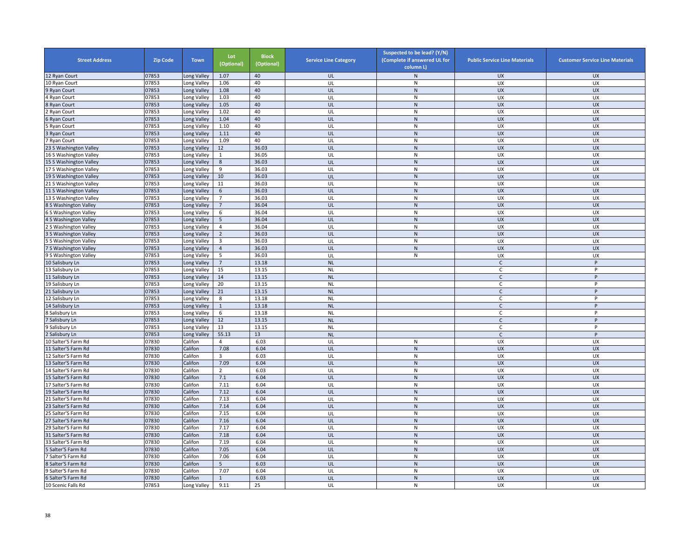| <b>Street Address</b>  | <b>Zip Code</b> | <b>Town</b> | Lot<br>(Optional) | <b>Block</b><br>(Optional) | <b>Service Line Category</b> | Suspected to be lead? (Y/N)<br>(Complete if answered UL for<br>column L) | <b>Public Service Line Materials</b> | <b>Customer Service Line Materials</b> |
|------------------------|-----------------|-------------|-------------------|----------------------------|------------------------------|--------------------------------------------------------------------------|--------------------------------------|----------------------------------------|
| 12 Ryan Court          | 07853           | Long Valley | 1.07              | 40                         | UL                           | $\mathsf{N}$                                                             | <b>UX</b>                            | <b>UX</b>                              |
| 10 Ryan Court          | 07853           | Long Valley | 1.06              | 40                         | UL                           | ${\sf N}$                                                                | UX                                   | UX                                     |
| 9 Ryan Court           | 07853           | Long Valley | 1.08              | 40                         | UL                           | $\mathsf{N}$                                                             | <b>UX</b>                            | <b>UX</b>                              |
| 4 Ryan Court           | 07853           | Long Valley | 1.03              | 40                         | UL                           | $\mathsf{N}$                                                             | UX                                   | UX                                     |
| 8 Ryan Court           | 07853           | Long Valley | 1.05              | 40                         | UL                           | ${\sf N}$                                                                | <b>UX</b>                            | <b>UX</b>                              |
| <b>Ryan Court</b>      | 07853           | Long Valley | 1.02              | 40                         | UL                           | $\mathsf{N}$                                                             | UX                                   | UX                                     |
| Ryan Court             | 07853           | Long Valley | 1.04              | 40                         | UL                           | ${\sf N}$                                                                | <b>UX</b>                            | <b>UX</b>                              |
| 5 Ryan Court           | 07853           | Long Valley | 1.10              | 40                         | UL                           | ${\sf N}$                                                                | UX                                   | UX                                     |
| 3 Ryan Court           | 07853           | Long Valley | 1.11              | 40                         | UL                           | ${\sf N}$                                                                | <b>UX</b>                            | <b>UX</b>                              |
| 7 Ryan Court           | 07853           | Long Valley | 1.09              | 40                         | UL                           | ${\sf N}$                                                                | UX                                   | UX                                     |
| 23 S Washington Valley | 07853           | Long Valley | 12                | 36.03                      | UL                           | ${\sf N}$                                                                | <b>UX</b>                            | <b>UX</b>                              |
| 16 S Washington Valley | 07853           | Long Valley | 1                 | 36.05                      | UL                           | $\mathsf{N}$                                                             | <b>UX</b>                            | <b>UX</b>                              |
| 15 S Washington Valley | 07853           | Long Valley | $8\phantom{1}$    | 36.03                      | UL                           | ${\sf N}$                                                                | UX                                   | <b>UX</b>                              |
| 17 S Washington Valley | 07853           | Long Valley | 9                 | 36.03                      | UL                           | ${\sf N}$                                                                | UX                                   | UX                                     |
| 19 S Washington Valley | 07853           | Long Valley | 10                | 36.03                      | UL                           | ${\sf N}$                                                                | <b>UX</b>                            | <b>UX</b>                              |
| 21 S Washington Valley | 07853           | Long Valley | 11                | 36.03                      | UL                           | ${\sf N}$                                                                | UX                                   | UX                                     |
| 11 S Washington Valley | 07853           | Long Valley | 6                 | 36.03                      | UL                           | ${\sf N}$                                                                | <b>UX</b>                            | <b>UX</b>                              |
| 13 S Washington Valley | 07853           | Long Valley | $\overline{7}$    | 36.03                      | UL                           | N                                                                        | <b>UX</b>                            | <b>UX</b>                              |
| 8 S Washington Valley  | 07853           | Long Valley | $\overline{7}$    | 36.04                      | UL                           | ${\sf N}$                                                                | <b>UX</b>                            | <b>UX</b>                              |
| S Washington Valley    | 07853           | Long Valley | 6                 | 36.04                      | UL                           | ${\sf N}$                                                                | UX                                   | UX                                     |
| 4 S Washington Valley  | 07853           | Long Valley | 5                 | 36.04                      | UL                           | ${\sf N}$                                                                | <b>UX</b>                            | <b>UX</b>                              |
| S Washington Valley    | 07853           | Long Valley | $\overline{4}$    | 36.04                      | UL                           | ${\sf N}$                                                                | UX                                   | UX                                     |
| S Washington Valley    | 07853           | Long Valley | $\overline{2}$    | 36.03                      | UL                           | ${\sf N}$                                                                | <b>UX</b>                            | <b>UX</b>                              |
| 5 S Washington Valley  | 07853           | Long Valley | $\overline{3}$    | 36.03                      | UL                           | $\mathsf{N}$                                                             | UX                                   | UX                                     |
| S Washington Valley    | 07853           | Long Valley | $\overline{4}$    | 36.03                      | UL                           | ${\sf N}$                                                                | UX                                   | <b>UX</b>                              |
| 9 S Washington Valley  | 07853           | Long Valley | 5                 | 36.03                      | UL                           | ${\sf N}$                                                                | UX                                   | UX                                     |
| 10 Salisbury Ln        | 07853           |             | $7\overline{ }$   | 13.18                      | <b>NL</b>                    |                                                                          | $\mathsf{C}$                         | P                                      |
| 13 Salisbury Ln        | 07853           | Long Valley | 15                | 13.15                      |                              |                                                                          | $\mathsf{C}$                         | $\sf P$                                |
|                        | 07853           | Long Valley | 14                | 13.15                      | <b>NL</b><br>$\sf NL$        |                                                                          | $\mathsf{C}$                         | P                                      |
| 11 Salisbury Ln        | 07853           | Long Valley | 20                | 13.15                      | <b>NL</b>                    |                                                                          | $\mathsf{C}$                         | P                                      |
| 19 Salisbury Ln        |                 | Long Valley |                   |                            |                              |                                                                          |                                      | P                                      |
| 21 Salisbury Ln        | 07853           | Long Valley | 21                | 13.15                      | <b>NL</b>                    |                                                                          | $\mathsf{C}$                         |                                        |
| 12 Salisbury Ln        | 07853           | Long Valley | 8                 | 13.18                      | <b>NL</b>                    |                                                                          | $\mathsf{C}$                         | P                                      |
| 14 Salisbury Ln        | 07853           | Long Valley | $\mathbf{1}$      | 13.18                      | <b>NL</b>                    |                                                                          | $\mathsf{C}$                         | P<br>P                                 |
| Salisbury Ln           | 07853           | Long Valley | 6                 | 13.18                      | <b>NL</b>                    |                                                                          | C                                    |                                        |
| Salisbury Ln           | 07853           | Long Valley | 12                | 13.15                      | <b>NL</b>                    |                                                                          | $\mathsf{C}$                         | P<br>P                                 |
| 9 Salisbury Ln         | 07853           | Long Valley | 13                | 13.15                      | <b>NL</b>                    |                                                                          | $\mathsf{C}$                         |                                        |
| Salisbury Ln           | 07853           | Long Valley | 55.13             | 13                         | <b>NL</b>                    |                                                                          | $\mathsf{C}$                         | P                                      |
| 10 Salter'S Farm Rd    | 07830           | Califon     | $\overline{4}$    | 6.03                       | UL                           | ${\sf N}$                                                                | UX                                   | UX                                     |
| 11 Salter'S Farm Rd    | 07830           | Califon     | 7.08              | 6.04                       | UL                           | N                                                                        | <b>UX</b>                            | <b>UX</b>                              |
| 12 Salter'S Farm Rd    | 07830           | Califon     | 3                 | 6.03                       | UL                           | ${\sf N}$                                                                | <b>UX</b>                            | <b>UX</b>                              |
| 13 Salter'S Farm Rd    | 07830           | Califon     | 7.09              | 6.04                       | UL                           | ${\sf N}$                                                                | UX                                   | <b>UX</b>                              |
| 14 Salter'S Farm Rd    | 07830           | Califon     | $\overline{2}$    | 6.03                       | UL                           | ${\sf N}$                                                                | UX                                   | UX                                     |
| 15 Salter'S Farm Rd    | 07830           | Califon     | 7.1               | 6.04                       | UL                           | ${\sf N}$                                                                | <b>UX</b>                            | <b>UX</b>                              |
| 17 Salter'S Farm Rd    | 07830           | Califon     | 7.11              | 6.04                       | UL                           | ${\sf N}$                                                                | UX                                   | UX                                     |
| 19 Salter'S Farm Rd    | 07830           | Califon     | 7.12              | 6.04                       | UL                           | N                                                                        | <b>UX</b>                            | <b>UX</b>                              |
| 21 Salter'S Farm Rd    | 07830           | Califon     | 7.13              | 6.04                       | UL                           | N                                                                        | <b>UX</b>                            | UX                                     |
| 23 Salter'S Farm Rd    | 07830           | Califon     | 7.14              | 6.04                       | UL                           | ${\sf N}$                                                                | <b>UX</b>                            | <b>UX</b>                              |
| 5 Salter'S Farm Rd     | 07830           | Califon     | 7.15              | 6.04                       | UL                           | $\mathsf{N}$                                                             | UX                                   | UX                                     |
| 27 Salter'S Farm Rd    | 07830           | Califon     | 7.16              | 6.04                       | UL                           | ${\sf N}$                                                                | UX                                   | <b>UX</b>                              |
| 29 Salter'S Farm Rd    | 07830           | Califon     | 7.17              | 6.04                       | UL                           | ${\sf N}$                                                                | UX                                   | UX                                     |
| 31 Salter'S Farm Rd    | 07830           | Califon     | 7.18              | 6.04                       | UL                           | ${\sf N}$                                                                | <b>UX</b>                            | <b>UX</b>                              |
| 33 Salter'S Farm Rd    | 07830           | Califon     | 7.19              | 6.04                       | UL                           | ${\sf N}$                                                                | UX                                   | UX                                     |
| Salter'S Farm Rd       | 07830           | Califon     | 7.05              | 6.04                       | UL                           | ${\sf N}$                                                                | <b>UX</b>                            | <b>UX</b>                              |
| Salter'S Farm Rd       | 07830           | Califon     | 7.06              | 6.04                       | UL                           | $\mathsf{N}$                                                             | <b>UX</b>                            | <b>UX</b>                              |
| Salter'S Farm Rd       | 07830           | Califon     | $5\overline{5}$   | 6.03                       | UL                           | ${\sf N}$                                                                | UX                                   | <b>UX</b>                              |
| 9 Salter'S Farm Rd     | 07830           | Califon     | 7.07              | 6.04                       | UL                           | ${\sf N}$                                                                | UX                                   | <b>UX</b>                              |
| 6 Salter'S Farm Rd     | 07830           | Califon     | $\mathbf{1}$      | 6.03                       | UL                           | ${\sf N}$                                                                | <b>UX</b>                            | <b>UX</b>                              |
| 10 Scenic Falls Rd     | 07853           | Long Valley | 9.11              | 25                         | UL                           | $\mathsf{N}$                                                             | UX                                   | UX                                     |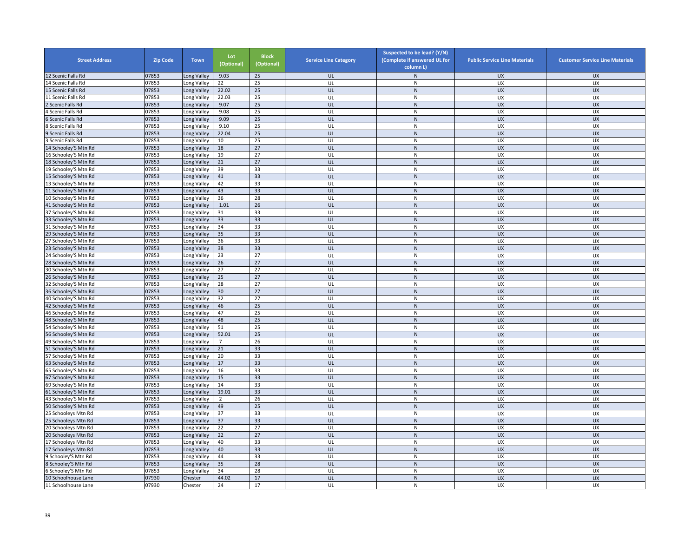| <b>Street Address</b>                    | <b>Zip Code</b> | <b>Town</b>            | Lot<br>(Optional) | <b>Block</b><br>(Optional) | <b>Service Line Category</b> | Suspected to be lead? (Y/N)<br>(Complete if answered UL for<br>column L) | <b>Public Service Line Materials</b> | <b>Customer Service Line Materials</b> |
|------------------------------------------|-----------------|------------------------|-------------------|----------------------------|------------------------------|--------------------------------------------------------------------------|--------------------------------------|----------------------------------------|
| 12 Scenic Falls Rd                       | 07853           | Long Valley            | 9.03              | 25                         | UL                           | ${\sf N}$                                                                | <b>UX</b>                            | <b>UX</b>                              |
| 4 Scenic Falls Rd                        | 07853           | Long Valley            | 22                | 25                         | UL                           | ${\sf N}$                                                                | UX                                   | UX                                     |
| 15 Scenic Falls Rd                       | 07853           | Long Valley            | 22.02             | 25                         | UL                           | $\mathsf{N}$                                                             | <b>UX</b>                            | <b>UX</b>                              |
| 11 Scenic Falls Rd                       | 07853           | Long Valley            | 22.03             | 25                         | UL                           | $\mathsf{N}$                                                             | UX                                   | <b>UX</b>                              |
| Scenic Falls Rd                          | 07853           | Long Valley            | 9.07              | 25                         | UL                           | ${\sf N}$                                                                | <b>UX</b>                            | <b>UX</b>                              |
| Scenic Falls Rd                          | 07853           | Long Valley            | 9.08              | 25                         | UL                           | $\mathsf{N}$                                                             | UX                                   | UX                                     |
| Scenic Falls Rd                          | 07853           | Long Valley            | 9.09              | 25                         | UL                           | ${\sf N}$                                                                | UX                                   | <b>UX</b>                              |
| Scenic Falls Rd                          | 07853           | Long Valley            | 9.10              | 25                         | UL                           | ${\sf N}$                                                                | UX                                   | UX                                     |
| Scenic Falls Rd                          | 07853           | Long Valley            | 22.04             | 25                         | UL                           | ${\sf N}$                                                                | <b>UX</b>                            | <b>UX</b>                              |
| Scenic Falls Rd                          | 07853           | Long Valley            | 10                | 25                         | UL                           | ${\sf N}$                                                                | UX                                   | UX                                     |
| 4 Schooley'S Mtn Rd                      | 07853           | Long Valley            | 18                | 27                         | UL                           | ${\sf N}$                                                                | <b>UX</b>                            | <b>UX</b>                              |
| 16 Schooley'S Mtn Rd                     | 07853           | Long Valley            | 19                | 27                         | UL                           | $\mathsf{N}$                                                             | <b>UX</b>                            | <b>UX</b>                              |
| 18 Schooley'S Mtn Rd                     | 07853           | Long Valley            | 21                | 27                         | UL                           | ${\sf N}$                                                                | UX                                   | <b>UX</b>                              |
| 19 Schooley'S Mtn Rd                     | 07853           | Long Valley            | 39                | 33                         | UL                           | ${\sf N}$                                                                | UX                                   | UX                                     |
| 15 Schooley'S Mtn Rd                     | 07853           | Long Valley            | 41                | 33                         | UL                           | ${\sf N}$                                                                | <b>UX</b>                            | <b>UX</b>                              |
| 13 Schooley'S Mtn Rd                     | 07853           | Long Valley            | 42                | 33                         | UL                           | ${\sf N}$                                                                | UX                                   | UX                                     |
| 11 Schooley'S Mtn Rd                     | 07853           | Long Valley            | 43                | 33                         | UL                           | $\mathsf{N}$                                                             | <b>UX</b>                            | <b>UX</b>                              |
| 10 Schooley'S Mtn Rd                     | 07853           | Long Valley            | 36                | 28                         | UL                           | N                                                                        | <b>UX</b>                            | <b>UX</b>                              |
| 41 Schooley'S Mtn Rd                     | 07853           | Long Valley            | 1.01              | 26                         | UL                           | ${\sf N}$                                                                | <b>UX</b>                            | <b>UX</b>                              |
| 37 Schooley'S Mtn Rd                     | 07853           | Long Valley            | 31                | 33                         | UL                           | ${\sf N}$                                                                | UX                                   | UX                                     |
| 33 Schooley'S Mtn Rd                     | 07853           | Long Valley            | 33                | 33                         | UL                           | ${\sf N}$                                                                | <b>UX</b>                            | <b>UX</b>                              |
| 31 Schooley'S Mtn Rd                     | 07853           | Long Valley            | 34                | 33                         | UL                           | ${\sf N}$                                                                | UX                                   | UX                                     |
| 29 Schooley'S Mtn Rd                     | 07853           | Long Valley            | 35                | 33                         | UL                           | ${\sf N}$                                                                | <b>UX</b>                            | <b>UX</b>                              |
| 27 Schooley'S Mtn Rd                     | 07853           | Long Valley            | 36                | 33                         | UL                           | $\mathsf{N}$                                                             | UX                                   | UX                                     |
| 23 Schooley'S Mtn Rd                     | 07853           | Long Valley            | 38                | 33                         | UL                           | ${\sf N}$                                                                | <b>UX</b>                            | <b>UX</b>                              |
| 24 Schooley'S Mtn Rd                     | 07853           | Long Valley            | 23                | 27                         | UL                           | $\mathsf{N}$                                                             | UX                                   | <b>UX</b>                              |
| 28 Schooley'S Mtn Rd                     | 07853           | Long Valley            | 26                | 27                         | UL                           | ${\sf N}$                                                                | UX                                   | <b>UX</b>                              |
| 30 Schooley'S Mtn Rd                     | 07853           | Long Valley            | 27                | 27                         | UL                           | ${\sf N}$                                                                | UX                                   | UX                                     |
| 26 Schooley'S Mtn Rd                     | 07853           | Long Valley            | 25                | 27                         | UL                           | ${\sf N}$                                                                | UX                                   | <b>UX</b>                              |
| 32 Schooley'S Mtn Rd                     | 07853           | Long Valley            | 28                | 27                         | UL                           | $\mathsf{N}$                                                             | UX                                   | <b>UX</b>                              |
| 36 Schooley'S Mtn Rd                     | 07853           | Long Valley            | 30                | 27                         | UL                           | ${\sf N}$                                                                | <b>UX</b>                            | <b>UX</b>                              |
| 40 Schooley'S Mtn Rd                     | 07853           | Long Valley            | 32                | 27                         | UL                           | $\mathsf{N}$                                                             | UX                                   | UX                                     |
| 42 Schooley'S Mtn Rd                     | 07853           | Long Valley            | 46                | 25                         | UL                           | ${\sf N}$                                                                | <b>UX</b>                            | <b>UX</b>                              |
| 46 Schooley'S Mtn Rd                     | 07853           | Long Valley            | 47                | 25                         | UL                           | ${\sf N}$                                                                | UX                                   | UX                                     |
| 48 Schooley'S Mtn Rd                     | 07853           | Long Valley            | 48                | 25                         | UL                           | $\mathsf{N}$                                                             | UX                                   | <b>UX</b>                              |
| 54 Schooley'S Mtn Rd                     | 07853           | Long Valley            | 51                | 25                         | UL                           | ${\sf N}$                                                                | UX                                   | UX                                     |
| 56 Schooley'S Mtn Rd                     | 07853           | Long Valley            | 52.01             | 25                         | UL                           | N                                                                        | UX                                   | UX                                     |
| 49 Schooley'S Mtn Rd                     | 07853           | Long Valley            | $\overline{7}$    | 26                         | UL                           | ${\sf N}$                                                                | UX                                   | UX                                     |
| 51 Schooley'S Mtn Rd                     | 07853           | Long Valley            | 21                | 33                         | UL                           | N                                                                        | <b>UX</b>                            | <b>UX</b>                              |
| 57 Schooley'S Mtn Rd                     | 07853           | Long Valley            | 20                | 33                         | UL                           | ${\sf N}$                                                                | <b>UX</b>                            | <b>UX</b>                              |
| 63 Schooley'S Mtn Rd                     | 07853           | Long Valley            | 17                | 33                         | UL                           | ${\sf N}$                                                                | UX                                   | <b>UX</b>                              |
| 65 Schooley'S Mtn Rd                     | 07853           | Long Valley            | 16                | 33                         | UL                           | ${\sf N}$                                                                | UX                                   | UX                                     |
| 67 Schooley'S Mtn Rd                     | 07853           | Long Valley            | 15                | 33                         | UL                           | ${\sf N}$                                                                | UX                                   | <b>UX</b>                              |
| 69 Schooley'S Mtn Rd                     | 07853           | Long Valley            | 14                | 33                         | UL                           | ${\sf N}$                                                                | UX                                   | UX                                     |
| 61 Schooley'S Mtn Rd                     | 07853           | Long Valley            | 19.01             | 33                         | UL                           | $\mathsf{N}$                                                             | <b>UX</b>                            | <b>UX</b>                              |
| 43 Schooley'S Mtn Rd                     | 07853           | Long Valley            | 2                 | 26                         | UL                           | N                                                                        | <b>UX</b>                            | <b>UX</b>                              |
| 50 Schooley'S Mtn Rd                     | 07853           | Long Valley            | 49                | 25                         | UL                           | ${\sf N}$                                                                | <b>UX</b>                            | <b>UX</b>                              |
| 5 Schooleys Mtn Rd                       | 07853           | Long Valley            | 37                | 33                         | UL                           | $\mathsf{N}$                                                             | UX                                   | UX                                     |
| 25 Schooleys Mtn Rd                      | 07853           | Long Valley            | 37                | 33                         | UL                           | ${\sf N}$                                                                | UX                                   | <b>UX</b>                              |
| 20 Schooleys Mtn Rd                      | 07853           | Long Valley            | 22                | 27                         | UL                           | ${\sf N}$                                                                | UX                                   | UX                                     |
| 20 Schooleys Mtn Rd                      | 07853           | Long Valley            | 22                | 27                         | UL                           | ${\sf N}$                                                                | <b>UX</b>                            | <b>UX</b>                              |
| 17 Schooleys Mtn Rd                      | 07853           | Long Valley            | 40                | 33                         | UL                           | ${\sf N}$                                                                | UX                                   | UX                                     |
| 17 Schooleys Mtn Rd                      | 07853           | Long Valley            | 40                | 33                         | UL                           | ${\sf N}$                                                                | <b>UX</b>                            | <b>UX</b>                              |
| 9 Schooley'S Mtn Rd                      | 07853           | Long Valley            | 44                | 33                         | UL                           | $\mathsf{N}$                                                             | <b>UX</b>                            | <b>UX</b>                              |
| Schooley'S Mtn Rd                        | 07853           | ong Valley             | 35                | 28                         | UL                           | ${\sf N}$                                                                | UX                                   | <b>UX</b>                              |
|                                          | 07853           |                        | 34                | 28                         | UL                           | ${\sf N}$                                                                | UX                                   | UX                                     |
| Schooley'S Mtn Rd<br>10 Schoolhouse Lane | 07930           | ong Valley.<br>Chester | 44.02             | 17                         | UL                           | ${\sf N}$                                                                | <b>UX</b>                            | <b>UX</b>                              |
| 11 Schoolhouse Lane                      | 07930           | Chester                | 24                | 17                         | UL                           | N                                                                        | UX                                   | UX                                     |
|                                          |                 |                        |                   |                            |                              |                                                                          |                                      |                                        |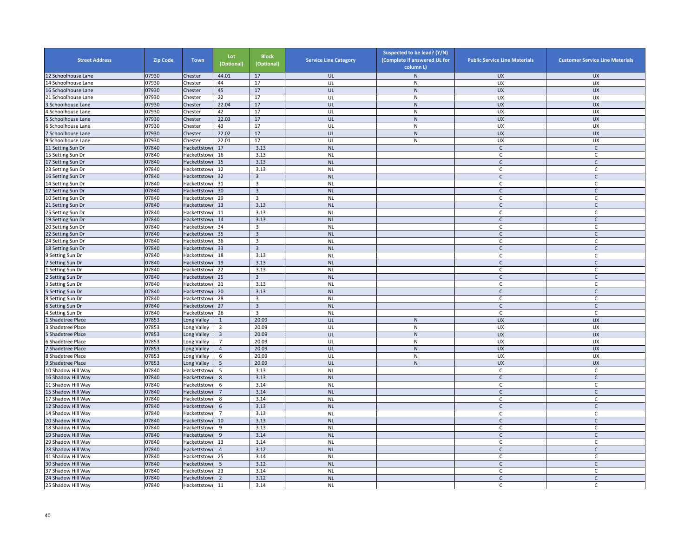| <b>Street Address</b> | <b>Zip Code</b> | <b>Town</b>  | Lot<br>(Optional) | <b>Block</b><br>(Optional) | <b>Service Line Category</b> | Suspected to be lead? (Y/N)<br>(Complete if answered UL for<br>column L) | <b>Public Service Line Materials</b> | <b>Customer Service Line Materials</b> |
|-----------------------|-----------------|--------------|-------------------|----------------------------|------------------------------|--------------------------------------------------------------------------|--------------------------------------|----------------------------------------|
| 12 Schoolhouse Lane   | 07930           | Chester      | 44.01             | 17                         | UL                           | $\mathsf{N}$                                                             | <b>UX</b>                            | <b>UX</b>                              |
| 4 Schoolhouse Lane    | 07930           | Chester      | 44                | 17                         | UL                           | N                                                                        | UX                                   | <b>UX</b>                              |
| 16 Schoolhouse Lane   | 07930           | Chester      | 45                | 17                         | UL                           | ${\sf N}$                                                                | <b>UX</b>                            | <b>UX</b>                              |
| 1 Schoolhouse Lane    | 07930           | Chester      | 22                | 17                         | UL                           | ${\sf N}$                                                                | UX                                   | UX                                     |
| Schoolhouse Lane      | 07930           | Chester      | 22.04             | 17                         | UL                           | ${\sf N}$                                                                | <b>UX</b>                            | <b>UX</b>                              |
| Schoolhouse Lane      | 07930           | Chester      | 42                | 17                         | UL                           | N                                                                        | <b>UX</b>                            | <b>UX</b>                              |
| Schoolhouse Lane      | 07930           | Chester      | 22.03             | 17                         | UL                           | $\mathsf{N}$                                                             | <b>UX</b>                            | <b>UX</b>                              |
| Schoolhouse Lane      | 07930           | Chester      | 43                | 17                         | UL                           | ${\sf N}$                                                                | <b>UX</b>                            | UX                                     |
| Schoolhouse Lane      | 07930           | Chester      | 22.02             | 17                         | UL                           | ${\sf N}$                                                                | <b>UX</b>                            | <b>UX</b>                              |
| Schoolhouse Lane      | 07930           | Chester      | 22.01             | 17                         | UL                           | ${\sf N}$                                                                | UX                                   | UX                                     |
| 11 Setting Sun Dr     | 07840           | Hackettstowi | 17                | 3.13                       | <b>NL</b>                    |                                                                          | $\mathsf{C}$                         | $\mathsf{C}$                           |
| 15 Setting Sun Dr     | 07840           | Hackettstowi | 16                | 3.13                       | <b>NL</b>                    |                                                                          | $\mathsf{C}$                         | $\mathsf{C}$                           |
| 17 Setting Sun Dr     | 07840           | Hackettstowi | 15                | 3.13                       | <b>NL</b>                    |                                                                          | $\mathsf{C}$                         | $\mathsf{C}$                           |
| 23 Setting Sun Dr     | 07840           | Hackettstow  | 12                | 3.13                       | <b>NL</b>                    |                                                                          | C                                    | C                                      |
| 6 Setting Sun Dr      | 07840           | Hackettstow  | 32                | 3                          | <b>NL</b>                    |                                                                          | $\mathsf{C}$                         | $\mathsf{C}$                           |
| 14 Setting Sun Dr     | 07840           | Hackettstow  | 31                | 3                          | <b>NL</b>                    |                                                                          | C                                    | C                                      |
| 12 Setting Sun Dr     | 07840           | Hackettstow  | 30                | $\overline{3}$             | <b>NL</b>                    |                                                                          | $\mathsf{C}$                         | $\mathsf{C}$                           |
| 10 Setting Sun Dr     | 07840           | Hackettstowi | 29                | 3                          | <b>NL</b>                    |                                                                          | C                                    | C                                      |
| 1 Setting Sun Dr      | 07840           | Hackettstowi | 13                | 3.13                       | <b>NL</b>                    |                                                                          | $\mathsf{C}$                         | $\mathsf C$                            |
| 5 Setting Sun Dr      | 07840           | Hackettstow  | 11                | 3.13                       | <b>NL</b>                    |                                                                          | C                                    | C                                      |
| 19 Setting Sun Dr     | 07840           | Hackettstow  | 14                | 3.13                       | <b>NL</b>                    |                                                                          | $\mathsf{C}$                         | C                                      |
| 20 Setting Sun Dr     | 07840           | Hackettstow  | 34                | 3                          | <b>NL</b>                    |                                                                          | $\Gamma$                             | $\mathsf{C}$                           |
| 2 Setting Sun Dr      | 07840           | Hackettstow  | 35                | 3                          | <b>NL</b>                    |                                                                          | $\mathsf{C}$                         | C                                      |
| 4 Setting Sun Dr      | 07840           | Hackettstow  | 36                | 3                          | <b>NL</b>                    |                                                                          | C                                    | C                                      |
| 8 Setting Sun Dr      | 07840           | Hackettstowi | 33                | $\overline{3}$             | <b>NL</b>                    |                                                                          | $\mathsf{C}$                         | $\mathsf{C}$                           |
| Setting Sun Dr        | 07840           | Hackettstow  | 18                | 3.13                       | <b>NL</b>                    |                                                                          | $\mathsf{C}$                         | $\mathsf C$                            |
| Setting Sun Dr        | 07840           | Hackettstowi | 19                | 3.13                       | <b>NL</b>                    |                                                                          | $\mathsf{C}$                         | $\mathsf{C}$                           |
| Setting Sun Dr        | 07840           | Hackettstowi | 22                | 3.13                       | <b>NL</b>                    |                                                                          | C                                    | C                                      |
| Setting Sun Dr        | 07840           | Hackettstow  | 25                | $\overline{\mathbf{3}}$    | <b>NL</b>                    |                                                                          | $\mathsf{C}$                         | $\mathsf C$                            |
| Setting Sun Dr        | 07840           | Hackettstow  | 21                | 3.13                       | <b>NL</b>                    |                                                                          | $\mathsf{C}$                         | C                                      |
| Setting Sun Dr        | 07840           | Hackettstow  | 20                | 3.13                       | <b>NL</b>                    |                                                                          | $\mathsf{C}$                         | $\mathsf C$                            |
| Setting Sun Dr        | 07840           | Hackettstowi | 28                | 3                          | <b>NL</b>                    |                                                                          | C                                    | C                                      |
| Setting Sun Dr        | 07840           | Hackettstowi | 27                | $\overline{3}$             | <b>NL</b>                    |                                                                          | $\mathsf{C}$                         | $\mathsf{C}$                           |
| Setting Sun Dr        | 07840           | Hackettstow  | 26                | 3                          | <b>NL</b>                    |                                                                          | $\mathsf{C}$                         | $\mathsf{C}$                           |
| Shadetree Place       | 07853           | Long Valley  | $\mathbf{1}$      | 20.09                      | UL                           | $\mathsf{N}$                                                             | <b>UX</b>                            | <b>UX</b>                              |
| Shadetree Place       | 07853           | Long Valley  | $\overline{2}$    | 20.09                      | UL                           | ${\sf N}$                                                                | UX                                   | UX                                     |
| Shadetree Place       | 07853           | Long Valley  | $\overline{3}$    | 20.09                      | UL                           | ${\sf N}$                                                                | <b>UX</b>                            | <b>UX</b>                              |
| Shadetree Place       | 07853           | Long Valley  | $\overline{7}$    | 20.09                      | UL                           | ${\sf N}$                                                                | UX                                   | UX                                     |
| Shadetree Place       | 07853           | Long Valley  | $\overline{4}$    | 20.09                      | UL                           | ${\sf N}$                                                                | <b>UX</b>                            | <b>UX</b>                              |
| Shadetree Place       | 07853           | Long Valley  | 6                 | 20.09                      | UL                           | $\mathsf{N}$                                                             | UX                                   | UX                                     |
| Shadetree Place       | 07853           | Long Valley  | 5                 | 20.09                      | UL                           | ${\sf N}$                                                                | <b>UX</b>                            | <b>UX</b>                              |
| 10 Shadow Hill Way    | 07840           | Hackettstow  | 5                 | 3.13                       | <b>NL</b>                    |                                                                          | C                                    | C                                      |
| 6 Shadow Hill Way     | 07840           | Hackettstow  | $\bf 8$           | 3.13                       | <b>NL</b>                    |                                                                          | $\mathsf{C}$                         | $\mathsf C$                            |
| 1 Shadow Hill Way     | 07840           | Hackettstow  | 6                 | 3.14                       | <b>NL</b>                    |                                                                          | C                                    | C                                      |
| 15 Shadow Hill Way    | 07840           | Hackettstow  | $\overline{7}$    | 3.14                       | <b>NL</b>                    |                                                                          | $\mathsf{C}$                         | $\mathsf{C}$                           |
| 17 Shadow Hill Way    | 07840           | Hackettstow  | 8                 | 3.14                       | <b>NL</b>                    |                                                                          | $\mathsf{C}$                         | C                                      |
| 12 Shadow Hill Way    | 07840           | Hackettstow  | 6                 | 3.13                       | <b>NL</b>                    |                                                                          | $\mathsf{C}$                         | $\mathsf{C}$                           |
| 4 Shadow Hill Way     | 07840           | Hackettstow  | $\overline{7}$    | 3.13                       | <b>NL</b>                    |                                                                          | C                                    | C                                      |
| 20 Shadow Hill Way    | 07840           | Hackettstow  | 10                | 3.13                       | <b>NL</b>                    |                                                                          | $\mathsf{C}$                         | $\mathsf{C}$                           |
| 18 Shadow Hill Way    | 07840           | Hackettstow  | 9                 | 3.13                       | <b>NL</b>                    |                                                                          | $\mathsf C$                          | $\mathsf C$                            |
| 19 Shadow Hill Way    | 07840           | Hackettstow  | 9                 | 3.14                       | <b>NL</b>                    |                                                                          | $\mathsf{C}$                         | $\mathsf{C}$                           |
| 29 Shadow Hill Way    | 07840           | Hackettstow  | 13                | 3.14                       | <b>NL</b>                    |                                                                          | $\mathsf C$                          | $\mathsf C$                            |
| 28 Shadow Hill Way    | 07840           | Hackettstowi | $\overline{4}$    | 3.12                       | <b>NL</b>                    |                                                                          | $\mathsf{C}$                         | $\mathsf C$                            |
| 41 Shadow Hill Way    | 07840           |              | 25                | 3.14                       | <b>NL</b>                    |                                                                          | C                                    | C                                      |
|                       | 07840           | Hackettstow  | 5                 |                            | <b>NL</b>                    |                                                                          | $\mathsf{C}$                         | $\mathsf{C}$                           |
| 30 Shadow Hill Way    |                 | Hackettstow  |                   | 3.12                       |                              |                                                                          |                                      |                                        |
| 37 Shadow Hill Way    | 07840<br>07840  | Hackettstow  | 23                | 3.14                       | <b>NL</b>                    |                                                                          | C<br>$\mathsf{C}$                    | C                                      |
| 24 Shadow Hill Way    |                 | Hackettstow  | $\overline{2}$    | 3.12                       | <b>NL</b>                    |                                                                          |                                      | $\mathsf{C}$                           |
| 25 Shadow Hill Way    | 07840           | Hackettstowi | 11                | 3.14                       | <b>NL</b>                    |                                                                          | C.                                   | C                                      |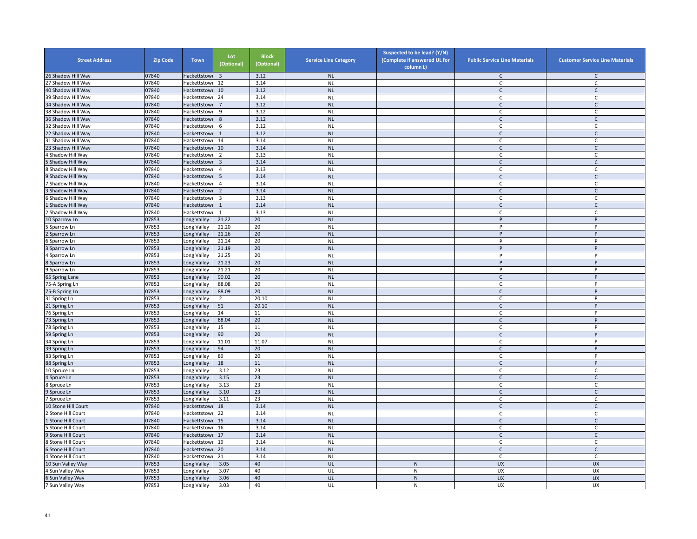| <b>Street Address</b>    | <b>Zip Code</b> | <b>Town</b>                | Lot<br>(Optional)       | <b>Block</b><br>(Optional) | <b>Service Line Category</b> | Suspected to be lead? (Y/N)<br>(Complete if answered UL for<br>column L) | <b>Public Service Line Materials</b> | <b>Customer Service Line Materials</b> |
|--------------------------|-----------------|----------------------------|-------------------------|----------------------------|------------------------------|--------------------------------------------------------------------------|--------------------------------------|----------------------------------------|
| 26 Shadow Hill Way       | 07840           | Hackettstow                | $\overline{\mathbf{3}}$ | 3.12                       | NL                           |                                                                          | $\mathsf{C}$                         | $\mathsf{C}$                           |
| 27 Shadow Hill Way       | 07840           | Hackettstowi               | 12                      | 3.14                       | <b>NL</b>                    |                                                                          | C                                    | $\mathsf C$                            |
| 40 Shadow Hill Way       | 07840           | <b>Hackettstowi</b>        | 10                      | 3.12                       | <b>NL</b>                    |                                                                          | $\mathsf{C}$                         | $\mathsf{C}$                           |
| 39 Shadow Hill Way       | 07840           | Hackettstowi               | 24                      | 3.14                       | <b>NL</b>                    |                                                                          | $\mathsf{C}$                         | C                                      |
| 34 Shadow Hill Way       | 07840           | Hackettstow                | $\overline{7}$          | 3.12                       | <b>NL</b>                    |                                                                          | C                                    | C                                      |
| 38 Shadow Hill Way       | 07840           | <b>Hackettstowi</b>        | 9                       | 3.12                       | <b>NL</b>                    |                                                                          | C                                    | C                                      |
| 36 Shadow Hill Way       | 07840           | Hackettstowi               | 8                       | 3.12                       | <b>NL</b>                    |                                                                          | $\mathsf{C}$                         | $\mathsf{C}$                           |
| 32 Shadow Hill Way       | 07840           | Hackettstow                | 6                       | 3.12                       | <b>NL</b>                    |                                                                          | C                                    | $\mathsf{C}$                           |
| 22 Shadow Hill Way       | 07840           | Hackettstowi               | $\mathbf{1}$            | 3.12                       | <b>NL</b>                    |                                                                          | $\mathsf{C}$                         | $\mathsf{C}$                           |
| 31 Shadow Hill Way       | 07840           | Hackettstowi               | 14                      | 3.14                       | <b>NL</b>                    |                                                                          | C                                    | $\mathsf{C}$                           |
| 23 Shadow Hill Way       | 07840           | Hackettstowi               | 10                      | 3.14                       | <b>NL</b>                    |                                                                          | $\mathsf{C}$                         | $\mathsf{C}$                           |
| Shadow Hill Way          | 07840           | Hackettstowi               | $\overline{2}$          | 3.13                       | <b>NL</b>                    |                                                                          | C                                    | $\mathsf{C}$                           |
| Shadow Hill Way          | 07840           | Hackettstow                | $\overline{3}$          | 3.14                       | <b>NL</b>                    |                                                                          | $\mathsf{C}$                         | $\mathsf{C}$                           |
| Shadow Hill Way          | 07840           | Hackettstowi               | 4                       | 3.13                       | <b>NL</b>                    |                                                                          | C                                    | C                                      |
| Shadow Hill Way          | 07840           | Hackettstow                | 5                       | 3.14                       | <b>NL</b>                    |                                                                          | $\mathsf{C}$                         | $\mathsf{C}$                           |
| Shadow Hill Way          | 07840           | Hackettstowi               | $\overline{4}$          | 3.14                       | <b>NL</b>                    |                                                                          | C                                    | C                                      |
| Shadow Hill Way          | 07840           | Hackettstowi               | $\overline{2}$          | 3.14                       | <b>NL</b>                    |                                                                          | $\mathsf{C}$                         | $\mathsf{C}$                           |
| Shadow Hill Way          | 07840           | Hackettstowi               | $\overline{3}$          | 3.13                       | <b>NL</b>                    |                                                                          | $\mathsf{C}$                         | C                                      |
| Shadow Hill Way          | 07840           | Hackettstowi               | $\mathbf{1}$            | 3.14                       | <b>NL</b>                    |                                                                          | $\mathsf{C}$                         | $\mathsf{C}$                           |
| Shadow Hill Way          | 07840           | Hackettstow                | $\mathbf{1}$            | 3.13                       | <b>NL</b>                    |                                                                          | C                                    | C                                      |
| 10 Sparrow Ln            | 07853           | Long Valley                | 21.22                   | 20                         | <b>NL</b>                    |                                                                          | P                                    | P                                      |
| Sparrow Ln               | 07853           | Long Valley                | 21.20                   | 20                         | <b>NL</b>                    |                                                                          | P                                    | Þ                                      |
| Sparrow Ln               | 07853           | Long Valley                | 21.26                   | 20                         | <b>NL</b>                    |                                                                          | P                                    | P                                      |
| Sparrow Ln               | 07853           | Long Valley                | 21.24                   | 20                         | <b>NL</b>                    |                                                                          | P                                    | P                                      |
| Sparrow Ln               | 07853           | Long Valley                | 21.19                   | 20                         | <b>NL</b>                    |                                                                          | P                                    | P                                      |
|                          | 07853           | Long Valley                | 21.25                   | 20                         | <b>NL</b>                    |                                                                          | P                                    | P                                      |
| Sparrow Ln<br>Sparrow Ln | 07853           | Long Valley                | 21.23                   | 20                         | <b>NL</b>                    |                                                                          | P                                    | P                                      |
| Sparrow Ln               | 07853           |                            | 21.21                   | 20                         | <b>NL</b>                    |                                                                          | P                                    | P                                      |
| 65 Spring Lane           | 07853           | Long Valley<br>Long Valley | 90.02                   | 20                         | <b>NL</b>                    |                                                                          | $\mathsf{C}$                         | P                                      |
|                          | 07853           | Long Valley                | 88.08                   | 20                         | <b>NL</b>                    |                                                                          | C                                    | P                                      |
| 75-A Spring Ln           | 07853           |                            | 88.09                   | 20                         | <b>NL</b>                    |                                                                          | $\mathsf{C}$                         | P                                      |
| 75-B Spring Ln           | 07853           | Long Valley                | $\overline{2}$          | 20.10                      |                              |                                                                          | $\mathsf{C}$                         | P                                      |
| 31 Spring Ln             | 07853           | Long Valley                | 51                      | 20.10                      | <b>NL</b><br><b>NL</b>       |                                                                          |                                      | P                                      |
| 21 Spring Ln             |                 | Long Valley                |                         |                            |                              |                                                                          | $\mathsf{C}$<br>$\mathsf{C}$         | P                                      |
| 76 Spring Ln             | 07853           | Long Valley                | 14                      | $11\,$                     | <b>NL</b>                    |                                                                          | $\mathsf{C}$                         |                                        |
| 73 Spring Ln             | 07853           | Long Valley                | 88.04                   | 20<br>11                   | <b>NL</b>                    |                                                                          |                                      | P<br>P                                 |
| 78 Spring Ln             | 07853           | Long Valley                | 15                      |                            | <b>NL</b>                    |                                                                          | $\mathsf{C}$                         | P                                      |
| 59 Spring Ln             | 07853           | Long Valley                | 90                      | 20                         | <b>NL</b>                    |                                                                          | $\mathsf{C}$                         |                                        |
| 34 Spring Ln             | 07853           | Long Valley                | 11.01                   | 11.07                      | <b>NL</b>                    |                                                                          | C                                    | P                                      |
| 39 Spring Ln             | 07853           | Long Valley                | 94                      | 20                         | <b>NL</b>                    |                                                                          | $\mathsf{C}$                         | P                                      |
| 83 Spring Ln             | 07853           | Long Valley                | 89                      | 20                         | <b>NL</b>                    |                                                                          | C                                    | P                                      |
| 88 Spring Ln             | 07853           | Long Valley                | 18                      | 11                         | <b>NL</b>                    |                                                                          | $\mathsf{C}$                         | P                                      |
| 10 Spruce Ln             | 07853           | Long Valley                | 3.12                    | 23                         | <b>NL</b>                    |                                                                          | C                                    | C                                      |
| Spruce Ln                | 07853           | Long Valley                | 3.15                    | 23                         | <b>NL</b>                    |                                                                          | $\mathsf{C}$                         | $\mathsf C$                            |
| Spruce Ln                | 07853           | Long Valley                | 3.13                    | 23                         | <b>NL</b>                    |                                                                          | C                                    | C                                      |
| 9 Spruce Ln              | 07853           | Long Valley                | 3.10                    | 23                         | <b>NL</b>                    |                                                                          | $\mathsf{C}$                         | $\mathsf{C}$                           |
| Spruce Ln                | 07853           | Long Valley                | 3.11                    | 23                         | <b>NL</b>                    |                                                                          | $\mathsf{C}$                         | C                                      |
| 10 Stone Hill Court      | 07840           | Hackettstowi               | 18                      | 3.14                       | <b>NL</b>                    |                                                                          | $\mathsf{C}$                         | $\mathsf{C}$                           |
| Stone Hill Court         | 07840           | Hackettstow                | 22                      | 3.14                       | <b>NL</b>                    |                                                                          | C                                    | C                                      |
| Stone Hill Court         | 07840           | Hackettstowi               | 15                      | 3.14                       | <b>NL</b>                    |                                                                          | $\mathsf{C}$                         | $\mathsf{C}$                           |
| Stone Hill Court         | 07840           | Hackettstowi               | 16                      | 3.14                       | <b>NL</b>                    |                                                                          | C                                    | $\mathsf{C}$                           |
| Stone Hill Court         | 07840           | Hackettstowi               | 17                      | 3.14                       | <b>NL</b>                    |                                                                          | $\mathsf{C}$                         | $\mathsf{C}$                           |
| Stone Hill Court         | 07840           | Hackettstowi               | 19                      | 3.14                       | <b>NL</b>                    |                                                                          | C                                    | $\mathsf{C}$                           |
| Stone Hill Court         | 07840           | Hackettstowi               | 20                      | 3.14                       | <b>NL</b>                    |                                                                          | $\mathsf{C}$                         | $\mathsf{C}$                           |
| Stone Hill Court         | 07840           | Hackettstowi               | 21                      | 3.14                       | <b>NL</b>                    |                                                                          | C                                    | C                                      |
| 10 Sun Valley Way        | 07853           | ong Valley                 | 3.05                    | 40                         | UL                           | $\mathsf{N}$                                                             | UX                                   | <b>UX</b>                              |
| Sun Valley Way           | 07853           | ong Valley.                | 3.07                    | 40                         | UL                           | ${\sf N}$                                                                | UX                                   | UX                                     |
| 6 Sun Valley Way         | 07853           | Long Valley                | 3.06                    | 40                         | UL                           | ${\sf N}$                                                                | <b>UX</b>                            | <b>UX</b>                              |
| Sun Valley Way           | 07853           | Long Valley                | 3.03                    | 40                         | UL                           | ${\sf N}$                                                                | <b>UX</b>                            | UX                                     |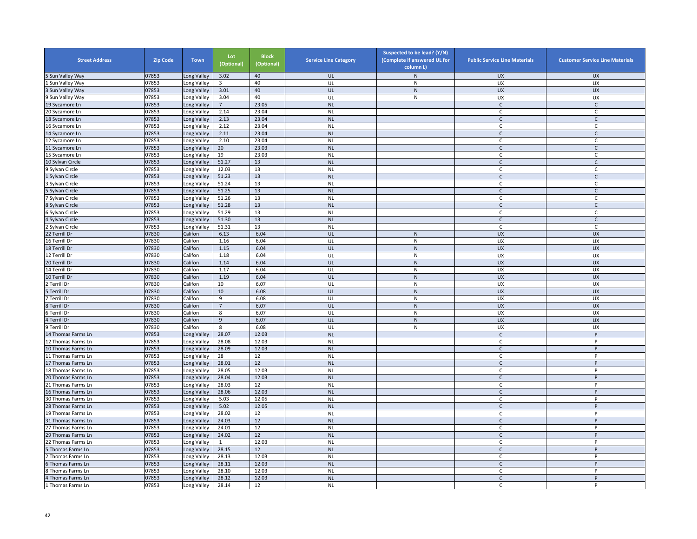| <b>Street Address</b> | <b>Zip Code</b> | <b>Town</b> | Lot<br>(Optional) | <b>Block</b><br>(Optional) | <b>Service Line Category</b> | Suspected to be lead? (Y/N)<br>(Complete if answered UL for<br>column L) | <b>Public Service Line Materials</b> | <b>Customer Service Line Materials</b> |
|-----------------------|-----------------|-------------|-------------------|----------------------------|------------------------------|--------------------------------------------------------------------------|--------------------------------------|----------------------------------------|
| 5 Sun Valley Way      | 07853           | Long Valley | 3.02              | 40                         | UL                           | N                                                                        | UX                                   | <b>UX</b>                              |
| Sun Valley Way        | 07853           | Long Valley | 3                 | 40                         | UL                           | ${\sf N}$                                                                | UX                                   | UX                                     |
| 3 Sun Valley Way      | 07853           | Long Valley | 3.01              | 40                         | UL                           | ${\sf N}$                                                                | <b>UX</b>                            | <b>UX</b>                              |
| 9 Sun Valley Way      | 07853           | Long Valley | 3.04              | 40                         | UL                           | N                                                                        | <b>UX</b>                            | UX                                     |
| 19 Sycamore Ln        | 07853           | Long Valley | $\overline{7}$    | 23.05                      | <b>NL</b>                    |                                                                          | $\mathsf{C}$                         | $\mathsf{C}$                           |
| 20 Sycamore Ln        | 07853           | ong Valley  | 2.14              | 23.04                      | <b>NL</b>                    |                                                                          | $\mathsf{C}$                         | C                                      |
| 18 Sycamore Ln        | 07853           | Long Valley | 2.13              | 23.04                      | <b>NL</b>                    |                                                                          | $\mathsf{C}$                         | $\mathsf{C}$                           |
| 16 Sycamore Ln        | 07853           | ong Valley  | 2.12              | 23.04                      | <b>NL</b>                    |                                                                          | $\mathsf{C}$                         | $\mathsf{C}$                           |
| 14 Sycamore Ln        | 07853           | Long Valley | 2.11              | 23.04                      | <b>NL</b>                    |                                                                          | $\mathsf{C}$                         | $\mathsf{C}$                           |
| 12 Sycamore Ln        | 07853           | Long Valley | 2.10              | 23.04                      | <b>NL</b>                    |                                                                          | C                                    | $\mathsf{C}$                           |
| 11 Sycamore Ln        | 07853           | Long Valley | 20                | 23.03                      | <b>NL</b>                    |                                                                          | $\mathsf{C}$                         | $\mathsf{C}$                           |
| 15 Sycamore Ln        | 07853           | Long Valley | 19                | 23.03                      | <b>NL</b>                    |                                                                          | C                                    | $\mathsf{C}$                           |
| 10 Sylvan Circle      | 07853           | Long Valley | 51.27             | 13                         | <b>NL</b>                    |                                                                          | $\mathsf{C}$                         | $\mathsf{C}$                           |
| 9 Sylvan Circle       | 07853           | ong Valley  | 12.03             | 13                         | <b>NL</b>                    |                                                                          | C                                    | C                                      |
| Sylvan Circle         | 07853           | Long Valley | 51.23             | 13                         | <b>NL</b>                    |                                                                          | $\mathsf{C}$                         | $\mathsf{C}$                           |
| Sylvan Circle         | 07853           | Long Valley | 51.24             | 13                         | <b>NL</b>                    |                                                                          | C                                    | C                                      |
| Sylvan Circle         | 07853           | Long Valley | 51.25             | 13                         | <b>NL</b>                    |                                                                          | $\mathsf{C}$                         | $\mathsf{C}$                           |
| Sylvan Circle         | 07853           | Long Valley | 51.26             | 13                         | <b>NL</b>                    |                                                                          | C                                    | C                                      |
| 8 Sylvan Circle       | 07853           | Long Valley | 51.28             | 13                         | <b>NL</b>                    |                                                                          | $\mathsf{C}$                         | $\mathsf{C}$                           |
| Sylvan Circle         | 07853           | ong Valley  | 51.29             | 13                         | <b>NL</b>                    |                                                                          | C                                    | C                                      |
| 4 Sylvan Circle       | 07853           | Long Valley | 51.30             | 13                         | <b>NL</b>                    |                                                                          | $\mathsf{C}$                         | $\mathsf{C}$                           |
| Sylvan Circle         | 07853           | ong Valley  | 51.31             | 13                         | <b>NL</b>                    |                                                                          | C                                    | C                                      |
| 22 Terrill Dr         | 07830           | Califon     | 6.13              | 6.04                       | UL                           | ${\sf N}$                                                                | UX                                   | <b>UX</b>                              |
| 16 Terrill Dr         | 07830           | Califon     | 1.16              | 6.04                       | UL                           | ${\sf N}$                                                                | UX                                   | UX                                     |
| 18 Terrill Dr         | 07830           | Califon     | 1.15              | 6.04                       | UL                           | N                                                                        | <b>UX</b>                            | <b>UX</b>                              |
| 12 Terrill Dr         | 07830           | Califon     | 1.18              | 6.04                       | UL                           | N                                                                        | <b>UX</b>                            | UX                                     |
| 20 Terrill Dr         | 07830           | Califon     | 1.14              | 6.04                       | UL                           | ${\sf N}$                                                                | <b>UX</b>                            | <b>UX</b>                              |
| 14 Terrill Dr         | 07830           | Califon     | 1.17              | 6.04                       | UL                           | ${\sf N}$                                                                | UX                                   | UX                                     |
| 10 Terrill Dr         | 07830           | Califon     | 1.19              | 6.04                       | UL                           | ${\sf N}$                                                                | <b>UX</b>                            | <b>UX</b>                              |
| Terrill Dr            | 07830           | Califon     | 10                | 6.07                       | UL                           | ${\sf N}$                                                                | UX                                   | UX                                     |
| Ferrill Dr            | 07830           | Califon     | 10                | 6.08                       | UL                           | $\mathsf{N}$                                                             | <b>UX</b>                            | <b>UX</b>                              |
| Terrill Dr            | 07830           | Califon     | 9                 | 6.08                       | UL                           | N                                                                        | <b>UX</b>                            | UX                                     |
| 8 Terrill Dr          | 07830           | Califon     | $\overline{7}$    | 6.07                       | UL                           | ${\sf N}$                                                                | <b>UX</b>                            | <b>UX</b>                              |
| ่ Terrill Dr          | 07830           | Califon     | 8                 | 6.07                       | UL                           | N                                                                        | UX                                   | UX                                     |
| 4 Terrill Dr          | 07830           | Califon     | 9                 | 6.07                       | UL                           | N                                                                        | <b>UX</b>                            | <b>UX</b>                              |
| 9 Terrill Dr          | 07830           | Califon     | 8                 | 6.08                       | UL                           | ${\sf N}$                                                                | UX                                   | UX                                     |
| 14 Thomas Farms Ln    | 07853           | Long Valley | 28.07             | 12.03                      | <b>NL</b>                    |                                                                          | C                                    | $\sf P$                                |
| 12 Thomas Farms Ln    | 07853           | Long Valley | 28.08             | 12.03                      | <b>NL</b>                    |                                                                          | C                                    | P                                      |
| 10 Thomas Farms Ln    | 07853           | Long Valley | 28.09             | 12.03                      | <b>NL</b>                    |                                                                          | $\mathsf{C}$                         | P                                      |
| 11 Thomas Farms Ln    | 07853           | Long Valley | 28                | 12                         | <b>NL</b>                    |                                                                          | C                                    | P                                      |
| 17 Thomas Farms Ln    | 07853           | ong Valley  | 28.01             | 12                         | <b>NL</b>                    |                                                                          | $\mathsf{C}$                         | P                                      |
| 18 Thomas Farms Ln    | 07853           | Long Valley | 28.05             | 12.03                      | <b>NL</b>                    |                                                                          | C                                    | P                                      |
| 20 Thomas Farms Ln    | 07853           | Long Valley | 28.04             | 12.03                      | <b>NL</b>                    |                                                                          | $\mathsf{C}$                         | P                                      |
| 21 Thomas Farms Ln    | 07853           | Long Valley | 28.03             | 12                         | <b>NL</b>                    |                                                                          | C                                    | P                                      |
| 16 Thomas Farms Ln    | 07853           | Long Valley | 28.06             | 12.03                      | <b>NL</b>                    |                                                                          | $\mathsf{C}$                         | P                                      |
| 30 Thomas Farms Ln    | 07853           | Long Valley | 5.03              | 12.05                      | <b>NL</b>                    |                                                                          | C                                    | P                                      |
| 28 Thomas Farms Ln    | 07853           | Long Valley | 5.02              | 12.05                      | <b>NL</b>                    |                                                                          | $\mathsf{C}$                         | P                                      |
| 19 Thomas Farms Ln    | 07853           | Long Valley | 28.02             | 12                         | <b>NL</b>                    |                                                                          | C                                    | P                                      |
| 31 Thomas Farms Ln    | 07853           | Long Valley | 24.03             | 12                         | <b>NL</b>                    |                                                                          | $\mathsf{C}$                         | P                                      |
| 27 Thomas Farms Ln    | 07853           | ong Valley  | 24.01             | 12                         | <b>NL</b>                    |                                                                          | C                                    | P                                      |
| 29 Thomas Farms Ln    | 07853           | Long Valley | 24.02             | 12                         | <b>NL</b>                    |                                                                          | $\mathsf{C}$                         | P                                      |
| 22 Thomas Farms Ln    | 07853           | Long Valley | $\mathbf{1}$      | 12.03                      | <b>NL</b>                    |                                                                          | C                                    | Þ                                      |
| Thomas Farms Ln       | 07853           | Long Valley | 28.15             | 12                         | <b>NL</b>                    |                                                                          | $\mathsf{C}$                         | P                                      |
| Thomas Farms Ln       | 07853           | Long Valley | 28.13             | 12.03                      | <b>NL</b>                    |                                                                          | C                                    | P                                      |
| Thomas Farms Ln       | 07853           | Long Valley | 28.11             | 12.03                      | <b>NL</b>                    |                                                                          | $\mathsf{C}$                         | P                                      |
| Thomas Farms Ln       | 07853           | Long Valley | 28.10             | 12.03                      | <b>NL</b>                    |                                                                          | C                                    | P                                      |
| Thomas Farms Ln       | 07853           | ong Valley  | 28.12             | 12.03                      | <b>NL</b>                    |                                                                          | $\mathsf{C}$                         | P                                      |
| 1 Thomas Farms Ln     | 07853           | Long Valley | 28.14             | 12                         | <b>NL</b>                    |                                                                          | С                                    | P                                      |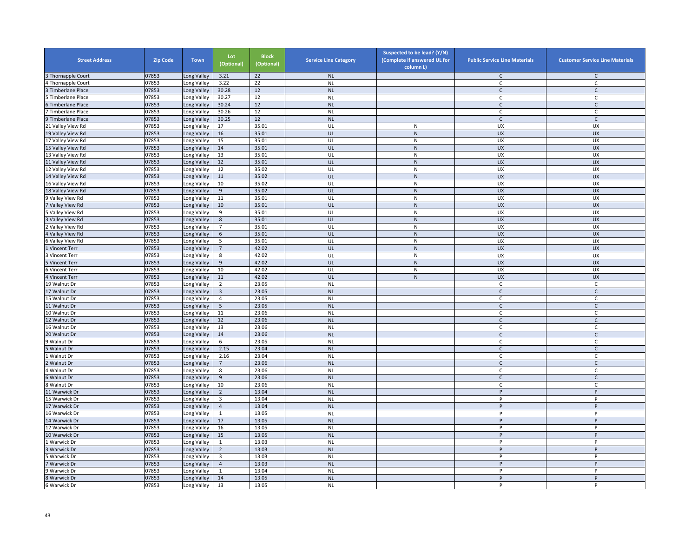| <b>Street Address</b>   | <b>Zip Code</b> | <b>Town</b>                | Lot<br>(Optional)       | <b>Block</b><br>(Optional) | <b>Service Line Category</b> | Suspected to be lead? (Y/N)<br>(Complete if answered UL for<br>column L) | <b>Public Service Line Materials</b> | <b>Customer Service Line Materials</b> |
|-------------------------|-----------------|----------------------------|-------------------------|----------------------------|------------------------------|--------------------------------------------------------------------------|--------------------------------------|----------------------------------------|
| Thornapple Court        | 07853           | ong Valley                 | 3.21                    | 22                         | <b>NL</b>                    |                                                                          | $\mathsf C$                          | $\mathsf{C}$                           |
| Thornapple Court        | 07853           | Long Valley                | 3.22                    | 22                         | <b>NL</b>                    |                                                                          | C                                    | $\mathsf C$                            |
| Timberlane Place        | 07853           | Long Valley                | 30.28                   | 12                         | <b>NL</b>                    |                                                                          | $\mathsf{C}$                         | $\mathsf{C}$                           |
| Timberlane Place        | 07853           | Long Valley                | 30.27                   | 12                         | <b>NL</b>                    |                                                                          | C                                    | C                                      |
| <b>Timberlane Place</b> | 07853           | Long Valley                | 30.24                   | 12                         | <b>NL</b>                    |                                                                          | $\mathsf{C}$                         | $\mathsf{C}$                           |
| <b>Timberlane Place</b> | 07853           | ong Valley                 | 30.26                   | 12                         | <b>NL</b>                    |                                                                          | $\mathsf{C}$                         | $\mathsf C$                            |
| Timberlane Place        | 07853           | Long Valley                | 30.25                   | 12                         | <b>NL</b>                    |                                                                          | $\mathsf{C}$                         | $\mathsf{C}$                           |
| 21 Valley View Rd       | 07853           | ong Valley                 | 17                      | 35.01                      | UL                           | ${\sf N}$                                                                | UX                                   | UX                                     |
| 19 Valley View Rd       | 07853           | Long Valley                | 16                      | 35.01                      | UL                           | ${\sf N}$                                                                | <b>UX</b>                            | <b>UX</b>                              |
| 17 Valley View Rd       | 07853           | Long Valley                | 15                      | 35.01                      | UL                           | $\mathsf{N}$                                                             | UX                                   | UX                                     |
| 15 Valley View Rd       | 07853           | Long Valley                | 14                      | 35.01                      | UL                           | N                                                                        | <b>UX</b>                            | <b>UX</b>                              |
| 13 Valley View Rd       | 07853           | Long Valley                | 13                      | 35.01                      | UL                           | ${\sf N}$                                                                | UX                                   | UX                                     |
| 11 Valley View Rd       | 07853           | Long Valley                | 12                      | 35.01                      | UL                           | ${\sf N}$                                                                | <b>UX</b>                            | UX                                     |
| 12 Valley View Rd       | 07853           | Long Valley                | 12                      | 35.02                      | UL                           | ${\sf N}$                                                                | UX                                   | UX                                     |
| 14 Valley View Rd       | 07853           | ong Valley                 | $11\,$                  | 35.02                      | UL                           | ${\sf N}$                                                                | <b>UX</b>                            | <b>UX</b>                              |
| 16 Valley View Rd       | 07853           | Long Valley                | 10                      | 35.02                      | UL                           | ${\sf N}$                                                                | UX                                   | UX                                     |
| 18 Valley View Rd       | 07853           | Long Valley                | 9                       | 35.02                      | UL                           | $\mathsf{N}$                                                             | <b>UX</b>                            | <b>UX</b>                              |
| 9 Valley View Rd        | 07853           | Long Valley                | 11                      | 35.01                      | UL                           | ${\sf N}$                                                                | UX                                   | UX                                     |
| Valley View Rd          | 07853           | Long Valley                | 10                      | 35.01                      | UL                           | ${\sf N}$                                                                | <b>UX</b>                            | <b>UX</b>                              |
| Valley View Rd          | 07853           | Long Valley                | 9                       | 35.01                      | UL                           | ${\sf N}$                                                                | <b>UX</b>                            | <b>UX</b>                              |
| Valley View Rd          | 07853           | Long Valley                | $8\phantom{1}$          | 35.01                      | UL                           | $\mathsf{N}$                                                             | <b>UX</b>                            | <b>UX</b>                              |
| Valley View Rd          | 07853           | ong Valley                 | $\overline{7}$          | 35.01                      | UL                           | N                                                                        | UX                                   | UX                                     |
| Valley View Rd          | 07853           | Long Valley                | 6                       | 35.01                      | UL                           | ${\sf N}$                                                                | <b>UX</b>                            | <b>UX</b>                              |
| Valley View Rd          | 07853           | Long Valley                | 5                       | 35.01                      | UL                           | ${\sf N}$                                                                | UX                                   | UX                                     |
| Vincent Terr            | 07853           | Long Valley                | $\overline{7}$          | 42.02                      | UL                           | ${\sf N}$                                                                | <b>UX</b>                            | <b>UX</b>                              |
| Vincent Terr            | 07853           | Long Valley                | 8                       | 42.02                      | UL                           | ${\sf N}$                                                                | <b>UX</b>                            | UX                                     |
| Vincent Terr            | 07853           | Long Valley                | 9                       | 42.02                      | UL                           | N                                                                        | <b>UX</b>                            | <b>UX</b>                              |
| 6 Vincent Terr          | 07853           | Long Valley                | 10                      | 42.02                      | UL                           | ${\sf N}$                                                                | UX                                   | UX                                     |
| 4 Vincent Terr          | 07853           | ong Valley                 | $11\,$                  | 42.02                      | UL                           | $\overline{N}$                                                           | <b>UX</b>                            | UX                                     |
| 19 Walnut Dr            | 07853           | Long Valley                | 2                       | 23.05                      | <b>NL</b>                    |                                                                          | C                                    | C                                      |
| 17 Walnut Dr            | 07853           | Long Valley                | $\overline{3}$          | 23.05                      | <b>NL</b>                    |                                                                          | $\mathsf C$                          | $\mathsf C$                            |
| 15 Walnut Dr            | 07853           | Long Valley                | $\overline{4}$          | 23.05                      | <b>NL</b>                    |                                                                          | C                                    | $\mathsf C$                            |
| 11 Walnut Dr            | 07853           | Long Valley                | 5                       | 23.05                      | <b>NL</b>                    |                                                                          | $\mathsf{C}$                         | $\mathsf{C}$                           |
| 10 Walnut Dr            | 07853           | Long Valley                | 11                      | 23.06                      | <b>NL</b>                    |                                                                          | $\mathsf{C}$                         | C                                      |
| 12 Walnut Dr            | 07853           | Long Valley                | 12                      | 23.06                      | <b>NL</b>                    |                                                                          | $\mathsf{C}$                         | $\mathsf C$                            |
| 16 Walnut Dr            | 07853           | Long Valley                | 13                      | 23.06                      | <b>NL</b>                    |                                                                          | C                                    | C                                      |
| 20 Walnut Dr            | 07853           | Long Valley                | 14                      | 23.06                      | <b>NL</b>                    |                                                                          | $\mathsf{C}$                         | $\mathsf{C}$                           |
| Walnut Dr               | 07853           | Long Valley                | 6                       | 23.05                      | <b>NL</b>                    |                                                                          | $\mathsf{C}$                         | $\mathsf{C}$                           |
| Walnut Dr               | 07853           | Long Valley                | 2.15                    | 23.04                      | <b>NL</b>                    |                                                                          | $\mathsf{C}$                         | $\mathsf{C}$                           |
| Walnut Dr               | 07853           | Long Valley                | 2.16                    | 23.04                      | <b>NL</b>                    |                                                                          | C                                    | $\mathsf{C}$                           |
| Walnut Dr               | 07853           | Long Valley                | $\overline{7}$          | 23.06                      | <b>NL</b>                    |                                                                          | $\mathsf{C}$                         | $\mathsf{C}$                           |
| 4 Walnut Dr             | 07853           | Long Valley                | 8                       | 23.06                      | <b>NL</b>                    |                                                                          | C                                    | C                                      |
| Walnut Dr               | 07853           | Long Valley                | 9                       | 23.06                      | <b>NL</b>                    |                                                                          | $\mathsf{C}$                         | $\mathsf C$                            |
| Walnut Dr               | 07853           | ong Valley                 | 10                      | 23.06                      | <b>NL</b>                    |                                                                          | $\mathsf{C}$                         | C                                      |
| 11 Warwick Dr           | 07853           | ong Valley                 | $\overline{2}$          | 13.04                      | <b>NL</b>                    |                                                                          | P                                    | P                                      |
| 15 Warwick Dr           | 07853           | Long Valley                | $\overline{\mathbf{3}}$ | 13.04                      | <b>NL</b>                    |                                                                          | P                                    | P                                      |
| 17 Warwick Dr           | 07853           | Long Valley                | $\overline{4}$          | 13.04                      | <b>NL</b>                    |                                                                          | P                                    | P                                      |
| 6 Warwick Dr            | 07853           | Long Valley                | $\mathbf{1}$            | 13.05                      | <b>NL</b>                    |                                                                          | P                                    | P                                      |
| 14 Warwick Dr           | 07853           |                            | $17\,$                  | 13.05                      | <b>NL</b>                    |                                                                          | P                                    | P                                      |
| 12 Warwick Dr           | 07853           | Long Valley<br>Long Valley | 16                      | 13.05                      | <b>NL</b>                    |                                                                          | P                                    | P                                      |
| 10 Warwick Dr           | 07853           | Long Valley                | 15                      | 13.05                      | <b>NL</b>                    |                                                                          | $\sf P$                              | $\sf P$                                |
| Warwick Dr              | 07853           | ong Valley                 | $\mathbf{1}$            | 13.03                      | <b>NL</b>                    |                                                                          | P                                    | P                                      |
|                         | 07853           |                            | $\overline{2}$          | 13.03                      |                              |                                                                          | p                                    | P                                      |
| Warwick Dr              |                 | Long Valley                |                         | 13.03                      | <b>NL</b>                    |                                                                          | P                                    | P                                      |
| Warwick Dr              | 07853           | Long Valley                | $\overline{\mathbf{3}}$ |                            | <b>NL</b>                    |                                                                          | P                                    | P                                      |
| Warwick Dr              | 07853           | Long Valley                | $\overline{4}$          | 13.03                      | <b>NL</b>                    |                                                                          |                                      |                                        |
| Warwick Dr              | 07853           | Long Valley                | $\mathbf{1}$            | 13.04                      | <b>NL</b>                    |                                                                          | P                                    | P                                      |
| 8 Warwick Dr            | 07853           | Long Valley                | 14                      | 13.05                      | <b>NL</b>                    |                                                                          | P                                    | P                                      |
| 6 Warwick Dr            | 07853           | Long Valley                | 13                      | 13.05                      | <b>NL</b>                    |                                                                          | P                                    | P                                      |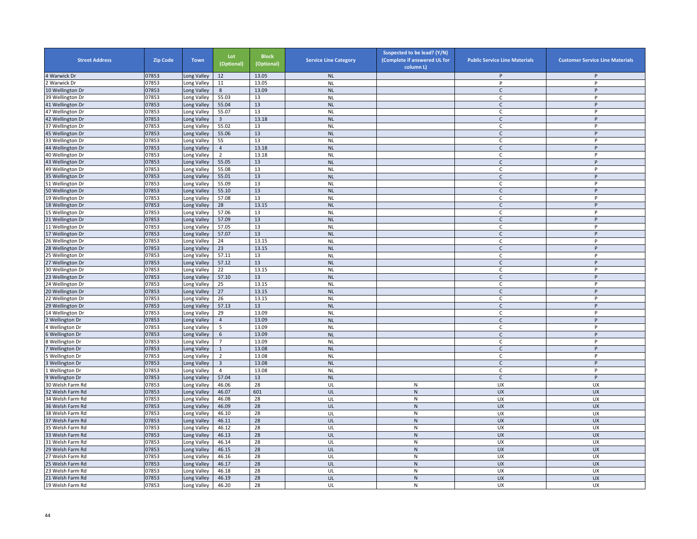| <b>Street Address</b> | <b>Zip Code</b> | <b>Town</b> | Lot<br>(Optional) | <b>Block</b><br>(Optional) | <b>Service Line Category</b> | Suspected to be lead? (Y/N)<br>(Complete if answered UL for<br>column L) | <b>Public Service Line Materials</b> | <b>Customer Service Line Materials</b> |
|-----------------------|-----------------|-------------|-------------------|----------------------------|------------------------------|--------------------------------------------------------------------------|--------------------------------------|----------------------------------------|
| 4 Warwick Dr          | 07853           | Long Valley | 12                | 13.05                      | <b>NL</b>                    |                                                                          | P                                    | P                                      |
| Warwick Dr            | 07853           | Long Valley | 11                | 13.05                      | <b>NL</b>                    |                                                                          | P                                    | P                                      |
| 10 Wellington Dr      | 07853           | Long Valley | 8                 | 13.09                      | <b>NL</b>                    |                                                                          | $\mathsf{C}$                         | P                                      |
| 39 Wellington Dr      | 07853           | Long Valley | 55.03             | 13                         | <b>NL</b>                    |                                                                          | C                                    | P                                      |
| 41 Wellington Dr      | 07853           | Long Valley | 55.04             | 13                         | <b>NL</b>                    |                                                                          | $\mathsf{C}$                         | P                                      |
| 47 Wellington Dr      | 07853           | Long Valley | 55.07             | 13                         | <b>NL</b>                    |                                                                          | C                                    | P                                      |
| 42 Wellington Dr      | 07853           | Long Valley | $\overline{3}$    | 13.18                      | <b>NL</b>                    |                                                                          | $\mathsf{C}$                         | P                                      |
| 37 Wellington Dr      | 07853           | Long Valley | 55.02             | 13                         | <b>NL</b>                    |                                                                          | C                                    | P                                      |
| 45 Wellington Dr      | 07853           | Long Valley | 55.06             | 13                         | NL                           |                                                                          | $\mathsf{C}$                         | P                                      |
| 33 Wellington Dr      | 07853           | Long Valley | 55                | 13                         | <b>NL</b>                    |                                                                          | $\mathsf{C}$                         | P                                      |
| 44 Wellington Dr      | 07853           | Long Valley | $\overline{4}$    | 13.18                      | <b>NL</b>                    |                                                                          | $\mathsf{C}$                         | P                                      |
| 40 Wellington Dr      | 07853           | Long Valley | $\overline{2}$    | 13.18                      | <b>NL</b>                    |                                                                          | C                                    | P                                      |
| 43 Wellington Dr      | 07853           | Long Valley | 55.05             | 13                         | <b>NL</b>                    |                                                                          | $\mathsf{C}$                         | P                                      |
| 49 Wellington Dr      | 07853           | Long Valley | 55.08             | 13                         | <b>NL</b>                    |                                                                          | C                                    | P                                      |
| 35 Wellington Dr      | 07853           | Long Valley | 55.01             | 13                         | <b>NL</b>                    |                                                                          | $\mathsf{C}$                         | P                                      |
| 51 Wellington Dr      | 07853           | Long Valley | 55.09             | 13                         | <b>NL</b>                    |                                                                          | C                                    | P                                      |
| 50 Wellington Dr      | 07853           | Long Valley | 55.10             | 13                         | <b>NL</b>                    |                                                                          | $\mathsf{C}$                         | P                                      |
| 19 Wellington Dr      | 07853           | Long Valley | 57.08             | 13                         | <b>NL</b>                    |                                                                          | $\mathsf{C}$                         | P                                      |
| 18 Wellington Dr      | 07853           | Long Valley | 28                | 13.15                      | <b>NL</b>                    |                                                                          | $\mathsf{C}$                         | P                                      |
| 15 Wellington Dr      | 07853           | Long Valley | 57.06             | 13                         | <b>NL</b>                    |                                                                          | C                                    | P                                      |
| 21 Wellington Dr      | 07853           | Long Valley | 57.09             | 13                         | <b>NL</b>                    |                                                                          | $\mathsf{C}$                         | P                                      |
| 11 Wellington Dr      | 07853           | Long Valley | 57.05             | 13                         | <b>NL</b>                    |                                                                          | $\mathsf{C}$                         | P                                      |
| 17 Wellington Dr      | 07853           | Long Valley | 57.07             | 13                         | <b>NL</b>                    |                                                                          | $\mathsf{C}$                         | P                                      |
| 26 Wellington Dr      | 07853           | Long Valley | 24                | 13.15                      | <b>NL</b>                    |                                                                          | $\mathsf{C}$                         | P                                      |
| 28 Wellington Dr      | 07853           | Long Valley | 23                | 13.15                      | <b>NL</b>                    |                                                                          | C                                    | P                                      |
| 25 Wellington Dr      | 07853           | Long Valley | 57.11             | 13                         | <b>NL</b>                    |                                                                          | C                                    | P                                      |
| 27 Wellington Dr      | 07853           | Long Valley | 57.12             | 13                         | <b>NL</b>                    |                                                                          | $\mathsf{C}$                         | P                                      |
| 30 Wellington Dr      | 07853           | Long Valley | 22                | 13.15                      | <b>NL</b>                    |                                                                          | C                                    | P                                      |
| 23 Wellington Dr      | 07853           | Long Valley | 57.10             | 13                         | $\sf NL$                     |                                                                          | $\mathsf{C}$                         | P                                      |
| 4 Wellington Dr       | 07853           | Long Valley | 25                | 13.15                      | <b>NL</b>                    |                                                                          | $\mathsf{C}$                         | P                                      |
| 20 Wellington Dr      | 07853           | Long Valley | 27                | 13.15                      | <b>NL</b>                    |                                                                          | $\mathsf{C}$                         | P                                      |
| 22 Wellington Dr      | 07853           | Long Valley | 26                | 13.15                      | <b>NL</b>                    |                                                                          | $\mathsf{C}$                         | P                                      |
| 29 Wellington Dr      | 07853           | Long Valley | 57.13             | 13                         | <b>NL</b>                    |                                                                          | $\mathsf{C}$                         | P                                      |
| 4 Wellington Dr       | 07853           | Long Valley | 29                | 13.09                      | <b>NL</b>                    |                                                                          | C                                    | P                                      |
| <b>Wellington Dr</b>  | 07853           | Long Valley | $\overline{4}$    | 13.09                      | <b>NL</b>                    |                                                                          | $\mathsf{C}$                         | $\sf P$                                |
| Wellington Dr         | 07853           | Long Valley | 5                 | 13.09                      | <b>NL</b>                    |                                                                          | $\mathsf{C}$                         | P                                      |
| Wellington Dr         | 07853           | Long Valley | 6                 | 13.09                      | <b>NL</b>                    |                                                                          | $\mathsf{C}$                         | P                                      |
| Wellington Dr         | 07853           | Long Valley | $\overline{7}$    | 13.09                      | <b>NL</b>                    |                                                                          | C                                    | P                                      |
| Wellington Dr         | 07853           | Long Valley | $1\,$             | 13.08                      | <b>NL</b>                    |                                                                          | $\mathsf{C}$                         | P                                      |
| <b>Wellington Dr</b>  | 07853           | Long Valley | 2                 | 13.08                      | <b>NL</b>                    |                                                                          | C                                    | P                                      |
| Wellington Dr         | 07853           | Long Valley | $\overline{3}$    | 13.08                      | <b>NL</b>                    |                                                                          | $\mathsf{C}$                         | P                                      |
| Wellington Dr         | 07853           | Long Valley | 4                 | 13.08                      | <b>NL</b>                    |                                                                          | C                                    | P                                      |
| Wellington Dr         | 07853           | Long Valley | 57.04             | 13                         | <b>NL</b>                    |                                                                          | $\mathsf{C}$                         | P                                      |
| 30 Welsh Farm Rd      | 07853           | Long Valley | 46.06             | 28                         | UL                           | ${\sf N}$                                                                | UX                                   | UX                                     |
| 32 Welsh Farm Rd      | 07853           | Long Valley | 46.07             | 601                        | UL                           | ${\sf N}$                                                                | <b>UX</b>                            | <b>UX</b>                              |
| 34 Welsh Farm Rd      | 07853           | Long Valley | 46.08             | 28                         | UL                           | $\mathsf{N}$                                                             | UX                                   | UX                                     |
| 36 Welsh Farm Rd      | 07853           | Long Valley | 46.09             | 28                         | UL                           | ${\sf N}$                                                                | <b>UX</b>                            | <b>UX</b>                              |
| 38 Welsh Farm Rd      | 07853           | Long Valley | 46.10             | 28                         | UL                           | $\mathsf{N}$                                                             | UX                                   | UX                                     |
| 37 Welsh Farm Rd      | 07853           | Long Valley | 46.11             | 28                         | UL                           | ${\sf N}$                                                                | UX                                   | <b>UX</b>                              |
| 35 Welsh Farm Rd      | 07853           | Long Valley | 46.12             | 28                         | UL                           | ${\sf N}$                                                                | UX                                   | UX                                     |
| 33 Welsh Farm Rd      | 07853           | Long Valley | 46.13             | 28                         | UL                           | ${\sf N}$                                                                | <b>UX</b>                            | <b>UX</b>                              |
| 31 Welsh Farm Rd      | 07853           | Long Valley | 46.14             | 28                         | UL                           | ${\sf N}$                                                                | UX                                   | UX                                     |
| 29 Welsh Farm Rd      | 07853           | Long Valley | 46.15             | 28                         | UL                           | ${\sf N}$                                                                | <b>UX</b>                            | <b>UX</b>                              |
| 27 Welsh Farm Rd      | 07853           | Long Valley | 46.16             | 28                         | UL                           | $\mathsf{N}$                                                             | <b>UX</b>                            | <b>UX</b>                              |
| 25 Welsh Farm Rd      | 07853           | Long Valley | 46.17             | 28                         | UL                           | ${\sf N}$                                                                | <b>UX</b>                            | <b>UX</b>                              |
| 23 Welsh Farm Rd      | 07853           | Long Valley | 46.18             | 28                         | UL                           | ${\sf N}$                                                                | UX                                   | UX                                     |
| 21 Welsh Farm Rd      | 07853           | Long Valley | 46.19             | 28                         | UL                           | ${\sf N}$                                                                | <b>UX</b>                            | <b>UX</b>                              |
| 19 Welsh Farm Rd      | 07853           | Long Valley | 46.20             | 28                         | UL                           | N                                                                        | UX                                   | UX                                     |
|                       |                 |             |                   |                            |                              |                                                                          |                                      |                                        |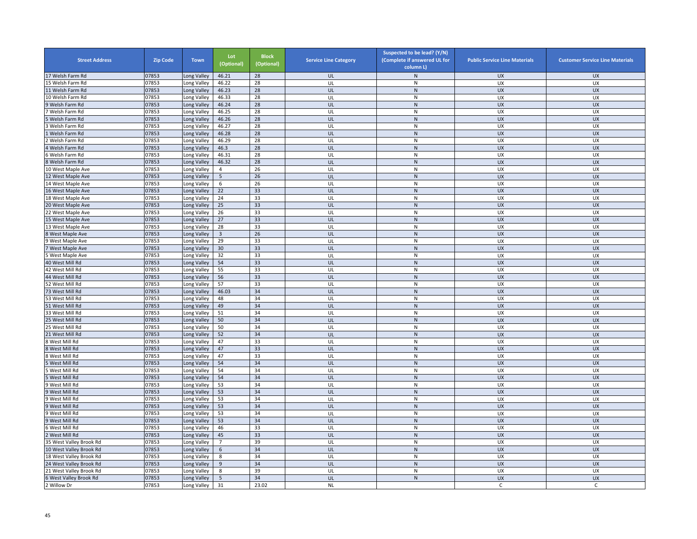| <b>Street Address</b>   | <b>Zip Code</b> | <b>Town</b> | Lot<br>(Optional)       | <b>Block</b><br>(Optional) | <b>Service Line Category</b> | Suspected to be lead? (Y/N)<br>(Complete if answered UL for<br>column L) | <b>Public Service Line Materials</b> | <b>Customer Service Line Materials</b> |
|-------------------------|-----------------|-------------|-------------------------|----------------------------|------------------------------|--------------------------------------------------------------------------|--------------------------------------|----------------------------------------|
| 17 Welsh Farm Rd        | 07853           | ong Valley  | 46.21                   | 28                         | UL                           | N                                                                        | UX                                   | <b>UX</b>                              |
| 5 Welsh Farm Rd         | 07853           | Long Valley | 46.22                   | 28                         | UL                           | ${\sf N}$                                                                | UX                                   | UX                                     |
| 11 Welsh Farm Rd        | 07853           | Long Valley | 46.23                   | 28                         | UL                           | ${\sf N}$                                                                | <b>UX</b>                            | <b>UX</b>                              |
| 10 Welsh Farm Rd        | 07853           | Long Valley | 46.33                   | 28                         | UL                           | N                                                                        | <b>UX</b>                            | <b>UX</b>                              |
| 9 Welsh Farm Rd         | 07853           | Long Valley | 46.24                   | 28                         | UL                           | ${\sf N}$                                                                | <b>UX</b>                            | <b>UX</b>                              |
| Welsh Farm Rd           | 07853           | ong Valley  | 46.25                   | 28                         | UL                           | N                                                                        | UX                                   | UX                                     |
| Welsh Farm Rd           | 07853           | Long Valley | 46.26                   | 28                         | UL                           | ${\sf N}$                                                                | <b>UX</b>                            | <b>UX</b>                              |
| Welsh Farm Rd           | 07853           | ong Valley  | 46.27                   | 28                         | UL                           | ${\sf N}$                                                                | UX                                   | UX                                     |
| Welsh Farm Rd           | 07853           | Long Valley | 46.28                   | 28                         | UL                           | ${\sf N}$                                                                | UX                                   | <b>UX</b>                              |
| Welsh Farm Rd           | 07853           | Long Valley | 46.29                   | 28                         | UL                           | ${\sf N}$                                                                | UX                                   | UX                                     |
| Welsh Farm Rd           | 07853           | Long Valley | 46.3                    | 28                         | UL                           | ${\sf N}$                                                                | <b>UX</b>                            | <b>UX</b>                              |
| Welsh Farm Rd           | 07853           | Long Valley | 46.31                   | 28                         | UL                           | ${\sf N}$                                                                | <b>UX</b>                            | <b>UX</b>                              |
| Welsh Farm Rd           | 07853           | ong Valley  | 46.32                   | 28                         | UL                           | $\mathsf{N}$                                                             | <b>UX</b>                            | <b>UX</b>                              |
| 10 West Maple Ave       | 07853           | ong Valley  | $\overline{4}$          | 26                         | UL                           | ${\sf N}$                                                                | UX                                   | UX                                     |
| 12 West Maple Ave       | 07853           | Long Valley | $5\phantom{.0}$         | 26                         | UL                           | ${\sf N}$                                                                | <b>UX</b>                            | <b>UX</b>                              |
| 14 West Maple Ave       | 07853           | Long Valley | 6                       | 26                         | UL                           | N                                                                        | UX                                   | UX                                     |
| 16 West Maple Ave       | 07853           | Long Valley | 22                      | 33                         | UL                           | $\mathsf{N}$                                                             | <b>UX</b>                            | <b>UX</b>                              |
|                         | 07853           |             | 24                      | 33                         | UL                           | ${\sf N}$                                                                | <b>UX</b>                            | UX                                     |
| 18 West Maple Ave       |                 | Long Valley |                         |                            |                              |                                                                          | <b>UX</b>                            | <b>UX</b>                              |
| 20 West Maple Ave       | 07853           | ong Valley  | 25                      | 33                         | UL                           | ${\sf N}$                                                                |                                      |                                        |
| 2 West Maple Ave        | 07853           | ong Valley  | 26                      | 33                         | UL                           | ${\sf N}$                                                                | UX                                   | UX                                     |
| 15 West Maple Ave       | 07853           | Long Valley | 27                      | 33                         | UL                           | $\overline{N}$                                                           | <b>UX</b>                            | <b>UX</b>                              |
| 13 West Maple Ave       | 07853           | ong Valley  | 28                      | 33                         | UL                           | N                                                                        | UX                                   | UX                                     |
| West Maple Ave          | 07853           | Long Valley | $\overline{\mathbf{3}}$ | 26                         | UL                           | ${\sf N}$                                                                | <b>UX</b>                            | <b>UX</b>                              |
| West Maple Ave          | 07853           | Long Valley | 29                      | 33                         | UL                           | ${\sf N}$                                                                | UX                                   | UX                                     |
| West Maple Ave          | 07853           | Long Valley | 30                      | 33                         | UL                           | N                                                                        | <b>UX</b>                            | <b>UX</b>                              |
| West Maple Ave          | 07853           | Long Valley | 32                      | 33                         | UL                           | N                                                                        | <b>UX</b>                            | UX                                     |
| 40 West Mill Rd         | 07853           | ong Valley  | 54                      | 33                         | UL                           | $\mathsf{N}$                                                             | <b>UX</b>                            | <b>UX</b>                              |
| 42 West Mill Rd         | 07853           | Long Valley | 55                      | 33                         | UL                           | ${\sf N}$                                                                | UX                                   | UX                                     |
| 44 West Mill Rd         | 07853           | ong Valley  | 56                      | 33                         | UL                           | ${\sf N}$                                                                | <b>UX</b>                            | <b>UX</b>                              |
| 52 West Mill Rd         | 07853           | Long Valley | 57                      | 33                         | UL                           | ${\sf N}$                                                                | UX                                   | UX                                     |
| 73 West Mill Rd         | 07853           | Long Valley | 46.03                   | 34                         | UL                           | $\mathsf{N}$                                                             | <b>UX</b>                            | <b>UX</b>                              |
| 53 West Mill Rd         | 07853           | Long Valley | 48                      | 34                         | UL                           | N                                                                        | <b>UX</b>                            | UX                                     |
| 51 West Mill Rd         | 07853           | Long Valley | 49                      | 34                         | UL                           | ${\sf N}$                                                                | <b>UX</b>                            | <b>UX</b>                              |
| 33 West Mill Rd         | 07853           | Long Valley | 51                      | 34                         | UL                           | N                                                                        | UX                                   | UX                                     |
| 25 West Mill Rd         | 07853           | Long Valley | 50                      | 34                         | UL                           | $\mathsf{N}$                                                             | <b>UX</b>                            | <b>UX</b>                              |
| 25 West Mill Rd         | 07853           | ong Valley  | 50                      | 34                         | UL                           | ${\sf N}$                                                                | UX                                   | UX                                     |
| 1 West Mill Rd          | 07853           | Long Valley | 52                      | 34                         | UL                           | ${\sf N}$                                                                | <b>UX</b>                            | <b>UX</b>                              |
| West Mill Rd            | 07853           | Long Valley | 47                      | 33                         | UL                           | ${\sf N}$                                                                | UX                                   | <b>UX</b>                              |
| West Mill Rd            | 07853           | Long Valley | 47                      | 33                         | UL                           | ${\sf N}$                                                                | <b>UX</b>                            | <b>UX</b>                              |
| West Mill Rd            | 07853           | Long Valley | 47                      | 33                         | UL                           | ${\sf N}$                                                                | UX                                   | UX                                     |
| West Mill Rd            | 07853           | ong Valley  | 54                      | 34                         | UL                           | ${\sf N}$                                                                | <b>UX</b>                            | <b>UX</b>                              |
| West Mill Rd            | 07853           | Long Valley | 54                      | 34                         | UL                           | ${\sf N}$                                                                | UX                                   | UX                                     |
| West Mill Rd            | 07853           | ong Valley  | 54                      | 34                         | UL                           | ${\sf N}$                                                                | <b>UX</b>                            | <b>UX</b>                              |
| West Mill Rd            | 07853           | ong Valley  | 53                      | 34                         | UL                           | N                                                                        | UX                                   | UX                                     |
| West Mill Rd            | 07853           | Long Valley | 53                      | 34                         | UL                           | $\mathsf{N}$                                                             | UX                                   | <b>UX</b>                              |
| West Mill Rd            | 07853           | Long Valley | 53                      | 34                         | UL                           | ${\sf N}$                                                                | UX                                   | UX                                     |
| West Mill Rd            | 07853           | ong Valley  | 53                      | 34                         | UL                           | ${\sf N}$                                                                | <b>UX</b>                            | <b>UX</b>                              |
| 9 West Mill Rd          | 07853           | ong Valley  | 53                      | 34                         | UL                           | N                                                                        | <b>UX</b>                            | <b>UX</b>                              |
| 9 West Mill Rd          | 07853           | Long Valley | 53                      | 34                         | UL                           | ${\sf N}$                                                                | <b>UX</b>                            | <b>UX</b>                              |
|                         | 07853           |             |                         | 33                         | UL                           | $\overline{N}$                                                           | <b>UX</b>                            | UX                                     |
| 6 West Mill Rd          | 07853           | ong Valley  | 46<br>45                | 33                         | UL                           | ${\sf N}$                                                                | <b>UX</b>                            | <b>UX</b>                              |
| West Mill Rd            |                 | Long Valley |                         |                            |                              |                                                                          |                                      |                                        |
| 35 West Valley Brook Rd | 07853           | Long Valley | $\overline{7}$          | 39                         | UL                           | ${\sf N}$                                                                | UX                                   | UX                                     |
| 10 West Valley Brook Rd | 07853           | Long Valley | 6                       | 34                         | UL                           | $\mathsf{N}$                                                             | <b>UX</b>                            | <b>UX</b>                              |
| 18 West Valley Brook Rd | 07853           | Long Valley | 8                       | 34                         | UL                           | ${\sf N}$                                                                | UX                                   | <b>UX</b>                              |
| 24 West Valley Brook Rd | 07853           | Long Valley | 9                       | 34                         | UL                           | ${\sf N}$                                                                | <b>UX</b>                            | <b>UX</b>                              |
| 21 West Valley Brook Rd | 07853           | Long Valley | 8                       | 39                         | UL                           | ${\sf N}$                                                                | UX                                   | UX                                     |
| 6 West Valley Brook Rd  | 07853           | ong Valley  | 5                       | 34                         | UL                           | ${\sf N}$                                                                | <b>UX</b>                            | <b>UX</b>                              |
| 2 Willow Dr             | 07853           | Long Valley | 31                      | 23.02                      | <b>NL</b>                    |                                                                          | C                                    | C                                      |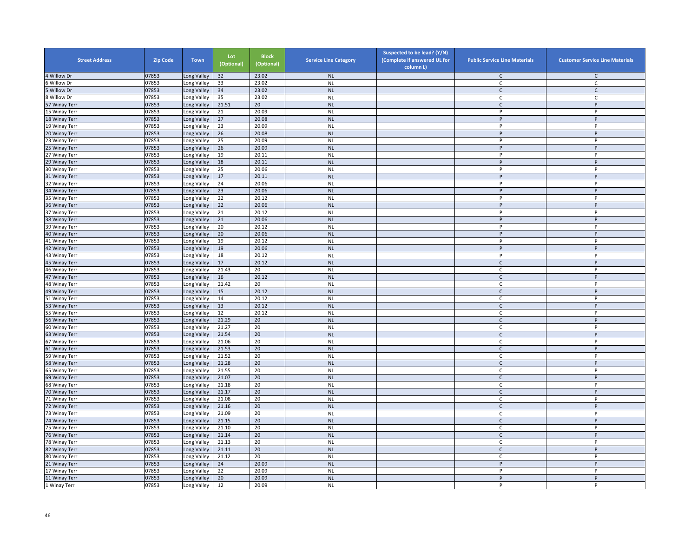| <b>Street Address</b>         | <b>Zip Code</b> | Town                       | Lot<br>(Optional) | <b>Block</b><br>(Optional) | <b>Service Line Category</b> | Suspected to be lead? (Y/N)<br>(Complete if answered UL for<br>column L) | <b>Public Service Line Materials</b> | <b>Customer Service Line Materials</b> |
|-------------------------------|-----------------|----------------------------|-------------------|----------------------------|------------------------------|--------------------------------------------------------------------------|--------------------------------------|----------------------------------------|
| 4 Willow Dr                   | 07853           | Long Valley                | 32                | 23.02                      | <b>NL</b>                    |                                                                          | C                                    | $\mathsf{C}$                           |
| Willow Dr                     | 07853           | Long Valley                | 33                | 23.02                      | <b>NL</b>                    |                                                                          | C                                    | C                                      |
| Willow Dr                     | 07853           | Long Valley                | 34                | 23.02                      | <b>NL</b>                    |                                                                          | $\mathsf{C}$                         | $\mathsf{C}$                           |
| Willow Dr                     | 07853           | Long Valley                | 35                | 23.02                      | <b>NL</b>                    |                                                                          | C                                    | $\mathsf{C}$                           |
| 57 Winay Terr                 | 07853           | Long Valley                | 21.51             | 20                         | <b>NL</b>                    |                                                                          | $\mathsf{C}$                         | P                                      |
| 15 Winay Terr                 | 07853           | Long Valley                | 21                | 20.09                      | <b>NL</b>                    |                                                                          | P                                    | P                                      |
| 18 Winay Terr                 | 07853           | Long Valley                | 27                | 20.08                      | <b>NL</b>                    |                                                                          | P                                    | P                                      |
| 19 Winay Terr                 | 07853           | Long Valley                | 23                | 20.09                      | <b>NL</b>                    |                                                                          | P                                    | P                                      |
| 20 Winay Terr                 | 07853           | Long Valley                | 26                | 20.08                      | <b>NL</b>                    |                                                                          | P                                    | P                                      |
| 23 Winay Terr                 | 07853           | Long Valley                | 25                | 20.09                      | <b>NL</b>                    |                                                                          | p                                    | P                                      |
| 25 Winay Terr                 | 07853           | Long Valley                | 26                | 20.09                      | <b>NL</b>                    |                                                                          | P                                    | P                                      |
| 27 Winay Terr                 | 07853           | Long Valley                | 19                | 20.11                      | <b>NL</b>                    |                                                                          | P                                    | P                                      |
| 29 Winay Terr                 | 07853           | Long Valley                | 18                | 20.11                      | <b>NL</b>                    |                                                                          | P                                    | P                                      |
| 30 Winay Terr                 | 07853           | Long Valley                | 25                | 20.06                      | <b>NL</b>                    |                                                                          | P                                    | P                                      |
| 31 Winay Terr                 | 07853           | Long Valley                | 17                | 20.11                      | <b>NL</b>                    |                                                                          | P                                    | $\mathsf{P}$                           |
| 32 Winay Terr                 | 07853           | Long Valley                | 24                | 20.06                      | <b>NL</b>                    |                                                                          | P                                    | P                                      |
| 34 Winay Terr                 | 07853           | Long Valley                | 23                | 20.06                      | <b>NL</b>                    |                                                                          | P                                    | Þ                                      |
| 35 Winay Terr                 | 07853           | Long Valley                | 22                | 20.12                      | <b>NL</b>                    |                                                                          | P                                    | P                                      |
| 36 Winay Terr                 | 07853           | Long Valley                | 22                | 20.06                      | <b>NL</b>                    |                                                                          | P                                    | P                                      |
| 37 Winay Terr                 | 07853           | Long Valley                | 21                | 20.12                      | <b>NL</b>                    |                                                                          | P                                    | P                                      |
| 38 Winay Terr                 | 07853           | Long Valley                | 21                | 20.06                      | <b>NL</b>                    |                                                                          | P                                    | P                                      |
| 39 Winay Terr                 | 07853           | Long Valley                | 20                | 20.12                      | <b>NL</b>                    |                                                                          | p                                    | P                                      |
| 40 Winay Terr                 | 07853           | Long Valley                | 20                | 20.06                      | <b>NL</b>                    |                                                                          | $\sf P$                              | $\sf P$                                |
| 41 Winay Terr                 | 07853           | Long Valley                | 19                | 20.12                      | <b>NL</b>                    |                                                                          | P                                    | P                                      |
| 42 Winay Terr                 | 07853           | Long Valley                | 19                | 20.06                      | <b>NL</b>                    |                                                                          | P                                    | P                                      |
| 43 Winay Terr                 | 07853           | Long Valley                | 18                | 20.12                      | <b>NL</b>                    |                                                                          | P                                    | P                                      |
| 45 Winay Terr                 | 07853           | Long Valley                | 17                | 20.12                      | <b>NL</b>                    |                                                                          | $\mathsf C$                          | P                                      |
| 46 Winay Terr                 | 07853           | Long Valley                | 21.43             | 20                         | <b>NL</b>                    |                                                                          | $\mathsf{C}$                         | P                                      |
| 47 Winay Terr                 | 07853           | Long Valley                | 16                | 20.12                      | <b>NL</b>                    |                                                                          | $\mathsf{C}$                         | P                                      |
| 48 Winay Terr                 | 07853           | Long Valley                | 21.42             | 20                         | <b>NL</b>                    |                                                                          | C                                    | P                                      |
| 49 Winay Terr                 | 07853           | Long Valley                | 15                | 20.12                      | <b>NL</b>                    |                                                                          | $\mathsf{C}$                         | P                                      |
| 51 Winay Terr                 | 07853           | Long Valley                | 14                | 20.12                      | <b>NL</b>                    |                                                                          | C                                    | P                                      |
| 53 Winay Terr                 | 07853           | Long Valley                | 13                | 20.12                      | <b>NL</b>                    |                                                                          | $\mathsf{C}$                         | P                                      |
| 55 Winay Terr                 | 07853           | Long Valley                | 12                | 20.12                      | <b>NL</b>                    |                                                                          | C.                                   | P                                      |
| 56 Winay Terr                 | 07853           | Long Valley                | 21.29             | 20                         | <b>NL</b>                    |                                                                          | $\mathsf{C}$                         | P                                      |
| 60 Winay Terr                 | 07853           | Long Valley                | 21.27             | 20                         | <b>NL</b>                    |                                                                          | C                                    | P                                      |
| 63 Winay Terr                 | 07853           | Long Valley                | 21.54             | 20                         | <b>NL</b>                    |                                                                          | $\mathsf{C}$                         | P                                      |
| 67 Winay Terr                 | 07853           | Long Valley                | 21.06             | 20                         | <b>NL</b>                    |                                                                          | $\mathsf{C}$                         | P                                      |
| 61 Winay Terr                 | 07853           | Long Valley                | 21.53             | 20                         | <b>NL</b>                    |                                                                          | $\mathsf{C}$                         | P                                      |
| 59 Winay Terr                 | 07853           | Long Valley                | 21.52             | 20                         | <b>NL</b>                    |                                                                          | C                                    | P                                      |
| 58 Winay Terr                 | 07853           | Long Valley                | 21.28             | 20                         | <b>NL</b>                    |                                                                          | $\mathsf{C}$                         | P                                      |
| 65 Winay Terr                 | 07853           | Long Valley                | 21.55             | 20                         | <b>NL</b>                    |                                                                          | C                                    | P                                      |
| 69 Winay Terr                 | 07853           | Long Valley                | 21.07             | 20                         | <b>NL</b>                    |                                                                          | $\mathsf{C}$                         | P                                      |
| 68 Winay Terr                 | 07853           | Long Valley                | 21.18             | 20                         | <b>NL</b>                    |                                                                          | C                                    | P                                      |
| 70 Winay Terr                 | 07853           | Long Valley                | 21.17             | 20                         | <b>NL</b>                    |                                                                          | $\mathsf{C}$                         | $\sf P$                                |
| 71 Winay Terr                 | 07853           | Long Valley                | 21.08             | 20                         | <b>NL</b>                    |                                                                          | C                                    | P                                      |
| 72 Winay Terr                 | 07853           | Long Valley                | 21.16             | 20                         | <b>NL</b>                    |                                                                          | $\mathsf{C}$                         | P                                      |
| 73 Winay Terr                 | 07853           | Long Valley                | 21.09             | 20                         | <b>NL</b>                    |                                                                          | $\mathsf{C}$                         | P                                      |
| 74 Winay Terr                 | 07853           | Long Valley                | 21.15             | 20                         | <b>NL</b>                    |                                                                          | $\mathsf{C}$                         | P                                      |
| 75 Winay Terr                 | 07853           | Long Valley                | 21.10             | 20                         | <b>NL</b>                    |                                                                          | C                                    | P                                      |
| 76 Winay Terr                 | 07853           | Long Valley                | 21.14             | 20                         | <b>NL</b>                    |                                                                          | $\mathsf{C}$                         | P<br>P                                 |
| 78 Winay Terr                 | 07853           | Long Valley                | 21.13             | 20                         | <b>NL</b>                    |                                                                          | C                                    |                                        |
| 82 Winay Terr                 | 07853<br>07853  | Long Valley                | 21.11<br>21.12    | 20<br>20                   | <b>NL</b><br><b>NL</b>       |                                                                          | C<br>$\mathsf{C}$                    | P<br>P                                 |
| 80 Winay Terr                 |                 | Long Valley                |                   |                            | <b>NL</b>                    |                                                                          | P                                    | P                                      |
| 21 Winay Terr                 | 07853           | Long Valley                | 24                | 20.09                      |                              |                                                                          |                                      |                                        |
| 17 Winay Terr                 | 07853<br>07853  | Long Valley                | 22<br>20          | 20.09<br>20.09             | <b>NL</b><br><b>NL</b>       |                                                                          | P<br>P                               | P<br>P                                 |
| 11 Winay Terr<br>1 Winay Terr | 07853           | Long Valley<br>Long Valley | 12                | 20.09                      | <b>NL</b>                    |                                                                          | P                                    | P                                      |
|                               |                 |                            |                   |                            |                              |                                                                          |                                      |                                        |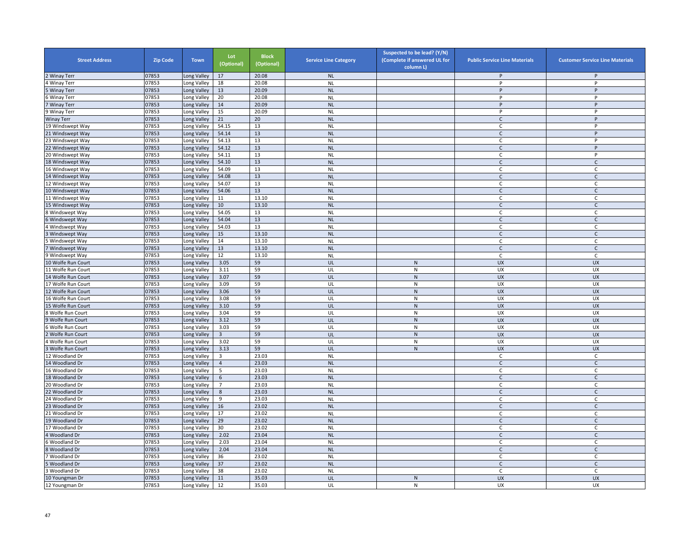| <b>Street Address</b> | <b>Zip Code</b> | <b>Town</b> | Lot<br>(Optional) | <b>Block</b><br>(Optional) | <b>Service Line Category</b> | Suspected to be lead? (Y/N)<br>(Complete if answered UL for<br>column L) | <b>Public Service Line Materials</b> | <b>Customer Service Line Materials</b> |
|-----------------------|-----------------|-------------|-------------------|----------------------------|------------------------------|--------------------------------------------------------------------------|--------------------------------------|----------------------------------------|
| <b>Winay Terr</b>     | 07853           | ong Valley  | 17                | 20.08                      | <b>NL</b>                    |                                                                          | P                                    | P                                      |
| Winay Terr            | 07853           | ong Valley  | 18                | 20.08                      | <b>NL</b>                    |                                                                          | P                                    | P                                      |
| <b>Winay Terr</b>     | 07853           | Long Valley | 13                | 20.09                      | <b>NL</b>                    |                                                                          | P                                    | P                                      |
| <b>Winay Terr</b>     | 07853           | Long Valley | 20                | 20.08                      | <b>NL</b>                    |                                                                          | P                                    | P                                      |
| Winay Terr            | 07853           | Long Valley | 14                | 20.09                      | <b>NL</b>                    |                                                                          | P                                    | P                                      |
| <b>Winay Terr</b>     | 07853           | ong Valley  | 15                | 20.09                      | <b>NL</b>                    |                                                                          | P                                    | P                                      |
| <b>Winay Terr</b>     | 07853           | Long Valley | 21                | 20                         | <b>NL</b>                    |                                                                          | $\mathsf{C}$                         | P                                      |
| 19 Windswept Way      | 07853           | ong Valley  | 54.15             | 13                         | <b>NL</b>                    |                                                                          | C                                    | P                                      |
| 21 Windswept Way      | 07853           | ong Valley  | 54.14             | 13                         | NL                           |                                                                          | $\mathsf{C}$                         | $\sf P$                                |
| 23 Windswept Way      | 07853           | Long Valley | 54.13             | 13                         | <b>NL</b>                    |                                                                          | $\mathsf C$                          | P                                      |
| 22 Windswept Way      | 07853           | Long Valley | 54.12             | 13                         | <b>NL</b>                    |                                                                          | $\mathsf{C}$                         | P                                      |
| 20 Windswept Way      | 07853           | Long Valley | 54.11             | 13                         | <b>NL</b>                    |                                                                          | C                                    | P                                      |
| 18 Windswept Way      | 07853           | Long Valley | 54.10             | 13                         | <b>NL</b>                    |                                                                          | $\mathsf{C}$                         | $\mathsf C$                            |
| 16 Windswept Way      | 07853           | Long Valley | 54.09             | 13                         | <b>NL</b>                    |                                                                          | C                                    | C                                      |
| 4 Windswept Way       | 07853           | ong Valley  | 54.08             | 13                         | <b>NL</b>                    |                                                                          | $\mathsf{C}$                         | $\mathsf{C}$                           |
| 12 Windswept Way      | 07853           | Long Valley | 54.07             | 13                         | <b>NL</b>                    |                                                                          | C                                    | C                                      |
| 10 Windswept Way      | 07853           | Long Valley | 54.06             | 13                         | <b>NL</b>                    |                                                                          | $\mathsf{C}$                         | $\mathsf{C}$                           |
| 1 Windswept Way       | 07853           | Long Valley | 11                | 13.10                      | <b>NL</b>                    |                                                                          | $\mathsf C$                          | $\mathsf{C}$                           |
| 15 Windswept Way      | 07853           | ong Valley  | 10                | 13.10                      | <b>NL</b>                    |                                                                          | $\mathsf{C}$                         | $\mathsf{C}$                           |
| Windswept Way         | 07853           | ong Valley  | 54.05             | 13                         | <b>NL</b>                    |                                                                          | C                                    | $\mathsf{C}$                           |
| Windswept Way         | 07853           | ong Valley  | 54.04             | 13                         | <b>NL</b>                    |                                                                          | $\mathsf{C}$                         | $\mathsf C$                            |
| Windswept Way         | 07853           | ong Valley  | 54.03             | 13                         | <b>NL</b>                    |                                                                          | C                                    | C                                      |
| Windswept Way         | 07853           | ong Valley  | 15                | 13.10                      | <b>NL</b>                    |                                                                          | $\mathsf{C}$                         | $\mathsf C$                            |
| Windswept Way         | 07853           | Long Valley | 14                | 13.10                      | <b>NL</b>                    |                                                                          | $\mathsf C$                          | $\mathsf{C}$                           |
| Windswept Way         | 07853           | Long Valley | 13                | 13.10                      | <b>NL</b>                    |                                                                          | C                                    | C                                      |
| 9 Windswept Way       | 07853           | ong Valley  | 12                | 13.10                      | <b>NL</b>                    |                                                                          | $\mathsf{C}$                         | $\mathsf{C}$                           |
| 10 Wolfe Run Court    | 07853           | ong Valley  | 3.05              | 59                         | UL                           | ${\sf N}$                                                                | UX                                   | <b>UX</b>                              |
| 11 Wolfe Run Court    | 07853           | Long Valley | 3.11              | 59                         | UL                           | $\overline{\mathsf{N}}$                                                  | UX                                   | <b>UX</b>                              |
| 14 Wolfe Run Court    | 07853           | ong Valley  | 3.07              | 59                         | UL                           | ${\sf N}$                                                                | <b>UX</b>                            | <b>UX</b>                              |
| 17 Wolfe Run Court    | 07853           | Long Valley | 3.09              | 59                         | UL                           | ${\sf N}$                                                                | UX                                   | UX                                     |
| 12 Wolfe Run Court    | 07853           | Long Valley | 3.06              | 59                         | UL                           | $\mathsf{N}$                                                             | <b>UX</b>                            | <b>UX</b>                              |
| 16 Wolfe Run Court    | 07853           | Long Valley | 3.08              | 59                         | UL                           | N                                                                        | UX                                   | UX                                     |
| 15 Wolfe Run Court    | 07853           | Long Valley | 3.10              | 59                         | UL                           | ${\sf N}$                                                                | <b>UX</b>                            | <b>UX</b>                              |
| Wolfe Run Court       | 07853           | Long Valley | 3.04              | 59                         | UL                           | N                                                                        | UX                                   | <b>UX</b>                              |
| Wolfe Run Court       | 07853           | Long Valley | 3.12              | 59                         | UL                           | $\mathsf{N}$                                                             | <b>UX</b>                            | <b>UX</b>                              |
| Wolfe Run Court       | 07853           | ong Valley  | 3.03              | 59                         | UL                           | ${\sf N}$                                                                | UX                                   | <b>UX</b>                              |
| Wolfe Run Court       | 07853           | Long Valley | $\overline{3}$    | 59                         | UL                           | ${\sf N}$                                                                | <b>UX</b>                            | <b>UX</b>                              |
| Wolfe Run Court       | 07853           | Long Valley | 3.02              | 59                         | UL                           | ${\sf N}$                                                                | UX                                   | UX                                     |
| Wolfe Run Court       | 07853           | Long Valley | 3.13              | 59                         | UL                           | ${\sf N}$                                                                | <b>UX</b>                            | <b>UX</b>                              |
| 12 Woodland Dr        | 07853           | Long Valley | $\overline{3}$    | 23.03                      | <b>NL</b>                    |                                                                          | $\mathsf{C}$                         | $\mathsf{C}$                           |
| 14 Woodland Dr        | 07853           | ong Valley  | $\overline{4}$    | 23.03                      | <b>NL</b>                    |                                                                          | $\mathsf{C}$                         | $\mathsf C$                            |
| 16 Woodland Dr        | 07853           | ong Valley  | 5                 | 23.03                      | <b>NL</b>                    |                                                                          | C                                    | C                                      |
| 18 Woodland Dr        | 07853           | ong Valley  | 6                 | 23.03                      | <b>NL</b>                    |                                                                          | $\mathsf{C}$                         | $\mathsf{C}$                           |
| 20 Woodland Dr        | 07853           | Long Valley | $\overline{7}$    | 23.03                      | <b>NL</b>                    |                                                                          | C                                    | C                                      |
| 22 Woodland Dr        | 07853           | Long Valley | 8                 | 23.03                      | <b>NL</b>                    |                                                                          | $\mathsf{C}$                         | $\mathsf{C}$                           |
| 4 Woodland Dr         | 07853           | Long Valley | 9                 | 23.03                      | <b>NL</b>                    |                                                                          | $\mathsf{C}$                         | C                                      |
| 23 Woodland Dr        | 07853           | Long Valley | 16                | 23.02                      | <b>NL</b>                    |                                                                          | $\mathsf{C}$                         | $\mathsf{C}$                           |
| 1 Woodland Dr         | 07853           | ong Valley  | 17                | 23.02                      | <b>NL</b>                    |                                                                          | $\mathsf{C}$                         | C                                      |
| 19 Woodland Dr        | 07853           | Long Valley | 29                | 23.02                      | <b>NL</b>                    |                                                                          | $\mathsf{C}$                         | $\mathsf{C}$                           |
| 17 Woodland Dr        | 07853           | ong Valley  | 30                | 23.02                      | <b>NL</b>                    |                                                                          | $\mathsf{C}$                         | $\mathsf{C}$                           |
| Woodland Dr           | 07853           | Long Valley | 2.02              | 23.04                      | <b>NL</b>                    |                                                                          | $\mathsf{C}$                         | $\mathsf{C}$                           |
| Woodland Dr           | 07853           | Long Valley | 2.03              | 23.04                      | <b>NL</b>                    |                                                                          | $\mathsf{C}$                         | $\mathsf{C}$                           |
| Woodland Dr           | 07853           | Long Valley | 2.04              | 23.04                      | <b>NL</b>                    |                                                                          | $\mathsf{C}$                         | $\mathsf{C}$                           |
| Woodland Dr           | 07853           | Long Valley | 36                | 23.02                      | <b>NL</b>                    |                                                                          | C                                    | C                                      |
| Woodland Dr           | 07853           | ong Valley  | 37                | 23.02                      | <b>NL</b>                    |                                                                          | $\mathsf{C}$                         | $\mathsf{C}$                           |
| Woodland Dr           | 07853           | ong Valley  | 38                | 23.02                      | <b>NL</b>                    |                                                                          | C                                    | C                                      |
| 10 Youngman Dr        | 07853           | Long Valley | 11                | 35.03                      | UL                           | ${\sf N}$                                                                | <b>UX</b>                            | <b>UX</b>                              |
|                       | 07853           |             | 12                | 35.03                      | UL                           | ${\sf N}$                                                                | <b>UX</b>                            | UX                                     |
| 12 Youngman Dr        |                 | Long Valley |                   |                            |                              |                                                                          |                                      |                                        |